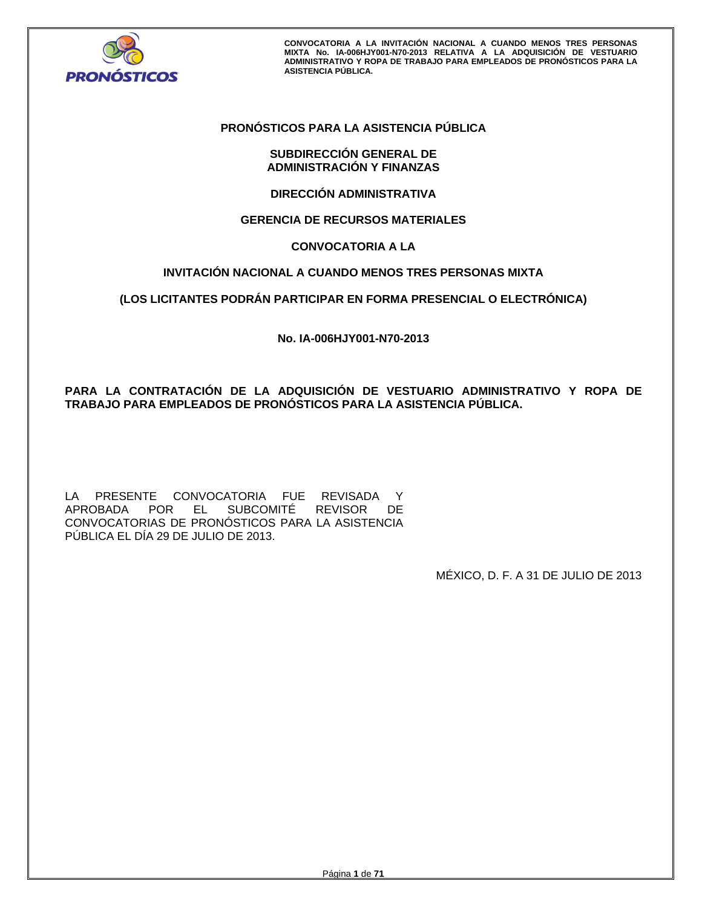

# **PRONÓSTICOS PARA LA ASISTENCIA PÚBLICA**

# **SUBDIRECCIÓN GENERAL DE ADMINISTRACIÓN Y FINANZAS**

**DIRECCIÓN ADMINISTRATIVA** 

# **GERENCIA DE RECURSOS MATERIALES**

# **CONVOCATORIA A LA**

# **INVITACIÓN NACIONAL A CUANDO MENOS TRES PERSONAS MIXTA**

# **(LOS LICITANTES PODRÁN PARTICIPAR EN FORMA PRESENCIAL O ELECTRÓNICA)**

**No. IA-006HJY001-N70-2013** 

**PARA LA CONTRATACIÓN DE LA ADQUISICIÓN DE VESTUARIO ADMINISTRATIVO Y ROPA DE TRABAJO PARA EMPLEADOS DE PRONÓSTICOS PARA LA ASISTENCIA PÚBLICA.** 

LA PRESENTE CONVOCATORIA FUE REVISADA Y<br>APROBADA POR EL SUBCOMITÉ REVISOR DE EL SUBCOMITÉ REVISOR CONVOCATORIAS DE PRONÓSTICOS PARA LA ASISTENCIA PÚBLICA EL DÍA 29 DE JULIO DE 2013.

MÉXICO, D. F. A 31 DE JULIO DE 2013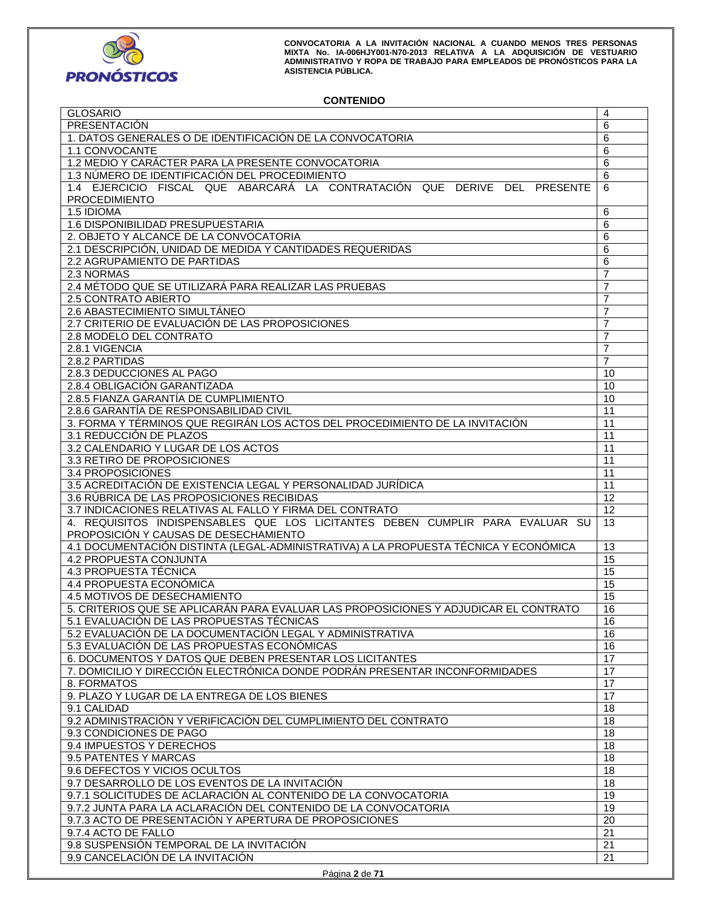

# **CONTENIDO**

| <b>GLOSARIO</b>                                                                      | 4               |  |
|--------------------------------------------------------------------------------------|-----------------|--|
| PRESENTACIÓN                                                                         | 6               |  |
| 1. DATOS GENERALES O DE IDENTIFICACIÓN DE LA CONVOCATORIA                            | 6               |  |
| 1.1 CONVOCANTE                                                                       | 6               |  |
| 1.2 MEDIO Y CARÁCTER PARA LA PRESENTE CONVOCATORIA                                   | 6               |  |
| 1.3 NÚMERO DE IDENTIFICACIÓN DEL PROCEDIMIENTO                                       | 6               |  |
| 1.4 EJERCICIO FISCAL QUE ABARCARÁ LA CONTRATACIÓN QUE DERIVE DEL PRESENTE            | 6               |  |
| <b>PROCEDIMIENTO</b>                                                                 |                 |  |
| 1.5 IDIOMA                                                                           | 6               |  |
| 1.6 DISPONIBILIDAD PRESUPUESTARIA                                                    | 6               |  |
| 2. OBJETO Y ALCANCE DE LA CONVOCATORIA                                               | 6               |  |
| 2.1 DESCRIPCIÓN, UNIDAD DE MEDIDA Y CANTIDADES REQUERIDAS                            |                 |  |
|                                                                                      | 6               |  |
| 2.2 AGRUPAMIENTO DE PARTIDAS                                                         | 6               |  |
| 2.3 NORMAS                                                                           | $\overline{7}$  |  |
| 2.4 MÉTODO QUE SE UTILIZARÁ PARA REALIZAR LAS PRUEBAS                                | $\overline{7}$  |  |
| 2.5 CONTRATO ABIERTO                                                                 | $\overline{7}$  |  |
| 2.6 ABASTECIMIENTO SIMULTÁNEO                                                        | $\overline{7}$  |  |
| 2.7 CRITERIO DE EVALUACIÓN DE LAS PROPOSICIONES                                      | 7               |  |
| 2.8 MODELO DEL CONTRATO                                                              | $\overline{7}$  |  |
| 2.8.1 VIGENCIA                                                                       | $\overline{7}$  |  |
| 2.8.2 PARTIDAS                                                                       | $\overline{7}$  |  |
| 2.8.3 DEDUCCIONES AL PAGO                                                            | 10              |  |
| 2.8.4 OBLIGACIÓN GARANTIZADA                                                         | 10              |  |
| 2.8.5 FIANZA GARANTÍA DE CUMPLIMIENTO                                                | 10              |  |
| 2.8.6 GARANTÍA DE RESPONSABILIDAD CIVIL                                              | 11              |  |
| 3. FORMA Y TÉRMINOS QUE REGIRÁN LOS ACTOS DEL PROCEDIMIENTO DE LA INVITACIÓN         | 11              |  |
| 3.1 REDUCCIÓN DE PLAZOS                                                              | 11              |  |
| 3.2 CALENDARIO Y LUGAR DE LOS ACTOS                                                  | 11              |  |
| 3.3 RETIRO DE PROPOSICIONES                                                          | 11              |  |
| 3.4 PROPOSICIONES                                                                    | 11              |  |
| 3.5 ACREDITACIÓN DE EXISTENCIA LEGAL Y PERSONALIDAD JURÍDICA                         | 11              |  |
| 3.6 RÚBRICA DE LAS PROPOSICIONES RECIBIDAS                                           |                 |  |
| 3.7 INDICACIONES RELATIVAS AL FALLO Y FIRMA DEL CONTRATO                             |                 |  |
| 4. REQUISITOS INDISPENSABLES QUE LOS LICITANTES DEBEN CUMPLIR PARA EVALUAR SU        |                 |  |
| PROPOSICIÓN Y CAUSAS DE DESECHAMIENTO                                                | 13              |  |
| 4.1 DOCUMENTACIÓN DISTINTA (LEGAL-ADMINISTRATIVA) A LA PROPUESTA TÉCNICA Y ECONÓMICA | 13              |  |
| 4.2 PROPUESTA CONJUNTA                                                               | 15              |  |
| 4.3 PROPUESTA TÉCNICA                                                                | 15              |  |
| 4.4 PROPUESTA ECONÓMICA                                                              | $\overline{15}$ |  |
| 4.5 MOTIVOS DE DESECHAMIENTO                                                         | $\overline{15}$ |  |
| 5. CRITERIOS QUE SE APLICARÁN PARA EVALUAR LAS PROPOSICIONES Y ADJUDICAR EL CONTRATO | 16              |  |
| 5.1 EVALUACIÓN DE LAS PROPUESTAS TÉCNICAS                                            | 16              |  |
| 5.2 EVALUACIÓN DE LA DOCUMENTACIÓN LEGAL Y ADMINISTRATIVA                            | 16              |  |
| 5.3 EVALUACIÓN DE LAS PROPUESTAS ECONÓMICAS                                          | 16              |  |
| 6. DOCUMENTOS Y DATOS QUE DEBEN PRESENTAR LOS LICITANTES                             | $\overline{17}$ |  |
| 7. DOMICILIO Y DIRECCIÓN ELECTRÓNICA DONDE PODRÁN PRESENTAR INCONFORMIDADES          | 17              |  |
| 8. FORMATOS                                                                          | $\overline{17}$ |  |
| 9. PLAZO Y LUGAR DE LA ENTREGA DE LOS BIENES                                         | 17              |  |
|                                                                                      | 18              |  |
| 9.1 CALIDAD<br>9.2 ADMINISTRACIÓN Y VERIFICACIÓN DEL CUMPLIMIENTO DEL CONTRATO       |                 |  |
|                                                                                      | 18              |  |
| 9.3 CONDICIONES DE PAGO                                                              | 18              |  |
| 9.4 IMPUESTOS Y DERECHOS                                                             | 18              |  |
| 9.5 PATENTES Y MARCAS                                                                | 18              |  |
|                                                                                      | 18              |  |
| 9.6 DEFECTOS Y VICIOS OCULTOS                                                        |                 |  |
| 9.7 DESARROLLO DE LOS EVENTOS DE LA INVITACIÓN                                       | $\overline{18}$ |  |
| 9.7.1 SOLICITUDES DE ACLARACIÓN AL CONTENIDO DE LA CONVOCATORIA                      | $\overline{19}$ |  |
| 9.7.2 JUNTA PARA LA ACLARACIÓN DEL CONTENIDO DE LA CONVOCATORIA                      | $\overline{19}$ |  |
| 9.7.3 ACTO DE PRESENTACIÓN Y APERTURA DE PROPOSICIONES                               | 20              |  |
| 9.7.4 ACTO DE FALLO                                                                  | 21              |  |
| 9.8 SUSPENSIÓN TEMPORAL DE LA INVITACIÓN                                             | $\overline{21}$ |  |
| 9.9 CANCELACIÓN DE LA INVITACIÓN                                                     | 21              |  |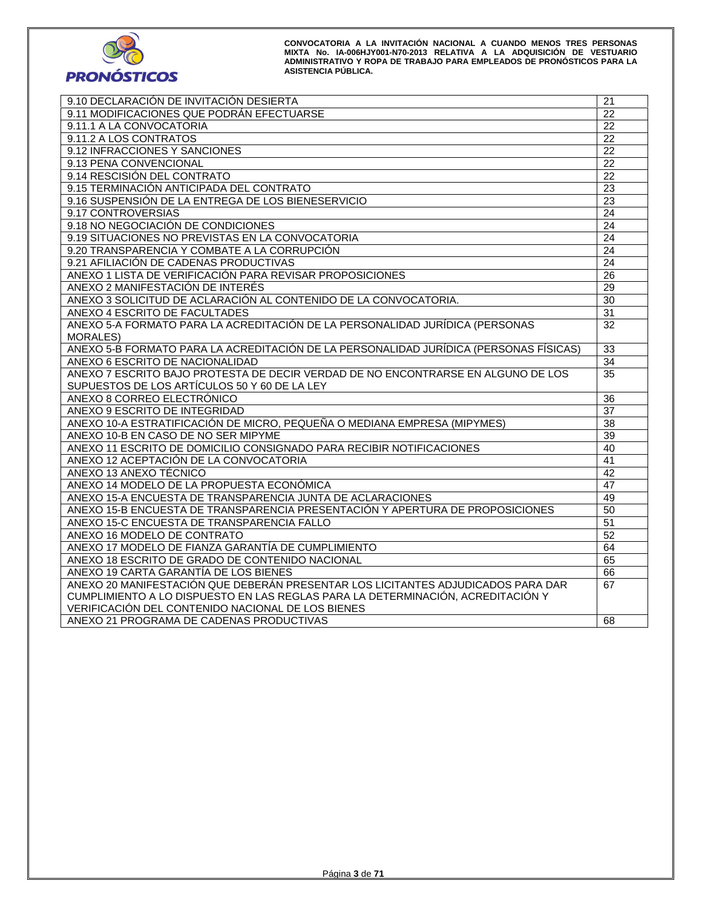

| 9.10 DECLARACIÓN DE INVITACIÓN DESIERTA                                               | 21              |
|---------------------------------------------------------------------------------------|-----------------|
| 9.11 MODIFICACIONES QUE PODRÁN EFECTUARSE                                             | 22              |
| 9.11.1 A LA CONVOCATORIA                                                              | 22              |
| 9.11.2 A LOS CONTRATOS                                                                | 22              |
| 9.12 INFRACCIONES Y SANCIONES                                                         | $\overline{22}$ |
| 9.13 PENA CONVENCIONAL                                                                | $\overline{22}$ |
| 9.14 RESCISIÓN DEL CONTRATO                                                           | $\overline{22}$ |
| 9.15 TERMINACIÓN ANTICIPADA DEL CONTRATO                                              | 23              |
| 9.16 SUSPENSIÓN DE LA ENTREGA DE LOS BIENESERVICIO                                    | 23              |
| 9.17 CONTROVERSIAS                                                                    | 24              |
| 9.18 NO NEGOCIACIÓN DE CONDICIONES                                                    | 24              |
| 9.19 SITUACIONES NO PREVISTAS EN LA CONVOCATORIA                                      | 24              |
| 9.20 TRANSPARENCIA Y COMBATE A LA CORRUPCIÓN                                          | $\overline{24}$ |
| 9.21 AFILIACIÓN DE CADENAS PRODUCTIVAS                                                | 24              |
| ANEXO 1 LISTA DE VERIFICACIÓN PARA REVISAR PROPOSICIONES                              | $\overline{26}$ |
| ANEXO 2 MANIFESTACIÓN DE INTERÉS                                                      | 29              |
| ANEXO 3 SOLICITUD DE ACLARACIÓN AL CONTENIDO DE LA CONVOCATORIA.                      | 30              |
| ANEXO 4 ESCRITO DE FACULTADES                                                         | 31              |
| ANEXO 5-A FORMATO PARA LA ACREDITACIÓN DE LA PERSONALIDAD JURÍDICA (PERSONAS          | 32              |
| <b>MORALES)</b>                                                                       |                 |
| ANEXO 5-B FORMATO PARA LA ACREDITACIÓN DE LA PERSONALIDAD JURÍDICA (PERSONAS FÍSICAS) | $\overline{33}$ |
| ANEXO 6 ESCRITO DE NACIONALIDAD                                                       | 34              |
| ANEXO 7 ESCRITO BAJO PROTESTA DE DECIR VERDAD DE NO ENCONTRARSE EN ALGUNO DE LOS      | 35              |
| SUPUESTOS DE LOS ARTÍCULOS 50 Y 60 DE LA LEY                                          |                 |
| ANEXO 8 CORREO ELECTRÓNICO                                                            | 36              |
| ANEXO 9 ESCRITO DE INTEGRIDAD                                                         | 37              |
| ANEXO 10-A ESTRATIFICACIÓN DE MICRO, PEQUEÑA O MEDIANA EMPRESA (MIPYMES)              | 38              |
| ANEXO 10-B EN CASO DE NO SER MIPYME                                                   | 39              |
| ANEXO 11 ESCRITO DE DOMICILIO CONSIGNADO PARA RECIBIR NOTIFICACIONES                  | 40              |
| ANEXO 12 ACEPTACIÓN DE LA CONVOCATORIA                                                | 41              |
| ANEXO 13 ANEXO TÉCNICO                                                                | $\overline{42}$ |
| ANEXO 14 MODELO DE LA PROPUESTA ECONÓMICA                                             | 47              |
| ANEXO 15-A ENCUESTA DE TRANSPARENCIA JUNTA DE ACLARACIONES                            | 49              |
| ANEXO 15-B ENCUESTA DE TRANSPARENCIA PRESENTACIÓN Y APERTURA DE PROPOSICIONES         | 50              |
| ANEXO 15-C ENCUESTA DE TRANSPARENCIA FALLO                                            | 51              |
| ANEXO 16 MODELO DE CONTRATO                                                           | $\overline{52}$ |
| ANEXO 17 MODELO DE FIANZA GARANTÍA DE CUMPLIMIENTO                                    | 64              |
| ANEXO 18 ESCRITO DE GRADO DE CONTENIDO NACIONAL                                       | 65              |
| ANEXO 19 CARTA GARANTÍA DE LOS BIENES                                                 | 66              |
| ANEXO 20 MANIFESTACIÓN QUE DEBERÁN PRESENTAR LOS LICITANTES ADJUDICADOS PARA DAR      | 67              |
| CUMPLIMIENTO A LO DISPUESTO EN LAS REGLAS PARA LA DETERMINACIÓN, ACREDITACIÓN Y       |                 |
| VERIFICACIÓN DEL CONTENIDO NACIONAL DE LOS BIENES                                     |                 |
| ANEXO 21 PROGRAMA DE CADENAS PRODUCTIVAS                                              | 68              |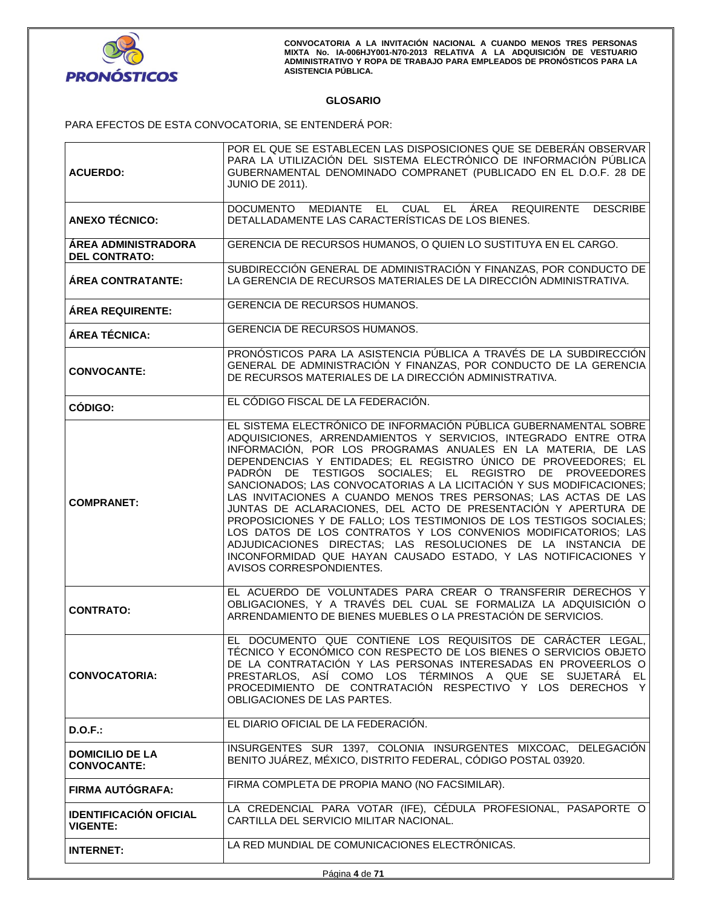

# **GLOSARIO**

PARA EFECTOS DE ESTA CONVOCATORIA, SE ENTENDERÁ POR:

|                               | POR EL QUE SE ESTABLECEN LAS DISPOSICIONES QUE SE DEBERÁN OBSERVAR<br>PARA LA UTILIZACIÓN DEL SISTEMA ELECTRÓNICO DE INFORMACIÓN PÚBLICA |  |
|-------------------------------|------------------------------------------------------------------------------------------------------------------------------------------|--|
| <b>ACUERDO:</b>               | GUBERNAMENTAL DENOMINADO COMPRANET (PUBLICADO EN EL D.O.F. 28 DE                                                                         |  |
|                               | <b>JUNIO DE 2011).</b>                                                                                                                   |  |
|                               | DOCUMENTO MEDIANTE EL CUAL EL ÁREA REQUIRENTE<br><b>DESCRIBE</b>                                                                         |  |
| <b>ANEXO TÉCNICO:</b>         | DETALLADAMENTE LAS CARACTERÍSTICAS DE LOS BIENES.                                                                                        |  |
| <b>ÁREA ADMINISTRADORA</b>    | GERENCIA DE RECURSOS HUMANOS, O QUIEN LO SUSTITUYA EN EL CARGO.                                                                          |  |
| <b>DEL CONTRATO:</b>          | SUBDIRECCIÓN GENERAL DE ADMINISTRACIÓN Y FINANZAS, POR CONDUCTO DE                                                                       |  |
| <b>ÁREA CONTRATANTE:</b>      | LA GERENCIA DE RECURSOS MATERIALES DE LA DIRECCIÓN ADMINISTRATIVA.                                                                       |  |
| <b>ÁREA REQUIRENTE:</b>       | GERENCIA DE RECURSOS HUMANOS.                                                                                                            |  |
| ÁREA TÉCNICA:                 | <b>GERENCIA DE RECURSOS HUMANOS.</b>                                                                                                     |  |
|                               | PRONÓSTICOS PARA LA ASISTENCIA PÚBLICA A TRAVÉS DE LA SUBDIRECCIÓN                                                                       |  |
| <b>CONVOCANTE:</b>            | GENERAL DE ADMINISTRACIÓN Y FINANZAS, POR CONDUCTO DE LA GERENCIA<br>DE RECURSOS MATERIALES DE LA DIRECCIÓN ADMINISTRATIVA.              |  |
| CÓDIGO:                       | EL CÓDIGO FISCAL DE LA FEDERACIÓN.                                                                                                       |  |
|                               | EL SISTEMA ELECTRÓNICO DE INFORMACIÓN PÚBLICA GUBERNAMENTAL SOBRE                                                                        |  |
|                               | ADQUISICIONES, ARRENDAMIENTOS Y SERVICIOS, INTEGRADO ENTRE OTRA<br>INFORMACIÓN, POR LOS PROGRAMAS ANUALES EN LA MATERIA, DE LAS          |  |
|                               | DEPENDENCIAS Y ENTIDADES; EL REGISTRO ÚNICO DE PROVEEDORES; EL                                                                           |  |
|                               | PADRÓN DE TESTIGOS SOCIALES; EL REGISTRO DE PROVEEDORES<br>SANCIONADOS; LAS CONVOCATORIAS A LA LICITACIÓN Y SUS MODIFICACIONES;          |  |
| <b>COMPRANET:</b>             | LAS INVITACIONES A CUANDO MENOS TRES PERSONAS; LAS ACTAS DE LAS                                                                          |  |
|                               | JUNTAS DE ACLARACIONES, DEL ACTO DE PRESENTACIÓN Y APERTURA DE<br>PROPOSICIONES Y DE FALLO; LOS TESTIMONIOS DE LOS TESTIGOS SOCIALES;    |  |
|                               | LOS DATOS DE LOS CONTRATOS Y LOS CONVENIOS MODIFICATORIOS; LAS                                                                           |  |
|                               | ADJUDICACIONES DIRECTAS; LAS RESOLUCIONES DE LA INSTANCIA DE<br>INCONFORMIDAD QUE HAYAN CAUSADO ESTADO, Y LAS NOTIFICACIONES Y           |  |
|                               | AVISOS CORRESPONDIENTES.                                                                                                                 |  |
|                               | EL ACUERDO DE VOLUNTADES PARA CREAR O TRANSFERIR DERECHOS Y                                                                              |  |
| <b>CONTRATO:</b>              | OBLIGACIONES, Y A TRAVÉS DEL CUAL SE FORMALIZA LA ADQUISICIÓN O<br>ARRENDAMIENTO DE BIENES MUEBLES O LA PRESTACIÓN DE SERVICIOS.         |  |
|                               |                                                                                                                                          |  |
|                               | EL DOCUMENTO QUE CONTIENE LOS REQUISITOS DE CARÁCTER LEGAL,                                                                              |  |
|                               | TÉCNICO Y ECONÓMICO CON RESPECTO DE LOS BIENES O SERVICIOS OBJETO<br>DE LA CONTRATACIÓN Y LAS PERSONAS INTERESADAS EN PROVEERLOS O       |  |
| <b>CONVOCATORIA:</b>          | PRESTARLOS, ASÍ COMO LOS TÉRMINOS A QUE SE SUJETARÁ EL                                                                                   |  |
|                               | PROCEDIMIENTO DE CONTRATACIÓN RESPECTIVO Y LOS DERECHOS Y<br>OBLIGACIONES DE LAS PARTES.                                                 |  |
|                               | EL DIARIO OFICIAL DE LA FEDERACIÓN.                                                                                                      |  |
| $D.O.F.$ :                    |                                                                                                                                          |  |
| <b>DOMICILIO DE LA</b>        | INSURGENTES SUR 1397, COLONIA INSURGENTES MIXCOAC, DELEGACIÓN<br>BENITO JUÁREZ, MÉXICO, DISTRITO FEDERAL, CÓDIGO POSTAL 03920.           |  |
| <b>CONVOCANTE:</b>            |                                                                                                                                          |  |
| <b>FIRMA AUTÓGRAFA:</b>       | FIRMA COMPLETA DE PROPIA MANO (NO FACSIMILAR).                                                                                           |  |
| <b>IDENTIFICACIÓN OFICIAL</b> | LA CREDENCIAL PARA VOTAR (IFE), CÉDULA PROFESIONAL, PASAPORTE O<br>CARTILLA DEL SERVICIO MILITAR NACIONAL.                               |  |
| <b>VIGENTE:</b>               |                                                                                                                                          |  |
| <b>INTERNET:</b>              | LA RED MUNDIAL DE COMUNICACIONES ELECTRÓNICAS.                                                                                           |  |
|                               |                                                                                                                                          |  |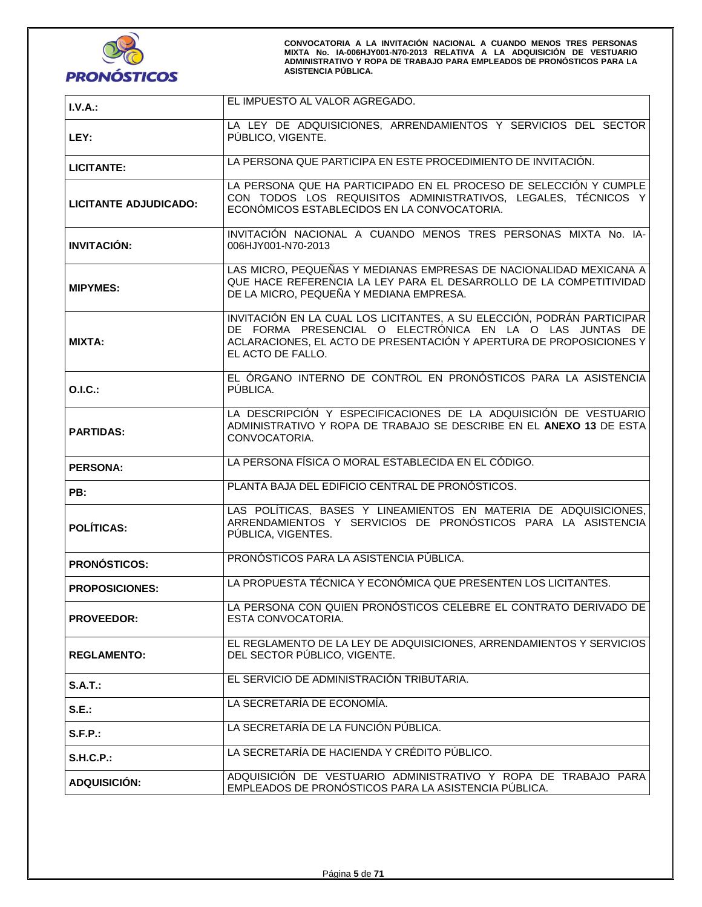

| I.V.A.:               | EL IMPUESTO AL VALOR AGREGADO.                                                                                                                                                                                                |  |
|-----------------------|-------------------------------------------------------------------------------------------------------------------------------------------------------------------------------------------------------------------------------|--|
| LEY:                  | LA LEY DE ADQUISICIONES, ARRENDAMIENTOS Y SERVICIOS DEL SECTOR<br>PÚBLICO, VIGENTE.                                                                                                                                           |  |
| <b>LICITANTE:</b>     | LA PERSONA QUE PARTICIPA EN ESTE PROCEDIMIENTO DE INVITACIÓN.                                                                                                                                                                 |  |
| LICITANTE ADJUDICADO: | LA PERSONA QUE HA PARTICIPADO EN EL PROCESO DE SELECCIÓN Y CUMPLE<br>CON TODOS LOS REQUISITOS ADMINISTRATIVOS, LEGALES, TÉCNICOS Y<br>ECONÓMICOS ESTABLECIDOS EN LA CONVOCATORIA.                                             |  |
| <b>INVITACIÓN:</b>    | INVITACIÓN NACIONAL A CUANDO MENOS TRES PERSONAS MIXTA No. IA-<br>006HJY001-N70-2013                                                                                                                                          |  |
| <b>MIPYMES:</b>       | LAS MICRO, PEQUEÑAS Y MEDIANAS EMPRESAS DE NACIONALIDAD MEXICANA A<br>QUE HACE REFERENCIA LA LEY PARA EL DESARROLLO DE LA COMPETITIVIDAD<br>DE LA MICRO, PEQUEÑA Y MEDIANA EMPRESA.                                           |  |
| <b>MIXTA:</b>         | INVITACIÓN EN LA CUAL LOS LICITANTES, A SU ELECCIÓN, PODRÁN PARTICIPAR<br>DE FORMA PRESENCIAL O ELECTRÓNICA EN LA O LAS JUNTAS DE<br>ACLARACIONES, EL ACTO DE PRESENTACIÓN Y APERTURA DE PROPOSICIONES Y<br>EL ACTO DE FALLO. |  |
| O.I.C.:               | EL ÓRGANO INTERNO DE CONTROL EN PRONÓSTICOS PARA LA ASISTENCIA<br>PÚBLICA.                                                                                                                                                    |  |
| <b>PARTIDAS:</b>      | LA DESCRIPCIÓN Y ESPECIFICACIONES DE LA ADQUISICIÓN DE VESTUARIO<br>ADMINISTRATIVO Y ROPA DE TRABAJO SE DESCRIBE EN EL ANEXO 13 DE ESTA<br>CONVOCATORIA.                                                                      |  |
| <b>PERSONA:</b>       | LA PERSONA FÍSICA O MORAL ESTABLECIDA EN EL CÓDIGO.                                                                                                                                                                           |  |
| PB:                   | PLANTA BAJA DEL EDIFICIO CENTRAL DE PRONÓSTICOS.                                                                                                                                                                              |  |
| <b>POLÍTICAS:</b>     | LAS POLÍTICAS, BASES Y LINEAMIENTOS EN MATERIA DE ADQUISICIONES,<br>ARRENDAMIENTOS Y SERVICIOS DE PRONÓSTICOS PARA LA ASISTENCIA<br>PÚBLICA, VIGENTES.                                                                        |  |
| <b>PRONÓSTICOS:</b>   | PRONÓSTICOS PARA LA ASISTENCIA PÚBLICA.                                                                                                                                                                                       |  |
| <b>PROPOSICIONES:</b> | LA PROPUESTA TÉCNICA Y ECONÓMICA QUE PRESENTEN LOS LICITANTES.                                                                                                                                                                |  |
| <b>PROVEEDOR:</b>     | LA PERSONA CON QUIEN PRONÓSTICOS CELEBRE EL CONTRATO DERIVADO DE<br>ESTA CONVOCATORIA.                                                                                                                                        |  |
| <b>REGLAMENTO:</b>    | EL REGLAMENTO DE LA LEY DE ADQUISICIONES, ARRENDAMIENTOS Y SERVICIOS<br>DEL SECTOR PÚBLICO, VIGENTE.                                                                                                                          |  |
| S.A.T.                | EL SERVICIO DE ADMINISTRACIÓN TRIBUTARIA.                                                                                                                                                                                     |  |
| S.E.:                 | LA SECRETARÍA DE ECONOMÍA.                                                                                                                                                                                                    |  |
| $S.F.P.$ :            | LA SECRETARÍA DE LA FUNCIÓN PÚBLICA.                                                                                                                                                                                          |  |
| <b>S.H.C.P.:</b>      | LA SECRETARÍA DE HACIENDA Y CRÉDITO PÚBLICO.                                                                                                                                                                                  |  |
| <b>ADQUISICIÓN:</b>   | ADQUISICIÓN DE VESTUARIO ADMINISTRATIVO Y ROPA DE TRABAJO PARA<br>EMPLEADOS DE PRONÓSTICOS PARA LA ASISTENCIA PÚBLICA.                                                                                                        |  |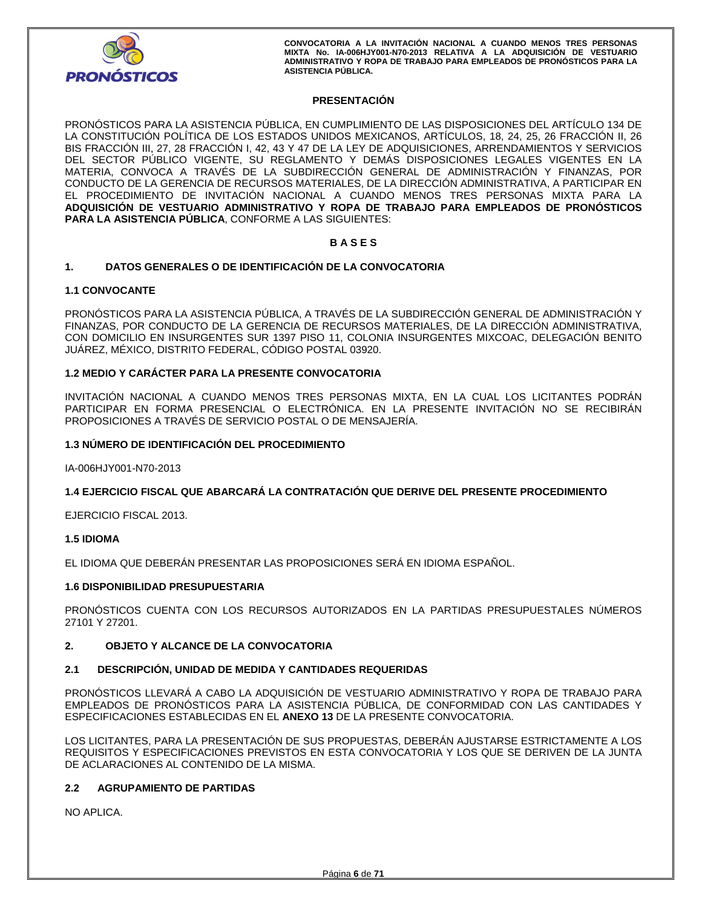

## **PRESENTACIÓN**

PRONÓSTICOS PARA LA ASISTENCIA PÚBLICA, EN CUMPLIMIENTO DE LAS DISPOSICIONES DEL ARTÍCULO 134 DE LA CONSTITUCIÓN POLÍTICA DE LOS ESTADOS UNIDOS MEXICANOS, ARTÍCULOS, 18, 24, 25, 26 FRACCIÓN II, 26 BIS FRACCIÓN III, 27, 28 FRACCIÓN I, 42, 43 Y 47 DE LA LEY DE ADQUISICIONES, ARRENDAMIENTOS Y SERVICIOS DEL SECTOR PÚBLICO VIGENTE, SU REGLAMENTO Y DEMÁS DISPOSICIONES LEGALES VIGENTES EN LA MATERIA, CONVOCA A TRAVÉS DE LA SUBDIRECCIÓN GENERAL DE ADMINISTRACIÓN Y FINANZAS, POR CONDUCTO DE LA GERENCIA DE RECURSOS MATERIALES, DE LA DIRECCIÓN ADMINISTRATIVA, A PARTICIPAR EN EL PROCEDIMIENTO DE INVITACIÓN NACIONAL A CUANDO MENOS TRES PERSONAS MIXTA PARA LA **ADQUISICIÓN DE VESTUARIO ADMINISTRATIVO Y ROPA DE TRABAJO PARA EMPLEADOS DE PRONÓSTICOS PARA LA ASISTENCIA PÚBLICA**, CONFORME A LAS SIGUIENTES:

## **B A S E S**

## **1. DATOS GENERALES O DE IDENTIFICACIÓN DE LA CONVOCATORIA**

## **1.1 CONVOCANTE**

PRONÓSTICOS PARA LA ASISTENCIA PÚBLICA, A TRAVÉS DE LA SUBDIRECCIÓN GENERAL DE ADMINISTRACIÓN Y FINANZAS, POR CONDUCTO DE LA GERENCIA DE RECURSOS MATERIALES, DE LA DIRECCIÓN ADMINISTRATIVA, CON DOMICILIO EN INSURGENTES SUR 1397 PISO 11, COLONIA INSURGENTES MIXCOAC, DELEGACIÓN BENITO JUÁREZ, MÉXICO, DISTRITO FEDERAL, CÓDIGO POSTAL 03920.

## **1.2 MEDIO Y CARÁCTER PARA LA PRESENTE CONVOCATORIA**

INVITACIÓN NACIONAL A CUANDO MENOS TRES PERSONAS MIXTA, EN LA CUAL LOS LICITANTES PODRÁN PARTICIPAR EN FORMA PRESENCIAL O ELECTRÓNICA. EN LA PRESENTE INVITACIÓN NO SE RECIBIRÁN PROPOSICIONES A TRAVÉS DE SERVICIO POSTAL O DE MENSAJERÍA.

## **1.3 NÚMERO DE IDENTIFICACIÓN DEL PROCEDIMIENTO**

IA-006HJY001-N70-2013

## **1.4 EJERCICIO FISCAL QUE ABARCARÁ LA CONTRATACIÓN QUE DERIVE DEL PRESENTE PROCEDIMIENTO**

EJERCICIO FISCAL 2013.

## **1.5 IDIOMA**

EL IDIOMA QUE DEBERÁN PRESENTAR LAS PROPOSICIONES SERÁ EN IDIOMA ESPAÑOL.

## **1.6 DISPONIBILIDAD PRESUPUESTARIA**

PRONÓSTICOS CUENTA CON LOS RECURSOS AUTORIZADOS EN LA PARTIDAS PRESUPUESTALES NÚMEROS 27101 Y 27201.

## **2. OBJETO Y ALCANCE DE LA CONVOCATORIA**

## **2.1 DESCRIPCIÓN, UNIDAD DE MEDIDA Y CANTIDADES REQUERIDAS**

PRONÓSTICOS LLEVARÁ A CABO LA ADQUISICIÓN DE VESTUARIO ADMINISTRATIVO Y ROPA DE TRABAJO PARA EMPLEADOS DE PRONÓSTICOS PARA LA ASISTENCIA PÚBLICA, DE CONFORMIDAD CON LAS CANTIDADES Y ESPECIFICACIONES ESTABLECIDAS EN EL **ANEXO 13** DE LA PRESENTE CONVOCATORIA.

LOS LICITANTES, PARA LA PRESENTACIÓN DE SUS PROPUESTAS, DEBERÁN AJUSTARSE ESTRICTAMENTE A LOS REQUISITOS Y ESPECIFICACIONES PREVISTOS EN ESTA CONVOCATORIA Y LOS QUE SE DERIVEN DE LA JUNTA DE ACLARACIONES AL CONTENIDO DE LA MISMA.

## **2.2 AGRUPAMIENTO DE PARTIDAS**

NO APLICA.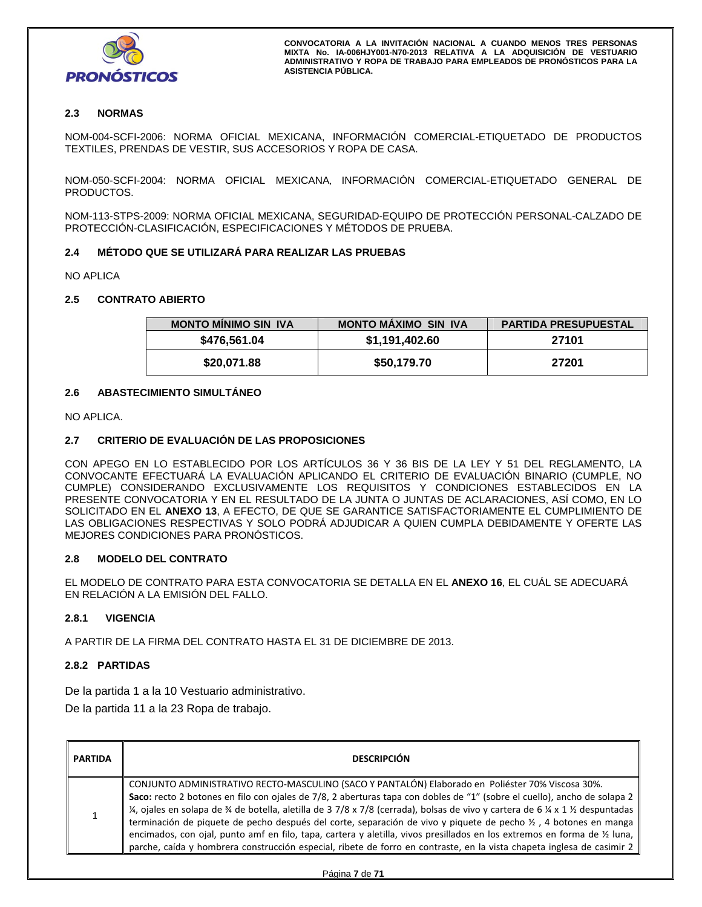

# **2.3 NORMAS**

NOM-004-SCFI-2006: NORMA OFICIAL MEXICANA, INFORMACIÓN COMERCIAL-ETIQUETADO DE PRODUCTOS TEXTILES, PRENDAS DE VESTIR, SUS ACCESORIOS Y ROPA DE CASA.

NOM-050-SCFI-2004: NORMA OFICIAL MEXICANA, INFORMACIÓN COMERCIAL-ETIQUETADO GENERAL DE PRODUCTOS.

NOM-113-STPS-2009: NORMA OFICIAL MEXICANA, SEGURIDAD-EQUIPO DE PROTECCIÓN PERSONAL-CALZADO DE PROTECCIÓN-CLASIFICACIÓN, ESPECIFICACIONES Y MÉTODOS DE PRUEBA.

## **2.4 MÉTODO QUE SE UTILIZARÁ PARA REALIZAR LAS PRUEBAS**

NO APLICA

## **2.5 CONTRATO ABIERTO**

| <b>MONTO MINIMO SIN IVA</b> | <b>MONTO MAXIMO SIN IVA</b> | <b>PARTIDA PRESUPUESTAL</b> |
|-----------------------------|-----------------------------|-----------------------------|
| \$476,561.04                | \$1,191,402.60              | 27101                       |
| \$20,071.88                 | \$50,179.70                 | 27201                       |

## **2.6 ABASTECIMIENTO SIMULTÁNEO**

NO APLICA.

## **2.7 CRITERIO DE EVALUACIÓN DE LAS PROPOSICIONES**

CON APEGO EN LO ESTABLECIDO POR LOS ARTÍCULOS 36 Y 36 BIS DE LA LEY Y 51 DEL REGLAMENTO, LA CONVOCANTE EFECTUARÁ LA EVALUACIÓN APLICANDO EL CRITERIO DE EVALUACIÓN BINARIO (CUMPLE, NO CUMPLE) CONSIDERANDO EXCLUSIVAMENTE LOS REQUISITOS Y CONDICIONES ESTABLECIDOS EN LA PRESENTE CONVOCATORIA Y EN EL RESULTADO DE LA JUNTA O JUNTAS DE ACLARACIONES, ASÍ COMO, EN LO SOLICITADO EN EL **ANEXO 13**, A EFECTO, DE QUE SE GARANTICE SATISFACTORIAMENTE EL CUMPLIMIENTO DE LAS OBLIGACIONES RESPECTIVAS Y SOLO PODRÁ ADJUDICAR A QUIEN CUMPLA DEBIDAMENTE Y OFERTE LAS MEJORES CONDICIONES PARA PRONÓSTICOS.

## **2.8 MODELO DEL CONTRATO**

EL MODELO DE CONTRATO PARA ESTA CONVOCATORIA SE DETALLA EN EL **ANEXO 16**, EL CUÁL SE ADECUARÁ EN RELACIÓN A LA EMISIÓN DEL FALLO.

## **2.8.1 VIGENCIA**

A PARTIR DE LA FIRMA DEL CONTRATO HASTA EL 31 DE DICIEMBRE DE 2013.

## **2.8.2 PARTIDAS**

De la partida 1 a la 10 Vestuario administrativo.

De la partida 11 a la 23 Ropa de trabajo.

| PARTIDA | <b>DESCRIPCIÓN</b>                                                                                                                                                                                                                                                                                                                                                                                                                                                                                                                                                                                                                                                                                                                  |
|---------|-------------------------------------------------------------------------------------------------------------------------------------------------------------------------------------------------------------------------------------------------------------------------------------------------------------------------------------------------------------------------------------------------------------------------------------------------------------------------------------------------------------------------------------------------------------------------------------------------------------------------------------------------------------------------------------------------------------------------------------|
|         | CONJUNTO ADMINISTRATIVO RECTO-MASCULINO (SACO Y PANTALÓN) Elaborado en Poliéster 70% Viscosa 30%.<br>Saco: recto 2 botones en filo con ojales de 7/8, 2 aberturas tapa con dobles de "1" (sobre el cuello), ancho de solapa 2<br>¼, ojales en solapa de ¾ de botella, aletilla de 3 7/8 x 7/8 (cerrada), bolsas de vivo y cartera de 6 ¼ x 1 ½ despuntadas<br>terminación de piquete de pecho después del corte, separación de vivo y piquete de pecho ½, 4 botones en manga<br>encimados, con ojal, punto amf en filo, tapa, cartera y aletilla, vivos presillados en los extremos en forma de 1/2 luna,<br>parche, caída y hombrera construcción especial, ribete de forro en contraste, en la vista chapeta inglesa de casimir 2 |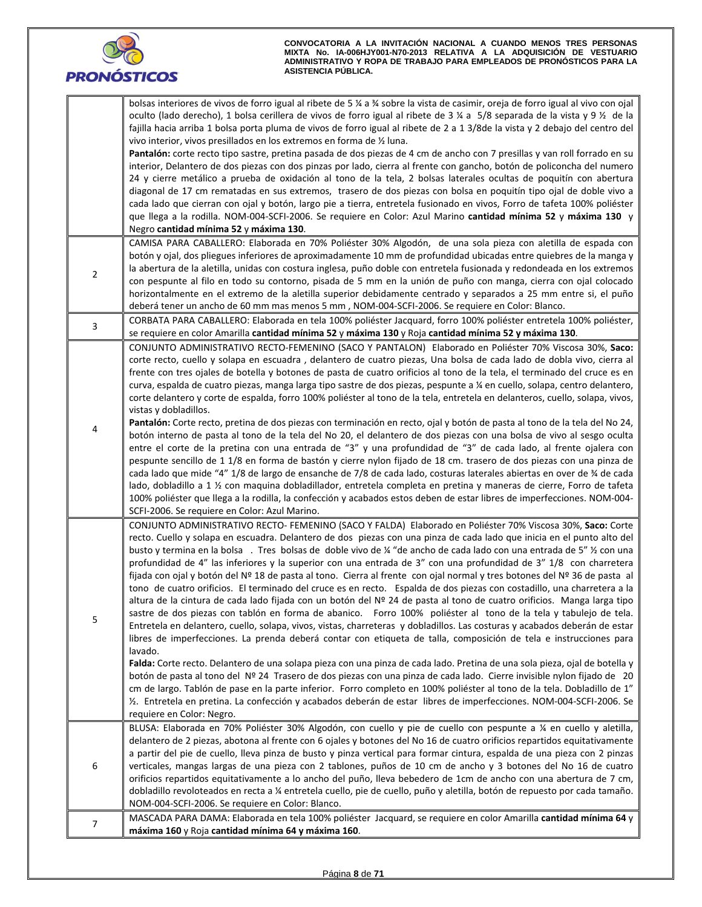

|                | bolsas interiores de vivos de forro igual al ribete de 5 ¼ a ¾ sobre la vista de casimir, oreja de forro igual al vivo con ojal                                                                                                                      |
|----------------|------------------------------------------------------------------------------------------------------------------------------------------------------------------------------------------------------------------------------------------------------|
|                | oculto (lado derecho), 1 bolsa cerillera de vivos de forro igual al ribete de 3 ¼ a 5/8 separada de la vista y 9 ½ de la                                                                                                                             |
|                | fajilla hacia arriba 1 bolsa porta pluma de vivos de forro igual al ribete de 2 a 1 3/8de la vista y 2 debajo del centro del                                                                                                                         |
|                | vivo interior, vivos presillados en los extremos en forma de 1/2 luna.                                                                                                                                                                               |
|                | Pantalón: corte recto tipo sastre, pretina pasada de dos piezas de 4 cm de ancho con 7 presillas y van roll forrado en su                                                                                                                            |
|                | interior, Delantero de dos piezas con dos pinzas por lado, cierra al frente con gancho, botón de policoncha del numero                                                                                                                               |
|                | 24 y cierre metálico a prueba de oxidación al tono de la tela, 2 bolsas laterales ocultas de poquitín con abertura                                                                                                                                   |
|                | diagonal de 17 cm rematadas en sus extremos, trasero de dos piezas con bolsa en poquitín tipo ojal de doble vivo a                                                                                                                                   |
|                | cada lado que cierran con ojal y botón, largo pie a tierra, entretela fusionado en vivos, Forro de tafeta 100% poliéster                                                                                                                             |
|                | que llega a la rodilla. NOM-004-SCFI-2006. Se requiere en Color: Azul Marino cantidad mínima 52 y máxima 130 y                                                                                                                                       |
|                | Negro cantidad mínima 52 y máxima 130.                                                                                                                                                                                                               |
|                | CAMISA PARA CABALLERO: Elaborada en 70% Poliéster 30% Algodón, de una sola pieza con aletilla de espada con                                                                                                                                          |
|                | botón y ojal, dos pliegues inferiores de aproximadamente 10 mm de profundidad ubicadas entre quiebres de la manga y                                                                                                                                  |
| $\overline{2}$ | la abertura de la aletilla, unidas con costura inglesa, puño doble con entretela fusionada y redondeada en los extremos                                                                                                                              |
|                | con pespunte al filo en todo su contorno, pisada de 5 mm en la unión de puño con manga, cierra con ojal colocado                                                                                                                                     |
|                | horizontalmente en el extremo de la aletilla superior debidamente centrado y separados a 25 mm entre si, el puño                                                                                                                                     |
|                | deberá tener un ancho de 60 mm mas menos 5 mm, NOM-004-SCFI-2006. Se requiere en Color: Blanco.                                                                                                                                                      |
| $\mathbf{3}$   | CORBATA PARA CABALLERO: Elaborada en tela 100% poliéster Jacquard, forro 100% poliéster entretela 100% poliéster,                                                                                                                                    |
|                | se requiere en color Amarilla cantidad mínima 52 y máxima 130 y Roja cantidad mínima 52 y máxima 130.                                                                                                                                                |
|                | CONJUNTO ADMINISTRATIVO RECTO-FEMENINO (SACO Y PANTALON) Elaborado en Poliéster 70% Viscosa 30%, Saco:                                                                                                                                               |
|                | corte recto, cuello y solapa en escuadra, delantero de cuatro piezas, Una bolsa de cada lado de dobla vivo, cierra al                                                                                                                                |
|                | frente con tres ojales de botella y botones de pasta de cuatro orificios al tono de la tela, el terminado del cruce es en                                                                                                                            |
|                | curva, espalda de cuatro piezas, manga larga tipo sastre de dos piezas, pespunte a ¼ en cuello, solapa, centro delantero,                                                                                                                            |
|                | corte delantero y corte de espalda, forro 100% poliéster al tono de la tela, entretela en delanteros, cuello, solapa, vivos,                                                                                                                         |
|                | vistas y dobladillos.                                                                                                                                                                                                                                |
| 4              | Pantalón: Corte recto, pretina de dos piezas con terminación en recto, ojal y botón de pasta al tono de la tela del No 24,                                                                                                                           |
|                | botón interno de pasta al tono de la tela del No 20, el delantero de dos piezas con una bolsa de vivo al sesgo oculta                                                                                                                                |
|                | entre el corte de la pretina con una entrada de "3" y una profundidad de "3" de cada lado, al frente ojalera con                                                                                                                                     |
|                | pespunte sencillo de 1 1/8 en forma de bastón y cierre nylon fijado de 18 cm. trasero de dos piezas con una pinza de                                                                                                                                 |
|                | cada lado que mide "4" 1/8 de largo de ensanche de 7/8 de cada lado, costuras laterales abiertas en over de % de cada                                                                                                                                |
|                | lado, dobladillo a 1 % con maquina dobladillador, entretela completa en pretina y maneras de cierre, Forro de tafeta                                                                                                                                 |
|                | 100% poliéster que llega a la rodilla, la confección y acabados estos deben de estar libres de imperfecciones. NOM-004-                                                                                                                              |
|                | SCFI-2006. Se requiere en Color: Azul Marino.                                                                                                                                                                                                        |
|                | CONJUNTO ADMINISTRATIVO RECTO- FEMENINO (SACO Y FALDA) Elaborado en Poliéster 70% Viscosa 30%, Saco: Corte                                                                                                                                           |
|                | recto. Cuello y solapa en escuadra. Delantero de dos piezas con una pinza de cada lado que inicia en el punto alto del                                                                                                                               |
|                | busto y termina en la bolsa. Tres bolsas de doble vivo de ¼ "de ancho de cada lado con una entrada de 5" ½ con una                                                                                                                                   |
|                | profundidad de 4" las inferiores y la superior con una entrada de 3" con una profundidad de 3" 1/8 con charretera                                                                                                                                    |
|                | fijada con ojal y botón del Nº 18 de pasta al tono. Cierra al frente con ojal normal y tres botones del Nº 36 de pasta al<br>tono de cuatro orificios. El terminado del cruce es en recto. Espalda de dos piezas con costadillo, una charretera a la |
|                | altura de la cintura de cada lado fijada con un botón del Nº 24 de pasta al tono de cuatro orificios. Manga larga tipo                                                                                                                               |
|                | sastre de dos piezas con tablón en forma de abanico. Forro 100% poliéster al tono de la tela y tabulejo de tela.                                                                                                                                     |
| 5              | Entretela en delantero, cuello, solapa, vivos, vistas, charreteras y dobladillos. Las costuras y acabados deberán de estar                                                                                                                           |
|                | libres de imperfecciones. La prenda deberá contar con etiqueta de talla, composición de tela e instrucciones para                                                                                                                                    |
|                | lavado.                                                                                                                                                                                                                                              |
|                | Falda: Corte recto. Delantero de una solapa pieza con una pinza de cada lado. Pretina de una sola pieza, ojal de botella y                                                                                                                           |
|                | botón de pasta al tono del Nº 24 Trasero de dos piezas con una pinza de cada lado. Cierre invisible nylon fijado de 20                                                                                                                               |
|                | cm de largo. Tablón de pase en la parte inferior. Forro completo en 100% poliéster al tono de la tela. Dobladillo de 1"                                                                                                                              |
|                | 16. Entretela en pretina. La confección y acabados deberán de estar libres de imperfecciones. NOM-004-SCFI-2006. Se                                                                                                                                  |
|                | requiere en Color: Negro.                                                                                                                                                                                                                            |
|                | BLUSA: Elaborada en 70% Poliéster 30% Algodón, con cuello y pie de cuello con pespunte a ¼ en cuello y aletilla,                                                                                                                                     |
|                | delantero de 2 piezas, abotona al frente con 6 ojales y botones del No 16 de cuatro orificios repartidos equitativamente                                                                                                                             |
|                | a partir del pie de cuello, lleva pinza de busto y pinza vertical para formar cintura, espalda de una pieza con 2 pinzas                                                                                                                             |
| 6              | verticales, mangas largas de una pieza con 2 tablones, puños de 10 cm de ancho y 3 botones del No 16 de cuatro                                                                                                                                       |
|                | orificios repartidos equitativamente a lo ancho del puño, lleva bebedero de 1cm de ancho con una abertura de 7 cm,                                                                                                                                   |
|                | dobladillo revoloteados en recta a ¼ entretela cuello, pie de cuello, puño y aletilla, botón de repuesto por cada tamaño.                                                                                                                            |
|                | NOM-004-SCFI-2006. Se requiere en Color: Blanco.                                                                                                                                                                                                     |
|                | MASCADA PARA DAMA: Elaborada en tela 100% poliéster Jacquard, se requiere en color Amarilla cantidad mínima 64 y                                                                                                                                     |
| $\overline{7}$ | máxima 160 y Roja cantidad mínima 64 y máxima 160.                                                                                                                                                                                                   |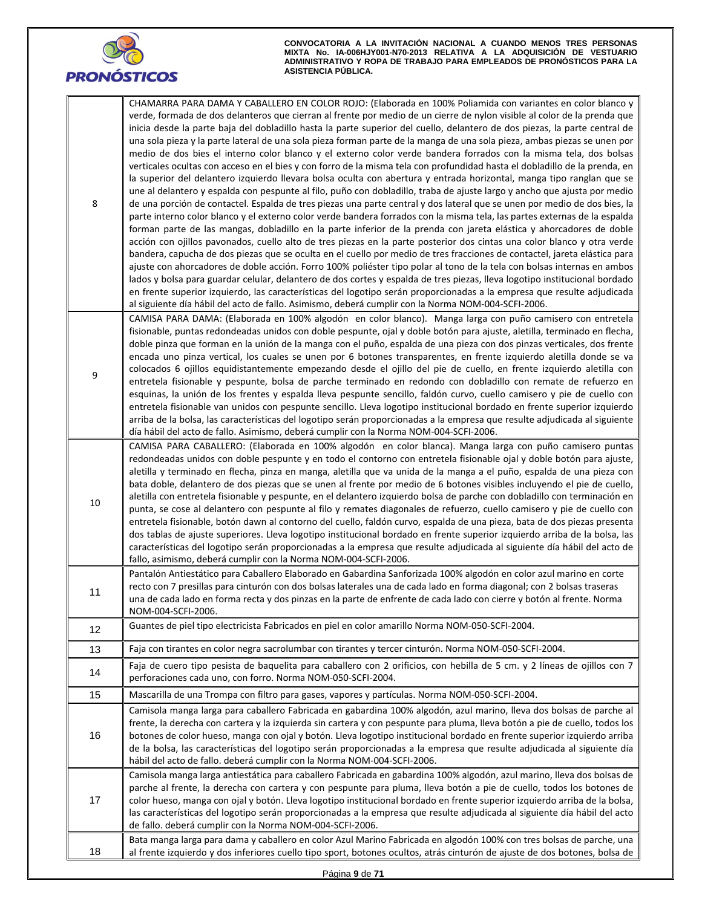

| 8  | CHAMARRA PARA DAMA Y CABALLERO EN COLOR ROJO: (Elaborada en 100% Poliamida con variantes en color blanco y<br>verde, formada de dos delanteros que cierran al frente por medio de un cierre de nylon visible al color de la prenda que<br>inicia desde la parte baja del dobladillo hasta la parte superior del cuello, delantero de dos piezas, la parte central de<br>una sola pieza y la parte lateral de una sola pieza forman parte de la manga de una sola pieza, ambas piezas se unen por<br>medio de dos bies el interno color blanco y el externo color verde bandera forrados con la misma tela, dos bolsas<br>verticales ocultas con acceso en el bies y con forro de la misma tela con profundidad hasta el dobladillo de la prenda, en<br>la superior del delantero izquierdo llevara bolsa oculta con abertura y entrada horizontal, manga tipo ranglan que se<br>une al delantero y espalda con pespunte al filo, puño con dobladillo, traba de ajuste largo y ancho que ajusta por medio<br>de una porción de contactel. Espalda de tres piezas una parte central y dos lateral que se unen por medio de dos bies, la<br>parte interno color blanco y el externo color verde bandera forrados con la misma tela, las partes externas de la espalda<br>forman parte de las mangas, dobladillo en la parte inferior de la prenda con jareta elástica y ahorcadores de doble<br>acción con ojillos pavonados, cuello alto de tres piezas en la parte posterior dos cintas una color blanco y otra verde<br>bandera, capucha de dos piezas que se oculta en el cuello por medio de tres fracciones de contactel, jareta elástica para<br>ajuste con ahorcadores de doble acción. Forro 100% poliéster tipo polar al tono de la tela con bolsas internas en ambos<br>lados y bolsa para guardar celular, delantero de dos cortes y espalda de tres piezas, lleva logotipo institucional bordado<br>en frente superior izquierdo, las características del logotipo serán proporcionadas a la empresa que resulte adjudicada<br>al siguiente día hábil del acto de fallo. Asimismo, deberá cumplir con la Norma NOM-004-SCFI-2006. |
|----|---------------------------------------------------------------------------------------------------------------------------------------------------------------------------------------------------------------------------------------------------------------------------------------------------------------------------------------------------------------------------------------------------------------------------------------------------------------------------------------------------------------------------------------------------------------------------------------------------------------------------------------------------------------------------------------------------------------------------------------------------------------------------------------------------------------------------------------------------------------------------------------------------------------------------------------------------------------------------------------------------------------------------------------------------------------------------------------------------------------------------------------------------------------------------------------------------------------------------------------------------------------------------------------------------------------------------------------------------------------------------------------------------------------------------------------------------------------------------------------------------------------------------------------------------------------------------------------------------------------------------------------------------------------------------------------------------------------------------------------------------------------------------------------------------------------------------------------------------------------------------------------------------------------------------------------------------------------------------------------------------------------------------------------------------------------------------------------------------------------------------------------------|
| 9  | CAMISA PARA DAMA: (Elaborada en 100% algodón en color blanco). Manga larga con puño camisero con entretela<br>fisionable, puntas redondeadas unidos con doble pespunte, ojal y doble botón para ajuste, aletilla, terminado en flecha,<br>doble pinza que forman en la unión de la manga con el puño, espalda de una pieza con dos pinzas verticales, dos frente<br>encada uno pinza vertical, los cuales se unen por 6 botones transparentes, en frente izquierdo aletilla donde se va<br>colocados 6 ojillos equidistantemente empezando desde el ojillo del pie de cuello, en frente izquierdo aletilla con<br>entretela fisionable y pespunte, bolsa de parche terminado en redondo con dobladillo con remate de refuerzo en<br>esquinas, la unión de los frentes y espalda lleva pespunte sencillo, faldón curvo, cuello camisero y pie de cuello con<br>entretela fisionable van unidos con pespunte sencillo. Lleva logotipo institucional bordado en frente superior izquierdo<br>arriba de la bolsa, las características del logotipo serán proporcionadas a la empresa que resulte adjudicada al siguiente<br>día hábil del acto de fallo. Asimismo, deberá cumplir con la Norma NOM-004-SCFI-2006.                                                                                                                                                                                                                                                                                                                                                                                                                                                                                                                                                                                                                                                                                                                                                                                                                                                                                                                               |
| 10 | CAMISA PARA CABALLERO: (Elaborada en 100% algodón en color blanca). Manga larga con puño camisero puntas<br>redondeadas unidos con doble pespunte y en todo el contorno con entretela fisionable ojal y doble botón para ajuste,<br>aletilla y terminado en flecha, pinza en manga, aletilla que va unida de la manga a el puño, espalda de una pieza con<br>bata doble, delantero de dos piezas que se unen al frente por medio de 6 botones visibles incluyendo el pie de cuello,<br>aletilla con entretela fisionable y pespunte, en el delantero izquierdo bolsa de parche con dobladillo con terminación en<br>punta, se cose al delantero con pespunte al filo y remates diagonales de refuerzo, cuello camisero y pie de cuello con<br>entretela fisionable, botón dawn al contorno del cuello, faldón curvo, espalda de una pieza, bata de dos piezas presenta<br>dos tablas de ajuste superiores. Lleva logotipo institucional bordado en frente superior izquierdo arriba de la bolsa, las<br>características del logotipo serán proporcionadas a la empresa que resulte adjudicada al siguiente día hábil del acto de<br>fallo, asimismo, deberá cumplir con la Norma NOM-004-SCFI-2006.                                                                                                                                                                                                                                                                                                                                                                                                                                                                                                                                                                                                                                                                                                                                                                                                                                                                                                                                         |
| 11 | Pantalón Antiestático para Caballero Elaborado en Gabardina Sanforizada 100% algodón en color azul marino en corte<br>recto con 7 presillas para cinturón con dos bolsas laterales una de cada lado en forma diagonal; con 2 bolsas traseras<br>una de cada lado en forma recta y dos pinzas en la parte de enfrente de cada lado con cierre y botón al frente. Norma<br>NOM-004-SCFI-2006.                                                                                                                                                                                                                                                                                                                                                                                                                                                                                                                                                                                                                                                                                                                                                                                                                                                                                                                                                                                                                                                                                                                                                                                                                                                                                                                                                                                                                                                                                                                                                                                                                                                                                                                                                 |
| 12 | Guantes de piel tipo electricista Fabricados en piel en color amarillo Norma NOM-050-SCFI-2004.                                                                                                                                                                                                                                                                                                                                                                                                                                                                                                                                                                                                                                                                                                                                                                                                                                                                                                                                                                                                                                                                                                                                                                                                                                                                                                                                                                                                                                                                                                                                                                                                                                                                                                                                                                                                                                                                                                                                                                                                                                             |
| 13 | Faja con tirantes en color negra sacrolumbar con tirantes y tercer cinturón. Norma NOM-050-SCFI-2004.                                                                                                                                                                                                                                                                                                                                                                                                                                                                                                                                                                                                                                                                                                                                                                                                                                                                                                                                                                                                                                                                                                                                                                                                                                                                                                                                                                                                                                                                                                                                                                                                                                                                                                                                                                                                                                                                                                                                                                                                                                       |
| 14 | Faja de cuero tipo pesista de baquelita para caballero con 2 orificios, con hebilla de 5 cm. y 2 líneas de ojillos con 7<br>perforaciones cada uno, con forro. Norma NOM-050-SCFI-2004.                                                                                                                                                                                                                                                                                                                                                                                                                                                                                                                                                                                                                                                                                                                                                                                                                                                                                                                                                                                                                                                                                                                                                                                                                                                                                                                                                                                                                                                                                                                                                                                                                                                                                                                                                                                                                                                                                                                                                     |
| 15 | Mascarilla de una Trompa con filtro para gases, vapores y partículas. Norma NOM-050-SCFI-2004.                                                                                                                                                                                                                                                                                                                                                                                                                                                                                                                                                                                                                                                                                                                                                                                                                                                                                                                                                                                                                                                                                                                                                                                                                                                                                                                                                                                                                                                                                                                                                                                                                                                                                                                                                                                                                                                                                                                                                                                                                                              |
| 16 | Camisola manga larga para caballero Fabricada en gabardina 100% algodón, azul marino, lleva dos bolsas de parche al<br>frente, la derecha con cartera y la izquierda sin cartera y con pespunte para pluma, lleva botón a pie de cuello, todos los<br>botones de color hueso, manga con ojal y botón. Lleva logotipo institucional bordado en frente superior izquierdo arriba<br>de la bolsa, las características del logotipo serán proporcionadas a la empresa que resulte adjudicada al siguiente día<br>hábil del acto de fallo. deberá cumplir con la Norma NOM-004-SCFI-2006.                                                                                                                                                                                                                                                                                                                                                                                                                                                                                                                                                                                                                                                                                                                                                                                                                                                                                                                                                                                                                                                                                                                                                                                                                                                                                                                                                                                                                                                                                                                                                        |
| 17 | Camisola manga larga antiestática para caballero Fabricada en gabardina 100% algodón, azul marino, lleva dos bolsas de<br>parche al frente, la derecha con cartera y con pespunte para pluma, lleva botón a pie de cuello, todos los botones de<br>color hueso, manga con ojal y botón. Lleva logotipo institucional bordado en frente superior izquierdo arriba de la bolsa,<br>las características del logotipo serán proporcionadas a la empresa que resulte adjudicada al siguiente día hábil del acto<br>de fallo. deberá cumplir con la Norma NOM-004-SCFI-2006.                                                                                                                                                                                                                                                                                                                                                                                                                                                                                                                                                                                                                                                                                                                                                                                                                                                                                                                                                                                                                                                                                                                                                                                                                                                                                                                                                                                                                                                                                                                                                                      |
| 18 | Bata manga larga para dama y caballero en color Azul Marino Fabricada en algodón 100% con tres bolsas de parche, una<br>al frente izquierdo y dos inferiores cuello tipo sport, botones ocultos, atrás cinturón de ajuste de dos botones, bolsa de                                                                                                                                                                                                                                                                                                                                                                                                                                                                                                                                                                                                                                                                                                                                                                                                                                                                                                                                                                                                                                                                                                                                                                                                                                                                                                                                                                                                                                                                                                                                                                                                                                                                                                                                                                                                                                                                                          |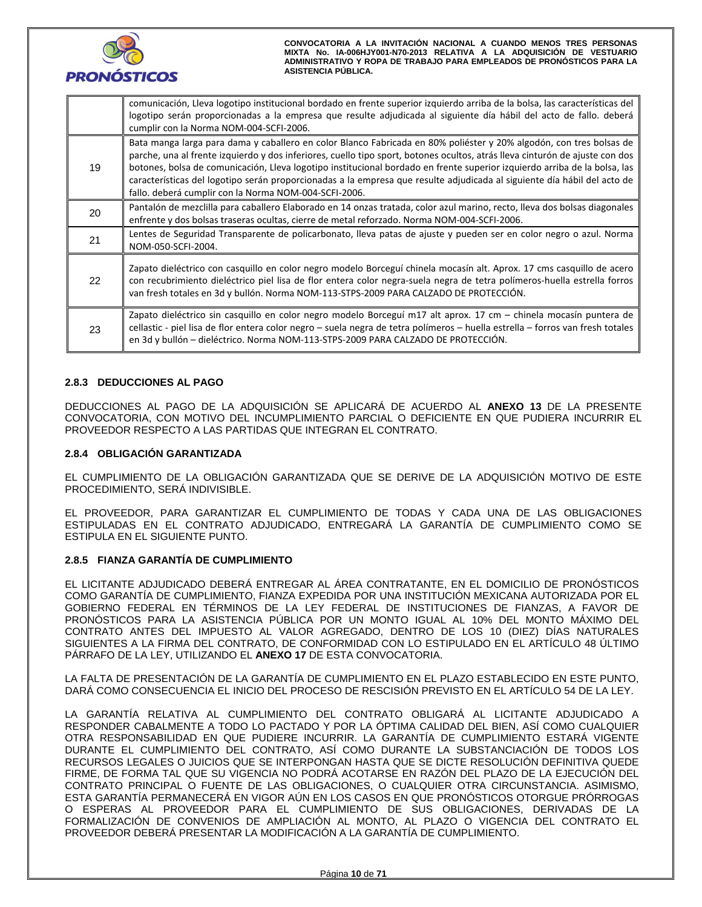

|    | comunicación, Lleva logotipo institucional bordado en frente superior izquierdo arriba de la bolsa, las características del<br>logotipo serán proporcionadas a la empresa que resulte adjudicada al siguiente día hábil del acto de fallo. deberá<br>cumplir con la Norma NOM-004-SCFI-2006.                                                                                                                                                                                                                                                                          |
|----|-----------------------------------------------------------------------------------------------------------------------------------------------------------------------------------------------------------------------------------------------------------------------------------------------------------------------------------------------------------------------------------------------------------------------------------------------------------------------------------------------------------------------------------------------------------------------|
| 19 | Bata manga larga para dama y caballero en color Blanco Fabricada en 80% poliéster y 20% algodón, con tres bolsas de<br>parche, una al frente izquierdo y dos inferiores, cuello tipo sport, botones ocultos, atrás lleva cinturón de ajuste con dos<br>botones, bolsa de comunicación, Lleva logotipo institucional bordado en frente superior izquierdo arriba de la bolsa, las<br>características del logotipo serán proporcionadas a la empresa que resulte adjudicada al siguiente día hábil del acto de<br>fallo. deberá cumplir con la Norma NOM-004-SCFI-2006. |
| 20 | Pantalón de mezclilla para caballero Elaborado en 14 onzas tratada, color azul marino, recto, lleva dos bolsas diagonales<br>enfrente y dos bolsas traseras ocultas, cierre de metal reforzado. Norma NOM-004-SCFI-2006.                                                                                                                                                                                                                                                                                                                                              |
| 21 | Lentes de Seguridad Transparente de policarbonato, lleva patas de ajuste y pueden ser en color negro o azul. Norma<br>NOM-050-SCFI-2004.                                                                                                                                                                                                                                                                                                                                                                                                                              |
| 22 | Zapato dieléctrico con casquillo en color negro modelo Borceguí chinela mocasín alt. Aprox. 17 cms casquillo de acero<br>con recubrimiento dieléctrico piel lisa de flor entera color negra-suela negra de tetra polímeros-huella estrella forros<br>van fresh totales en 3d y bullón. Norma NOM-113-STPS-2009 PARA CALZADO DE PROTECCIÓN.                                                                                                                                                                                                                            |
| 23 | Zapato dieléctrico sin casquillo en color negro modelo Borceguí m17 alt aprox. 17 cm – chinela mocasín puntera de<br>cellastic - piel lisa de flor entera color negro – suela negra de tetra polímeros – huella estrella – forros van fresh totales<br>en 3d y bullón – dieléctrico. Norma NOM-113-STPS-2009 PARA CALZADO DE PROTECCIÓN.                                                                                                                                                                                                                              |

## **2.8.3 DEDUCCIONES AL PAGO**

DEDUCCIONES AL PAGO DE LA ADQUISICIÓN SE APLICARÁ DE ACUERDO AL **ANEXO 13** DE LA PRESENTE CONVOCATORIA, CON MOTIVO DEL INCUMPLIMIENTO PARCIAL O DEFICIENTE EN QUE PUDIERA INCURRIR EL PROVEEDOR RESPECTO A LAS PARTIDAS QUE INTEGRAN EL CONTRATO.

## **2.8.4 OBLIGACIÓN GARANTIZADA**

EL CUMPLIMIENTO DE LA OBLIGACIÓN GARANTIZADA QUE SE DERIVE DE LA ADQUISICIÓN MOTIVO DE ESTE PROCEDIMIENTO, SERÁ INDIVISIBLE.

EL PROVEEDOR, PARA GARANTIZAR EL CUMPLIMIENTO DE TODAS Y CADA UNA DE LAS OBLIGACIONES ESTIPULADAS EN EL CONTRATO ADJUDICADO, ENTREGARÁ LA GARANTÍA DE CUMPLIMIENTO COMO SE ESTIPULA EN EL SIGUIENTE PUNTO.

## **2.8.5 FIANZA GARANTÍA DE CUMPLIMIENTO**

EL LICITANTE ADJUDICADO DEBERÁ ENTREGAR AL ÁREA CONTRATANTE, EN EL DOMICILIO DE PRONÓSTICOS COMO GARANTÍA DE CUMPLIMIENTO, FIANZA EXPEDIDA POR UNA INSTITUCIÓN MEXICANA AUTORIZADA POR EL GOBIERNO FEDERAL EN TÉRMINOS DE LA LEY FEDERAL DE INSTITUCIONES DE FIANZAS, A FAVOR DE PRONÓSTICOS PARA LA ASISTENCIA PÚBLICA POR UN MONTO IGUAL AL 10% DEL MONTO MÁXIMO DEL CONTRATO ANTES DEL IMPUESTO AL VALOR AGREGADO, DENTRO DE LOS 10 (DIEZ) DÍAS NATURALES SIGUIENTES A LA FIRMA DEL CONTRATO, DE CONFORMIDAD CON LO ESTIPULADO EN EL ARTÍCULO 48 ÚLTIMO PÁRRAFO DE LA LEY, UTILIZANDO EL **ANEXO 17** DE ESTA CONVOCATORIA.

LA FALTA DE PRESENTACIÓN DE LA GARANTÍA DE CUMPLIMIENTO EN EL PLAZO ESTABLECIDO EN ESTE PUNTO, DARÁ COMO CONSECUENCIA EL INICIO DEL PROCESO DE RESCISIÓN PREVISTO EN EL ARTÍCULO 54 DE LA LEY.

LA GARANTÍA RELATIVA AL CUMPLIMIENTO DEL CONTRATO OBLIGARÁ AL LICITANTE ADJUDICADO A RESPONDER CABALMENTE A TODO LO PACTADO Y POR LA ÓPTIMA CALIDAD DEL BIEN, ASÍ COMO CUALQUIER OTRA RESPONSABILIDAD EN QUE PUDIERE INCURRIR. LA GARANTÍA DE CUMPLIMIENTO ESTARÁ VIGENTE DURANTE EL CUMPLIMIENTO DEL CONTRATO, ASÍ COMO DURANTE LA SUBSTANCIACIÓN DE TODOS LOS RECURSOS LEGALES O JUICIOS QUE SE INTERPONGAN HASTA QUE SE DICTE RESOLUCIÓN DEFINITIVA QUEDE FIRME, DE FORMA TAL QUE SU VIGENCIA NO PODRÁ ACOTARSE EN RAZÓN DEL PLAZO DE LA EJECUCIÓN DEL CONTRATO PRINCIPAL O FUENTE DE LAS OBLIGACIONES, O CUALQUIER OTRA CIRCUNSTANCIA. ASIMISMO, ESTA GARANTÍA PERMANECERÁ EN VIGOR AÚN EN LOS CASOS EN QUE PRONÓSTICOS OTORGUE PRÓRROGAS O ESPERAS AL PROVEEDOR PARA EL CUMPLIMIENTO DE SUS OBLIGACIONES, DERIVADAS DE LA FORMALIZACIÓN DE CONVENIOS DE AMPLIACIÓN AL MONTO, AL PLAZO O VIGENCIA DEL CONTRATO EL PROVEEDOR DEBERÁ PRESENTAR LA MODIFICACIÓN A LA GARANTÍA DE CUMPLIMIENTO.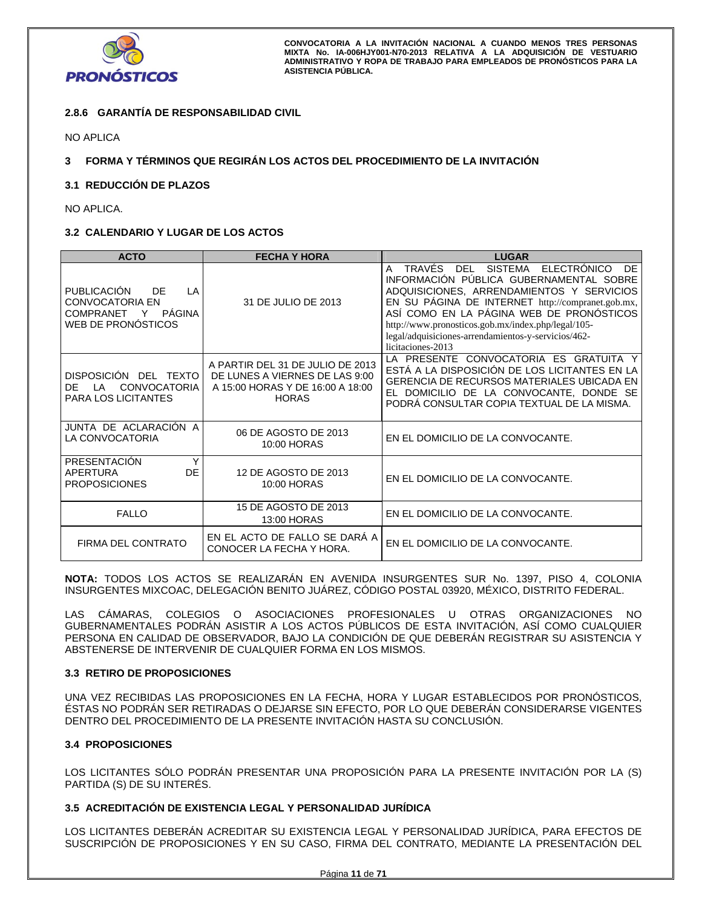

# **2.8.6 GARANTÍA DE RESPONSABILIDAD CIVIL**

NO APLICA

**3 FORMA Y TÉRMINOS QUE REGIRÁN LOS ACTOS DEL PROCEDIMIENTO DE LA INVITACIÓN** 

## **3.1 REDUCCIÓN DE PLAZOS**

NO APLICA.

## **3.2 CALENDARIO Y LUGAR DE LOS ACTOS**

| <b>ACTO</b>                                                                                                | <b>FECHA Y HORA</b>                                                                                                    | <b>LUGAR</b>                                                                                                                                                                                                                                                                                                                                                                             |
|------------------------------------------------------------------------------------------------------------|------------------------------------------------------------------------------------------------------------------------|------------------------------------------------------------------------------------------------------------------------------------------------------------------------------------------------------------------------------------------------------------------------------------------------------------------------------------------------------------------------------------------|
| <b>PUBLICACIÓN</b><br>DF<br>LA<br><b>CONVOCATORIA EN</b><br>PÁGINA<br>COMPRANET<br>Y<br>WEB DE PRONÓSTICOS | 31 DE JULIO DE 2013                                                                                                    | TRAVÉS DEL<br><b>SISTEMA</b><br><b>ELECTRÓNICO</b><br>DF<br>A<br>INFORMACIÓN PÚBLICA GUBERNAMENTAL SOBRE<br>ADQUISICIONES, ARRENDAMIENTOS Y SERVICIOS<br>EN SU PÁGINA DE INTERNET http://compranet.gob.mx,<br>ASÍ COMO EN LA PÁGINA WEB DE PRONÓSTICOS<br>http://www.pronosticos.gob.mx/index.php/legal/105-<br>legal/adquisiciones-arrendamientos-y-servicios/462-<br>licitaciones-2013 |
| DISPOSICIÓN DEL TEXTO<br><b>CONVOCATORIA</b><br>DF<br>ΙA<br><b>PARA LOS LICITANTES</b>                     | A PARTIR DEL 31 DE JULIO DE 2013<br>DE LUNES A VIERNES DE LAS 9:00<br>A 15:00 HORAS Y DE 16:00 A 18:00<br><b>HORAS</b> | LA PRESENTE CONVOCATORIA ES GRATUITA Y<br>ESTÁ A LA DISPOSICIÓN DE LOS LICITANTES EN LA<br><b>GERENCIA DE RECURSOS MATERIALES UBICADA EN</b><br>EL DOMICILIO DE LA CONVOCANTE, DONDE SE<br>PODRÁ CONSULTAR COPIA TEXTUAL DE LA MISMA.                                                                                                                                                    |
| JUNTA DE ACLARACIÓN A<br>LA CONVOCATORIA                                                                   | 06 DE AGOSTO DE 2013<br>10:00 HORAS                                                                                    | EN EL DOMICILIO DE LA CONVOCANTE.                                                                                                                                                                                                                                                                                                                                                        |
| PRESENTACIÓN<br>Υ<br><b>DE</b><br>APERTURA<br><b>PROPOSICIONES</b>                                         | 12 DE AGOSTO DE 2013<br>10:00 HORAS                                                                                    | EN EL DOMICILIO DE LA CONVOCANTE.                                                                                                                                                                                                                                                                                                                                                        |
| <b>FALLO</b>                                                                                               | 15 DE AGOSTO DE 2013<br>13:00 HORAS                                                                                    | EN EL DOMICILIO DE LA CONVOCANTE.                                                                                                                                                                                                                                                                                                                                                        |
| FIRMA DEL CONTRATO                                                                                         | EN EL ACTO DE FALLO SE DARÀ A<br>CONOCER LA FECHA Y HORA.                                                              | EN EL DOMICILIO DE LA CONVOCANTE.                                                                                                                                                                                                                                                                                                                                                        |

**NOTA:** TODOS LOS ACTOS SE REALIZARÁN EN AVENIDA INSURGENTES SUR No. 1397, PISO 4, COLONIA INSURGENTES MIXCOAC, DELEGACIÓN BENITO JUÁREZ, CÓDIGO POSTAL 03920, MÉXICO, DISTRITO FEDERAL.

LAS CÁMARAS, COLEGIOS O ASOCIACIONES PROFESIONALES U OTRAS ORGANIZACIONES NO GUBERNAMENTALES PODRÁN ASISTIR A LOS ACTOS PÚBLICOS DE ESTA INVITACIÓN, ASÍ COMO CUALQUIER PERSONA EN CALIDAD DE OBSERVADOR, BAJO LA CONDICIÓN DE QUE DEBERÁN REGISTRAR SU ASISTENCIA Y ABSTENERSE DE INTERVENIR DE CUALQUIER FORMA EN LOS MISMOS.

## **3.3 RETIRO DE PROPOSICIONES**

UNA VEZ RECIBIDAS LAS PROPOSICIONES EN LA FECHA, HORA Y LUGAR ESTABLECIDOS POR PRONÓSTICOS, ÉSTAS NO PODRÁN SER RETIRADAS O DEJARSE SIN EFECTO, POR LO QUE DEBERÁN CONSIDERARSE VIGENTES DENTRO DEL PROCEDIMIENTO DE LA PRESENTE INVITACIÓN HASTA SU CONCLUSIÓN.

## **3.4 PROPOSICIONES**

LOS LICITANTES SÓLO PODRÁN PRESENTAR UNA PROPOSICIÓN PARA LA PRESENTE INVITACIÓN POR LA (S) PARTIDA (S) DE SU INTERÉS.

## **3.5 ACREDITACIÓN DE EXISTENCIA LEGAL Y PERSONALIDAD JURÍDICA**

LOS LICITANTES DEBERÁN ACREDITAR SU EXISTENCIA LEGAL Y PERSONALIDAD JURÍDICA, PARA EFECTOS DE SUSCRIPCIÓN DE PROPOSICIONES Y EN SU CASO, FIRMA DEL CONTRATO, MEDIANTE LA PRESENTACIÓN DEL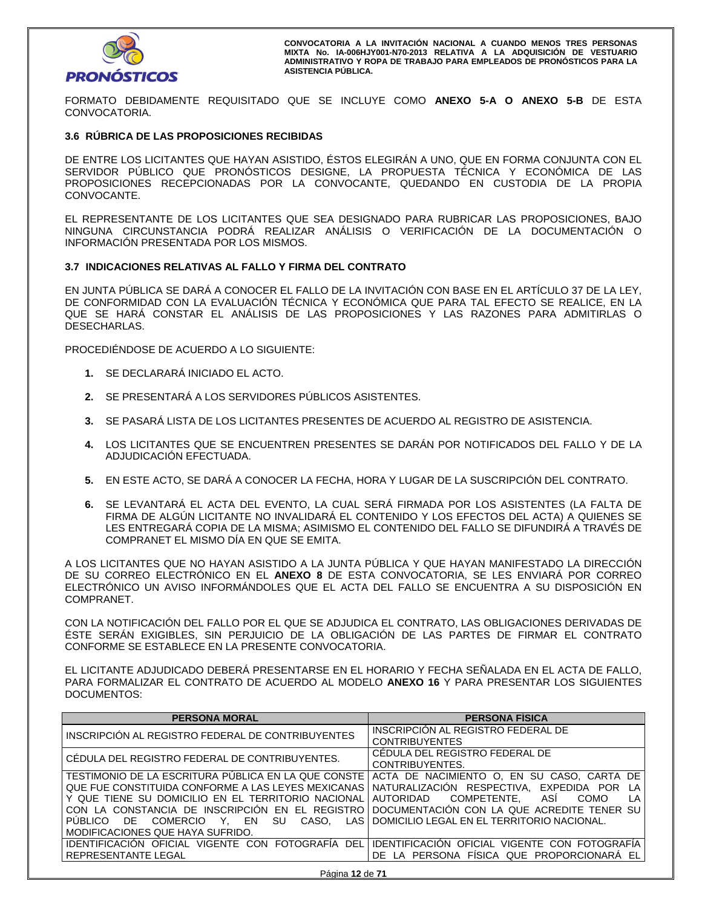

FORMATO DEBIDAMENTE REQUISITADO QUE SE INCLUYE COMO **ANEXO 5-A O ANEXO 5-B** DE ESTA CONVOCATORIA.

## **3.6 RÚBRICA DE LAS PROPOSICIONES RECIBIDAS**

DE ENTRE LOS LICITANTES QUE HAYAN ASISTIDO, ÉSTOS ELEGIRÁN A UNO, QUE EN FORMA CONJUNTA CON EL SERVIDOR PÚBLICO QUE PRONÓSTICOS DESIGNE, LA PROPUESTA TÉCNICA Y ECONÓMICA DE LAS PROPOSICIONES RECEPCIONADAS POR LA CONVOCANTE, QUEDANDO EN CUSTODIA DE LA PROPIA CONVOCANTE.

EL REPRESENTANTE DE LOS LICITANTES QUE SEA DESIGNADO PARA RUBRICAR LAS PROPOSICIONES, BAJO NINGUNA CIRCUNSTANCIA PODRÁ REALIZAR ANÁLISIS O VERIFICACIÓN DE LA DOCUMENTACIÓN O INFORMACIÓN PRESENTADA POR LOS MISMOS.

## **3.7 INDICACIONES RELATIVAS AL FALLO Y FIRMA DEL CONTRATO**

EN JUNTA PÚBLICA SE DARÁ A CONOCER EL FALLO DE LA INVITACIÓN CON BASE EN EL ARTÍCULO 37 DE LA LEY, DE CONFORMIDAD CON LA EVALUACIÓN TÉCNICA Y ECONÓMICA QUE PARA TAL EFECTO SE REALICE, EN LA QUE SE HARÁ CONSTAR EL ANÁLISIS DE LAS PROPOSICIONES Y LAS RAZONES PARA ADMITIRLAS O DESECHARLAS.

PROCEDIÉNDOSE DE ACUERDO A LO SIGUIENTE:

- **1.** SE DECLARARÁ INICIADO EL ACTO.
- **2.** SE PRESENTARÁ A LOS SERVIDORES PÚBLICOS ASISTENTES.
- **3.** SE PASARÁ LISTA DE LOS LICITANTES PRESENTES DE ACUERDO AL REGISTRO DE ASISTENCIA.
- **4.** LOS LICITANTES QUE SE ENCUENTREN PRESENTES SE DARÁN POR NOTIFICADOS DEL FALLO Y DE LA ADJUDICACIÓN EFECTUADA.
- **5.** EN ESTE ACTO, SE DARÁ A CONOCER LA FECHA, HORA Y LUGAR DE LA SUSCRIPCIÓN DEL CONTRATO.
- **6.** SE LEVANTARÁ EL ACTA DEL EVENTO, LA CUAL SERÁ FIRMADA POR LOS ASISTENTES (LA FALTA DE FIRMA DE ALGÚN LICITANTE NO INVALIDARÁ EL CONTENIDO Y LOS EFECTOS DEL ACTA) A QUIENES SE LES ENTREGARÁ COPIA DE LA MISMA; ASIMISMO EL CONTENIDO DEL FALLO SE DIFUNDIRÁ A TRAVÉS DE COMPRANET EL MISMO DÍA EN QUE SE EMITA.

A LOS LICITANTES QUE NO HAYAN ASISTIDO A LA JUNTA PÚBLICA Y QUE HAYAN MANIFESTADO LA DIRECCIÓN DE SU CORREO ELECTRÓNICO EN EL **ANEXO 8** DE ESTA CONVOCATORIA, SE LES ENVIARÁ POR CORREO ELECTRÓNICO UN AVISO INFORMÁNDOLES QUE EL ACTA DEL FALLO SE ENCUENTRA A SU DISPOSICIÓN EN COMPRANET.

CON LA NOTIFICACIÓN DEL FALLO POR EL QUE SE ADJUDICA EL CONTRATO, LAS OBLIGACIONES DERIVADAS DE ÉSTE SERÁN EXIGIBLES, SIN PERJUICIO DE LA OBLIGACIÓN DE LAS PARTES DE FIRMAR EL CONTRATO CONFORME SE ESTABLECE EN LA PRESENTE CONVOCATORIA.

EL LICITANTE ADJUDICADO DEBERÁ PRESENTARSE EN EL HORARIO Y FECHA SEÑALADA EN EL ACTA DE FALLO, PARA FORMALIZAR EL CONTRATO DE ACUERDO AL MODELO **ANEXO 16** Y PARA PRESENTAR LOS SIGUIENTES DOCUMENTOS:

| <b>PERSONA MORAL</b>                                | <b>PERSONA FISICA</b>                         |
|-----------------------------------------------------|-----------------------------------------------|
| INSCRIPCIÓN AL REGISTRO FEDERAL DE CONTRIBUYENTES   | INSCRIPCION AL REGISTRO FEDERAL DE            |
|                                                     | <b>CONTRIBUYENTES</b>                         |
| CÉDULA DEL REGISTRO FEDERAL DE CONTRIBUYENTES.      | CÉDULA DEL REGISTRO FEDERAL DE                |
|                                                     | CONTRIBUYENTES.                               |
| TESTIMONIO DE LA ESCRITURA PÚBLICA EN LA QUE CONSTE | ACTA DE NACIMIENTO O. EN SU CASO, CARTA DE    |
| QUE FUE CONSTITUIDA CONFORME A LAS LEYES MEXICANAS  | NATURALIZACIÓN RESPECTIVA, EXPEDIDA POR<br>LA |
| Y QUE TIENE SU DOMICILIO EN EL TERRITORIO NACIONAL  | AUTORIDAD COMPETENTE. ASI<br>COMO<br>LA       |
| CON LA CONSTANCIA DE INSCRIPCIÓN EN EL REGISTRO     | DOCUMENTACION CON LA QUE ACREDITE TENER SU    |
| PUBLICO DE COMERCIO Y, EN SU<br>CASO.<br>LAS I      | DOMICILIO LEGAL EN EL TERRITORIO NACIONAL.    |
| MODIFICACIONES QUE HAYA SUFRIDO.                    |                                               |
| IDENTIFICACIÓN OFICIAL VIGENTE CON FOTOGRAFÍA DEL   | IDENTIFICACIÓN OFICIAL VIGENTE CON FOTOGRAFÍA |
| l REPRESENTANTE LEGAL                               | DE LA PERSONA FÍSICA QUE PROPORCIONARA EL     |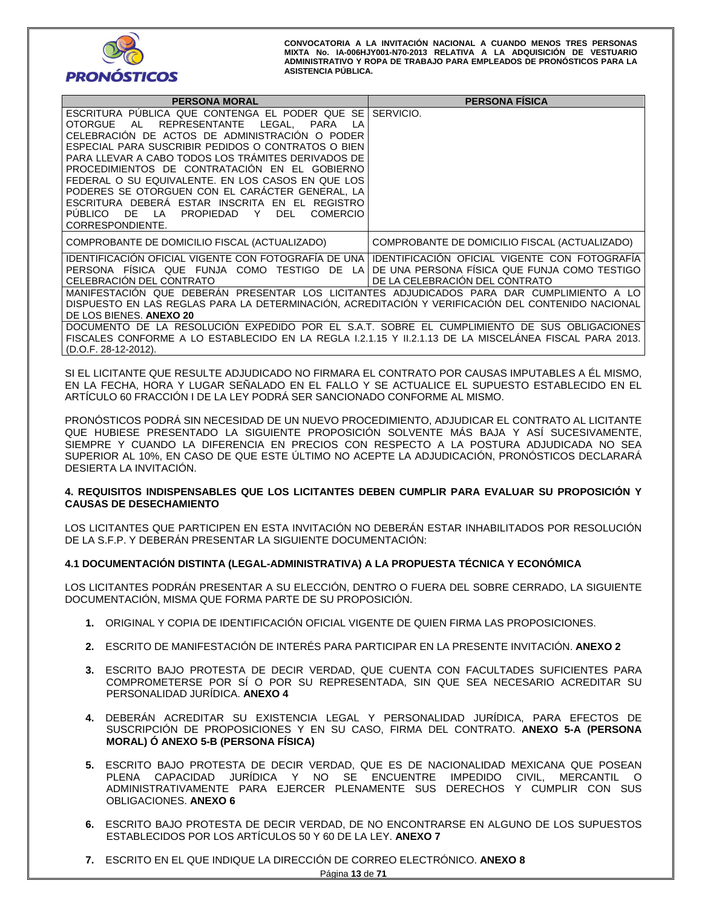

| <b>PERSONA MORAL</b>                                                                                                                                                                                                                                                                                                                                                                                                                                                                                                                                                                             | <b>PERSONA FISICA</b>                                                                                                           |
|--------------------------------------------------------------------------------------------------------------------------------------------------------------------------------------------------------------------------------------------------------------------------------------------------------------------------------------------------------------------------------------------------------------------------------------------------------------------------------------------------------------------------------------------------------------------------------------------------|---------------------------------------------------------------------------------------------------------------------------------|
| ESCRITURA PUBLICA QUE CONTENGA EL PODER QUE SE<br>LEGAL.<br><b>OTORGUE</b><br><b>PARA</b><br>AL<br>REPRESENTANTE<br>ΙA<br>CELEBRACIÓN DE ACTOS DE ADMINISTRACIÓN O PODER<br>ESPECIAL PARA SUSCRIBIR PEDIDOS O CONTRATOS O BIEN<br>PARA LLEVAR A CABO TODOS LOS TRÁMITES DERIVADOS DE<br>PROCEDIMIENTOS DE CONTRATACIÓN EN EL GOBIERNO<br>FEDERAL O SU EQUIVALENTE. EN LOS CASOS EN QUE LOS<br>PODERES SE OTORGUEN CON EL CARÁCTER GENERAL. LA<br>ESCRITURA DEBERA ESTAR INSCRITA<br>FN FI<br>REGISTRO<br>PUBLICO DE<br>PROPIEDAD<br>LA<br>Y<br><b>DEL</b><br><b>COMERCIO</b><br>CORRESPONDIENTE. | SERVICIO.                                                                                                                       |
| COMPROBANTE DE DOMICILIO FISCAL (ACTUALIZADO)                                                                                                                                                                                                                                                                                                                                                                                                                                                                                                                                                    | COMPROBANTE DE DOMICILIO FISCAL (ACTUALIZADO)                                                                                   |
| IDENTIFICACION OFICIAL VIGENTE CON FOTOGRAFIA DE UNA<br>PERSONA FÍSICA QUE FUNJA COMO TESTIGO DE LA<br>CELEBRACIÓN DEL CONTRATO<br>MANIFESTACIÓN QUE DEBERÁN PRESENTAR LOS LICITANTES ADJUDICADOS PARA DAR CUMPLIMIENTO A LO<br>DISPUESTO EN LAS REGLAS PARA LA DETERMINACIÓN, ACREDITACIÓN Y VERIFICACIÓN DEL CONTENIDO NACIONAL<br>DE LOS BIENES. ANEXO 20                                                                                                                                                                                                                                     | IDENTIFICACION OFICIAL VIGENTE CON FOTOGRAFIA<br>DE UNA PERSONA FÍSICA QUE FUNJA COMO TESTIGO<br>DE LA CELEBRACIÓN DEL CONTRATO |
| DOCUMENTO DE LA RESOLUCIÓN EXPEDIDO POR EL S.A.T. SOBRE EL CUMPLIMIENTO DE SUS OBLIGACIONES<br>FISCALES CONFORME A LO ESTABLECIDO EN LA REGLA 1.2.1.15 Y 11.2.1.13 DE LA MISCELANEA FISCAL PARA 2013.<br>(D.O.F. 28-12-2012).                                                                                                                                                                                                                                                                                                                                                                    |                                                                                                                                 |

SI EL LICITANTE QUE RESULTE ADJUDICADO NO FIRMARA EL CONTRATO POR CAUSAS IMPUTABLES A ÉL MISMO, EN LA FECHA, HORA Y LUGAR SEÑALADO EN EL FALLO Y SE ACTUALICE EL SUPUESTO ESTABLECIDO EN EL ARTÍCULO 60 FRACCIÓN I DE LA LEY PODRÁ SER SANCIONADO CONFORME AL MISMO.

PRONÓSTICOS PODRÁ SIN NECESIDAD DE UN NUEVO PROCEDIMIENTO, ADJUDICAR EL CONTRATO AL LICITANTE QUE HUBIESE PRESENTADO LA SIGUIENTE PROPOSICIÓN SOLVENTE MÁS BAJA Y ASÍ SUCESIVAMENTE, SIEMPRE Y CUANDO LA DIFERENCIA EN PRECIOS CON RESPECTO A LA POSTURA ADJUDICADA NO SEA SUPERIOR AL 10%, EN CASO DE QUE ESTE ÚLTIMO NO ACEPTE LA ADJUDICACIÓN, PRONÓSTICOS DECLARARÁ DESIERTA LA INVITACIÓN.

## **4. REQUISITOS INDISPENSABLES QUE LOS LICITANTES DEBEN CUMPLIR PARA EVALUAR SU PROPOSICIÓN Y CAUSAS DE DESECHAMIENTO**

LOS LICITANTES QUE PARTICIPEN EN ESTA INVITACIÓN NO DEBERÁN ESTAR INHABILITADOS POR RESOLUCIÓN DE LA S.F.P. Y DEBERÁN PRESENTAR LA SIGUIENTE DOCUMENTACIÓN:

# **4.1 DOCUMENTACIÓN DISTINTA (LEGAL-ADMINISTRATIVA) A LA PROPUESTA TÉCNICA Y ECONÓMICA**

LOS LICITANTES PODRÁN PRESENTAR A SU ELECCIÓN, DENTRO O FUERA DEL SOBRE CERRADO, LA SIGUIENTE DOCUMENTACIÓN, MISMA QUE FORMA PARTE DE SU PROPOSICIÓN.

- **1.** ORIGINAL Y COPIA DE IDENTIFICACIÓN OFICIAL VIGENTE DE QUIEN FIRMA LAS PROPOSICIONES.
- **2.** ESCRITO DE MANIFESTACIÓN DE INTERÉS PARA PARTICIPAR EN LA PRESENTE INVITACIÓN. **ANEXO 2**
- **3.** ESCRITO BAJO PROTESTA DE DECIR VERDAD, QUE CUENTA CON FACULTADES SUFICIENTES PARA COMPROMETERSE POR SÍ O POR SU REPRESENTADA, SIN QUE SEA NECESARIO ACREDITAR SU PERSONALIDAD JURÍDICA. **ANEXO 4**
- **4.** DEBERÁN ACREDITAR SU EXISTENCIA LEGAL Y PERSONALIDAD JURÍDICA, PARA EFECTOS DE SUSCRIPCIÓN DE PROPOSICIONES Y EN SU CASO, FIRMA DEL CONTRATO. **ANEXO 5-A (PERSONA MORAL) Ó ANEXO 5-B (PERSONA FÍSICA)**
- **5.** ESCRITO BAJO PROTESTA DE DECIR VERDAD, QUE ES DE NACIONALIDAD MEXICANA QUE POSEAN PLENA CAPACIDAD JURÍDICA Y NO SE ENCUENTRE IMPEDIDO CIVIL, MERCANTIL O ADMINISTRATIVAMENTE PARA EJERCER PLENAMENTE SUS DERECHOS Y CUMPLIR CON SUS OBLIGACIONES. **ANEXO 6**
- **6.** ESCRITO BAJO PROTESTA DE DECIR VERDAD, DE NO ENCONTRARSE EN ALGUNO DE LOS SUPUESTOS ESTABLECIDOS POR LOS ARTÍCULOS 50 Y 60 DE LA LEY. **ANEXO 7**
- **7.** ESCRITO EN EL QUE INDIQUE LA DIRECCIÓN DE CORREO ELECTRÓNICO. **ANEXO 8**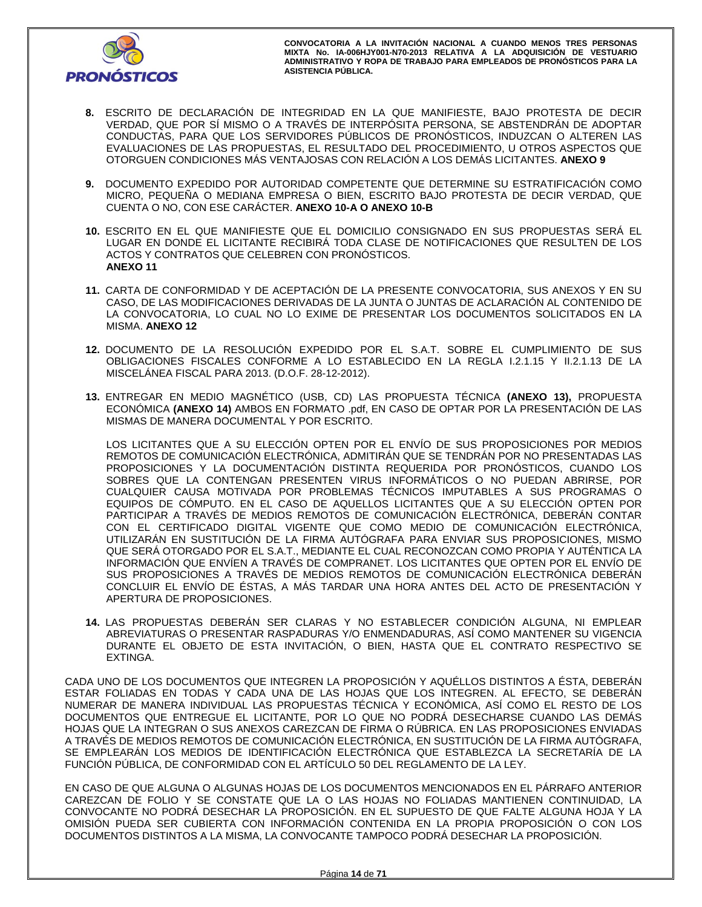

- **8.** ESCRITO DE DECLARACIÓN DE INTEGRIDAD EN LA QUE MANIFIESTE, BAJO PROTESTA DE DECIR VERDAD, QUE POR SÍ MISMO O A TRAVÉS DE INTERPÓSITA PERSONA, SE ABSTENDRÁN DE ADOPTAR CONDUCTAS, PARA QUE LOS SERVIDORES PÚBLICOS DE PRONÓSTICOS, INDUZCAN O ALTEREN LAS EVALUACIONES DE LAS PROPUESTAS, EL RESULTADO DEL PROCEDIMIENTO, U OTROS ASPECTOS QUE OTORGUEN CONDICIONES MÁS VENTAJOSAS CON RELACIÓN A LOS DEMÁS LICITANTES. **ANEXO 9**
- **9.** DOCUMENTO EXPEDIDO POR AUTORIDAD COMPETENTE QUE DETERMINE SU ESTRATIFICACIÓN COMO MICRO, PEQUEÑA O MEDIANA EMPRESA O BIEN, ESCRITO BAJO PROTESTA DE DECIR VERDAD, QUE CUENTA O NO, CON ESE CARÁCTER. **ANEXO 10-A O ANEXO 10-B**
- **10.** ESCRITO EN EL QUE MANIFIESTE QUE EL DOMICILIO CONSIGNADO EN SUS PROPUESTAS SERÁ EL LUGAR EN DONDE EL LICITANTE RECIBIRÁ TODA CLASE DE NOTIFICACIONES QUE RESULTEN DE LOS ACTOS Y CONTRATOS QUE CELEBREN CON PRONÓSTICOS. **ANEXO 11**
- **11.** CARTA DE CONFORMIDAD Y DE ACEPTACIÓN DE LA PRESENTE CONVOCATORIA, SUS ANEXOS Y EN SU CASO, DE LAS MODIFICACIONES DERIVADAS DE LA JUNTA O JUNTAS DE ACLARACIÓN AL CONTENIDO DE LA CONVOCATORIA, LO CUAL NO LO EXIME DE PRESENTAR LOS DOCUMENTOS SOLICITADOS EN LA MISMA. **ANEXO 12**
- **12.** DOCUMENTO DE LA RESOLUCIÓN EXPEDIDO POR EL S.A.T. SOBRE EL CUMPLIMIENTO DE SUS OBLIGACIONES FISCALES CONFORME A LO ESTABLECIDO EN LA REGLA I.2.1.15 Y II.2.1.13 DE LA MISCELÁNEA FISCAL PARA 2013. (D.O.F. 28-12-2012).
- **13.** ENTREGAR EN MEDIO MAGNÉTICO (USB, CD) LAS PROPUESTA TÉCNICA **(ANEXO 13),** PROPUESTA ECONÓMICA **(ANEXO 14)** AMBOS EN FORMATO .pdf, EN CASO DE OPTAR POR LA PRESENTACIÓN DE LAS MISMAS DE MANERA DOCUMENTAL Y POR ESCRITO.

LOS LICITANTES QUE A SU ELECCIÓN OPTEN POR EL ENVÍO DE SUS PROPOSICIONES POR MEDIOS REMOTOS DE COMUNICACIÓN ELECTRÓNICA, ADMITIRÁN QUE SE TENDRÁN POR NO PRESENTADAS LAS PROPOSICIONES Y LA DOCUMENTACIÓN DISTINTA REQUERIDA POR PRONÓSTICOS, CUANDO LOS SOBRES QUE LA CONTENGAN PRESENTEN VIRUS INFORMÁTICOS O NO PUEDAN ABRIRSE, POR CUALQUIER CAUSA MOTIVADA POR PROBLEMAS TÉCNICOS IMPUTABLES A SUS PROGRAMAS O EQUIPOS DE CÓMPUTO. EN EL CASO DE AQUELLOS LICITANTES QUE A SU ELECCIÓN OPTEN POR PARTICIPAR A TRAVÉS DE MEDIOS REMOTOS DE COMUNICACIÓN ELECTRÓNICA, DEBERÁN CONTAR CON EL CERTIFICADO DIGITAL VIGENTE QUE COMO MEDIO DE COMUNICACIÓN ELECTRÓNICA, UTILIZARÁN EN SUSTITUCIÓN DE LA FIRMA AUTÓGRAFA PARA ENVIAR SUS PROPOSICIONES, MISMO QUE SERÁ OTORGADO POR EL S.A.T., MEDIANTE EL CUAL RECONOZCAN COMO PROPIA Y AUTÉNTICA LA INFORMACIÓN QUE ENVÍEN A TRAVÉS DE COMPRANET. LOS LICITANTES QUE OPTEN POR EL ENVÍO DE SUS PROPOSICIONES A TRAVÉS DE MEDIOS REMOTOS DE COMUNICACIÓN ELECTRÓNICA DEBERÁN CONCLUIR EL ENVÍO DE ÉSTAS, A MÁS TARDAR UNA HORA ANTES DEL ACTO DE PRESENTACIÓN Y APERTURA DE PROPOSICIONES.

**14.** LAS PROPUESTAS DEBERÁN SER CLARAS Y NO ESTABLECER CONDICIÓN ALGUNA, NI EMPLEAR ABREVIATURAS O PRESENTAR RASPADURAS Y/O ENMENDADURAS, ASÍ COMO MANTENER SU VIGENCIA DURANTE EL OBJETO DE ESTA INVITACIÓN, O BIEN, HASTA QUE EL CONTRATO RESPECTIVO SE EXTINGA.

CADA UNO DE LOS DOCUMENTOS QUE INTEGREN LA PROPOSICIÓN Y AQUÉLLOS DISTINTOS A ÉSTA, DEBERÁN ESTAR FOLIADAS EN TODAS Y CADA UNA DE LAS HOJAS QUE LOS INTEGREN. AL EFECTO, SE DEBERÁN NUMERAR DE MANERA INDIVIDUAL LAS PROPUESTAS TÉCNICA Y ECONÓMICA, ASÍ COMO EL RESTO DE LOS DOCUMENTOS QUE ENTREGUE EL LICITANTE, POR LO QUE NO PODRÁ DESECHARSE CUANDO LAS DEMÁS HOJAS QUE LA INTEGRAN O SUS ANEXOS CAREZCAN DE FIRMA O RÚBRICA. EN LAS PROPOSICIONES ENVIADAS A TRAVÉS DE MEDIOS REMOTOS DE COMUNICACIÓN ELECTRÓNICA, EN SUSTITUCIÓN DE LA FIRMA AUTÓGRAFA, SE EMPLEARÁN LOS MEDIOS DE IDENTIFICACIÓN ELECTRÓNICA QUE ESTABLEZCA LA SECRETARÍA DE LA FUNCIÓN PÚBLICA, DE CONFORMIDAD CON EL ARTÍCULO 50 DEL REGLAMENTO DE LA LEY.

EN CASO DE QUE ALGUNA O ALGUNAS HOJAS DE LOS DOCUMENTOS MENCIONADOS EN EL PÁRRAFO ANTERIOR CAREZCAN DE FOLIO Y SE CONSTATE QUE LA O LAS HOJAS NO FOLIADAS MANTIENEN CONTINUIDAD, LA CONVOCANTE NO PODRÁ DESECHAR LA PROPOSICIÓN. EN EL SUPUESTO DE QUE FALTE ALGUNA HOJA Y LA OMISIÓN PUEDA SER CUBIERTA CON INFORMACIÓN CONTENIDA EN LA PROPIA PROPOSICIÓN O CON LOS DOCUMENTOS DISTINTOS A LA MISMA, LA CONVOCANTE TAMPOCO PODRÁ DESECHAR LA PROPOSICIÓN.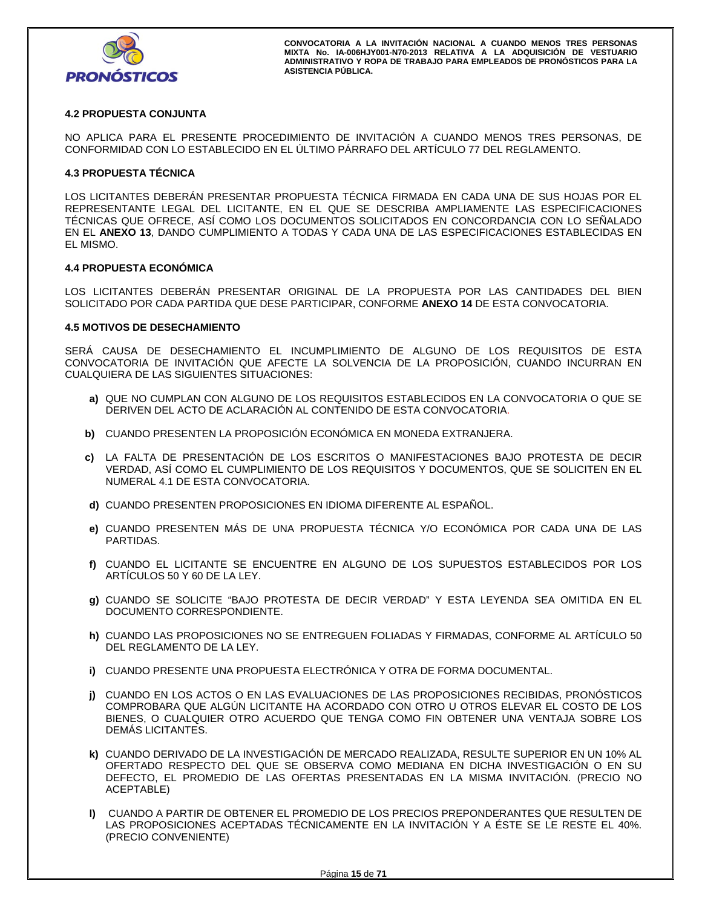

## **4.2 PROPUESTA CONJUNTA**

NO APLICA PARA EL PRESENTE PROCEDIMIENTO DE INVITACIÓN A CUANDO MENOS TRES PERSONAS, DE CONFORMIDAD CON LO ESTABLECIDO EN EL ÚLTIMO PÁRRAFO DEL ARTÍCULO 77 DEL REGLAMENTO.

## **4.3 PROPUESTA TÉCNICA**

LOS LICITANTES DEBERÁN PRESENTAR PROPUESTA TÉCNICA FIRMADA EN CADA UNA DE SUS HOJAS POR EL REPRESENTANTE LEGAL DEL LICITANTE, EN EL QUE SE DESCRIBA AMPLIAMENTE LAS ESPECIFICACIONES TÉCNICAS QUE OFRECE, ASÍ COMO LOS DOCUMENTOS SOLICITADOS EN CONCORDANCIA CON LO SEÑALADO EN EL **ANEXO 13**, DANDO CUMPLIMIENTO A TODAS Y CADA UNA DE LAS ESPECIFICACIONES ESTABLECIDAS EN EL MISMO.

## **4.4 PROPUESTA ECONÓMICA**

LOS LICITANTES DEBERÁN PRESENTAR ORIGINAL DE LA PROPUESTA POR LAS CANTIDADES DEL BIEN SOLICITADO POR CADA PARTIDA QUE DESE PARTICIPAR, CONFORME **ANEXO 14** DE ESTA CONVOCATORIA.

## **4.5 MOTIVOS DE DESECHAMIENTO**

SERÁ CAUSA DE DESECHAMIENTO EL INCUMPLIMIENTO DE ALGUNO DE LOS REQUISITOS DE ESTA CONVOCATORIA DE INVITACIÓN QUE AFECTE LA SOLVENCIA DE LA PROPOSICIÓN, CUANDO INCURRAN EN CUALQUIERA DE LAS SIGUIENTES SITUACIONES:

- **a)** QUE NO CUMPLAN CON ALGUNO DE LOS REQUISITOS ESTABLECIDOS EN LA CONVOCATORIA O QUE SE DERIVEN DEL ACTO DE ACLARACIÓN AL CONTENIDO DE ESTA CONVOCATORIA.
- **b)** CUANDO PRESENTEN LA PROPOSICIÓN ECONÓMICA EN MONEDA EXTRANJERA.
- **c)** LA FALTA DE PRESENTACIÓN DE LOS ESCRITOS O MANIFESTACIONES BAJO PROTESTA DE DECIR VERDAD, ASÍ COMO EL CUMPLIMIENTO DE LOS REQUISITOS Y DOCUMENTOS, QUE SE SOLICITEN EN EL NUMERAL 4.1 DE ESTA CONVOCATORIA.
- **d)** CUANDO PRESENTEN PROPOSICIONES EN IDIOMA DIFERENTE AL ESPAÑOL.
- **e)** CUANDO PRESENTEN MÁS DE UNA PROPUESTA TÉCNICA Y/O ECONÓMICA POR CADA UNA DE LAS PARTIDAS.
- **f)** CUANDO EL LICITANTE SE ENCUENTRE EN ALGUNO DE LOS SUPUESTOS ESTABLECIDOS POR LOS ARTÍCULOS 50 Y 60 DE LA LEY.
- **g)** CUANDO SE SOLICITE "BAJO PROTESTA DE DECIR VERDAD" Y ESTA LEYENDA SEA OMITIDA EN EL DOCUMENTO CORRESPONDIENTE.
- **h)** CUANDO LAS PROPOSICIONES NO SE ENTREGUEN FOLIADAS Y FIRMADAS, CONFORME AL ARTÍCULO 50 DEL REGLAMENTO DE LA LEY.
- **i)** CUANDO PRESENTE UNA PROPUESTA ELECTRÓNICA Y OTRA DE FORMA DOCUMENTAL.
- **j)** CUANDO EN LOS ACTOS O EN LAS EVALUACIONES DE LAS PROPOSICIONES RECIBIDAS, PRONÓSTICOS COMPROBARA QUE ALGÚN LICITANTE HA ACORDADO CON OTRO U OTROS ELEVAR EL COSTO DE LOS BIENES, O CUALQUIER OTRO ACUERDO QUE TENGA COMO FIN OBTENER UNA VENTAJA SOBRE LOS DEMÁS LICITANTES.
- **k)** CUANDO DERIVADO DE LA INVESTIGACIÓN DE MERCADO REALIZADA, RESULTE SUPERIOR EN UN 10% AL OFERTADO RESPECTO DEL QUE SE OBSERVA COMO MEDIANA EN DICHA INVESTIGACIÓN O EN SU DEFECTO, EL PROMEDIO DE LAS OFERTAS PRESENTADAS EN LA MISMA INVITACIÓN. (PRECIO NO ACEPTABLE)
- **l)** CUANDO A PARTIR DE OBTENER EL PROMEDIO DE LOS PRECIOS PREPONDERANTES QUE RESULTEN DE LAS PROPOSICIONES ACEPTADAS TÉCNICAMENTE EN LA INVITACIÓN Y A ÉSTE SE LE RESTE EL 40%. (PRECIO CONVENIENTE)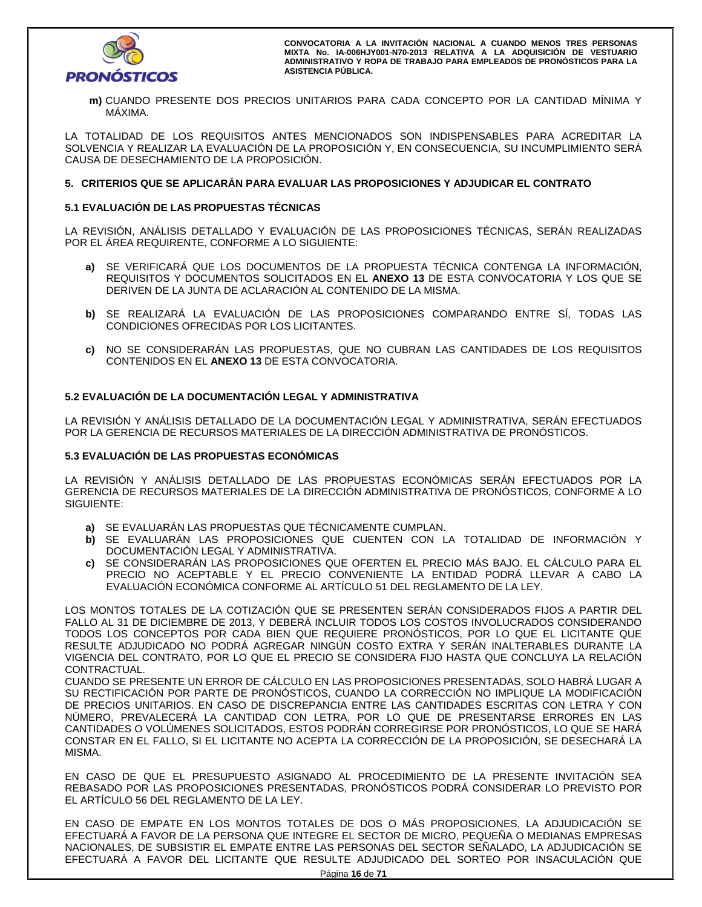

**m)** CUANDO PRESENTE DOS PRECIOS UNITARIOS PARA CADA CONCEPTO POR LA CANTIDAD MÍNIMA Y MÁXIMA.

LA TOTALIDAD DE LOS REQUISITOS ANTES MENCIONADOS SON INDISPENSABLES PARA ACREDITAR LA SOLVENCIA Y REALIZAR LA EVALUACIÓN DE LA PROPOSICIÓN Y, EN CONSECUENCIA, SU INCUMPLIMIENTO SERÁ CAUSA DE DESECHAMIENTO DE LA PROPOSICIÓN.

## **5. CRITERIOS QUE SE APLICARÁN PARA EVALUAR LAS PROPOSICIONES Y ADJUDICAR EL CONTRATO**

## **5.1 EVALUACIÓN DE LAS PROPUESTAS TÉCNICAS**

LA REVISIÓN, ANÁLISIS DETALLADO Y EVALUACIÓN DE LAS PROPOSICIONES TÉCNICAS, SERÁN REALIZADAS POR EL ÁREA REQUIRENTE, CONFORME A LO SIGUIENTE:

- **a)** SE VERIFICARÁ QUE LOS DOCUMENTOS DE LA PROPUESTA TÉCNICA CONTENGA LA INFORMACIÓN, REQUISITOS Y DOCUMENTOS SOLICITADOS EN EL **ANEXO 13** DE ESTA CONVOCATORIA Y LOS QUE SE DERIVEN DE LA JUNTA DE ACLARACIÓN AL CONTENIDO DE LA MISMA.
- **b)** SE REALIZARÁ LA EVALUACIÓN DE LAS PROPOSICIONES COMPARANDO ENTRE SÍ, TODAS LAS CONDICIONES OFRECIDAS POR LOS LICITANTES.
- **c)** NO SE CONSIDERARÁN LAS PROPUESTAS, QUE NO CUBRAN LAS CANTIDADES DE LOS REQUISITOS CONTENIDOS EN EL **ANEXO 13** DE ESTA CONVOCATORIA.

# **5.2 EVALUACIÓN DE LA DOCUMENTACIÓN LEGAL Y ADMINISTRATIVA**

LA REVISIÓN Y ANÁLISIS DETALLADO DE LA DOCUMENTACIÓN LEGAL Y ADMINISTRATIVA, SERÁN EFECTUADOS POR LA GERENCIA DE RECURSOS MATERIALES DE LA DIRECCIÓN ADMINISTRATIVA DE PRONÓSTICOS.

## **5.3 EVALUACIÓN DE LAS PROPUESTAS ECONÓMICAS**

LA REVISIÓN Y ANÁLISIS DETALLADO DE LAS PROPUESTAS ECONÓMICAS SERÁN EFECTUADOS POR LA GERENCIA DE RECURSOS MATERIALES DE LA DIRECCIÓN ADMINISTRATIVA DE PRONÓSTICOS, CONFORME A LO SIGUIENTE:

- **a)** SE EVALUARÁN LAS PROPUESTAS QUE TÉCNICAMENTE CUMPLAN.
- **b)** SE EVALUARÁN LAS PROPOSICIONES QUE CUENTEN CON LA TOTALIDAD DE INFORMACIÓN Y DOCUMENTACIÓN LEGAL Y ADMINISTRATIVA.
- **c)** SE CONSIDERARÁN LAS PROPOSICIONES QUE OFERTEN EL PRECIO MÁS BAJO. EL CÁLCULO PARA EL PRECIO NO ACEPTABLE Y EL PRECIO CONVENIENTE LA ENTIDAD PODRÁ LLEVAR A CABO LA EVALUACIÓN ECONÓMICA CONFORME AL ARTÍCULO 51 DEL REGLAMENTO DE LA LEY.

LOS MONTOS TOTALES DE LA COTIZACIÓN QUE SE PRESENTEN SERÁN CONSIDERADOS FIJOS A PARTIR DEL FALLO AL 31 DE DICIEMBRE DE 2013, Y DEBERÁ INCLUIR TODOS LOS COSTOS INVOLUCRADOS CONSIDERANDO TODOS LOS CONCEPTOS POR CADA BIEN QUE REQUIERE PRONÓSTICOS, POR LO QUE EL LICITANTE QUE RESULTE ADJUDICADO NO PODRÁ AGREGAR NINGÚN COSTO EXTRA Y SERÁN INALTERABLES DURANTE LA VIGENCIA DEL CONTRATO, POR LO QUE EL PRECIO SE CONSIDERA FIJO HASTA QUE CONCLUYA LA RELACIÓN CONTRACTUAL.

CUANDO SE PRESENTE UN ERROR DE CÁLCULO EN LAS PROPOSICIONES PRESENTADAS, SOLO HABRÁ LUGAR A SU RECTIFICACIÓN POR PARTE DE PRONÓSTICOS, CUANDO LA CORRECCIÓN NO IMPLIQUE LA MODIFICACIÓN DE PRECIOS UNITARIOS. EN CASO DE DISCREPANCIA ENTRE LAS CANTIDADES ESCRITAS CON LETRA Y CON NÚMERO, PREVALECERÁ LA CANTIDAD CON LETRA, POR LO QUE DE PRESENTARSE ERRORES EN LAS CANTIDADES O VOLÚMENES SOLICITADOS, ESTOS PODRÁN CORREGIRSE POR PRONÓSTICOS, LO QUE SE HARÁ CONSTAR EN EL FALLO, SI EL LICITANTE NO ACEPTA LA CORRECCIÓN DE LA PROPOSICIÓN, SE DESECHARÁ LA MISMA.

EN CASO DE QUE EL PRESUPUESTO ASIGNADO AL PROCEDIMIENTO DE LA PRESENTE INVITACIÓN SEA REBASADO POR LAS PROPOSICIONES PRESENTADAS, PRONÓSTICOS PODRÁ CONSIDERAR LO PREVISTO POR EL ARTÍCULO 56 DEL REGLAMENTO DE LA LEY.

EN CASO DE EMPATE EN LOS MONTOS TOTALES DE DOS O MÁS PROPOSICIONES, LA ADJUDICACIÓN SE EFECTUARÁ A FAVOR DE LA PERSONA QUE INTEGRE EL SECTOR DE MICRO, PEQUEÑA O MEDIANAS EMPRESAS NACIONALES, DE SUBSISTIR EL EMPATE ENTRE LAS PERSONAS DEL SECTOR SEÑALADO, LA ADJUDICACIÓN SE EFECTUARÁ A FAVOR DEL LICITANTE QUE RESULTE ADJUDICADO DEL SORTEO POR INSACULACIÓN QUE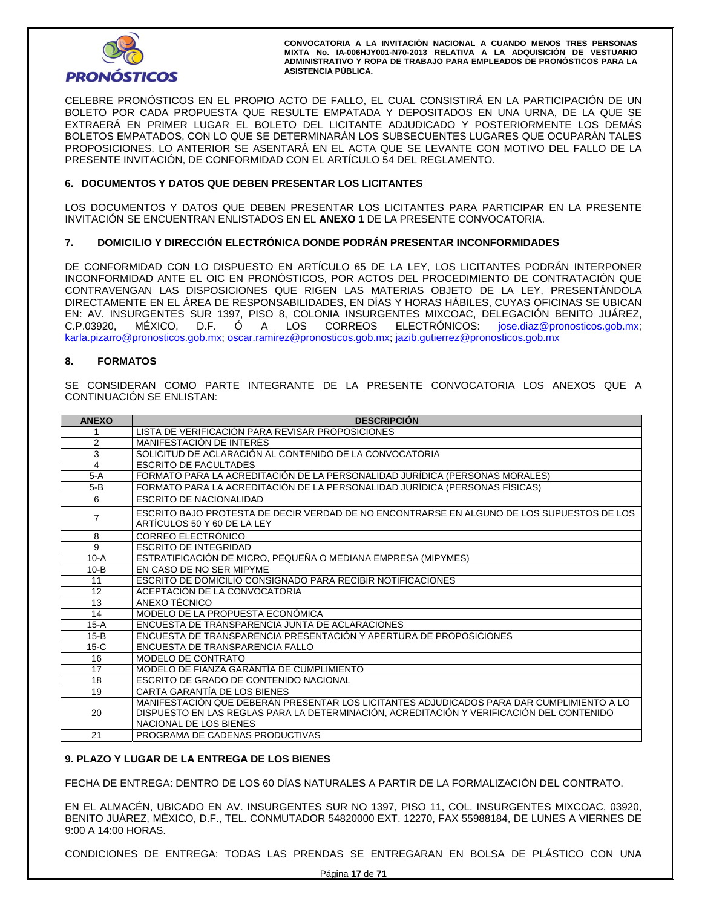

CELEBRE PRONÓSTICOS EN EL PROPIO ACTO DE FALLO, EL CUAL CONSISTIRÁ EN LA PARTICIPACIÓN DE UN BOLETO POR CADA PROPUESTA QUE RESULTE EMPATADA Y DEPOSITADOS EN UNA URNA, DE LA QUE SE EXTRAERÁ EN PRIMER LUGAR EL BOLETO DEL LICITANTE ADJUDICADO Y POSTERIORMENTE LOS DEMÁS BOLETOS EMPATADOS, CON LO QUE SE DETERMINARÁN LOS SUBSECUENTES LUGARES QUE OCUPARÁN TALES PROPOSICIONES. LO ANTERIOR SE ASENTARÁ EN EL ACTA QUE SE LEVANTE CON MOTIVO DEL FALLO DE LA PRESENTE INVITACIÓN, DE CONFORMIDAD CON EL ARTÍCULO 54 DEL REGLAMENTO.

## **6. DOCUMENTOS Y DATOS QUE DEBEN PRESENTAR LOS LICITANTES**

LOS DOCUMENTOS Y DATOS QUE DEBEN PRESENTAR LOS LICITANTES PARA PARTICIPAR EN LA PRESENTE INVITACIÓN SE ENCUENTRAN ENLISTADOS EN EL **ANEXO 1** DE LA PRESENTE CONVOCATORIA.

## **7. DOMICILIO Y DIRECCIÓN ELECTRÓNICA DONDE PODRÁN PRESENTAR INCONFORMIDADES**

DE CONFORMIDAD CON LO DISPUESTO EN ARTÍCULO 65 DE LA LEY, LOS LICITANTES PODRÁN INTERPONER INCONFORMIDAD ANTE EL OIC EN PRONÓSTICOS, POR ACTOS DEL PROCEDIMIENTO DE CONTRATACIÓN QUE CONTRAVENGAN LAS DISPOSICIONES QUE RIGEN LAS MATERIAS OBJETO DE LA LEY, PRESENTÁNDOLA DIRECTAMENTE EN EL ÁREA DE RESPONSABILIDADES, EN DÍAS Y HORAS HÁBILES, CUYAS OFICINAS SE UBICAN EN: AV. INSURGENTES SUR 1397, PISO 8, COLONIA INSURGENTES MIXCOAC, DELEGACIÓN BENITO JUÁREZ, C.P.03920, MÉXICO, D.F. Ó A LOS CORREOS ELECTRÓNICOS: jose.diaz@pronosticos.gob.mx; karla.pizarro@pronosticos.gob.mx; oscar.ramirez@pronosticos.gob.mx; jazib.gutierrez@pronosticos.gob.mx

## **8. FORMATOS**

SE CONSIDERAN COMO PARTE INTEGRANTE DE LA PRESENTE CONVOCATORIA LOS ANEXOS QUE A CONTINUACIÓN SE ENLISTAN:

| <b>ANEXO</b>   | <b>DESCRIPCIÓN</b>                                                                                                                                                                                              |
|----------------|-----------------------------------------------------------------------------------------------------------------------------------------------------------------------------------------------------------------|
|                | LISTA DE VERIFICACIÓN PARA REVISAR PROPOSICIONES                                                                                                                                                                |
| $\overline{2}$ | MANIFESTACIÓN DE INTERÉS                                                                                                                                                                                        |
| 3              | SOLICITUD DE ACLARACIÓN AL CONTENIDO DE LA CONVOCATORIA                                                                                                                                                         |
| 4              | <b>ESCRITO DE FACULTADES</b>                                                                                                                                                                                    |
| $5-A$          | FORMATO PARA LA ACREDITACIÓN DE LA PERSONALIDAD JURÍDICA (PERSONAS MORALES)                                                                                                                                     |
| $5-B$          | FORMATO PARA LA ACREDITACIÓN DE LA PERSONALIDAD JURÍDICA (PERSONAS FÍSICAS)                                                                                                                                     |
| 6              | <b>ESCRITO DE NACIONALIDAD</b>                                                                                                                                                                                  |
| 7              | ESCRITO BAJO PROTESTA DE DECIR VERDAD DE NO ENCONTRARSE EN ALGUNO DE LOS SUPUESTOS DE LOS<br>ARTÍCULOS 50 Y 60 DE LA LEY                                                                                        |
| 8              | CORREO ELECTRÓNICO                                                                                                                                                                                              |
| 9              | <b>ESCRITO DE INTEGRIDAD</b>                                                                                                                                                                                    |
| $10-A$         | ESTRATIFICACIÓN DE MICRO, PEQUEÑA O MEDIANA EMPRESA (MIPYMES)                                                                                                                                                   |
| $10-B$         | EN CASO DE NO SER MIPYME                                                                                                                                                                                        |
| 11             | ESCRITO DE DOMICILIO CONSIGNADO PARA RECIBIR NOTIFICACIONES                                                                                                                                                     |
| 12             | ACEPTACIÓN DE LA CONVOCATORIA                                                                                                                                                                                   |
| 13             | ANEXO TÉCNICO                                                                                                                                                                                                   |
| 14             | MODELO DE LA PROPUESTA ECONÓMICA                                                                                                                                                                                |
| $15-A$         | ENCUESTA DE TRANSPARENCIA JUNTA DE ACLARACIONES                                                                                                                                                                 |
| $15-B$         | ENCUESTA DE TRANSPARENCIA PRESENTACIÓN Y APERTURA DE PROPOSICIONES                                                                                                                                              |
| $15-C$         | ENCUESTA DE TRANSPARENCIA FALLO                                                                                                                                                                                 |
| 16             | <b>MODELO DE CONTRATO</b>                                                                                                                                                                                       |
| 17             | MODELO DE FIANZA GARANTÍA DE CUMPLIMIENTO                                                                                                                                                                       |
| 18             | ESCRITO DE GRADO DE CONTENIDO NACIONAL                                                                                                                                                                          |
| 19             | CARTA GARANTÍA DE LOS BIENES                                                                                                                                                                                    |
| 20             | MANIFESTACIÓN QUE DEBERÁN PRESENTAR LOS LICITANTES ADJUDICADOS PARA DAR CUMPLIMIENTO A LO<br>DISPUESTO EN LAS REGLAS PARA LA DETERMINACIÓN, ACREDITACIÓN Y VERIFICACIÓN DEL CONTENIDO<br>NACIONAL DE LOS BIENES |
| 21             | PROGRAMA DE CADENAS PRODUCTIVAS                                                                                                                                                                                 |

## **9. PLAZO Y LUGAR DE LA ENTREGA DE LOS BIENES**

FECHA DE ENTREGA: DENTRO DE LOS 60 DÍAS NATURALES A PARTIR DE LA FORMALIZACIÓN DEL CONTRATO.

EN EL ALMACÉN, UBICADO EN AV. INSURGENTES SUR NO 1397, PISO 11, COL. INSURGENTES MIXCOAC, 03920, BENITO JUÁREZ, MÉXICO, D.F., TEL. CONMUTADOR 54820000 EXT. 12270, FAX 55988184, DE LUNES A VIERNES DE 9:00 A 14:00 HORAS.

CONDICIONES DE ENTREGA: TODAS LAS PRENDAS SE ENTREGARAN EN BOLSA DE PLÁSTICO CON UNA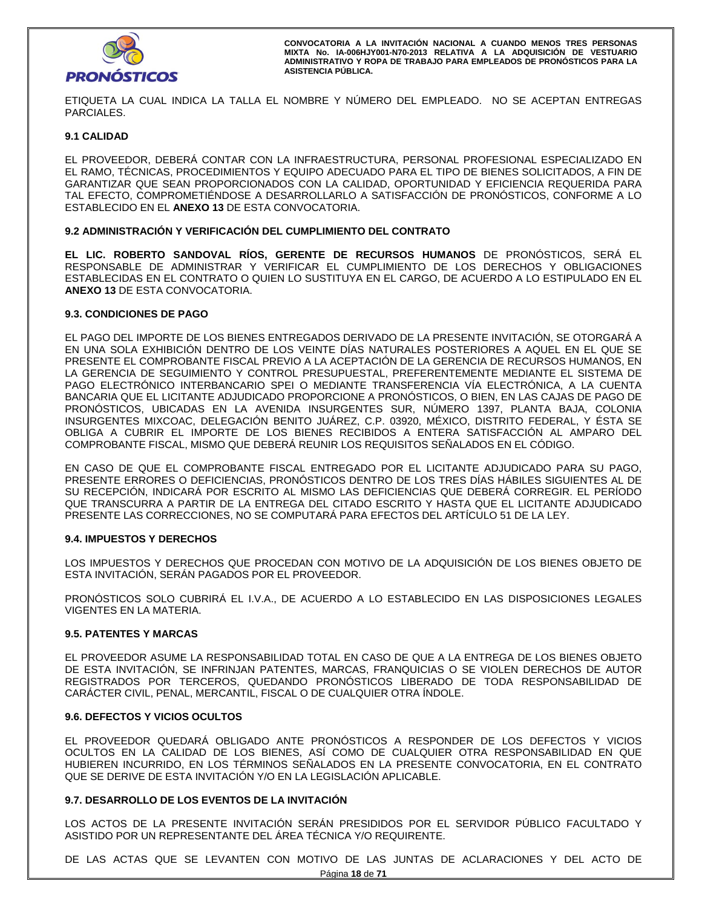

ETIQUETA LA CUAL INDICA LA TALLA EL NOMBRE Y NÚMERO DEL EMPLEADO. NO SE ACEPTAN ENTREGAS PARCIALES.

## **9.1 CALIDAD**

EL PROVEEDOR, DEBERÁ CONTAR CON LA INFRAESTRUCTURA, PERSONAL PROFESIONAL ESPECIALIZADO EN EL RAMO, TÉCNICAS, PROCEDIMIENTOS Y EQUIPO ADECUADO PARA EL TIPO DE BIENES SOLICITADOS, A FIN DE GARANTIZAR QUE SEAN PROPORCIONADOS CON LA CALIDAD, OPORTUNIDAD Y EFICIENCIA REQUERIDA PARA TAL EFECTO, COMPROMETIÉNDOSE A DESARROLLARLO A SATISFACCIÓN DE PRONÓSTICOS, CONFORME A LO ESTABLECIDO EN EL **ANEXO 13** DE ESTA CONVOCATORIA.

## **9.2 ADMINISTRACIÓN Y VERIFICACIÓN DEL CUMPLIMIENTO DEL CONTRATO**

**EL LIC. ROBERTO SANDOVAL RÍOS, GERENTE DE RECURSOS HUMANOS** DE PRONÓSTICOS, SERÁ EL RESPONSABLE DE ADMINISTRAR Y VERIFICAR EL CUMPLIMIENTO DE LOS DERECHOS Y OBLIGACIONES ESTABLECIDAS EN EL CONTRATO O QUIEN LO SUSTITUYA EN EL CARGO, DE ACUERDO A LO ESTIPULADO EN EL **ANEXO 13** DE ESTA CONVOCATORIA.

## **9.3. CONDICIONES DE PAGO**

EL PAGO DEL IMPORTE DE LOS BIENES ENTREGADOS DERIVADO DE LA PRESENTE INVITACIÓN, SE OTORGARÁ A EN UNA SOLA EXHIBICIÓN DENTRO DE LOS VEINTE DÍAS NATURALES POSTERIORES A AQUEL EN EL QUE SE PRESENTE EL COMPROBANTE FISCAL PREVIO A LA ACEPTACIÓN DE LA GERENCIA DE RECURSOS HUMANOS, EN LA GERENCIA DE SEGUIMIENTO Y CONTROL PRESUPUESTAL, PREFERENTEMENTE MEDIANTE EL SISTEMA DE PAGO ELECTRÓNICO INTERBANCARIO SPEI O MEDIANTE TRANSFERENCIA VÍA ELECTRÓNICA, A LA CUENTA BANCARIA QUE EL LICITANTE ADJUDICADO PROPORCIONE A PRONÓSTICOS, O BIEN, EN LAS CAJAS DE PAGO DE PRONÓSTICOS, UBICADAS EN LA AVENIDA INSURGENTES SUR, NÚMERO 1397, PLANTA BAJA, COLONIA INSURGENTES MIXCOAC, DELEGACIÓN BENITO JUÁREZ, C.P. 03920, MÉXICO, DISTRITO FEDERAL, Y ÉSTA SE OBLIGA A CUBRIR EL IMPORTE DE LOS BIENES RECIBIDOS A ENTERA SATISFACCIÓN AL AMPARO DEL COMPROBANTE FISCAL, MISMO QUE DEBERÁ REUNIR LOS REQUISITOS SEÑALADOS EN EL CÓDIGO.

EN CASO DE QUE EL COMPROBANTE FISCAL ENTREGADO POR EL LICITANTE ADJUDICADO PARA SU PAGO, PRESENTE ERRORES O DEFICIENCIAS, PRONÓSTICOS DENTRO DE LOS TRES DÍAS HÁBILES SIGUIENTES AL DE SU RECEPCIÓN, INDICARÁ POR ESCRITO AL MISMO LAS DEFICIENCIAS QUE DEBERÁ CORREGIR. EL PERÍODO QUE TRANSCURRA A PARTIR DE LA ENTREGA DEL CITADO ESCRITO Y HASTA QUE EL LICITANTE ADJUDICADO PRESENTE LAS CORRECCIONES, NO SE COMPUTARÁ PARA EFECTOS DEL ARTÍCULO 51 DE LA LEY.

## **9.4. IMPUESTOS Y DERECHOS**

LOS IMPUESTOS Y DERECHOS QUE PROCEDAN CON MOTIVO DE LA ADQUISICIÓN DE LOS BIENES OBJETO DE ESTA INVITACIÓN, SERÁN PAGADOS POR EL PROVEEDOR.

PRONÓSTICOS SOLO CUBRIRÁ EL I.V.A., DE ACUERDO A LO ESTABLECIDO EN LAS DISPOSICIONES LEGALES VIGENTES EN LA MATERIA.

## **9.5. PATENTES Y MARCAS**

EL PROVEEDOR ASUME LA RESPONSABILIDAD TOTAL EN CASO DE QUE A LA ENTREGA DE LOS BIENES OBJETO DE ESTA INVITACIÓN, SE INFRINJAN PATENTES, MARCAS, FRANQUICIAS O SE VIOLEN DERECHOS DE AUTOR REGISTRADOS POR TERCEROS, QUEDANDO PRONÓSTICOS LIBERADO DE TODA RESPONSABILIDAD DE CARÁCTER CIVIL, PENAL, MERCANTIL, FISCAL O DE CUALQUIER OTRA ÍNDOLE.

## **9.6. DEFECTOS Y VICIOS OCULTOS**

EL PROVEEDOR QUEDARÁ OBLIGADO ANTE PRONÓSTICOS A RESPONDER DE LOS DEFECTOS Y VICIOS OCULTOS EN LA CALIDAD DE LOS BIENES, ASÍ COMO DE CUALQUIER OTRA RESPONSABILIDAD EN QUE HUBIEREN INCURRIDO, EN LOS TÉRMINOS SEÑALADOS EN LA PRESENTE CONVOCATORIA, EN EL CONTRATO QUE SE DERIVE DE ESTA INVITACIÓN Y/O EN LA LEGISLACIÓN APLICABLE.

## **9.7. DESARROLLO DE LOS EVENTOS DE LA INVITACIÓN**

LOS ACTOS DE LA PRESENTE INVITACIÓN SERÁN PRESIDIDOS POR EL SERVIDOR PÚBLICO FACULTADO Y ASISTIDO POR UN REPRESENTANTE DEL ÁREA TÉCNICA Y/O REQUIRENTE.

DE LAS ACTAS QUE SE LEVANTEN CON MOTIVO DE LAS JUNTAS DE ACLARACIONES Y DEL ACTO DE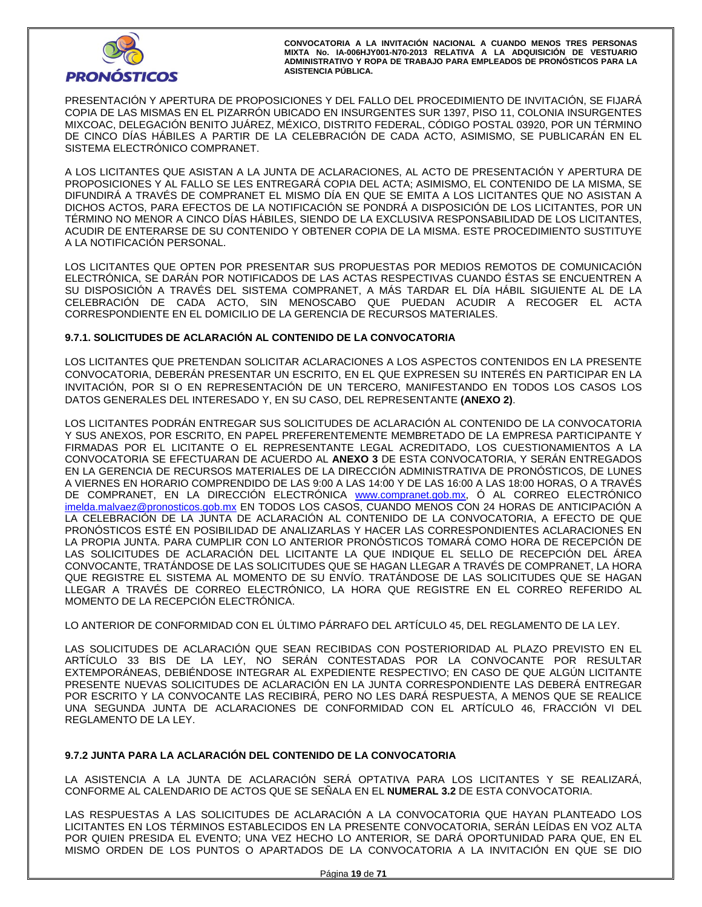

PRESENTACIÓN Y APERTURA DE PROPOSICIONES Y DEL FALLO DEL PROCEDIMIENTO DE INVITACIÓN, SE FIJARÁ COPIA DE LAS MISMAS EN EL PIZARRÓN UBICADO EN INSURGENTES SUR 1397, PISO 11, COLONIA INSURGENTES MIXCOAC, DELEGACIÓN BENITO JUÁREZ, MÉXICO, DISTRITO FEDERAL, CÓDIGO POSTAL 03920, POR UN TÉRMINO DE CINCO DÍAS HÁBILES A PARTIR DE LA CELEBRACIÓN DE CADA ACTO, ASIMISMO, SE PUBLICARÁN EN EL SISTEMA ELECTRÓNICO COMPRANET.

A LOS LICITANTES QUE ASISTAN A LA JUNTA DE ACLARACIONES, AL ACTO DE PRESENTACIÓN Y APERTURA DE PROPOSICIONES Y AL FALLO SE LES ENTREGARÁ COPIA DEL ACTA; ASIMISMO, EL CONTENIDO DE LA MISMA, SE DIFUNDIRÁ A TRAVÉS DE COMPRANET EL MISMO DÍA EN QUE SE EMITA A LOS LICITANTES QUE NO ASISTAN A DICHOS ACTOS, PARA EFECTOS DE LA NOTIFICACIÓN SE PONDRÁ A DISPOSICIÓN DE LOS LICITANTES, POR UN TÉRMINO NO MENOR A CINCO DÍAS HÁBILES, SIENDO DE LA EXCLUSIVA RESPONSABILIDAD DE LOS LICITANTES, ACUDIR DE ENTERARSE DE SU CONTENIDO Y OBTENER COPIA DE LA MISMA. ESTE PROCEDIMIENTO SUSTITUYE A LA NOTIFICACIÓN PERSONAL.

LOS LICITANTES QUE OPTEN POR PRESENTAR SUS PROPUESTAS POR MEDIOS REMOTOS DE COMUNICACIÓN ELECTRÓNICA, SE DARÁN POR NOTIFICADOS DE LAS ACTAS RESPECTIVAS CUANDO ÉSTAS SE ENCUENTREN A SU DISPOSICIÓN A TRAVÉS DEL SISTEMA COMPRANET, A MÁS TARDAR EL DÍA HÁBIL SIGUIENTE AL DE LA CELEBRACIÓN DE CADA ACTO, SIN MENOSCABO QUE PUEDAN ACUDIR A RECOGER EL ACTA CORRESPONDIENTE EN EL DOMICILIO DE LA GERENCIA DE RECURSOS MATERIALES.

## **9.7.1. SOLICITUDES DE ACLARACIÓN AL CONTENIDO DE LA CONVOCATORIA**

LOS LICITANTES QUE PRETENDAN SOLICITAR ACLARACIONES A LOS ASPECTOS CONTENIDOS EN LA PRESENTE CONVOCATORIA, DEBERÁN PRESENTAR UN ESCRITO, EN EL QUE EXPRESEN SU INTERÉS EN PARTICIPAR EN LA INVITACIÓN, POR SI O EN REPRESENTACIÓN DE UN TERCERO, MANIFESTANDO EN TODOS LOS CASOS LOS DATOS GENERALES DEL INTERESADO Y, EN SU CASO, DEL REPRESENTANTE **(ANEXO 2)**.

LOS LICITANTES PODRÁN ENTREGAR SUS SOLICITUDES DE ACLARACIÓN AL CONTENIDO DE LA CONVOCATORIA Y SUS ANEXOS, POR ESCRITO, EN PAPEL PREFERENTEMENTE MEMBRETADO DE LA EMPRESA PARTICIPANTE Y FIRMADAS POR EL LICITANTE O EL REPRESENTANTE LEGAL ACREDITADO, LOS CUESTIONAMIENTOS A LA CONVOCATORIA SE EFECTUARAN DE ACUERDO AL **ANEXO 3** DE ESTA CONVOCATORIA, Y SERÁN ENTREGADOS EN LA GERENCIA DE RECURSOS MATERIALES DE LA DIRECCIÓN ADMINISTRATIVA DE PRONÓSTICOS, DE LUNES A VIERNES EN HORARIO COMPRENDIDO DE LAS 9:00 A LAS 14:00 Y DE LAS 16:00 A LAS 18:00 HORAS, O A TRAVÉS DE COMPRANET, EN LA DIRECCIÓN ELECTRÓNICA www.compranet.gob.mx, Ó AL CORREO ELECTRÓNICO imelda.malvaez@pronosticos.gob.mx EN TODOS LOS CASOS, CUANDO MENOS CON 24 HORAS DE ANTICIPACIÓN A LA CELEBRACIÓN DE LA JUNTA DE ACLARACIÓN AL CONTENIDO DE LA CONVOCATORIA, A EFECTO DE QUE PRONÓSTICOS ESTÉ EN POSIBILIDAD DE ANALIZARLAS Y HACER LAS CORRESPONDIENTES ACLARACIONES EN LA PROPIA JUNTA. PARA CUMPLIR CON LO ANTERIOR PRONÓSTICOS TOMARÁ COMO HORA DE RECEPCIÓN DE LAS SOLICITUDES DE ACLARACIÓN DEL LICITANTE LA QUE INDIQUE EL SELLO DE RECEPCIÓN DEL ÁREA CONVOCANTE, TRATÁNDOSE DE LAS SOLICITUDES QUE SE HAGAN LLEGAR A TRAVÉS DE COMPRANET, LA HORA QUE REGISTRE EL SISTEMA AL MOMENTO DE SU ENVÍO. TRATÁNDOSE DE LAS SOLICITUDES QUE SE HAGAN LLEGAR A TRAVÉS DE CORREO ELECTRÓNICO, LA HORA QUE REGISTRE EN EL CORREO REFERIDO AL MOMENTO DE LA RECEPCIÓN ELECTRÓNICA.

LO ANTERIOR DE CONFORMIDAD CON EL ÚLTIMO PÁRRAFO DEL ARTÍCULO 45, DEL REGLAMENTO DE LA LEY.

LAS SOLICITUDES DE ACLARACIÓN QUE SEAN RECIBIDAS CON POSTERIORIDAD AL PLAZO PREVISTO EN EL ARTÍCULO 33 BIS DE LA LEY, NO SERÁN CONTESTADAS POR LA CONVOCANTE POR RESULTAR EXTEMPORÁNEAS, DEBIÉNDOSE INTEGRAR AL EXPEDIENTE RESPECTIVO; EN CASO DE QUE ALGÚN LICITANTE PRESENTE NUEVAS SOLICITUDES DE ACLARACIÓN EN LA JUNTA CORRESPONDIENTE LAS DEBERÁ ENTREGAR POR ESCRITO Y LA CONVOCANTE LAS RECIBIRÁ, PERO NO LES DARÁ RESPUESTA, A MENOS QUE SE REALICE UNA SEGUNDA JUNTA DE ACLARACIONES DE CONFORMIDAD CON EL ARTÍCULO 46, FRACCIÓN VI DEL REGLAMENTO DE LA LEY.

## **9.7.2 JUNTA PARA LA ACLARACIÓN DEL CONTENIDO DE LA CONVOCATORIA**

LA ASISTENCIA A LA JUNTA DE ACLARACIÓN SERÁ OPTATIVA PARA LOS LICITANTES Y SE REALIZARÁ, CONFORME AL CALENDARIO DE ACTOS QUE SE SEÑALA EN EL **NUMERAL 3.2** DE ESTA CONVOCATORIA.

LAS RESPUESTAS A LAS SOLICITUDES DE ACLARACIÓN A LA CONVOCATORIA QUE HAYAN PLANTEADO LOS LICITANTES EN LOS TÉRMINOS ESTABLECIDOS EN LA PRESENTE CONVOCATORIA, SERÁN LEÍDAS EN VOZ ALTA POR QUIEN PRESIDA EL EVENTO; UNA VEZ HECHO LO ANTERIOR, SE DARÁ OPORTUNIDAD PARA QUE, EN EL MISMO ORDEN DE LOS PUNTOS O APARTADOS DE LA CONVOCATORIA A LA INVITACIÓN EN QUE SE DIO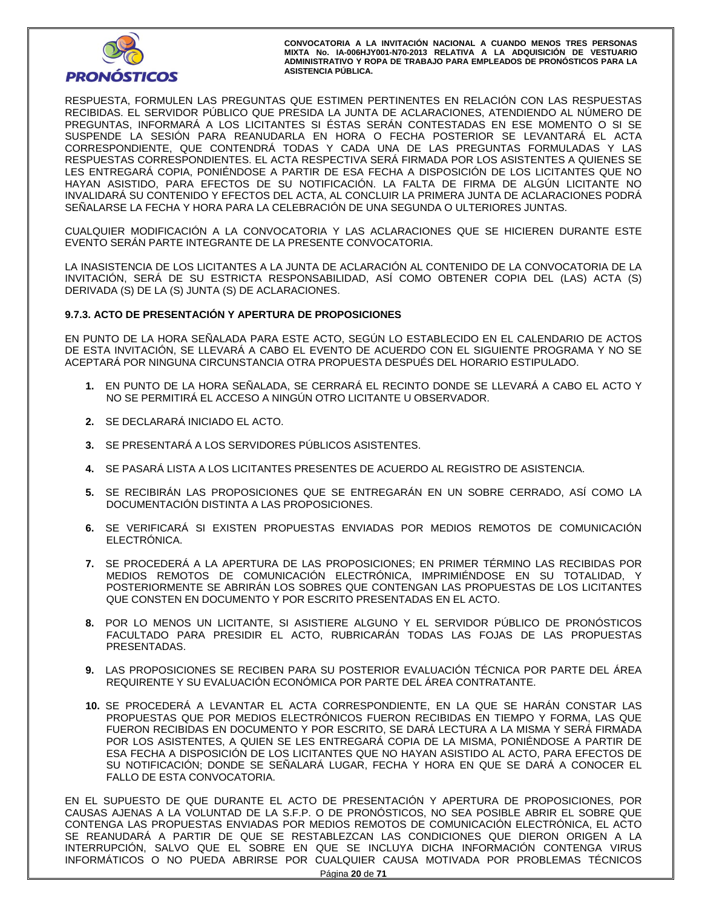

RESPUESTA, FORMULEN LAS PREGUNTAS QUE ESTIMEN PERTINENTES EN RELACIÓN CON LAS RESPUESTAS RECIBIDAS. EL SERVIDOR PÚBLICO QUE PRESIDA LA JUNTA DE ACLARACIONES, ATENDIENDO AL NÚMERO DE PREGUNTAS, INFORMARÁ A LOS LICITANTES SI ÉSTAS SERÁN CONTESTADAS EN ESE MOMENTO O SI SE SUSPENDE LA SESIÓN PARA REANUDARLA EN HORA O FECHA POSTERIOR SE LEVANTARÁ EL ACTA CORRESPONDIENTE, QUE CONTENDRÁ TODAS Y CADA UNA DE LAS PREGUNTAS FORMULADAS Y LAS RESPUESTAS CORRESPONDIENTES. EL ACTA RESPECTIVA SERÁ FIRMADA POR LOS ASISTENTES A QUIENES SE LES ENTREGARÁ COPIA, PONIÉNDOSE A PARTIR DE ESA FECHA A DISPOSICIÓN DE LOS LICITANTES QUE NO HAYAN ASISTIDO, PARA EFECTOS DE SU NOTIFICACIÓN. LA FALTA DE FIRMA DE ALGÚN LICITANTE NO INVALIDARÁ SU CONTENIDO Y EFECTOS DEL ACTA, AL CONCLUIR LA PRIMERA JUNTA DE ACLARACIONES PODRÁ SEÑALARSE LA FECHA Y HORA PARA LA CELEBRACIÓN DE UNA SEGUNDA O ULTERIORES JUNTAS.

CUALQUIER MODIFICACIÓN A LA CONVOCATORIA Y LAS ACLARACIONES QUE SE HICIEREN DURANTE ESTE EVENTO SERÁN PARTE INTEGRANTE DE LA PRESENTE CONVOCATORIA.

LA INASISTENCIA DE LOS LICITANTES A LA JUNTA DE ACLARACIÓN AL CONTENIDO DE LA CONVOCATORIA DE LA INVITACIÓN, SERÁ DE SU ESTRICTA RESPONSABILIDAD, ASÍ COMO OBTENER COPIA DEL (LAS) ACTA (S) DERIVADA (S) DE LA (S) JUNTA (S) DE ACLARACIONES.

## **9.7.3. ACTO DE PRESENTACIÓN Y APERTURA DE PROPOSICIONES**

EN PUNTO DE LA HORA SEÑALADA PARA ESTE ACTO, SEGÚN LO ESTABLECIDO EN EL CALENDARIO DE ACTOS DE ESTA INVITACIÓN, SE LLEVARÁ A CABO EL EVENTO DE ACUERDO CON EL SIGUIENTE PROGRAMA Y NO SE ACEPTARÁ POR NINGUNA CIRCUNSTANCIA OTRA PROPUESTA DESPUÉS DEL HORARIO ESTIPULADO.

- **1.** EN PUNTO DE LA HORA SEÑALADA, SE CERRARÁ EL RECINTO DONDE SE LLEVARÁ A CABO EL ACTO Y NO SE PERMITIRÁ EL ACCESO A NINGÚN OTRO LICITANTE U OBSERVADOR.
- **2.** SE DECLARARÁ INICIADO EL ACTO.
- **3.** SE PRESENTARÁ A LOS SERVIDORES PÚBLICOS ASISTENTES.
- **4.** SE PASARÁ LISTA A LOS LICITANTES PRESENTES DE ACUERDO AL REGISTRO DE ASISTENCIA.
- **5.** SE RECIBIRÁN LAS PROPOSICIONES QUE SE ENTREGARÁN EN UN SOBRE CERRADO, ASÍ COMO LA DOCUMENTACIÓN DISTINTA A LAS PROPOSICIONES.
- **6.** SE VERIFICARÁ SI EXISTEN PROPUESTAS ENVIADAS POR MEDIOS REMOTOS DE COMUNICACIÓN ELECTRÓNICA.
- **7.** SE PROCEDERÁ A LA APERTURA DE LAS PROPOSICIONES; EN PRIMER TÉRMINO LAS RECIBIDAS POR MEDIOS REMOTOS DE COMUNICACIÓN ELECTRÓNICA, IMPRIMIÉNDOSE EN SU TOTALIDAD, Y POSTERIORMENTE SE ABRIRÁN LOS SOBRES QUE CONTENGAN LAS PROPUESTAS DE LOS LICITANTES QUE CONSTEN EN DOCUMENTO Y POR ESCRITO PRESENTADAS EN EL ACTO.
- **8.** POR LO MENOS UN LICITANTE, SI ASISTIERE ALGUNO Y EL SERVIDOR PÚBLICO DE PRONÓSTICOS FACULTADO PARA PRESIDIR EL ACTO, RUBRICARÁN TODAS LAS FOJAS DE LAS PROPUESTAS PRESENTADAS.
- **9.** LAS PROPOSICIONES SE RECIBEN PARA SU POSTERIOR EVALUACIÓN TÉCNICA POR PARTE DEL ÁREA REQUIRENTE Y SU EVALUACIÓN ECONÓMICA POR PARTE DEL ÁREA CONTRATANTE.
- **10.** SE PROCEDERÁ A LEVANTAR EL ACTA CORRESPONDIENTE, EN LA QUE SE HARÁN CONSTAR LAS PROPUESTAS QUE POR MEDIOS ELECTRÓNICOS FUERON RECIBIDAS EN TIEMPO Y FORMA, LAS QUE FUERON RECIBIDAS EN DOCUMENTO Y POR ESCRITO, SE DARÁ LECTURA A LA MISMA Y SERÁ FIRMADA POR LOS ASISTENTES, A QUIEN SE LES ENTREGARÁ COPIA DE LA MISMA, PONIÉNDOSE A PARTIR DE ESA FECHA A DISPOSICIÓN DE LOS LICITANTES QUE NO HAYAN ASISTIDO AL ACTO, PARA EFECTOS DE SU NOTIFICACIÓN; DONDE SE SEÑALARÁ LUGAR, FECHA Y HORA EN QUE SE DARÁ A CONOCER EL FALLO DE ESTA CONVOCATORIA.

EN EL SUPUESTO DE QUE DURANTE EL ACTO DE PRESENTACIÓN Y APERTURA DE PROPOSICIONES, POR CAUSAS AJENAS A LA VOLUNTAD DE LA S.F.P. O DE PRONÓSTICOS, NO SEA POSIBLE ABRIR EL SOBRE QUE CONTENGA LAS PROPUESTAS ENVIADAS POR MEDIOS REMOTOS DE COMUNICACIÓN ELECTRÓNICA, EL ACTO SE REANUDARÁ A PARTIR DE QUE SE RESTABLEZCAN LAS CONDICIONES QUE DIERON ORIGEN A LA INTERRUPCIÓN, SALVO QUE EL SOBRE EN QUE SE INCLUYA DICHA INFORMACIÓN CONTENGA VIRUS INFORMÁTICOS O NO PUEDA ABRIRSE POR CUALQUIER CAUSA MOTIVADA POR PROBLEMAS TÉCNICOS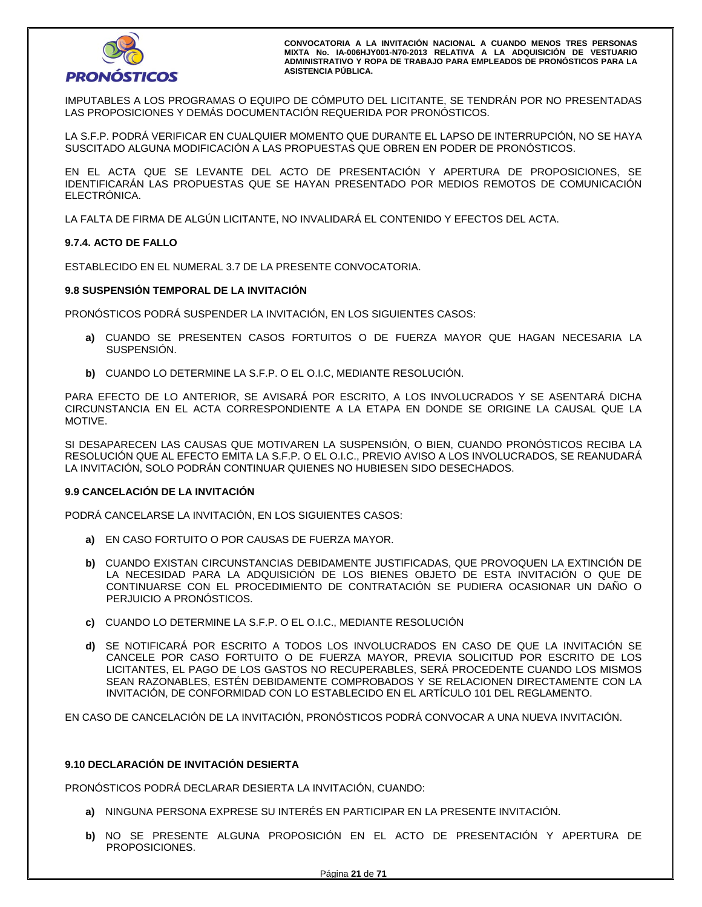

IMPUTABLES A LOS PROGRAMAS O EQUIPO DE CÓMPUTO DEL LICITANTE, SE TENDRÁN POR NO PRESENTADAS LAS PROPOSICIONES Y DEMÁS DOCUMENTACIÓN REQUERIDA POR PRONÓSTICOS.

LA S.F.P. PODRÁ VERIFICAR EN CUALQUIER MOMENTO QUE DURANTE EL LAPSO DE INTERRUPCIÓN, NO SE HAYA SUSCITADO ALGUNA MODIFICACIÓN A LAS PROPUESTAS QUE OBREN EN PODER DE PRONÓSTICOS.

EN EL ACTA QUE SE LEVANTE DEL ACTO DE PRESENTACIÓN Y APERTURA DE PROPOSICIONES, SE IDENTIFICARÁN LAS PROPUESTAS QUE SE HAYAN PRESENTADO POR MEDIOS REMOTOS DE COMUNICACIÓN ELECTRÓNICA.

LA FALTA DE FIRMA DE ALGÚN LICITANTE, NO INVALIDARÁ EL CONTENIDO Y EFECTOS DEL ACTA.

## **9.7.4. ACTO DE FALLO**

ESTABLECIDO EN EL NUMERAL 3.7 DE LA PRESENTE CONVOCATORIA.

## **9.8 SUSPENSIÓN TEMPORAL DE LA INVITACIÓN**

PRONÓSTICOS PODRÁ SUSPENDER LA INVITACIÓN, EN LOS SIGUIENTES CASOS:

- **a)** CUANDO SE PRESENTEN CASOS FORTUITOS O DE FUERZA MAYOR QUE HAGAN NECESARIA LA SUSPENSIÓN.
- **b)** CUANDO LO DETERMINE LA S.F.P. O EL O.I.C, MEDIANTE RESOLUCIÓN.

PARA EFECTO DE LO ANTERIOR, SE AVISARÁ POR ESCRITO, A LOS INVOLUCRADOS Y SE ASENTARÁ DICHA CIRCUNSTANCIA EN EL ACTA CORRESPONDIENTE A LA ETAPA EN DONDE SE ORIGINE LA CAUSAL QUE LA MOTIVE.

SI DESAPARECEN LAS CAUSAS QUE MOTIVAREN LA SUSPENSIÓN, O BIEN, CUANDO PRONÓSTICOS RECIBA LA RESOLUCIÓN QUE AL EFECTO EMITA LA S.F.P. O EL O.I.C., PREVIO AVISO A LOS INVOLUCRADOS, SE REANUDARÁ LA INVITACIÓN, SOLO PODRÁN CONTINUAR QUIENES NO HUBIESEN SIDO DESECHADOS.

## **9.9 CANCELACIÓN DE LA INVITACIÓN**

PODRÁ CANCELARSE LA INVITACIÓN, EN LOS SIGUIENTES CASOS:

- **a)** EN CASO FORTUITO O POR CAUSAS DE FUERZA MAYOR.
- **b)** CUANDO EXISTAN CIRCUNSTANCIAS DEBIDAMENTE JUSTIFICADAS, QUE PROVOQUEN LA EXTINCIÓN DE LA NECESIDAD PARA LA ADQUISICIÓN DE LOS BIENES OBJETO DE ESTA INVITACIÓN O QUE DE CONTINUARSE CON EL PROCEDIMIENTO DE CONTRATACIÓN SE PUDIERA OCASIONAR UN DAÑO O PERJUICIO A PRONÓSTICOS.
- **c)** CUANDO LO DETERMINE LA S.F.P. O EL O.I.C., MEDIANTE RESOLUCIÓN
- **d)** SE NOTIFICARÁ POR ESCRITO A TODOS LOS INVOLUCRADOS EN CASO DE QUE LA INVITACIÓN SE CANCELE POR CASO FORTUITO O DE FUERZA MAYOR, PREVIA SOLICITUD POR ESCRITO DE LOS LICITANTES, EL PAGO DE LOS GASTOS NO RECUPERABLES, SERÁ PROCEDENTE CUANDO LOS MISMOS SEAN RAZONABLES, ESTÉN DEBIDAMENTE COMPROBADOS Y SE RELACIONEN DIRECTAMENTE CON LA INVITACIÓN, DE CONFORMIDAD CON LO ESTABLECIDO EN EL ARTÍCULO 101 DEL REGLAMENTO.

EN CASO DE CANCELACIÓN DE LA INVITACIÓN, PRONÓSTICOS PODRÁ CONVOCAR A UNA NUEVA INVITACIÓN.

## **9.10 DECLARACIÓN DE INVITACIÓN DESIERTA**

PRONÓSTICOS PODRÁ DECLARAR DESIERTA LA INVITACIÓN, CUANDO:

- **a)** NINGUNA PERSONA EXPRESE SU INTERÉS EN PARTICIPAR EN LA PRESENTE INVITACIÓN.
- **b)** NO SE PRESENTE ALGUNA PROPOSICIÓN EN EL ACTO DE PRESENTACIÓN Y APERTURA DE PROPOSICIONES.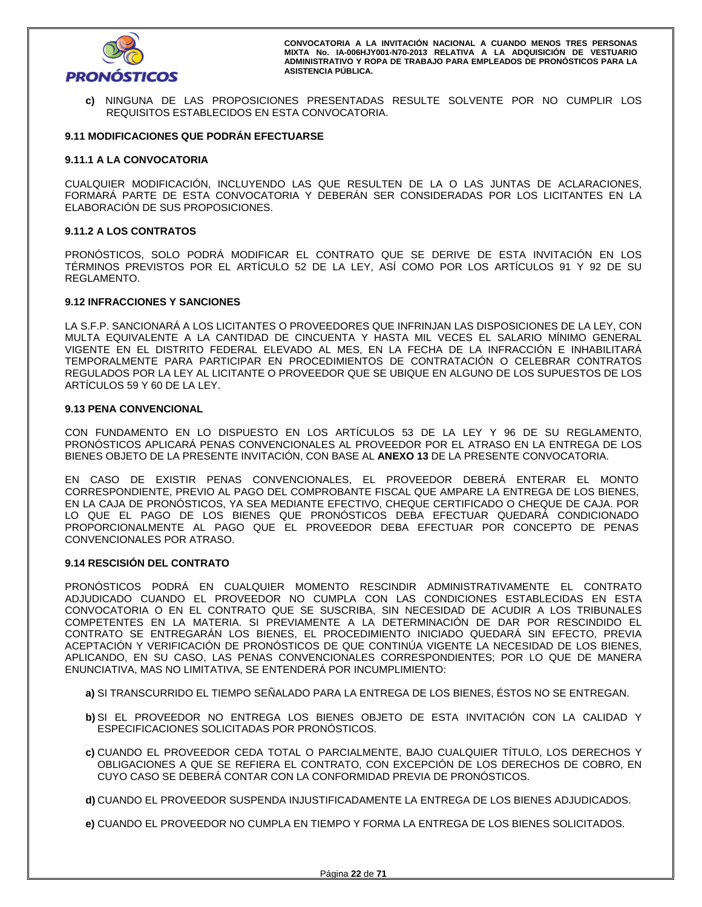

**c)** NINGUNA DE LAS PROPOSICIONES PRESENTADAS RESULTE SOLVENTE POR NO CUMPLIR LOS REQUISITOS ESTABLECIDOS EN ESTA CONVOCATORIA.

## **9.11 MODIFICACIONES QUE PODRÁN EFECTUARSE**

## **9.11.1 A LA CONVOCATORIA**

CUALQUIER MODIFICACIÓN, INCLUYENDO LAS QUE RESULTEN DE LA O LAS JUNTAS DE ACLARACIONES, FORMARÁ PARTE DE ESTA CONVOCATORIA Y DEBERÁN SER CONSIDERADAS POR LOS LICITANTES EN LA ELABORACIÓN DE SUS PROPOSICIONES.

## **9.11.2 A LOS CONTRATOS**

PRONÓSTICOS, SOLO PODRÁ MODIFICAR EL CONTRATO QUE SE DERIVE DE ESTA INVITACIÓN EN LOS TÉRMINOS PREVISTOS POR EL ARTÍCULO 52 DE LA LEY, ASÍ COMO POR LOS ARTÍCULOS 91 Y 92 DE SU REGLAMENTO.

## **9.12 INFRACCIONES Y SANCIONES**

LA S.F.P. SANCIONARÁ A LOS LICITANTES O PROVEEDORES QUE INFRINJAN LAS DISPOSICIONES DE LA LEY, CON MULTA EQUIVALENTE A LA CANTIDAD DE CINCUENTA Y HASTA MIL VECES EL SALARIO MÍNIMO GENERAL VIGENTE EN EL DISTRITO FEDERAL ELEVADO AL MES, EN LA FECHA DE LA INFRACCIÓN E INHABILITARÁ TEMPORALMENTE PARA PARTICIPAR EN PROCEDIMIENTOS DE CONTRATACIÓN O CELEBRAR CONTRATOS REGULADOS POR LA LEY AL LICITANTE O PROVEEDOR QUE SE UBIQUE EN ALGUNO DE LOS SUPUESTOS DE LOS ARTÍCULOS 59 Y 60 DE LA LEY.

## **9.13 PENA CONVENCIONAL**

CON FUNDAMENTO EN LO DISPUESTO EN LOS ARTÍCULOS 53 DE LA LEY Y 96 DE SU REGLAMENTO, PRONÓSTICOS APLICARÁ PENAS CONVENCIONALES AL PROVEEDOR POR EL ATRASO EN LA ENTREGA DE LOS BIENES OBJETO DE LA PRESENTE INVITACIÓN, CON BASE AL **ANEXO 13** DE LA PRESENTE CONVOCATORIA.

EN CASO DE EXISTIR PENAS CONVENCIONALES, EL PROVEEDOR DEBERÁ ENTERAR EL MONTO CORRESPONDIENTE, PREVIO AL PAGO DEL COMPROBANTE FISCAL QUE AMPARE LA ENTREGA DE LOS BIENES, EN LA CAJA DE PRONÓSTICOS, YA SEA MEDIANTE EFECTIVO, CHEQUE CERTIFICADO O CHEQUE DE CAJA. POR LO QUE EL PAGO DE LOS BIENES QUE PRONÓSTICOS DEBA EFECTUAR QUEDARÁ CONDICIONADO PROPORCIONALMENTE AL PAGO QUE EL PROVEEDOR DEBA EFECTUAR POR CONCEPTO DE PENAS CONVENCIONALES POR ATRASO.

## **9.14 RESCISIÓN DEL CONTRATO**

PRONÓSTICOS PODRÁ EN CUALQUIER MOMENTO RESCINDIR ADMINISTRATIVAMENTE EL CONTRATO ADJUDICADO CUANDO EL PROVEEDOR NO CUMPLA CON LAS CONDICIONES ESTABLECIDAS EN ESTA CONVOCATORIA O EN EL CONTRATO QUE SE SUSCRIBA, SIN NECESIDAD DE ACUDIR A LOS TRIBUNALES COMPETENTES EN LA MATERIA. SI PREVIAMENTE A LA DETERMINACIÓN DE DAR POR RESCINDIDO EL CONTRATO SE ENTREGARÁN LOS BIENES, EL PROCEDIMIENTO INICIADO QUEDARÁ SIN EFECTO, PREVIA ACEPTACIÓN Y VERIFICACIÓN DE PRONÓSTICOS DE QUE CONTINÚA VIGENTE LA NECESIDAD DE LOS BIENES, APLICANDO, EN SU CASO, LAS PENAS CONVENCIONALES CORRESPONDIENTES; POR LO QUE DE MANERA ENUNCIATIVA, MAS NO LIMITATIVA, SE ENTENDERÁ POR INCUMPLIMIENTO:

- **a)** SI TRANSCURRIDO EL TIEMPO SEÑALADO PARA LA ENTREGA DE LOS BIENES, ÉSTOS NO SE ENTREGAN.
- **b)** SI EL PROVEEDOR NO ENTREGA LOS BIENES OBJETO DE ESTA INVITACIÓN CON LA CALIDAD Y ESPECIFICACIONES SOLICITADAS POR PRONÓSTICOS.
- **c)** CUANDO EL PROVEEDOR CEDA TOTAL O PARCIALMENTE, BAJO CUALQUIER TÍTULO, LOS DERECHOS Y OBLIGACIONES A QUE SE REFIERA EL CONTRATO, CON EXCEPCIÓN DE LOS DERECHOS DE COBRO, EN CUYO CASO SE DEBERÁ CONTAR CON LA CONFORMIDAD PREVIA DE PRONÓSTICOS.

**d)** CUANDO EL PROVEEDOR SUSPENDA INJUSTIFICADAMENTE LA ENTREGA DE LOS BIENES ADJUDICADOS.

**e)** CUANDO EL PROVEEDOR NO CUMPLA EN TIEMPO Y FORMA LA ENTREGA DE LOS BIENES SOLICITADOS.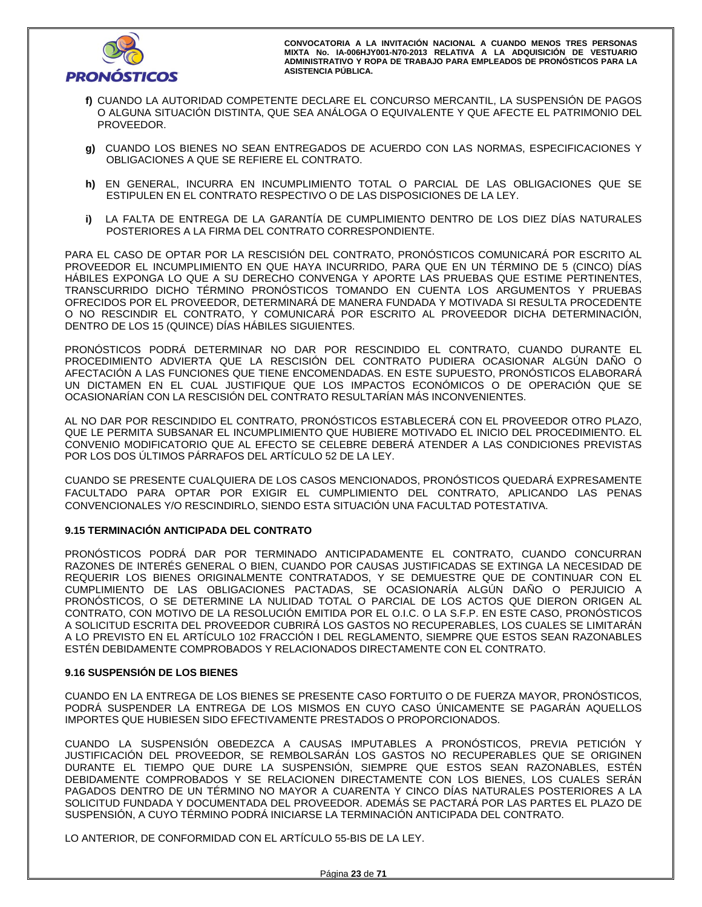

- **f)** CUANDO LA AUTORIDAD COMPETENTE DECLARE EL CONCURSO MERCANTIL, LA SUSPENSIÓN DE PAGOS O ALGUNA SITUACIÓN DISTINTA, QUE SEA ANÁLOGA O EQUIVALENTE Y QUE AFECTE EL PATRIMONIO DEL PROVEEDOR.
- **g)** CUANDO LOS BIENES NO SEAN ENTREGADOS DE ACUERDO CON LAS NORMAS, ESPECIFICACIONES Y OBLIGACIONES A QUE SE REFIERE EL CONTRATO.
- **h)** EN GENERAL, INCURRA EN INCUMPLIMIENTO TOTAL O PARCIAL DE LAS OBLIGACIONES QUE SE ESTIPULEN EN EL CONTRATO RESPECTIVO O DE LAS DISPOSICIONES DE LA LEY.
- **i)** LA FALTA DE ENTREGA DE LA GARANTÍA DE CUMPLIMIENTO DENTRO DE LOS DIEZ DÍAS NATURALES POSTERIORES A LA FIRMA DEL CONTRATO CORRESPONDIENTE.

PARA EL CASO DE OPTAR POR LA RESCISIÓN DEL CONTRATO, PRONÓSTICOS COMUNICARÁ POR ESCRITO AL PROVEEDOR EL INCUMPLIMIENTO EN QUE HAYA INCURRIDO, PARA QUE EN UN TÉRMINO DE 5 (CINCO) DÍAS HÁBILES EXPONGA LO QUE A SU DERECHO CONVENGA Y APORTE LAS PRUEBAS QUE ESTIME PERTINENTES, TRANSCURRIDO DICHO TÉRMINO PRONÓSTICOS TOMANDO EN CUENTA LOS ARGUMENTOS Y PRUEBAS OFRECIDOS POR EL PROVEEDOR, DETERMINARÁ DE MANERA FUNDADA Y MOTIVADA SI RESULTA PROCEDENTE O NO RESCINDIR EL CONTRATO, Y COMUNICARÁ POR ESCRITO AL PROVEEDOR DICHA DETERMINACIÓN, DENTRO DE LOS 15 (QUINCE) DÍAS HÁBILES SIGUIENTES.

PRONÓSTICOS PODRÁ DETERMINAR NO DAR POR RESCINDIDO EL CONTRATO, CUANDO DURANTE EL PROCEDIMIENTO ADVIERTA QUE LA RESCISIÓN DEL CONTRATO PUDIERA OCASIONAR ALGÚN DAÑO O AFECTACIÓN A LAS FUNCIONES QUE TIENE ENCOMENDADAS. EN ESTE SUPUESTO, PRONÓSTICOS ELABORARÁ UN DICTAMEN EN EL CUAL JUSTIFIQUE QUE LOS IMPACTOS ECONÓMICOS O DE OPERACIÓN QUE SE OCASIONARÍAN CON LA RESCISIÓN DEL CONTRATO RESULTARÍAN MÁS INCONVENIENTES.

AL NO DAR POR RESCINDIDO EL CONTRATO, PRONÓSTICOS ESTABLECERÁ CON EL PROVEEDOR OTRO PLAZO, QUE LE PERMITA SUBSANAR EL INCUMPLIMIENTO QUE HUBIERE MOTIVADO EL INICIO DEL PROCEDIMIENTO. EL CONVENIO MODIFICATORIO QUE AL EFECTO SE CELEBRE DEBERÁ ATENDER A LAS CONDICIONES PREVISTAS POR LOS DOS ÚLTIMOS PÁRRAFOS DEL ARTÍCULO 52 DE LA LEY.

CUANDO SE PRESENTE CUALQUIERA DE LOS CASOS MENCIONADOS, PRONÓSTICOS QUEDARÁ EXPRESAMENTE FACULTADO PARA OPTAR POR EXIGIR EL CUMPLIMIENTO DEL CONTRATO, APLICANDO LAS PENAS CONVENCIONALES Y/O RESCINDIRLO, SIENDO ESTA SITUACIÓN UNA FACULTAD POTESTATIVA.

# **9.15 TERMINACIÓN ANTICIPADA DEL CONTRATO**

PRONÓSTICOS PODRÁ DAR POR TERMINADO ANTICIPADAMENTE EL CONTRATO, CUANDO CONCURRAN RAZONES DE INTERÉS GENERAL O BIEN, CUANDO POR CAUSAS JUSTIFICADAS SE EXTINGA LA NECESIDAD DE REQUERIR LOS BIENES ORIGINALMENTE CONTRATADOS, Y SE DEMUESTRE QUE DE CONTINUAR CON EL CUMPLIMIENTO DE LAS OBLIGACIONES PACTADAS, SE OCASIONARÍA ALGÚN DAÑO O PERJUICIO A PRONÓSTICOS, O SE DETERMINE LA NULIDAD TOTAL O PARCIAL DE LOS ACTOS QUE DIERON ORIGEN AL CONTRATO, CON MOTIVO DE LA RESOLUCIÓN EMITIDA POR EL O.I.C. O LA S.F.P. EN ESTE CASO, PRONÓSTICOS A SOLICITUD ESCRITA DEL PROVEEDOR CUBRIRÁ LOS GASTOS NO RECUPERABLES, LOS CUALES SE LIMITARÁN A LO PREVISTO EN EL ARTÍCULO 102 FRACCIÓN I DEL REGLAMENTO, SIEMPRE QUE ESTOS SEAN RAZONABLES ESTÉN DEBIDAMENTE COMPROBADOS Y RELACIONADOS DIRECTAMENTE CON EL CONTRATO.

## **9.16 SUSPENSIÓN DE LOS BIENES**

CUANDO EN LA ENTREGA DE LOS BIENES SE PRESENTE CASO FORTUITO O DE FUERZA MAYOR, PRONÓSTICOS, PODRÁ SUSPENDER LA ENTREGA DE LOS MISMOS EN CUYO CASO ÚNICAMENTE SE PAGARÁN AQUELLOS IMPORTES QUE HUBIESEN SIDO EFECTIVAMENTE PRESTADOS O PROPORCIONADOS.

CUANDO LA SUSPENSIÓN OBEDEZCA A CAUSAS IMPUTABLES A PRONÓSTICOS, PREVIA PETICIÓN Y JUSTIFICACIÓN DEL PROVEEDOR, SE REMBOLSARÁN LOS GASTOS NO RECUPERABLES QUE SE ORIGINEN DURANTE EL TIEMPO QUE DURE LA SUSPENSIÓN, SIEMPRE QUE ESTOS SEAN RAZONABLES, ESTÉN DEBIDAMENTE COMPROBADOS Y SE RELACIONEN DIRECTAMENTE CON LOS BIENES, LOS CUALES SERÁN PAGADOS DENTRO DE UN TÉRMINO NO MAYOR A CUARENTA Y CINCO DÍAS NATURALES POSTERIORES A LA SOLICITUD FUNDADA Y DOCUMENTADA DEL PROVEEDOR. ADEMÁS SE PACTARÁ POR LAS PARTES EL PLAZO DE SUSPENSIÓN, A CUYO TÉRMINO PODRÁ INICIARSE LA TERMINACIÓN ANTICIPADA DEL CONTRATO.

LO ANTERIOR, DE CONFORMIDAD CON EL ARTÍCULO 55-BIS DE LA LEY.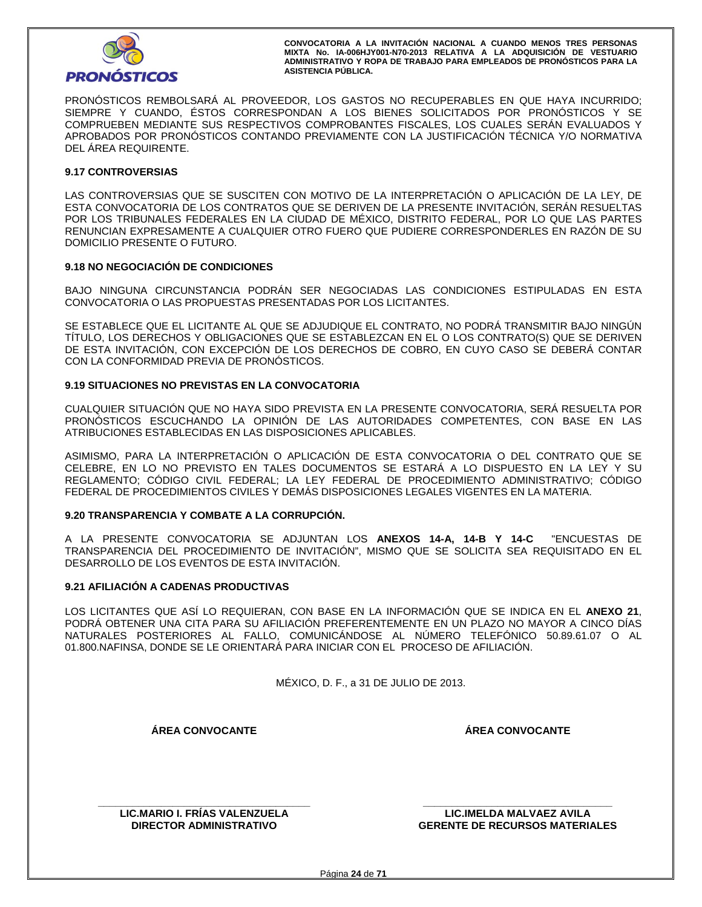

PRONÓSTICOS REMBOLSARÁ AL PROVEEDOR, LOS GASTOS NO RECUPERABLES EN QUE HAYA INCURRIDO; SIEMPRE Y CUANDO, ÉSTOS CORRESPONDAN A LOS BIENES SOLICITADOS POR PRONÓSTICOS Y SE COMPRUEBEN MEDIANTE SUS RESPECTIVOS COMPROBANTES FISCALES, LOS CUALES SERÁN EVALUADOS Y APROBADOS POR PRONÓSTICOS CONTANDO PREVIAMENTE CON LA JUSTIFICACIÓN TÉCNICA Y/O NORMATIVA DEL ÁREA REQUIRENTE.

## **9.17 CONTROVERSIAS**

LAS CONTROVERSIAS QUE SE SUSCITEN CON MOTIVO DE LA INTERPRETACIÓN O APLICACIÓN DE LA LEY, DE ESTA CONVOCATORIA DE LOS CONTRATOS QUE SE DERIVEN DE LA PRESENTE INVITACIÓN, SERÁN RESUELTAS POR LOS TRIBUNALES FEDERALES EN LA CIUDAD DE MÉXICO, DISTRITO FEDERAL, POR LO QUE LAS PARTES RENUNCIAN EXPRESAMENTE A CUALQUIER OTRO FUERO QUE PUDIERE CORRESPONDERLES EN RAZÓN DE SU DOMICILIO PRESENTE O FUTURO.

## **9.18 NO NEGOCIACIÓN DE CONDICIONES**

BAJO NINGUNA CIRCUNSTANCIA PODRÁN SER NEGOCIADAS LAS CONDICIONES ESTIPULADAS EN ESTA CONVOCATORIA O LAS PROPUESTAS PRESENTADAS POR LOS LICITANTES.

SE ESTABLECE QUE EL LICITANTE AL QUE SE ADJUDIQUE EL CONTRATO, NO PODRÁ TRANSMITIR BAJO NINGÚN TÍTULO, LOS DERECHOS Y OBLIGACIONES QUE SE ESTABLEZCAN EN EL O LOS CONTRATO(S) QUE SE DERIVEN DE ESTA INVITACIÓN, CON EXCEPCIÓN DE LOS DERECHOS DE COBRO, EN CUYO CASO SE DEBERÁ CONTAR CON LA CONFORMIDAD PREVIA DE PRONÓSTICOS.

## **9.19 SITUACIONES NO PREVISTAS EN LA CONVOCATORIA**

CUALQUIER SITUACIÓN QUE NO HAYA SIDO PREVISTA EN LA PRESENTE CONVOCATORIA, SERÁ RESUELTA POR PRONÓSTICOS ESCUCHANDO LA OPINIÓN DE LAS AUTORIDADES COMPETENTES, CON BASE EN LAS ATRIBUCIONES ESTABLECIDAS EN LAS DISPOSICIONES APLICABLES.

ASIMISMO, PARA LA INTERPRETACIÓN O APLICACIÓN DE ESTA CONVOCATORIA O DEL CONTRATO QUE SE CELEBRE, EN LO NO PREVISTO EN TALES DOCUMENTOS SE ESTARÁ A LO DISPUESTO EN LA LEY Y SU REGLAMENTO; CÓDIGO CIVIL FEDERAL; LA LEY FEDERAL DE PROCEDIMIENTO ADMINISTRATIVO; CÓDIGO FEDERAL DE PROCEDIMIENTOS CIVILES Y DEMÁS DISPOSICIONES LEGALES VIGENTES EN LA MATERIA.

## **9.20 TRANSPARENCIA Y COMBATE A LA CORRUPCIÓN.**

A LA PRESENTE CONVOCATORIA SE ADJUNTAN LOS **ANEXOS 14-A, 14-B Y 14-C** "ENCUESTAS DE TRANSPARENCIA DEL PROCEDIMIENTO DE INVITACIÓN", MISMO QUE SE SOLICITA SEA REQUISITADO EN EL DESARROLLO DE LOS EVENTOS DE ESTA INVITACIÓN.

## **9.21 AFILIACIÓN A CADENAS PRODUCTIVAS**

LOS LICITANTES QUE ASÍ LO REQUIERAN, CON BASE EN LA INFORMACIÓN QUE SE INDICA EN EL **ANEXO 21**, PODRÁ OBTENER UNA CITA PARA SU AFILIACIÓN PREFERENTEMENTE EN UN PLAZO NO MAYOR A CINCO DÍAS NATURALES POSTERIORES AL FALLO, COMUNICÁNDOSE AL NÚMERO TELEFÓNICO 50.89.61.07 O AL 01.800.NAFINSA, DONDE SE LE ORIENTARÁ PARA INICIAR CON EL PROCESO DE AFILIACIÓN.

MÉXICO, D. F., a 31 DE JULIO DE 2013.

**ÁREA CONVOCANTE** 

**ÁREA CONVOCANTE**

**\_\_\_\_\_\_\_\_\_\_\_\_\_\_\_\_\_\_\_\_\_\_\_\_\_\_\_\_\_\_\_\_\_\_\_\_\_ LIC.MARIO I. FRÍAS VALENZUELA DIRECTOR ADMINISTRATIVO** 

**\_\_\_\_\_\_\_\_\_\_\_\_\_\_\_\_\_\_\_\_\_\_\_\_\_\_\_\_\_\_\_\_\_ LIC.IMELDA MALVAEZ AVILA GERENTE DE RECURSOS MATERIALES**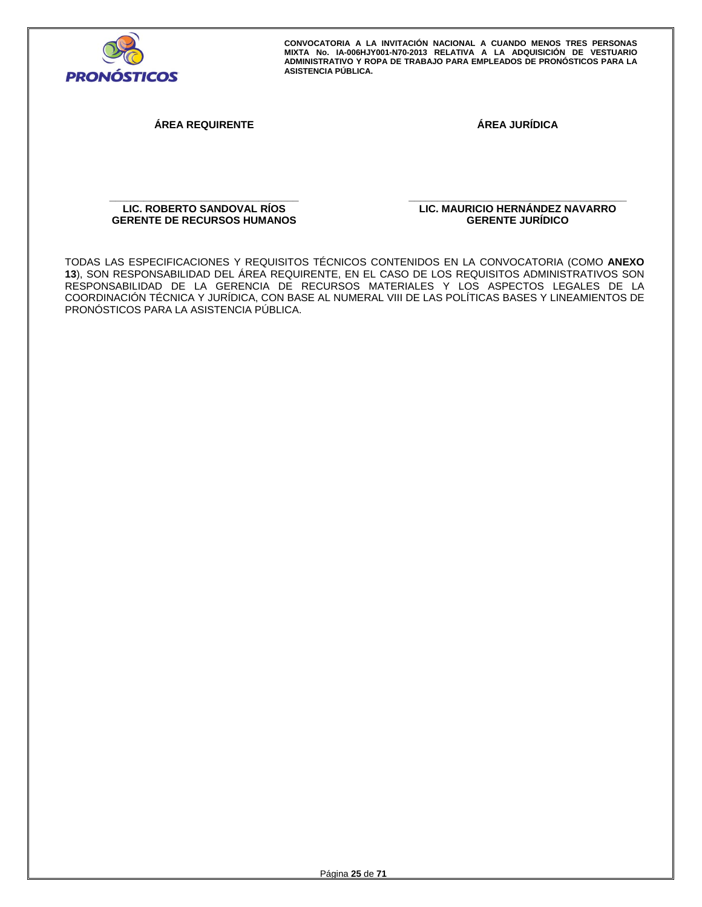

**ÁREA REQUIRENTE ÁREA JURÍDICA** 

**\_\_\_\_\_\_\_\_\_\_\_\_\_\_\_\_\_\_\_\_\_\_\_\_\_\_\_\_\_\_\_\_\_ LIC. ROBERTO SANDOVAL RÍOS GERENTE DE RECURSOS HUMANOS**  **\_\_\_\_\_\_\_\_\_\_\_\_\_\_\_\_\_\_\_\_\_\_\_\_\_\_\_\_\_\_\_\_\_\_\_\_\_\_ LIC. MAURICIO HERNÁNDEZ NAVARRO GERENTE JURÍDICO** 

TODAS LAS ESPECIFICACIONES Y REQUISITOS TÉCNICOS CONTENIDOS EN LA CONVOCATORIA (COMO **ANEXO 13**), SON RESPONSABILIDAD DEL ÁREA REQUIRENTE, EN EL CASO DE LOS REQUISITOS ADMINISTRATIVOS SON RESPONSABILIDAD DE LA GERENCIA DE RECURSOS MATERIALES Y LOS ASPECTOS LEGALES DE LA COORDINACIÓN TÉCNICA Y JURÍDICA, CON BASE AL NUMERAL VIII DE LAS POLÍTICAS BASES Y LINEAMIENTOS DE PRONÓSTICOS PARA LA ASISTENCIA PÚBLICA.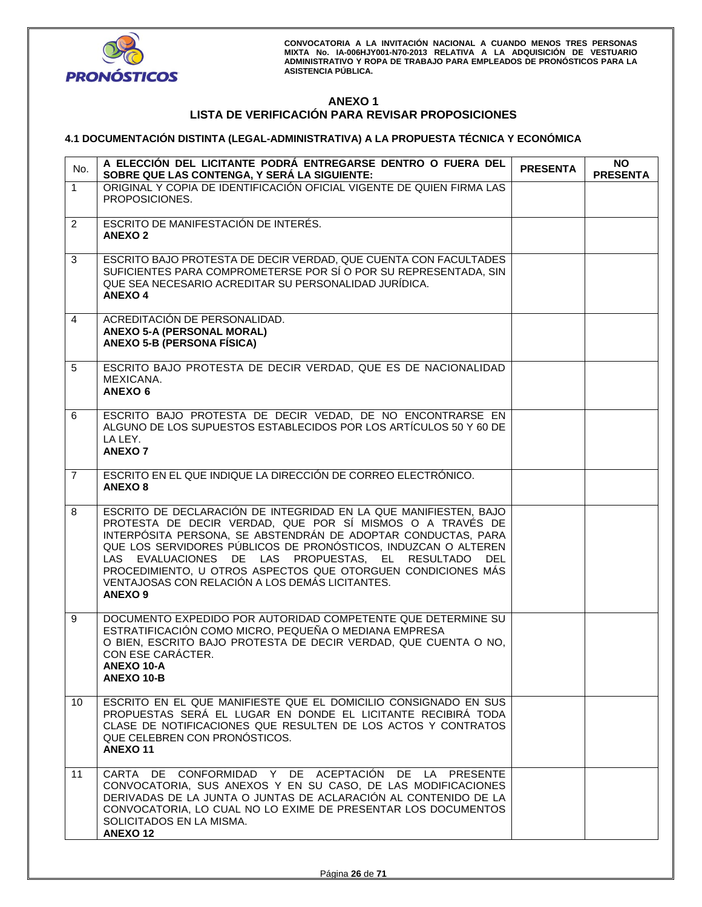

# **ANEXO 1 LISTA DE VERIFICACIÓN PARA REVISAR PROPOSICIONES**

# **4.1 DOCUMENTACIÓN DISTINTA (LEGAL-ADMINISTRATIVA) A LA PROPUESTA TÉCNICA Y ECONÓMICA**

| No.             | A ELECCIÓN DEL LICITANTE PODRÁ ENTREGARSE DENTRO O FUERA DEL<br>SOBRE QUE LAS CONTENGA, Y SERÁ LA SIGUIENTE:                                                                                                                                                                                                                                                                                                                                                      | <b>PRESENTA</b> | <b>NO</b><br><b>PRESENTA</b> |
|-----------------|-------------------------------------------------------------------------------------------------------------------------------------------------------------------------------------------------------------------------------------------------------------------------------------------------------------------------------------------------------------------------------------------------------------------------------------------------------------------|-----------------|------------------------------|
| $\mathbf{1}$    | ORIGINAL Y COPIA DE IDENTIFICACIÓN OFICIAL VIGENTE DE QUIEN FIRMA LAS<br>PROPOSICIONES.                                                                                                                                                                                                                                                                                                                                                                           |                 |                              |
| $\overline{2}$  | ESCRITO DE MANIFESTACIÓN DE INTERÉS.<br><b>ANEXO 2</b>                                                                                                                                                                                                                                                                                                                                                                                                            |                 |                              |
| 3               | ESCRITO BAJO PROTESTA DE DECIR VERDAD, QUE CUENTA CON FACULTADES<br>SUFICIENTES PARA COMPROMETERSE POR SÍ O POR SU REPRESENTADA, SIN<br>QUE SEA NECESARIO ACREDITAR SU PERSONALIDAD JURÍDICA.<br><b>ANEXO 4</b>                                                                                                                                                                                                                                                   |                 |                              |
| 4               | ACREDITACIÓN DE PERSONALIDAD.<br><b>ANEXO 5-A (PERSONAL MORAL)</b><br><b>ANEXO 5-B (PERSONA FÍSICA)</b>                                                                                                                                                                                                                                                                                                                                                           |                 |                              |
| 5               | ESCRITO BAJO PROTESTA DE DECIR VERDAD, QUE ES DE NACIONALIDAD<br>MEXICANA.<br><b>ANEXO 6</b>                                                                                                                                                                                                                                                                                                                                                                      |                 |                              |
| 6               | ESCRITO BAJO PROTESTA DE DECIR VEDAD, DE NO ENCONTRARSE EN<br>ALGUNO DE LOS SUPUESTOS ESTABLECIDOS POR LOS ARTÍCULOS 50 Y 60 DE<br>LA LEY.<br><b>ANEXO7</b>                                                                                                                                                                                                                                                                                                       |                 |                              |
| $\overline{7}$  | ESCRITO EN EL QUE INDIQUE LA DIRECCIÓN DE CORREO ELECTRÓNICO.<br><b>ANEXO 8</b>                                                                                                                                                                                                                                                                                                                                                                                   |                 |                              |
| 8               | ESCRITO DE DECLARACIÓN DE INTEGRIDAD EN LA QUE MANIFIESTEN, BAJO<br>PROTESTA DE DECIR VERDAD, QUE POR SÍ MISMOS O A TRAVÉS DE<br>INTERPÓSITA PERSONA, SE ABSTENDRÁN DE ADOPTAR CONDUCTAS, PARA<br>QUE LOS SERVIDORES PÚBLICOS DE PRONÓSTICOS, INDUZCAN O ALTEREN<br>LAS EVALUACIONES DE LAS PROPUESTAS, EL RESULTADO DEL<br>PROCEDIMIENTO, U OTROS ASPECTOS QUE OTORGUEN CONDICIONES MÁS<br>VENTAJOSAS CON RELACIÓN A LOS DEMÁS LICITANTES.<br>ANEXO <sub>9</sub> |                 |                              |
| 9               | DOCUMENTO EXPEDIDO POR AUTORIDAD COMPETENTE QUE DETERMINE SU<br>ESTRATIFICACIÓN COMO MICRO, PEQUEÑA O MEDIANA EMPRESA<br>O BIEN, ESCRITO BAJO PROTESTA DE DECIR VERDAD, QUE CUENTA O NO.<br>CON ESE CARÁCTER.<br>ANEXO 10-A<br>ANEXO 10-B                                                                                                                                                                                                                         |                 |                              |
| 10 <sup>°</sup> | ESCRITO EN EL QUE MANIFIESTE QUE EL DOMICILIO CONSIGNADO EN SUS<br>PROPUESTAS SERÁ EL LUGAR EN DONDE EL LICITANTE RECIBIRÁ TODA<br>CLASE DE NOTIFICACIONES QUE RESULTEN DE LOS ACTOS Y CONTRATOS<br>QUE CELEBREN CON PRONOSTICOS.<br><b>ANEXO11</b>                                                                                                                                                                                                               |                 |                              |
| 11              | CARTA DE CONFORMIDAD Y DE ACEPTACIÓN DE LA PRESENTE<br>CONVOCATORIA, SUS ANEXOS Y EN SU CASO, DE LAS MODIFICACIONES<br>DERIVADAS DE LA JUNTA O JUNTAS DE ACLARACIÓN AL CONTENIDO DE LA<br>CONVOCATORIA, LO CUAL NO LO EXIME DE PRESENTAR LOS DOCUMENTOS<br>SOLICITADOS EN LA MISMA.<br><b>ANEXO12</b>                                                                                                                                                             |                 |                              |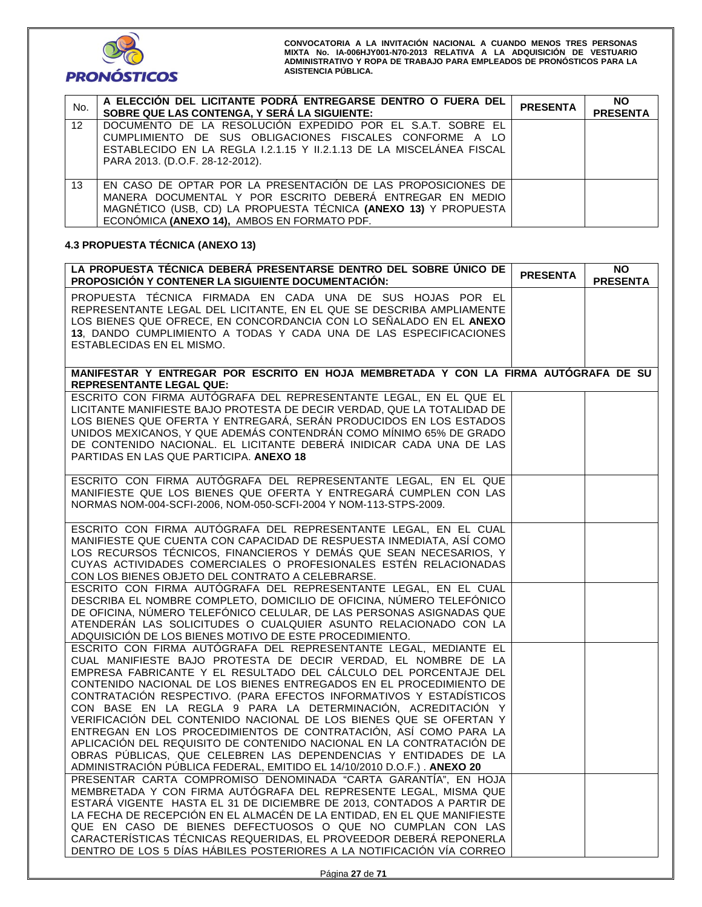

| No.             | A ELECCIÓN DEL LICITANTE PODRÁ ENTREGARSE DENTRO O FUERA DEL<br>SOBRE QUE LAS CONTENGA, Y SERÁ LA SIGUIENTE:                                                                                                                               | <b>PRESENTA</b> | <b>NO</b><br><b>PRESENTA</b> |
|-----------------|--------------------------------------------------------------------------------------------------------------------------------------------------------------------------------------------------------------------------------------------|-----------------|------------------------------|
| 12 <sup>2</sup> | DOCUMENTO DE LA RESOLUCIÓN EXPEDIDO POR EL S.A.T. SOBRE EL<br>CUMPLIMIENTO DE SUS OBLIGACIONES FISCALES CONFORME A LO<br>ESTABLECIDO EN LA REGLA 1.2.1.15 Y 11.2.1.13 DE LA MISCELANEA FISCAL<br>PARA 2013. (D.O.F. 28-12-2012).           |                 |                              |
| 13              | EN CASO DE OPTAR POR LA PRESENTACIÓN DE LAS PROPOSICIONES DE<br>MANERA DOCUMENTAL Y POR ESCRITO DEBERÁ ENTREGAR EN MEDIO<br>MAGNÉTICO (USB, CD) LA PROPUESTA TÉCNICA (ANEXO 13) Y PROPUESTA<br>ECONÓMICA (ANEXO 14), AMBOS EN FORMATO PDF. |                 |                              |

# **4.3 PROPUESTA TÉCNICA (ANEXO 13)**

| LA PROPUESTA TÉCNICA DEBERÁ PRESENTARSE DENTRO DEL SOBRE ÚNICO DE<br><b>PROPOSICIÓN Y CONTENER LA SIGUIENTE DOCUMENTACIÓN:</b>                                                                                                                                                                                                                                                                                                                                                                                                                                                                                                                                                                                                                                                     | <b>PRESENTA</b> | <b>NO</b><br><b>PRESENTA</b> |
|------------------------------------------------------------------------------------------------------------------------------------------------------------------------------------------------------------------------------------------------------------------------------------------------------------------------------------------------------------------------------------------------------------------------------------------------------------------------------------------------------------------------------------------------------------------------------------------------------------------------------------------------------------------------------------------------------------------------------------------------------------------------------------|-----------------|------------------------------|
| PROPUESTA TÉCNICA FIRMADA EN CADA UNA DE SUS HOJAS POR EL<br>REPRESENTANTE LEGAL DEL LICITANTE, EN EL QUE SE DESCRIBA AMPLIAMENTE<br>LOS BIENES QUE OFRECE, EN CONCORDANCIA CON LO SEÑALADO EN EL ANEXO<br>13, DANDO CUMPLIMIENTO A TODAS Y CADA UNA DE LAS ESPECIFICACIONES<br>ESTABLECIDAS EN EL MISMO.                                                                                                                                                                                                                                                                                                                                                                                                                                                                          |                 |                              |
|                                                                                                                                                                                                                                                                                                                                                                                                                                                                                                                                                                                                                                                                                                                                                                                    |                 |                              |
| MANIFESTAR Y ENTREGAR POR ESCRITO EN HOJA MEMBRETADA Y CON LA FIRMA AUTÓGRAFA DE SU<br><b>REPRESENTANTE LEGAL QUE:</b>                                                                                                                                                                                                                                                                                                                                                                                                                                                                                                                                                                                                                                                             |                 |                              |
| ESCRITO CON FIRMA AUTÓGRAFA DEL REPRESENTANTE LEGAL, EN EL QUE EL<br>LICITANTE MANIFIESTE BAJO PROTESTA DE DECIR VERDAD, QUE LA TOTALIDAD DE<br>LOS BIENES QUE OFERTA Y ENTREGARÁ, SERÁN PRODUCIDOS EN LOS ESTADOS<br>UNIDOS MEXICANOS, Y QUE ADEMÁS CONTENDRÁN COMO MÍNIMO 65% DE GRADO<br>DE CONTENIDO NACIONAL. EL LICITANTE DEBERÁ INIDICAR CADA UNA DE LAS<br>PARTIDAS EN LAS QUE PARTICIPA. ANEXO 18                                                                                                                                                                                                                                                                                                                                                                         |                 |                              |
| ESCRITO CON FIRMA AUTÓGRAFA DEL REPRESENTANTE LEGAL, EN EL QUE<br>MANIFIESTE QUE LOS BIENES QUE OFERTA Y ENTREGARÁ CUMPLEN CON LAS<br>NORMAS NOM-004-SCFI-2006, NOM-050-SCFI-2004 Y NOM-113-STPS-2009.                                                                                                                                                                                                                                                                                                                                                                                                                                                                                                                                                                             |                 |                              |
| ESCRITO CON FIRMA AUTÓGRAFA DEL REPRESENTANTE LEGAL, EN EL CUAL<br>MANIFIESTE QUE CUENTA CON CAPACIDAD DE RESPUESTA INMEDIATA, ASÍ COMO<br>LOS RECURSOS TÉCNICOS, FINANCIEROS Y DEMÁS QUE SEAN NECESARIOS, Y<br>CUYAS ACTIVIDADES COMERCIALES O PROFESIONALES ESTÉN RELACIONADAS<br>CON LOS BIENES OBJETO DEL CONTRATO A CELEBRARSE.                                                                                                                                                                                                                                                                                                                                                                                                                                               |                 |                              |
| ESCRITO CON FIRMA AUTÓGRAFA DEL REPRESENTANTE LEGAL, EN EL CUAL<br>DESCRIBA EL NOMBRE COMPLETO, DOMICILIO DE OFICINA, NÚMERO TELEFÓNICO<br>DE OFICINA, NÚMERO TELEFÓNICO CELULAR, DE LAS PERSONAS ASIGNADAS QUE<br>ATENDERÁN LAS SOLICITUDES O CUALQUIER ASUNTO RELACIONADO CON LA<br>ADQUISICIÓN DE LOS BIENES MOTIVO DE ESTE PROCEDIMIENTO.                                                                                                                                                                                                                                                                                                                                                                                                                                      |                 |                              |
| ESCRITO CON FIRMA AUTÓGRAFA DEL REPRESENTANTE LEGAL, MEDIANTE EL<br>CUAL MANIFIESTE BAJO PROTESTA DE DECIR VERDAD, EL NOMBRE DE LA<br>EMPRESA FABRICANTE Y EL RESULTADO DEL CÁLCULO DEL PORCENTAJE DEL<br>CONTENIDO NACIONAL DE LOS BIENES ENTREGADOS EN EL PROCEDIMIENTO DE<br>CONTRATACIÓN RESPECTIVO. (PARA EFECTOS INFORMATIVOS Y ESTADÍSTICOS<br>CON BASE EN LA REGLA 9 PARA LA DETERMINACIÓN, ACREDITACIÓN Y<br>VERIFICACIÓN DEL CONTENIDO NACIONAL DE LOS BIENES QUE SE OFERTAN Y<br>ENTREGAN EN LOS PROCEDIMIENTOS DE CONTRATACIÓN, ASÍ COMO PARA LA<br>APLICACIÓN DEL REQUISITO DE CONTENIDO NACIONAL EN LA CONTRATACIÓN DE<br>OBRAS PÚBLICAS, QUE CELEBREN LAS DEPENDENCIAS Y ENTIDADES DE LA<br>ADMINISTRACIÓN PÚBLICA FEDERAL, EMITIDO EL 14/10/2010 D.O.F.). ANEXO 20 |                 |                              |
| PRESENTAR CARTA COMPROMISO DENOMINADA "CARTA GARANTÍA", EN HOJA<br>MEMBRETADA Y CON FIRMA AUTÓGRAFA DEL REPRESENTE LEGAL, MISMA QUE<br>ESTARÁ VIGENTE HASTA EL 31 DE DICIEMBRE DE 2013, CONTADOS A PARTIR DE<br>LA FECHA DE RECEPCIÓN EN EL ALMACÉN DE LA ENTIDAD, EN EL QUE MANIFIESTE<br>QUE EN CASO DE BIENES DEFECTUOSOS O QUE NO CUMPLAN CON LAS<br>CARACTERÍSTICAS TÉCNICAS REQUERIDAS, EL PROVEEDOR DEBERÁ REPONERLA<br>DENTRO DE LOS 5 DÍAS HÁBILES POSTERIORES A LA NOTIFICACIÓN VÍA CORREO                                                                                                                                                                                                                                                                               |                 |                              |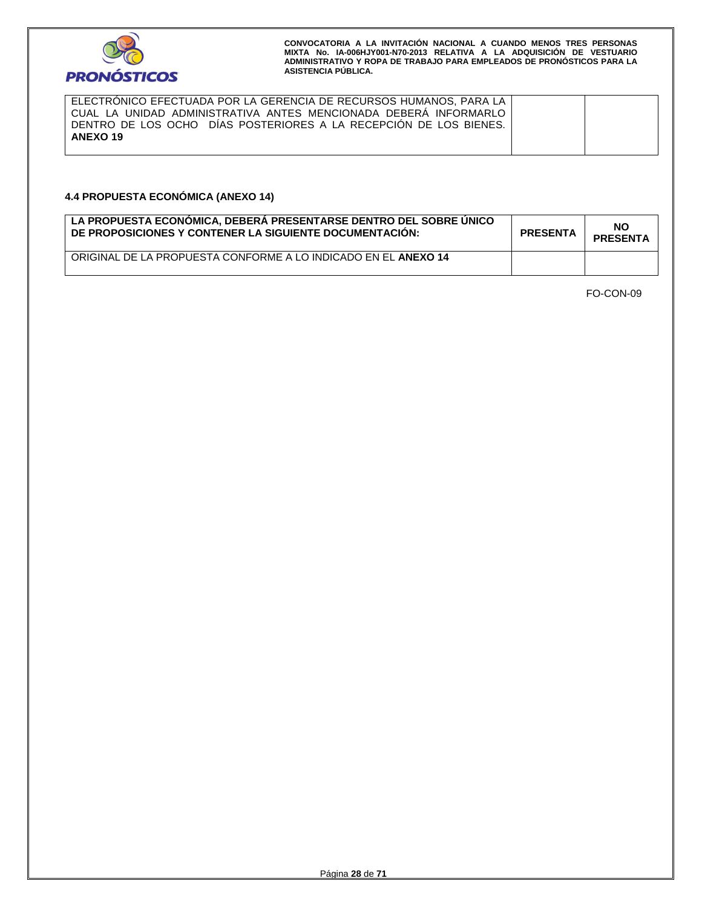

ELECTRÓNICO EFECTUADA POR LA GERENCIA DE RECURSOS HUMANOS, PARA LA CUAL LA UNIDAD ADMINISTRATIVA ANTES MENCIONADA DEBERÁ INFORMARLO DENTRO DE LOS OCHO DÍAS POSTERIORES A LA RECEPCIÓN DE LOS BIENES. **ANEXO 19**

# **4.4 PROPUESTA ECONÓMICA (ANEXO 14)**

| LA PROPUESTA ECONÓMICA, DEBERÁ PRESENTARSE DENTRO DEL SOBRE ÚNICO<br>DE PROPOSICIONES Y CONTENER LA SIGUIENTE DOCUMENTACIÓN: | <b>PRESENTA</b> | NO<br><b>PRESENTA</b> |
|------------------------------------------------------------------------------------------------------------------------------|-----------------|-----------------------|
| ORIGINAL DE LA PROPUESTA CONFORME A LO INDICADO EN EL ANEXO 14                                                               |                 |                       |

FO-CON-09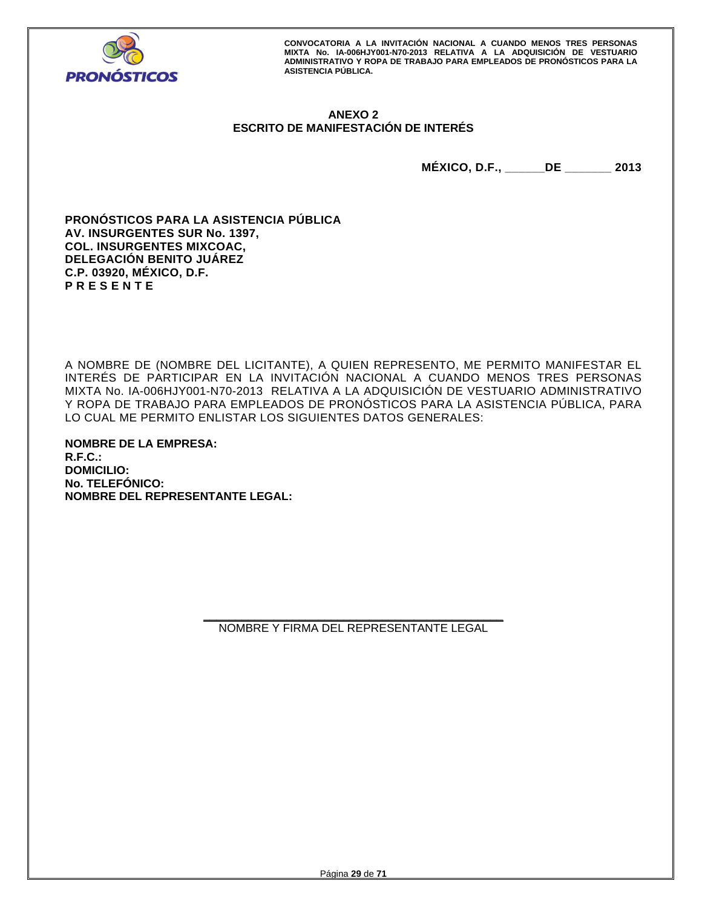

# **ANEXO 2 ESCRITO DE MANIFESTACIÓN DE INTERÉS**

**MÉXICO, D.F., \_\_\_\_\_\_DE \_\_\_\_\_\_\_ 2013** 

**PRONÓSTICOS PARA LA ASISTENCIA PÚBLICA AV. INSURGENTES SUR No. 1397, COL. INSURGENTES MIXCOAC, DELEGACIÓN BENITO JUÁREZ C.P. 03920, MÉXICO, D.F. P R E S E N T E** 

A NOMBRE DE (NOMBRE DEL LICITANTE), A QUIEN REPRESENTO, ME PERMITO MANIFESTAR EL INTERÉS DE PARTICIPAR EN LA INVITACIÓN NACIONAL A CUANDO MENOS TRES PERSONAS MIXTA No. IA-006HJY001-N70-2013 RELATIVA A LA ADQUISICIÓN DE VESTUARIO ADMINISTRATIVO Y ROPA DE TRABAJO PARA EMPLEADOS DE PRONÓSTICOS PARA LA ASISTENCIA PÚBLICA, PARA LO CUAL ME PERMITO ENLISTAR LOS SIGUIENTES DATOS GENERALES:

**NOMBRE DE LA EMPRESA: R.F.C.: DOMICILIO: No. TELEFÓNICO: NOMBRE DEL REPRESENTANTE LEGAL:**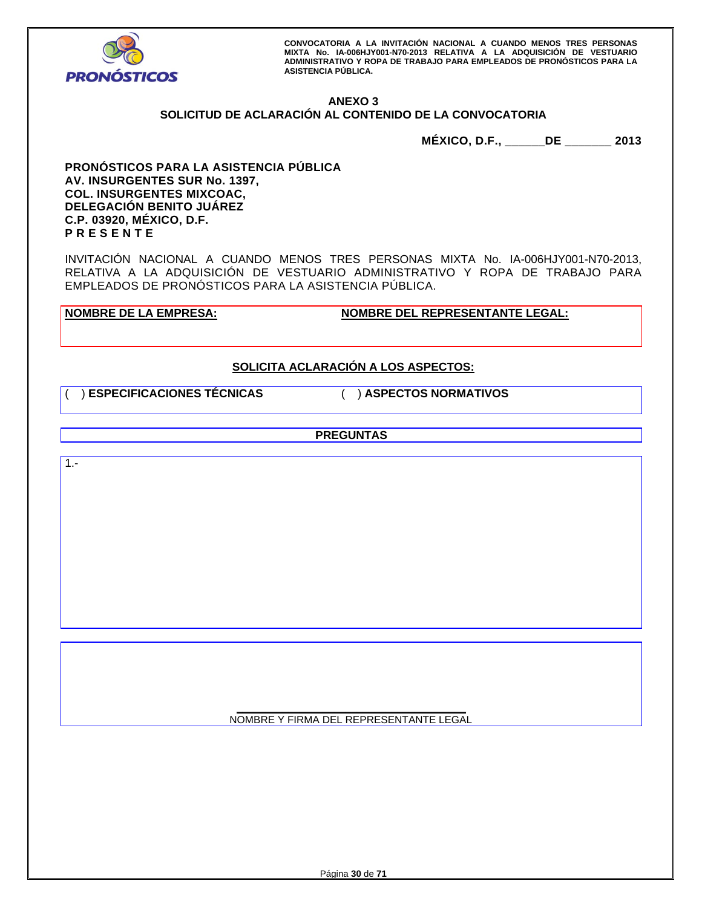

# **ANEXO 3**

# **SOLICITUD DE ACLARACIÓN AL CONTENIDO DE LA CONVOCATORIA**

**MÉXICO, D.F., \_\_\_\_\_\_DE \_\_\_\_\_\_\_ 2013** 

**PRONÓSTICOS PARA LA ASISTENCIA PÚBLICA AV. INSURGENTES SUR No. 1397, COL. INSURGENTES MIXCOAC, DELEGACIÓN BENITO JUÁREZ C.P. 03920, MÉXICO, D.F. P R E S E N T E** 

INVITACIÓN NACIONAL A CUANDO MENOS TRES PERSONAS MIXTA No. IA-006HJY001-N70-2013, RELATIVA A LA ADQUISICIÓN DE VESTUARIO ADMINISTRATIVO Y ROPA DE TRABAJO PARA EMPLEADOS DE PRONÓSTICOS PARA LA ASISTENCIA PÚBLICA.

**NOMBRE DE LA EMPRESA: NOMBRE DEL REPRESENTANTE LEGAL:** 

# **SOLICITA ACLARACIÓN A LOS ASPECTOS:**

( ) **ESPECIFICACIONES TÉCNICAS** ( ) **ASPECTOS NORMATIVOS**

**PREGUNTAS** 

1.-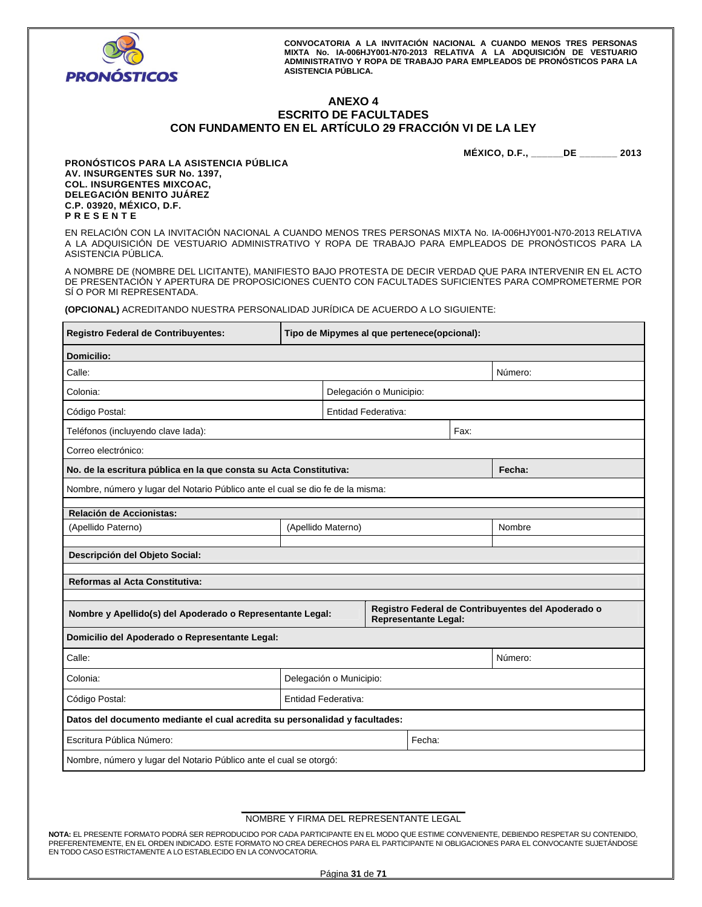

## **ANEXO 4 ESCRITO DE FACULTADES CON FUNDAMENTO EN EL ARTÍCULO 29 FRACCIÓN VI DE LA LEY**

**MÉXICO, D.F., \_\_\_\_\_\_DE \_\_\_\_\_\_\_ 2013** 

**PRONÓSTICOS PARA LA ASISTENCIA PÚBLICA AV. INSURGENTES SUR No. 1397, COL. INSURGENTES MIXCOAC, DELEGACIÓN BENITO JUÁREZ C.P. 03920, MÉXICO, D.F. P R E S E N T E** 

EN RELACIÓN CON LA INVITACIÓN NACIONAL A CUANDO MENOS TRES PERSONAS MIXTA No. IA-006HJY001-N70-2013 RELATIVA A LA ADQUISICIÓN DE VESTUARIO ADMINISTRATIVO Y ROPA DE TRABAJO PARA EMPLEADOS DE PRONÓSTICOS PARA LA ASISTENCIA PÚBLICA.

A NOMBRE DE (NOMBRE DEL LICITANTE), MANIFIESTO BAJO PROTESTA DE DECIR VERDAD QUE PARA INTERVENIR EN EL ACTO DE PRESENTACIÓN Y APERTURA DE PROPOSICIONES CUENTO CON FACULTADES SUFICIENTES PARA COMPROMETERME POR SÍ O POR MI REPRESENTADA.

**(OPCIONAL)** ACREDITANDO NUESTRA PERSONALIDAD JURÍDICA DE ACUERDO A LO SIGUIENTE:

| Registro Federal de Contribuyentes:                                            | Tipo de Mipymes al que pertenece(opcional): |                         |                         |                             |      |                                                    |
|--------------------------------------------------------------------------------|---------------------------------------------|-------------------------|-------------------------|-----------------------------|------|----------------------------------------------------|
| <b>Domicilio:</b>                                                              |                                             |                         |                         |                             |      |                                                    |
| Calle:                                                                         |                                             |                         |                         |                             |      | Número:                                            |
| Colonia:                                                                       |                                             |                         | Delegación o Municipio: |                             |      |                                                    |
| Código Postal:                                                                 |                                             |                         | Entidad Federativa:     |                             |      |                                                    |
| Teléfonos (incluyendo clave lada):                                             |                                             |                         |                         |                             | Fax: |                                                    |
| Correo electrónico:                                                            |                                             |                         |                         |                             |      |                                                    |
| No. de la escritura pública en la que consta su Acta Constitutiva:             |                                             |                         |                         |                             |      | Fecha:                                             |
| Nombre, número y lugar del Notario Público ante el cual se dio fe de la misma: |                                             |                         |                         |                             |      |                                                    |
| Relación de Accionistas:                                                       |                                             |                         |                         |                             |      |                                                    |
| (Apellido Paterno)                                                             | (Apellido Materno)                          |                         |                         |                             |      | Nombre                                             |
| Descripción del Objeto Social:                                                 |                                             |                         |                         |                             |      |                                                    |
|                                                                                |                                             |                         |                         |                             |      |                                                    |
| <b>Reformas al Acta Constitutiva:</b>                                          |                                             |                         |                         |                             |      |                                                    |
| Nombre y Apellido(s) del Apoderado o Representante Legal:                      |                                             |                         |                         | <b>Representante Legal:</b> |      | Registro Federal de Contribuyentes del Apoderado o |
| Domicilio del Apoderado o Representante Legal:                                 |                                             |                         |                         |                             |      |                                                    |
| Calle:                                                                         |                                             |                         |                         |                             |      | Número:                                            |
| Colonia:                                                                       |                                             | Delegación o Municipio: |                         |                             |      |                                                    |
|                                                                                |                                             |                         |                         |                             |      |                                                    |
| Código Postal:                                                                 |                                             | Entidad Federativa:     |                         |                             |      |                                                    |
| Datos del documento mediante el cual acredita su personalidad y facultades:    |                                             |                         |                         |                             |      |                                                    |
| Escritura Pública Número:                                                      |                                             |                         |                         | Fecha:                      |      |                                                    |
| Nombre, número y lugar del Notario Público ante el cual se otorgó:             |                                             |                         |                         |                             |      |                                                    |

### **\_\_\_\_\_\_\_\_\_\_\_\_\_\_\_\_\_\_\_\_\_\_\_\_\_\_\_\_\_\_\_\_\_\_\_\_\_\_\_\_\_\_\_\_**  NOMBRE Y FIRMA DEL REPRESENTANTE LEGAL

**NOTA:** EL PRESENTE FORMATO PODRÁ SER REPRODUCIDO POR CADA PARTICIPANTE EN EL MODO QUE ESTIME CONVENIENTE, DEBIENDO RESPETAR SU CONTENIDO, PREFERENTEMENTE, EN EL ORDEN INDICADO. ESTE FORMATO NO CREA DERECHOS PARA EL PARTICIPANTE NI OBLIGACIONES PARA EL CONVOCANTE SUJETÁNDOSE EN TODO CASO ESTRICTAMENTE A LO ESTABLECIDO EN LA CONVOCATORIA.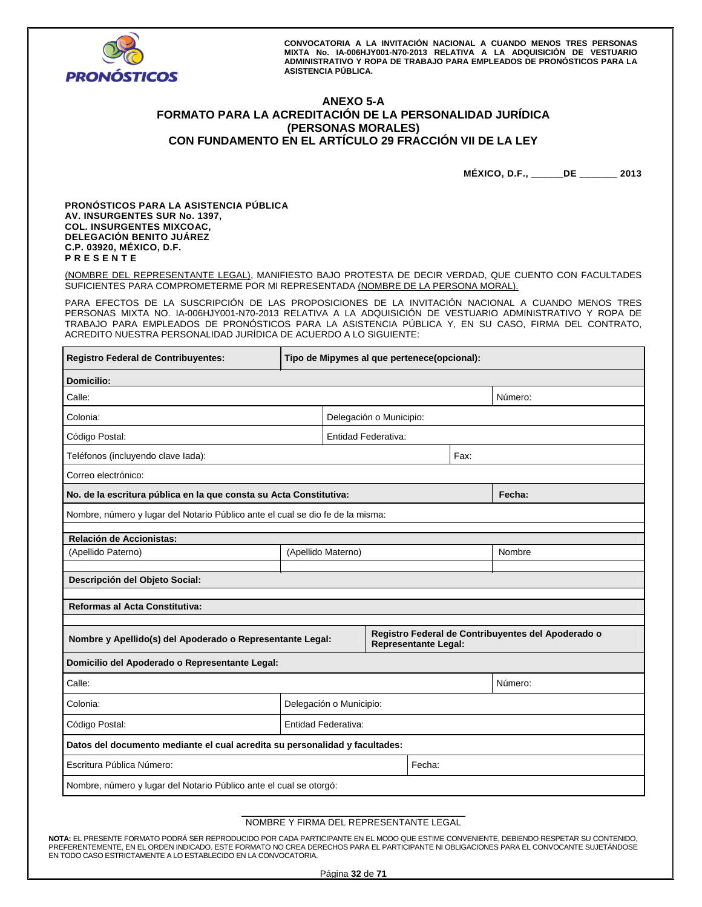

# **ANEXO 5-A FORMATO PARA LA ACREDITACIÓN DE LA PERSONALIDAD JURÍDICA (PERSONAS MORALES) CON FUNDAMENTO EN EL ARTÍCULO 29 FRACCIÓN VII DE LA LEY**

**MÉXICO, D.F., \_\_\_\_\_\_DE \_\_\_\_\_\_\_ 2013** 

**PRONÓSTICOS PARA LA ASISTENCIA PÚBLICA AV. INSURGENTES SUR No. 1397, COL. INSURGENTES MIXCOAC, DELEGACIÓN BENITO JUÁREZ C.P. 03920, MÉXICO, D.F. P R E S E N T E** 

(NOMBRE DEL REPRESENTANTE LEGAL), MANIFIESTO BAJO PROTESTA DE DECIR VERDAD, QUE CUENTO CON FACULTADES SUFICIENTES PARA COMPROMETERME POR MI REPRESENTADA (NOMBRE DE LA PERSONA MORAL).

PARA EFECTOS DE LA SUSCRIPCIÓN DE LAS PROPOSICIONES DE LA INVITACIÓN NACIONAL A CUANDO MENOS TRES PERSONAS MIXTA NO. IA-006HJY001-N70-2013 RELATIVA A LA ADQUISICIÓN DE VESTUARIO ADMINISTRATIVO Y ROPA DE TRABAJO PARA EMPLEADOS DE PRONÓSTICOS PARA LA ASISTENCIA PÚBLICA Y, EN SU CASO, FIRMA DEL CONTRATO, ACREDITO NUESTRA PERSONALIDAD JURÍDICA DE ACUERDO A LO SIGUIENTE:

| Registro Federal de Contribuyentes:                                            | Tipo de Mipymes al que pertenece(opcional): |                         |                         |                      |        |                                                    |
|--------------------------------------------------------------------------------|---------------------------------------------|-------------------------|-------------------------|----------------------|--------|----------------------------------------------------|
| <b>Domicilio:</b>                                                              |                                             |                         |                         |                      |        |                                                    |
| Calle:                                                                         |                                             |                         |                         |                      |        | Número:                                            |
| Colonia:                                                                       |                                             |                         | Delegación o Municipio: |                      |        |                                                    |
| Código Postal:                                                                 |                                             |                         | Entidad Federativa:     |                      |        |                                                    |
| Teléfonos (incluyendo clave lada):                                             |                                             |                         |                         |                      | Fax:   |                                                    |
| Correo electrónico:                                                            |                                             |                         |                         |                      |        |                                                    |
| No. de la escritura pública en la que consta su Acta Constitutiva:             |                                             |                         |                         |                      |        | Fecha:                                             |
| Nombre, número y lugar del Notario Público ante el cual se dio fe de la misma: |                                             |                         |                         |                      |        |                                                    |
| Relación de Accionistas:                                                       |                                             |                         |                         |                      |        |                                                    |
| (Apellido Paterno)                                                             | (Apellido Materno)                          |                         |                         |                      | Nombre |                                                    |
| Descripción del Objeto Social:                                                 |                                             |                         |                         |                      |        |                                                    |
|                                                                                |                                             |                         |                         |                      |        |                                                    |
| <b>Reformas al Acta Constitutiva:</b>                                          |                                             |                         |                         |                      |        |                                                    |
|                                                                                |                                             |                         |                         |                      |        | Registro Federal de Contribuyentes del Apoderado o |
| Nombre y Apellido(s) del Apoderado o Representante Legal:                      |                                             |                         |                         | Representante Legal: |        |                                                    |
| Domicilio del Apoderado o Representante Legal:                                 |                                             |                         |                         |                      |        |                                                    |
| Calle:                                                                         |                                             |                         |                         |                      |        | Número:                                            |
| Colonia:                                                                       |                                             | Delegación o Municipio: |                         |                      |        |                                                    |
| Código Postal:                                                                 | Entidad Federativa:                         |                         |                         |                      |        |                                                    |
| Datos del documento mediante el cual acredita su personalidad y facultades:    |                                             |                         |                         |                      |        |                                                    |
| Escritura Pública Número:                                                      |                                             |                         |                         | Fecha:               |        |                                                    |
| Nombre, número y lugar del Notario Público ante el cual se otorgó:             |                                             |                         |                         |                      |        |                                                    |

### **\_\_\_\_\_\_\_\_\_\_\_\_\_\_\_\_\_\_\_\_\_\_\_\_\_\_\_\_\_\_\_\_\_\_\_\_\_\_\_\_\_\_\_\_**  NOMBRE Y FIRMA DEL REPRESENTANTE LEGAL

**NOTA:** EL PRESENTE FORMATO PODRÁ SER REPRODUCIDO POR CADA PARTICIPANTE EN EL MODO QUE ESTIME CONVENIENTE, DEBIENDO RESPETAR SU CONTENIDO, PREFERENTEMENTE, EN EL ORDEN INDICADO. ESTE FORMATO NO CREA DERECHOS PARA EL PARTICIPANTE NI OBLIGACIONES PARA EL CONVOCANTE SUJETÁNDOSE EN TODO CASO ESTRICTAMENTE A LO ESTABLECIDO EN LA CONVOCATORIA.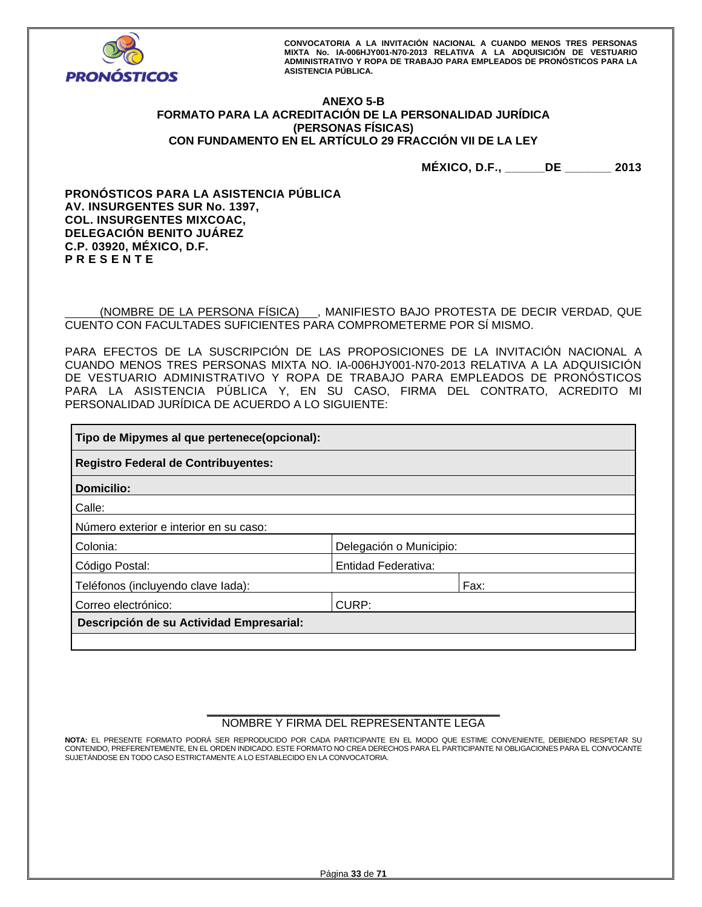

# **ANEXO 5-B FORMATO PARA LA ACREDITACIÓN DE LA PERSONALIDAD JURÍDICA (PERSONAS FÍSICAS) CON FUNDAMENTO EN EL ARTÍCULO 29 FRACCIÓN VII DE LA LEY**

**MÉXICO, D.F., \_\_\_\_\_\_DE \_\_\_\_\_\_\_ 2013** 

**PRONÓSTICOS PARA LA ASISTENCIA PÚBLICA AV. INSURGENTES SUR No. 1397, COL. INSURGENTES MIXCOAC, DELEGACIÓN BENITO JUÁREZ C.P. 03920, MÉXICO, D.F. P R E S E N T E** 

 (NOMBRE DE LA PERSONA FÍSICA) , MANIFIESTO BAJO PROTESTA DE DECIR VERDAD, QUE CUENTO CON FACULTADES SUFICIENTES PARA COMPROMETERME POR SÍ MISMO.

PARA EFECTOS DE LA SUSCRIPCIÓN DE LAS PROPOSICIONES DE LA INVITACIÓN NACIONAL A CUANDO MENOS TRES PERSONAS MIXTA NO. IA-006HJY001-N70-2013 RELATIVA A LA ADQUISICIÓN DE VESTUARIO ADMINISTRATIVO Y ROPA DE TRABAJO PARA EMPLEADOS DE PRONÓSTICOS PARA LA ASISTENCIA PÚBLICA Y, EN SU CASO, FIRMA DEL CONTRATO, ACREDITO MI PERSONALIDAD JURÍDICA DE ACUERDO A LO SIGUIENTE:

| Tipo de Mipymes al que pertenece(opcional): |                            |      |  |  |  |
|---------------------------------------------|----------------------------|------|--|--|--|
| <b>Registro Federal de Contribuyentes:</b>  |                            |      |  |  |  |
| Domicilio:                                  |                            |      |  |  |  |
| Calle:                                      |                            |      |  |  |  |
| Número exterior e interior en su caso:      |                            |      |  |  |  |
| Colonia:                                    | Delegación o Municipio:    |      |  |  |  |
| Código Postal:                              | <b>Entidad Federativa:</b> |      |  |  |  |
| Teléfonos (incluyendo clave lada):          |                            | Fax: |  |  |  |
| Correo electrónico:<br>CURP:                |                            |      |  |  |  |
| Descripción de su Actividad Empresarial:    |                            |      |  |  |  |
|                                             |                            |      |  |  |  |

## **\_\_\_\_\_\_\_\_\_\_\_\_\_\_\_\_\_\_\_\_\_\_\_\_\_\_\_\_\_\_\_\_\_\_\_\_\_\_\_\_\_\_\_\_\_\_**  NOMBRE Y FIRMA DEL REPRESENTANTE LEGA

**NOTA:** EL PRESENTE FORMATO PODRÁ SER REPRODUCIDO POR CADA PARTICIPANTE EN EL MODO QUE ESTIME CONVENIENTE, DEBIENDO RESPETAR SU CONTENIDO, PREFERENTEMENTE, EN EL ORDEN INDICADO. ESTE FORMATO NO CREA DERECHOS PARA EL PARTICIPANTE NI OBLIGACIONES PARA EL CONVOCANTE SUJETÁNDOSE EN TODO CASO ESTRICTAMENTE A LO ESTABLECIDO EN LA CONVOCATORIA.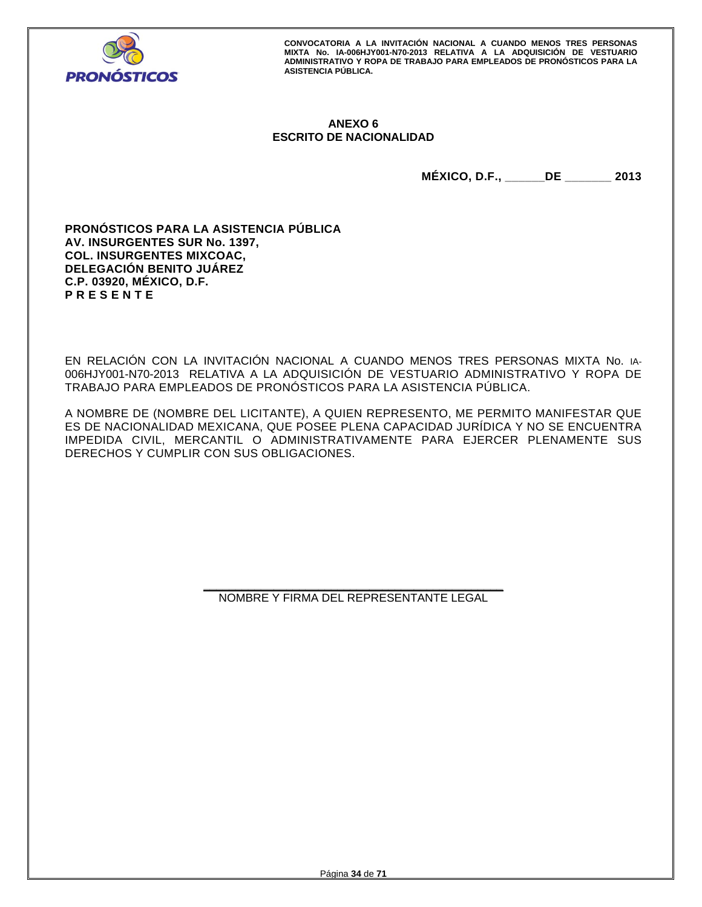

# **ANEXO 6 ESCRITO DE NACIONALIDAD**

**MÉXICO, D.F., \_\_\_\_\_\_DE \_\_\_\_\_\_\_ 2013** 

**PRONÓSTICOS PARA LA ASISTENCIA PÚBLICA AV. INSURGENTES SUR No. 1397, COL. INSURGENTES MIXCOAC, DELEGACIÓN BENITO JUÁREZ C.P. 03920, MÉXICO, D.F. P R E S E N T E** 

EN RELACIÓN CON LA INVITACIÓN NACIONAL A CUANDO MENOS TRES PERSONAS MIXTA No. IA-006HJY001-N70-2013 RELATIVA A LA ADQUISICIÓN DE VESTUARIO ADMINISTRATIVO Y ROPA DE TRABAJO PARA EMPLEADOS DE PRONÓSTICOS PARA LA ASISTENCIA PÚBLICA.

A NOMBRE DE (NOMBRE DEL LICITANTE), A QUIEN REPRESENTO, ME PERMITO MANIFESTAR QUE ES DE NACIONALIDAD MEXICANA, QUE POSEE PLENA CAPACIDAD JURÍDICA Y NO SE ENCUENTRA IMPEDIDA CIVIL, MERCANTIL O ADMINISTRATIVAMENTE PARA EJERCER PLENAMENTE SUS DERECHOS Y CUMPLIR CON SUS OBLIGACIONES.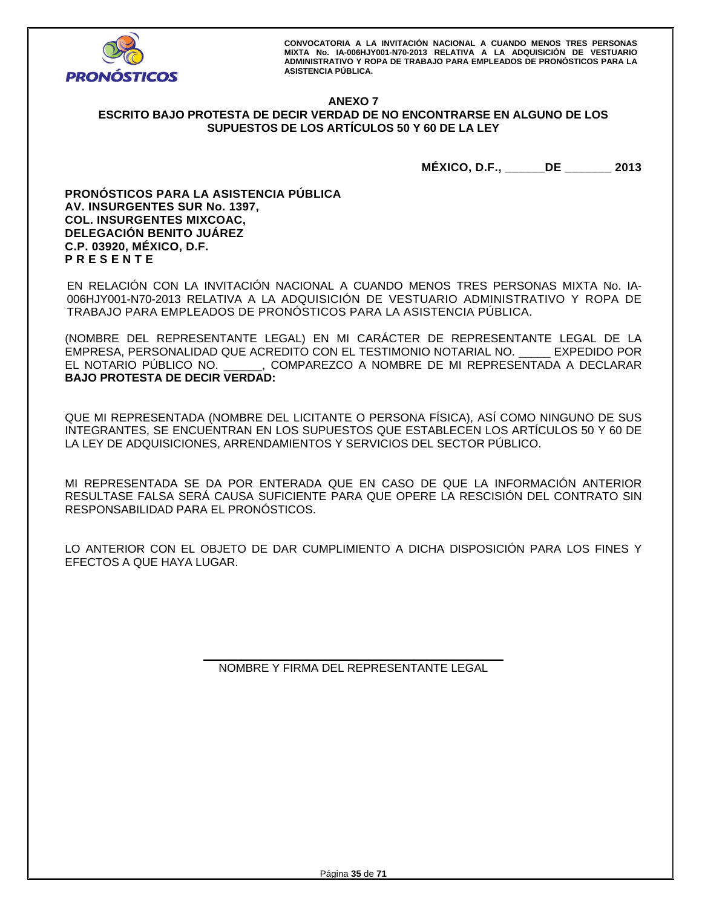

## **ANEXO 7 ESCRITO BAJO PROTESTA DE DECIR VERDAD DE NO ENCONTRARSE EN ALGUNO DE LOS SUPUESTOS DE LOS ARTÍCULOS 50 Y 60 DE LA LEY**

**MÉXICO, D.F., \_\_\_\_\_\_DE \_\_\_\_\_\_\_ 2013** 

**PRONÓSTICOS PARA LA ASISTENCIA PÚBLICA AV. INSURGENTES SUR No. 1397, COL. INSURGENTES MIXCOAC, DELEGACIÓN BENITO JUÁREZ C.P. 03920, MÉXICO, D.F. P R E S E N T E** 

EN RELACIÓN CON LA INVITACIÓN NACIONAL A CUANDO MENOS TRES PERSONAS MIXTA No. IA-006HJY001-N70-2013 RELATIVA A LA ADQUISICIÓN DE VESTUARIO ADMINISTRATIVO Y ROPA DE TRABAJO PARA EMPLEADOS DE PRONÓSTICOS PARA LA ASISTENCIA PÚBLICA.

(NOMBRE DEL REPRESENTANTE LEGAL) EN MI CARÁCTER DE REPRESENTANTE LEGAL DE LA EMPRESA, PERSONALIDAD QUE ACREDITO CON EL TESTIMONIO NOTARIAL NO. \_\_\_\_\_ EXPEDIDO POR EL NOTARIO PÚBLICO NO. \_\_\_\_\_\_, COMPAREZCO A NOMBRE DE MI REPRESENTADA A DECLARAR **BAJO PROTESTA DE DECIR VERDAD:** 

QUE MI REPRESENTADA (NOMBRE DEL LICITANTE O PERSONA FÍSICA), ASÍ COMO NINGUNO DE SUS INTEGRANTES, SE ENCUENTRAN EN LOS SUPUESTOS QUE ESTABLECEN LOS ARTÍCULOS 50 Y 60 DE LA LEY DE ADQUISICIONES, ARRENDAMIENTOS Y SERVICIOS DEL SECTOR PÚBLICO.

MI REPRESENTADA SE DA POR ENTERADA QUE EN CASO DE QUE LA INFORMACIÓN ANTERIOR RESULTASE FALSA SERÁ CAUSA SUFICIENTE PARA QUE OPERE LA RESCISIÓN DEL CONTRATO SIN RESPONSABILIDAD PARA EL PRONÓSTICOS.

LO ANTERIOR CON EL OBJETO DE DAR CUMPLIMIENTO A DICHA DISPOSICIÓN PARA LOS FINES Y EFECTOS A QUE HAYA LUGAR.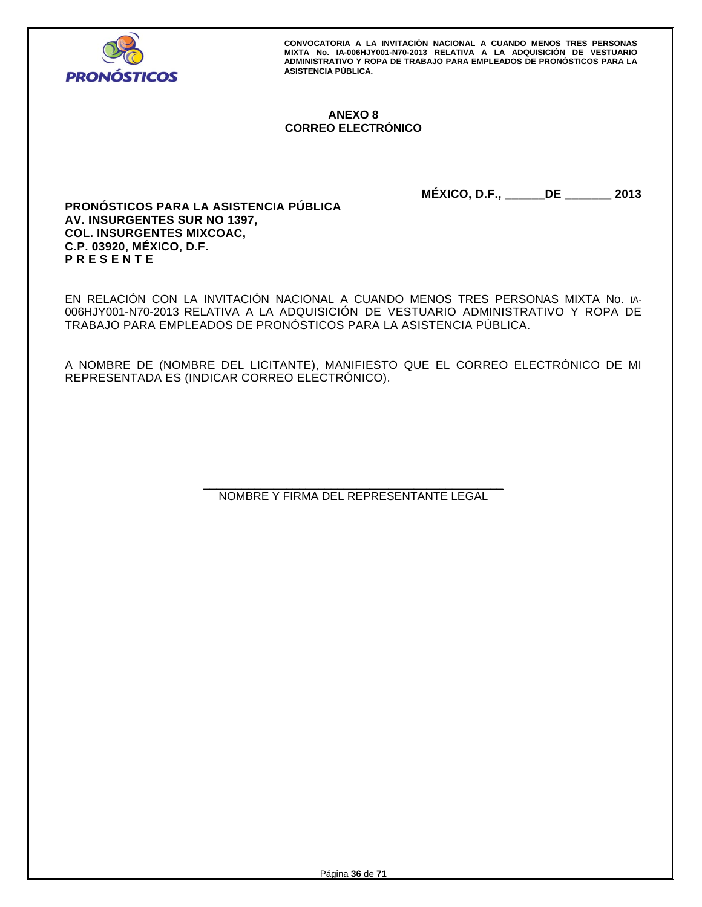

# **ANEXO 8 CORREO ELECTRÓNICO**

**MÉXICO, D.F., \_\_\_\_\_\_DE \_\_\_\_\_\_\_ 2013** 

**PRONÓSTICOS PARA LA ASISTENCIA PÚBLICA AV. INSURGENTES SUR NO 1397, COL. INSURGENTES MIXCOAC, C.P. 03920, MÉXICO, D.F. P R E S E N T E** 

EN RELACIÓN CON LA INVITACIÓN NACIONAL A CUANDO MENOS TRES PERSONAS MIXTA No. IA-006HJY001-N70-2013 RELATIVA A LA ADQUISICIÓN DE VESTUARIO ADMINISTRATIVO Y ROPA DE TRABAJO PARA EMPLEADOS DE PRONÓSTICOS PARA LA ASISTENCIA PÚBLICA.

A NOMBRE DE (NOMBRE DEL LICITANTE), MANIFIESTO QUE EL CORREO ELECTRÓNICO DE MI REPRESENTADA ES (INDICAR CORREO ELECTRÓNICO).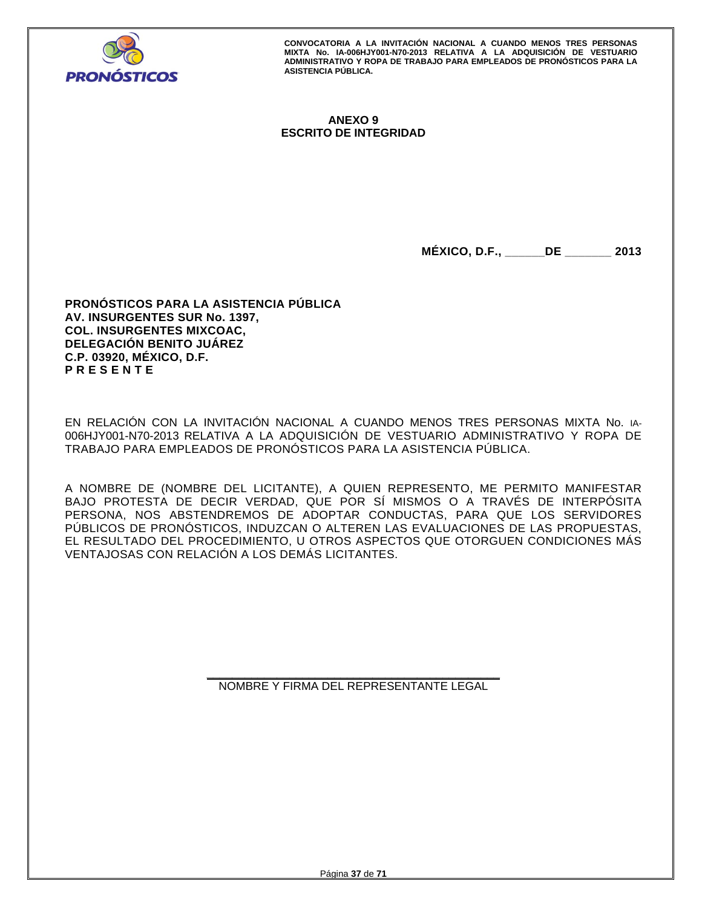

# **ANEXO 9 ESCRITO DE INTEGRIDAD**

**MÉXICO, D.F., \_\_\_\_\_\_DE \_\_\_\_\_\_\_ 2013** 

**PRONÓSTICOS PARA LA ASISTENCIA PÚBLICA AV. INSURGENTES SUR No. 1397, COL. INSURGENTES MIXCOAC, DELEGACIÓN BENITO JUÁREZ C.P. 03920, MÉXICO, D.F. P R E S E N T E** 

EN RELACIÓN CON LA INVITACIÓN NACIONAL A CUANDO MENOS TRES PERSONAS MIXTA No. IA-006HJY001-N70-2013 RELATIVA A LA ADQUISICIÓN DE VESTUARIO ADMINISTRATIVO Y ROPA DE TRABAJO PARA EMPLEADOS DE PRONÓSTICOS PARA LA ASISTENCIA PÚBLICA.

A NOMBRE DE (NOMBRE DEL LICITANTE), A QUIEN REPRESENTO, ME PERMITO MANIFESTAR BAJO PROTESTA DE DECIR VERDAD, QUE POR SÍ MISMOS O A TRAVÉS DE INTERPÓSITA PERSONA, NOS ABSTENDREMOS DE ADOPTAR CONDUCTAS, PARA QUE LOS SERVIDORES PÚBLICOS DE PRONÓSTICOS, INDUZCAN O ALTEREN LAS EVALUACIONES DE LAS PROPUESTAS, EL RESULTADO DEL PROCEDIMIENTO, U OTROS ASPECTOS QUE OTORGUEN CONDICIONES MÁS VENTAJOSAS CON RELACIÓN A LOS DEMÁS LICITANTES.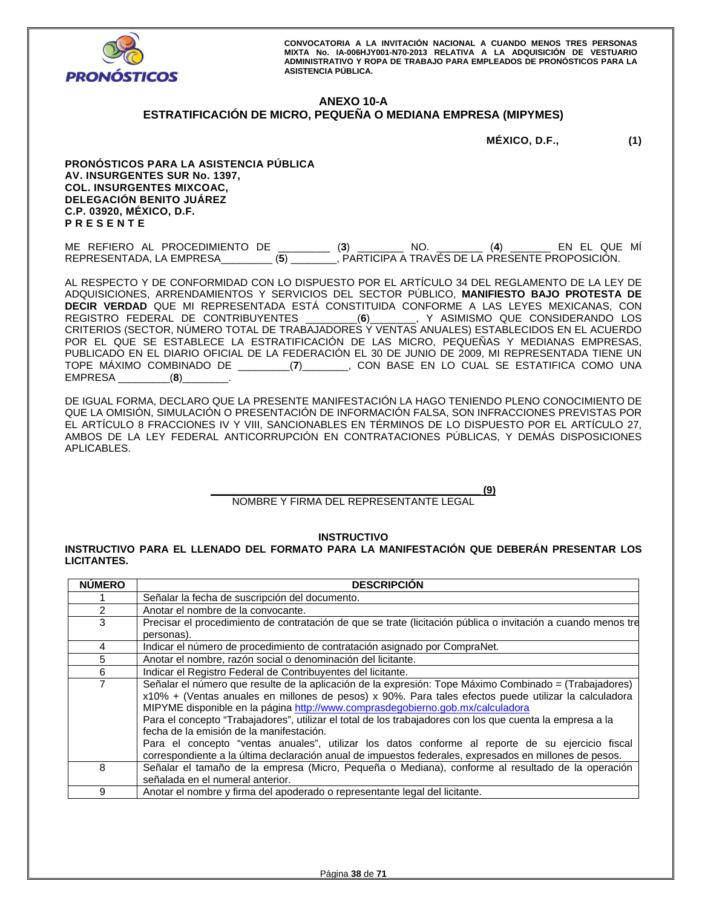

# **ANEXO 10-A**

# **ESTRATIFICACIÓN DE MICRO, PEQUEÑA O MEDIANA EMPRESA (MIPYMES)**

**MÉXICO, D.F., (1)** 

**PRONÓSTICOS PARA LA ASISTENCIA PÚBLICA AV. INSURGENTES SUR No. 1397, COL. INSURGENTES MIXCOAC, DELEGACIÓN BENITO JUÁREZ C.P. 03920, MÉXICO, D.F. P R E S E N T E** 

ME REFIERO AL PROCEDIMIENTO DE \_\_\_\_\_\_\_\_\_ (**3**) \_\_\_\_\_\_\_\_ NO. \_\_\_\_\_\_\_\_ (**4**) \_\_\_\_\_\_\_ EN EL QUE MÍ REPRESENTADA, LA EMPRESA\_\_\_\_\_\_\_\_\_ (**5**) \_\_\_\_\_\_\_\_, PARTICIPA A TRAVÉS DE LA PRESENTE PROPOSICIÓN.

AL RESPECTO Y DE CONFORMIDAD CON LO DISPUESTO POR EL ARTÍCULO 34 DEL REGLAMENTO DE LA LEY DE ADQUISICIONES, ARRENDAMIENTOS Y SERVICIOS DEL SECTOR PÚBLICO, **MANIFIESTO BAJO PROTESTA DE DECIR VERDAD** QUE MI REPRESENTADA ESTÁ CONSTITUIDA CONFORME A LAS LEYES MEXICANAS, CON REGISTRO FEDERAL DE CONTRIBUYENTES \_\_\_\_\_\_\_\_\_(**6**)\_\_\_\_\_\_\_\_, Y ASIMISMO QUE CONSIDERANDO LOS CRITERIOS (SECTOR, NÚMERO TOTAL DE TRABAJADORES Y VENTAS ANUALES) ESTABLECIDOS EN EL ACUERDO POR EL QUE SE ESTABLECE LA ESTRATIFICACIÓN DE LAS MICRO, PEQUEÑAS Y MEDIANAS EMPRESAS, PUBLICADO EN EL DIARIO OFICIAL DE LA FEDERACIÓN EL 30 DE JUNIO DE 2009, MI REPRESENTADA TIENE UN TOPE MÁXIMO COMBINADO DE \_\_\_\_\_\_\_\_\_(**7**)\_\_\_\_\_\_\_\_, CON BASE EN LO CUAL SE ESTATIFICA COMO UNA EMPRESA \_\_\_\_\_\_\_\_\_(**8**)\_\_\_\_\_\_\_\_.

DE IGUAL FORMA, DECLARO QUE LA PRESENTE MANIFESTACIÓN LA HAGO TENIENDO PLENO CONOCIMIENTO DE QUE LA OMISIÓN, SIMULACIÓN O PRESENTACIÓN DE INFORMACIÓN FALSA, SON INFRACCIONES PREVISTAS POR EL ARTÍCULO 8 FRACCIONES IV Y VIII, SANCIONABLES EN TÉRMINOS DE LO DISPUESTO POR EL ARTÍCULO 27, AMBOS DE LA LEY FEDERAL ANTICORRUPCIÓN EN CONTRATACIONES PÚBLICAS, Y DEMÁS DISPOSICIONES APLICABLES.

> **\_\_\_\_\_\_\_\_\_\_\_\_\_\_\_\_\_\_\_\_\_\_\_\_\_\_\_\_\_\_\_\_\_\_\_\_\_\_\_\_\_\_\_\_\_\_\_ (9)**  NOMBRE Y FIRMA DEL REPRESENTANTE LEGAL

> > **INSTRUCTIVO**

**INSTRUCTIVO PARA EL LLENADO DEL FORMATO PARA LA MANIFESTACIÓN QUE DEBERÁN PRESENTAR LOS LICITANTES.** 

| <b>NUMERO</b>  | <b>DESCRIPCION</b>                                                                                                                                                                                                                                                                                                                                                                                                                                                                                                                                                                                                                                                      |
|----------------|-------------------------------------------------------------------------------------------------------------------------------------------------------------------------------------------------------------------------------------------------------------------------------------------------------------------------------------------------------------------------------------------------------------------------------------------------------------------------------------------------------------------------------------------------------------------------------------------------------------------------------------------------------------------------|
|                | Señalar la fecha de suscripción del documento.                                                                                                                                                                                                                                                                                                                                                                                                                                                                                                                                                                                                                          |
| $\overline{2}$ | Anotar el nombre de la convocante.                                                                                                                                                                                                                                                                                                                                                                                                                                                                                                                                                                                                                                      |
| 3              | Precisar el procedimiento de contratación de que se trate (licitación pública o invitación a cuando menos tre                                                                                                                                                                                                                                                                                                                                                                                                                                                                                                                                                           |
|                | personas).                                                                                                                                                                                                                                                                                                                                                                                                                                                                                                                                                                                                                                                              |
| 4              | Indicar el número de procedimiento de contratación asignado por CompraNet.                                                                                                                                                                                                                                                                                                                                                                                                                                                                                                                                                                                              |
| 5              | Anotar el nombre, razón social o denominación del licitante.                                                                                                                                                                                                                                                                                                                                                                                                                                                                                                                                                                                                            |
| 6              | Indicar el Registro Federal de Contribuyentes del licitante.                                                                                                                                                                                                                                                                                                                                                                                                                                                                                                                                                                                                            |
| 7              | Señalar el número que resulte de la aplicación de la expresión: Tope Máximo Combinado = (Trabajadores)<br>x10% + (Ventas anuales en millones de pesos) x 90%. Para tales efectos puede utilizar la calculadora<br>MIPYME disponible en la página http://www.comprasdegobierno.gob.mx/calculadora<br>Para el concepto "Trabajadores", utilizar el total de los trabajadores con los que cuenta la empresa a la<br>fecha de la emisión de la manifestación.<br>Para el concepto "ventas anuales", utilizar los datos conforme al reporte de su ejercicio fiscal<br>correspondiente a la última declaración anual de impuestos federales, expresados en millones de pesos. |
| 8              | Señalar el tamaño de la empresa (Micro, Pequeña o Mediana), conforme al resultado de la operación<br>señalada en el numeral anterior.                                                                                                                                                                                                                                                                                                                                                                                                                                                                                                                                   |
| 9              | Anotar el nombre y firma del apoderado o representante legal del licitante.                                                                                                                                                                                                                                                                                                                                                                                                                                                                                                                                                                                             |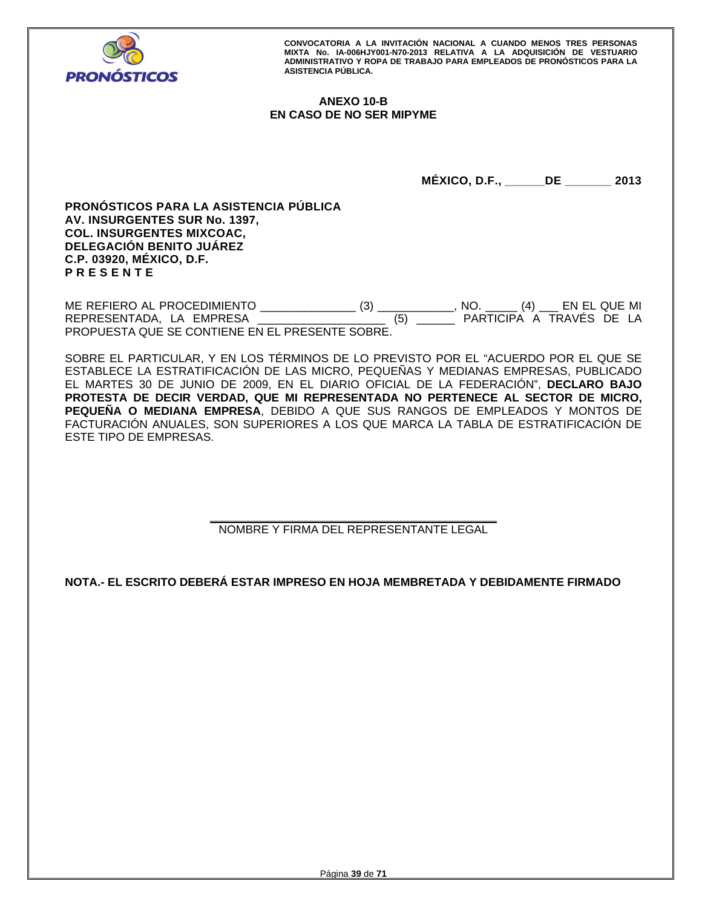

# **ANEXO 10-B EN CASO DE NO SER MIPYME**

**MÉXICO, D.F., \_\_\_\_\_\_DE \_\_\_\_\_\_\_ 2013** 

**PRONÓSTICOS PARA LA ASISTENCIA PÚBLICA AV. INSURGENTES SUR No. 1397, COL. INSURGENTES MIXCOAC, DELEGACIÓN BENITO JUÁREZ C.P. 03920, MÉXICO, D.F. P R E S E N T E** 

ME REFIERO AL PROCEDIMIENTO \_\_\_\_\_\_\_\_\_\_\_\_\_\_\_ (3) \_\_\_\_\_\_\_\_\_\_\_\_, NO. \_\_\_\_\_ (4) \_\_\_ EN EL QUE MI REPRESENTADA, LA EMPRESA PROPUESTA QUE SE CONTIENE EN EL PRESENTE SOBRE.

SOBRE EL PARTICULAR, Y EN LOS TÉRMINOS DE LO PREVISTO POR EL "ACUERDO POR EL QUE SE ESTABLECE LA ESTRATIFICACIÓN DE LAS MICRO, PEQUEÑAS Y MEDIANAS EMPRESAS, PUBLICADO EL MARTES 30 DE JUNIO DE 2009, EN EL DIARIO OFICIAL DE LA FEDERACIÓN", **DECLARO BAJO PROTESTA DE DECIR VERDAD, QUE MI REPRESENTADA NO PERTENECE AL SECTOR DE MICRO, PEQUEÑA O MEDIANA EMPRESA**, DEBIDO A QUE SUS RANGOS DE EMPLEADOS Y MONTOS DE FACTURACIÓN ANUALES, SON SUPERIORES A LOS QUE MARCA LA TABLA DE ESTRATIFICACIÓN DE ESTE TIPO DE EMPRESAS.

> **\_\_\_\_\_\_\_\_\_\_\_\_\_\_\_\_\_\_\_\_\_\_\_\_\_\_\_\_\_\_\_\_\_\_\_\_\_\_\_\_\_\_\_\_\_**  NOMBRE Y FIRMA DEL REPRESENTANTE LEGAL

**NOTA.- EL ESCRITO DEBERÁ ESTAR IMPRESO EN HOJA MEMBRETADA Y DEBIDAMENTE FIRMADO**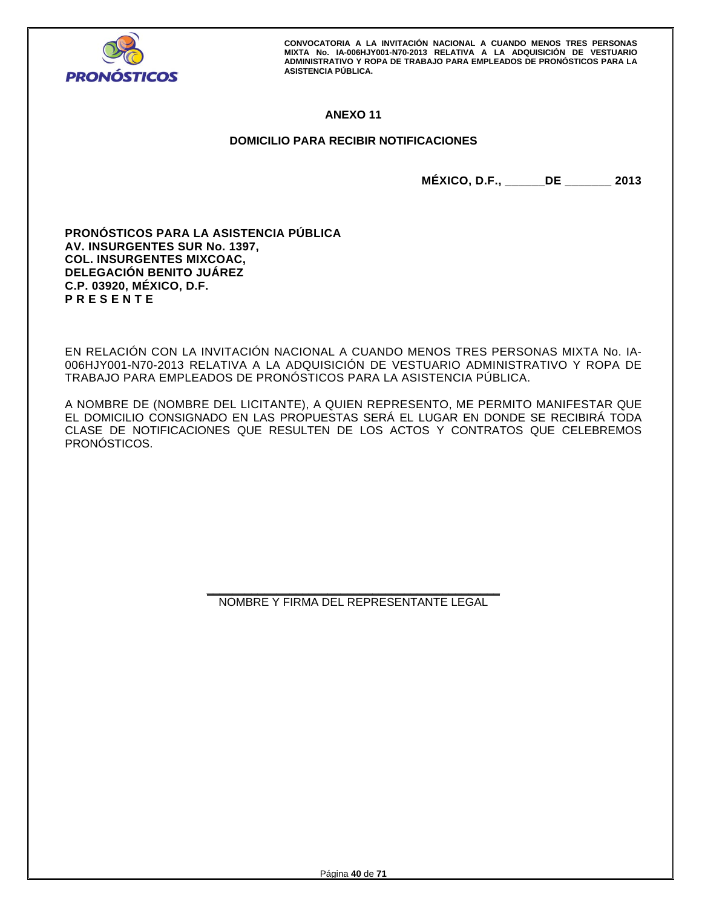

# **ANEXO 11**

# **DOMICILIO PARA RECIBIR NOTIFICACIONES**

**MÉXICO, D.F., \_\_\_\_\_\_DE \_\_\_\_\_\_\_ 2013** 

**PRONÓSTICOS PARA LA ASISTENCIA PÚBLICA AV. INSURGENTES SUR No. 1397, COL. INSURGENTES MIXCOAC, DELEGACIÓN BENITO JUÁREZ C.P. 03920, MÉXICO, D.F. P R E S E N T E** 

EN RELACIÓN CON LA INVITACIÓN NACIONAL A CUANDO MENOS TRES PERSONAS MIXTA No. IA-006HJY001-N70-2013 RELATIVA A LA ADQUISICIÓN DE VESTUARIO ADMINISTRATIVO Y ROPA DE TRABAJO PARA EMPLEADOS DE PRONÓSTICOS PARA LA ASISTENCIA PÚBLICA.

A NOMBRE DE (NOMBRE DEL LICITANTE), A QUIEN REPRESENTO, ME PERMITO MANIFESTAR QUE EL DOMICILIO CONSIGNADO EN LAS PROPUESTAS SERÁ EL LUGAR EN DONDE SE RECIBIRÁ TODA CLASE DE NOTIFICACIONES QUE RESULTEN DE LOS ACTOS Y CONTRATOS QUE CELEBREMOS PRONÓSTICOS.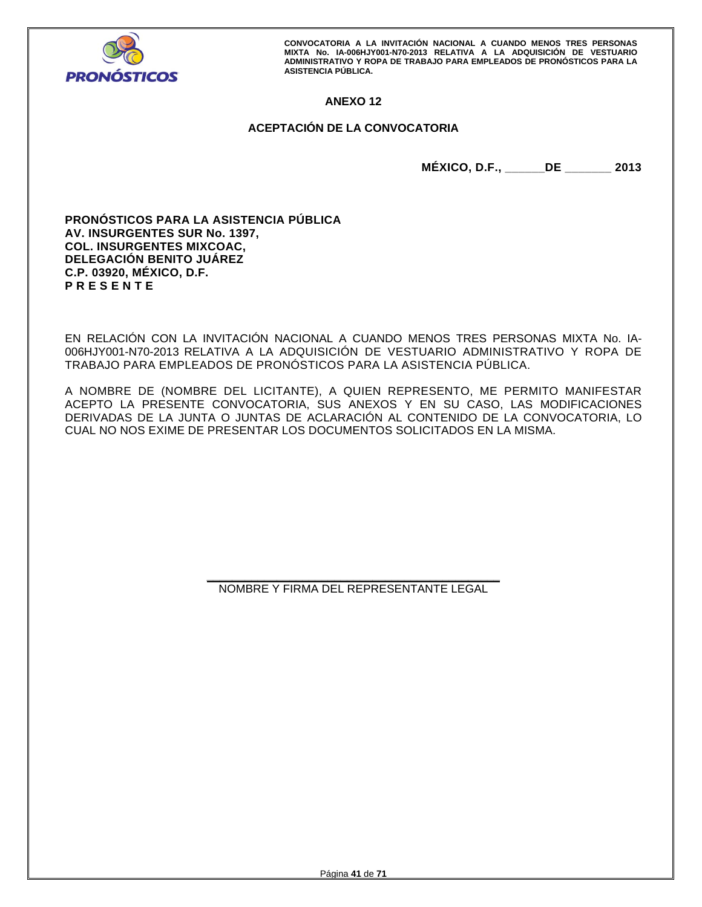

# **ANEXO 12**

# **ACEPTACIÓN DE LA CONVOCATORIA**

**MÉXICO, D.F., \_\_\_\_\_\_DE \_\_\_\_\_\_\_ 2013** 

**PRONÓSTICOS PARA LA ASISTENCIA PÚBLICA AV. INSURGENTES SUR No. 1397, COL. INSURGENTES MIXCOAC, DELEGACIÓN BENITO JUÁREZ C.P. 03920, MÉXICO, D.F. P R E S E N T E** 

EN RELACIÓN CON LA INVITACIÓN NACIONAL A CUANDO MENOS TRES PERSONAS MIXTA No. IA-006HJY001-N70-2013 RELATIVA A LA ADQUISICIÓN DE VESTUARIO ADMINISTRATIVO Y ROPA DE TRABAJO PARA EMPLEADOS DE PRONÓSTICOS PARA LA ASISTENCIA PÚBLICA.

A NOMBRE DE (NOMBRE DEL LICITANTE), A QUIEN REPRESENTO, ME PERMITO MANIFESTAR ACEPTO LA PRESENTE CONVOCATORIA, SUS ANEXOS Y EN SU CASO, LAS MODIFICACIONES DERIVADAS DE LA JUNTA O JUNTAS DE ACLARACIÓN AL CONTENIDO DE LA CONVOCATORIA, LO CUAL NO NOS EXIME DE PRESENTAR LOS DOCUMENTOS SOLICITADOS EN LA MISMA.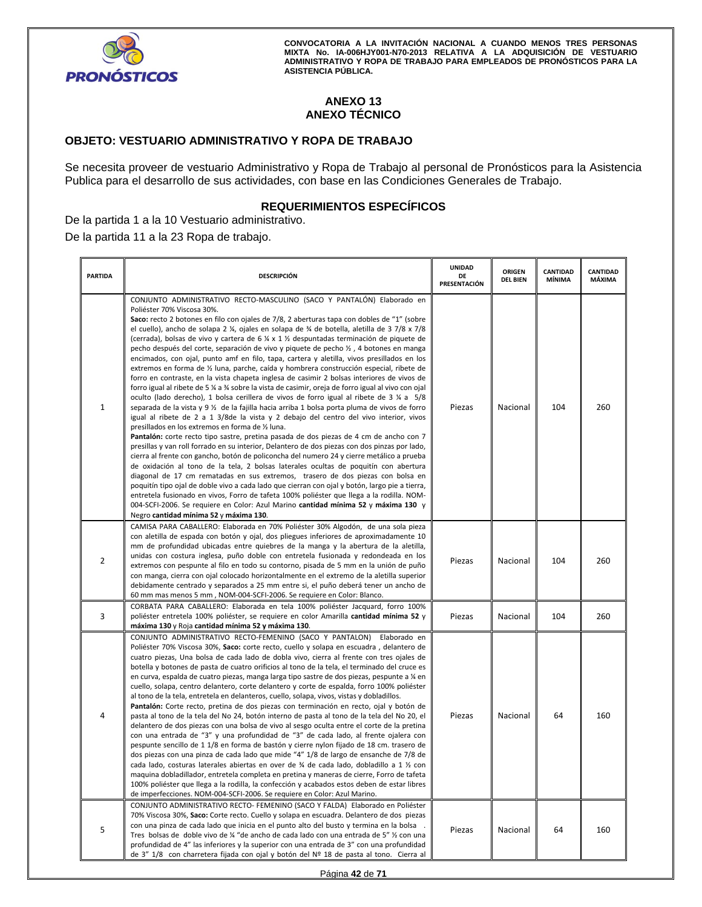

# **ANEXO 13 ANEXO TÉCNICO**

# **OBJETO: VESTUARIO ADMINISTRATIVO Y ROPA DE TRABAJO**

Se necesita proveer de vestuario Administrativo y Ropa de Trabajo al personal de Pronósticos para la Asistencia Publica para el desarrollo de sus actividades, con base en las Condiciones Generales de Trabajo.

# **REQUERIMIENTOS ESPECÍFICOS**

De la partida 1 a la 10 Vestuario administrativo. De la partida 11 a la 23 Ropa de trabajo.

| <b>PARTIDA</b> | <b>DESCRIPCIÓN</b>                                                                                                                                                                                                                                                                                                                                                                                                                                                                                                                                                                                                                                                                                                                                                                                                                                                                                                                                                                                                                                                                                                                                                                                                                                                                                                                                                                                                                                                                                                                                                                                                                                                                                                                                                                                                                                                                                                                                                                                                                                    | <b>UNIDAD</b><br>DE<br>PRESENTACIÓN | ORIGEN<br><b>DEL BIEN</b> | CANTIDAD<br>MÍNIMA | CANTIDAD<br>MÁXIMA |
|----------------|-------------------------------------------------------------------------------------------------------------------------------------------------------------------------------------------------------------------------------------------------------------------------------------------------------------------------------------------------------------------------------------------------------------------------------------------------------------------------------------------------------------------------------------------------------------------------------------------------------------------------------------------------------------------------------------------------------------------------------------------------------------------------------------------------------------------------------------------------------------------------------------------------------------------------------------------------------------------------------------------------------------------------------------------------------------------------------------------------------------------------------------------------------------------------------------------------------------------------------------------------------------------------------------------------------------------------------------------------------------------------------------------------------------------------------------------------------------------------------------------------------------------------------------------------------------------------------------------------------------------------------------------------------------------------------------------------------------------------------------------------------------------------------------------------------------------------------------------------------------------------------------------------------------------------------------------------------------------------------------------------------------------------------------------------------|-------------------------------------|---------------------------|--------------------|--------------------|
| 1              | CONJUNTO ADMINISTRATIVO RECTO-MASCULINO (SACO Y PANTALÓN) Elaborado en<br>Poliéster 70% Viscosa 30%.<br>Saco: recto 2 botones en filo con ojales de 7/8, 2 aberturas tapa con dobles de "1" (sobre<br>el cuello), ancho de solapa 2 ¼, ojales en solapa de ¾ de botella, aletilla de 3 7/8 x 7/8<br>(cerrada), bolsas de vivo y cartera de 6 $\frac{1}{4} \times 1 \frac{1}{2}$ despuntadas terminación de piquete de<br>pecho después del corte, separación de vivo y piquete de pecho 1/2, 4 botones en manga<br>encimados, con ojal, punto amf en filo, tapa, cartera y aletilla, vivos presillados en los<br>extremos en forma de ½ luna, parche, caída y hombrera construcción especial, ribete de<br>forro en contraste, en la vista chapeta inglesa de casimir 2 bolsas interiores de vivos de<br>forro igual al ribete de 5 ¼ a ¾ sobre la vista de casimir, oreja de forro igual al vivo con ojal<br>oculto (lado derecho), 1 bolsa cerillera de vivos de forro igual al ribete de 3 ¼ a 5/8<br>separada de la vista y 9 ½ de la fajilla hacia arriba 1 bolsa porta pluma de vivos de forro<br>igual al ribete de 2 a 1 3/8de la vista y 2 debajo del centro del vivo interior, vivos<br>presillados en los extremos en forma de 1/2 luna.<br>Pantalón: corte recto tipo sastre, pretina pasada de dos piezas de 4 cm de ancho con 7<br>presillas y van roll forrado en su interior, Delantero de dos piezas con dos pinzas por lado,<br>cierra al frente con gancho, botón de policoncha del numero 24 y cierre metálico a prueba<br>de oxidación al tono de la tela, 2 bolsas laterales ocultas de poquitín con abertura<br>diagonal de 17 cm rematadas en sus extremos, trasero de dos piezas con bolsa en<br>poquitín tipo ojal de doble vivo a cada lado que cierran con ojal y botón, largo pie a tierra,<br>entretela fusionado en vivos, Forro de tafeta 100% poliéster que llega a la rodilla. NOM-<br>004-SCFI-2006. Se requiere en Color: Azul Marino cantidad mínima 52 y máxima 130 y<br>Negro cantidad mínima 52 y máxima 130. | Piezas                              | Nacional                  | 104                | 260                |
| 2              | CAMISA PARA CABALLERO: Elaborada en 70% Poliéster 30% Algodón, de una sola pieza<br>con aletilla de espada con botón y ojal, dos pliegues inferiores de aproximadamente 10<br>mm de profundidad ubicadas entre quiebres de la manga y la abertura de la aletilla,<br>unidas con costura inglesa, puño doble con entretela fusionada y redondeada en los<br>extremos con pespunte al filo en todo su contorno, pisada de 5 mm en la unión de puño<br>con manga, cierra con ojal colocado horizontalmente en el extremo de la aletilla superior<br>debidamente centrado y separados a 25 mm entre si, el puño deberá tener un ancho de<br>60 mm mas menos 5 mm, NOM-004-SCFI-2006. Se requiere en Color: Blanco.                                                                                                                                                                                                                                                                                                                                                                                                                                                                                                                                                                                                                                                                                                                                                                                                                                                                                                                                                                                                                                                                                                                                                                                                                                                                                                                                        | Piezas                              | Nacional                  | 104                | 260                |
| 3              | CORBATA PARA CABALLERO: Elaborada en tela 100% poliéster Jacquard, forro 100%<br>poliéster entretela 100% poliéster, se requiere en color Amarilla cantidad mínima 52 y<br>máxima 130 y Roja cantidad mínima 52 y máxima 130.                                                                                                                                                                                                                                                                                                                                                                                                                                                                                                                                                                                                                                                                                                                                                                                                                                                                                                                                                                                                                                                                                                                                                                                                                                                                                                                                                                                                                                                                                                                                                                                                                                                                                                                                                                                                                         | Piezas                              | Nacional                  | 104                | 260                |
| 4              | CONJUNTO ADMINISTRATIVO RECTO-FEMENINO (SACO Y PANTALON) Elaborado en<br>Poliéster 70% Viscosa 30%, Saco: corte recto, cuello y solapa en escuadra, delantero de<br>cuatro piezas, Una bolsa de cada lado de dobla vivo, cierra al frente con tres ojales de<br>botella y botones de pasta de cuatro orificios al tono de la tela, el terminado del cruce es<br>en curva, espalda de cuatro piezas, manga larga tipo sastre de dos piezas, pespunte a ¼ en<br>cuello, solapa, centro delantero, corte delantero y corte de espalda, forro 100% poliéster<br>al tono de la tela, entretela en delanteros, cuello, solapa, vivos, vistas y dobladillos.<br>Pantalón: Corte recto, pretina de dos piezas con terminación en recto, ojal y botón de<br>pasta al tono de la tela del No 24, botón interno de pasta al tono de la tela del No 20, el<br>delantero de dos piezas con una bolsa de vivo al sesgo oculta entre el corte de la pretina<br>con una entrada de "3" y una profundidad de "3" de cada lado, al frente ojalera con<br>pespunte sencillo de 1 1/8 en forma de bastón y cierre nylon fijado de 18 cm. trasero de<br>dos piezas con una pinza de cada lado que mide "4" 1/8 de largo de ensanche de 7/8 de<br>cada lado, costuras laterales abiertas en over de ¾ de cada lado, dobladillo a 1 ½ con<br>maquina dobladillador, entretela completa en pretina y maneras de cierre, Forro de tafeta<br>100% poliéster que llega a la rodilla, la confección y acabados estos deben de estar libres<br>de imperfecciones. NOM-004-SCFI-2006. Se requiere en Color: Azul Marino.                                                                                                                                                                                                                                                                                                                                                                                                                                                            | Piezas                              | Nacional                  | 64                 | 160                |
| 5              | CONJUNTO ADMINISTRATIVO RECTO- FEMENINO (SACO Y FALDA) Elaborado en Poliéster<br>70% Viscosa 30%, Saco: Corte recto. Cuello y solapa en escuadra. Delantero de dos piezas<br>con una pinza de cada lado que inicia en el punto alto del busto y termina en la bolsa<br>Tres bolsas de doble vivo de ¼ "de ancho de cada lado con una entrada de 5" ½ con una<br>profundidad de 4" las inferiores y la superior con una entrada de 3" con una profundidad<br>de 3" 1/8 con charretera fijada con ojal y botón del Nº 18 de pasta al tono. Cierra al                                                                                                                                                                                                                                                                                                                                                                                                                                                                                                                                                                                                                                                                                                                                                                                                                                                                                                                                                                                                                                                                                                                                                                                                                                                                                                                                                                                                                                                                                                    | Piezas                              | Nacional                  | 64                 | 160                |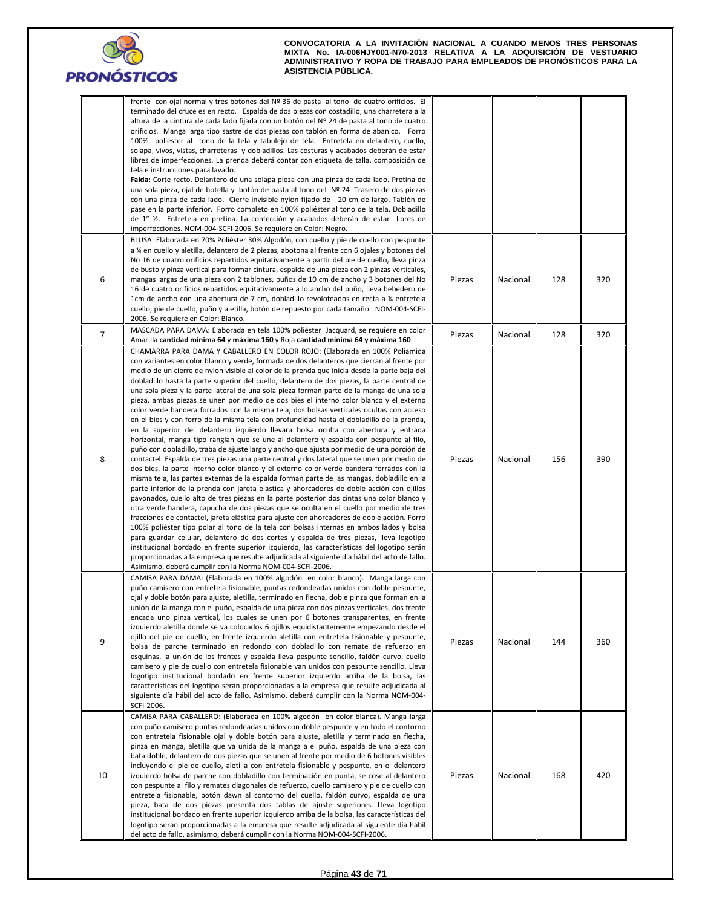

|                | frente con ojal normal y tres botones del Nº 36 de pasta al tono de cuatro orificios. El<br>terminado del cruce es en recto. Espalda de dos piezas con costadillo, una charretera a la<br>altura de la cintura de cada lado fijada con un botón del Nº 24 de pasta al tono de cuatro<br>orificios. Manga larga tipo sastre de dos piezas con tablón en forma de abanico. Forro<br>100% poliéster al tono de la tela y tabulejo de tela. Entretela en delantero, cuello,<br>solapa, vivos, vistas, charreteras y dobladillos. Las costuras y acabados deberán de estar<br>libres de imperfecciones. La prenda deberá contar con etiqueta de talla, composición de<br>tela e instrucciones para lavado.<br>Falda: Corte recto. Delantero de una solapa pieza con una pinza de cada lado. Pretina de<br>una sola pieza, ojal de botella y botón de pasta al tono del Nº 24 Trasero de dos piezas<br>con una pinza de cada lado. Cierre invisible nylon fijado de 20 cm de largo. Tablón de<br>pase en la parte inferior. Forro completo en 100% poliéster al tono de la tela. Dobladillo<br>de 1" 1/2. Entretela en pretina. La confección y acabados deberán de estar libres de<br>imperfecciones. NOM-004-SCFI-2006. Se requiere en Color: Negro.                                                                                                                                                                                                                                                                                                                                                                                                                                                                                                                                                                                                                                                                                                                                                                                                                                                                                                              |        |          |     |     |
|----------------|---------------------------------------------------------------------------------------------------------------------------------------------------------------------------------------------------------------------------------------------------------------------------------------------------------------------------------------------------------------------------------------------------------------------------------------------------------------------------------------------------------------------------------------------------------------------------------------------------------------------------------------------------------------------------------------------------------------------------------------------------------------------------------------------------------------------------------------------------------------------------------------------------------------------------------------------------------------------------------------------------------------------------------------------------------------------------------------------------------------------------------------------------------------------------------------------------------------------------------------------------------------------------------------------------------------------------------------------------------------------------------------------------------------------------------------------------------------------------------------------------------------------------------------------------------------------------------------------------------------------------------------------------------------------------------------------------------------------------------------------------------------------------------------------------------------------------------------------------------------------------------------------------------------------------------------------------------------------------------------------------------------------------------------------------------------------------------------------------------------------------------------------------------------|--------|----------|-----|-----|
| 6              | BLUSA: Elaborada en 70% Poliéster 30% Algodón, con cuello y pie de cuello con pespunte<br>a ¼ en cuello y aletilla, delantero de 2 piezas, abotona al frente con 6 ojales y botones del<br>No 16 de cuatro orificios repartidos equitativamente a partir del pie de cuello, lleva pinza<br>de busto y pinza vertical para formar cintura, espalda de una pieza con 2 pinzas verticales,<br>mangas largas de una pieza con 2 tablones, puños de 10 cm de ancho y 3 botones del No<br>16 de cuatro orificios repartidos equitativamente a lo ancho del puño, lleva bebedero de<br>1cm de ancho con una abertura de 7 cm, dobladillo revoloteados en recta a ¼ entretela<br>cuello, pie de cuello, puño y aletilla, botón de repuesto por cada tamaño. NOM-004-SCFI-<br>2006. Se requiere en Color: Blanco.                                                                                                                                                                                                                                                                                                                                                                                                                                                                                                                                                                                                                                                                                                                                                                                                                                                                                                                                                                                                                                                                                                                                                                                                                                                                                                                                                      | Piezas | Nacional | 128 | 320 |
| $\overline{7}$ | MASCADA PARA DAMA: Elaborada en tela 100% poliéster Jacquard, se requiere en color<br>Amarilla cantidad mínima 64 y máxima 160 y Roja cantidad mínima 64 y máxima 160.                                                                                                                                                                                                                                                                                                                                                                                                                                                                                                                                                                                                                                                                                                                                                                                                                                                                                                                                                                                                                                                                                                                                                                                                                                                                                                                                                                                                                                                                                                                                                                                                                                                                                                                                                                                                                                                                                                                                                                                        | Piezas | Nacional | 128 | 320 |
| 8              | CHAMARRA PARA DAMA Y CABALLERO EN COLOR ROJO: (Elaborada en 100% Poliamida<br>con variantes en color blanco y verde, formada de dos delanteros que cierran al frente por<br>medio de un cierre de nylon visible al color de la prenda que inicia desde la parte baja del<br>dobladillo hasta la parte superior del cuello, delantero de dos piezas, la parte central de<br>una sola pieza y la parte lateral de una sola pieza forman parte de la manga de una sola<br>pieza, ambas piezas se unen por medio de dos bies el interno color blanco y el externo<br>color verde bandera forrados con la misma tela, dos bolsas verticales ocultas con acceso<br>en el bies y con forro de la misma tela con profundidad hasta el dobladillo de la prenda,<br>en la superior del delantero izquierdo llevara bolsa oculta con abertura y entrada<br>horizontal, manga tipo ranglan que se une al delantero y espalda con pespunte al filo,<br>puño con dobladillo, traba de ajuste largo y ancho que ajusta por medio de una porción de<br>contactel. Espalda de tres piezas una parte central y dos lateral que se unen por medio de<br>dos bies, la parte interno color blanco y el externo color verde bandera forrados con la<br>misma tela, las partes externas de la espalda forman parte de las mangas, dobladillo en la<br>parte inferior de la prenda con jareta elástica y ahorcadores de doble acción con ojillos<br>pavonados, cuello alto de tres piezas en la parte posterior dos cintas una color blanco y<br>otra verde bandera, capucha de dos piezas que se oculta en el cuello por medio de tres<br>fracciones de contactel, jareta elástica para ajuste con ahorcadores de doble acción. Forro<br>100% poliéster tipo polar al tono de la tela con bolsas internas en ambos lados y bolsa<br>para guardar celular, delantero de dos cortes y espalda de tres piezas, lleva logotipo<br>institucional bordado en frente superior izquierdo, las características del logotipo serán<br>proporcionadas a la empresa que resulte adjudicada al siguiente día hábil del acto de fallo.<br>Asimismo, deberá cumplir con la Norma NOM-004-SCFI-2006. | Piezas | Nacional | 156 | 390 |
| 9              | CAMISA PARA DAMA: (Elaborada en 100% algodón en color blanco). Manga larga con<br>puño camisero con entretela fisionable, puntas redondeadas unidos con doble pespunte,<br>ojal y doble botón para ajuste, aletilla, terminado en flecha, doble pinza que forman en la<br>unión de la manga con el puño, espalda de una pieza con dos pinzas verticales, dos frente<br>encada uno pinza vertical, los cuales se unen por 6 botones transparentes, en frente<br>izquierdo aletilla donde se va colocados 6 ojillos equidistantemente empezando desde el<br>ojillo del pie de cuello, en frente izquierdo aletilla con entretela fisionable y pespunte,<br>bolsa de parche terminado en redondo con dobladillo con remate de refuerzo en<br>esquinas, la unión de los frentes y espalda lleva pespunte sencillo, faldón curvo, cuello<br>camisero y pie de cuello con entretela fisionable van unidos con pespunte sencillo. Lleva<br>logotipo institucional bordado en frente superior izquierdo arriba de la bolsa, las<br>características del logotipo serán proporcionadas a la empresa que resulte adjudicada al<br>siguiente día hábil del acto de fallo. Asimismo, deberá cumplir con la Norma NOM-004-<br>SCFI-2006.                                                                                                                                                                                                                                                                                                                                                                                                                                                                                                                                                                                                                                                                                                                                                                                                                                                                                                                                    | Piezas | Nacional | 144 | 360 |
| 10             | CAMISA PARA CABALLERO: (Elaborada en 100% algodón en color blanca). Manga larga<br>con puño camisero puntas redondeadas unidos con doble pespunte y en todo el contorno<br>con entretela fisionable ojal y doble botón para ajuste, aletilla y terminado en flecha,<br>pinza en manga, aletilla que va unida de la manga a el puño, espalda de una pieza con<br>bata doble, delantero de dos piezas que se unen al frente por medio de 6 botones visibles<br>incluyendo el pie de cuello, aletilla con entretela fisionable y pespunte, en el delantero<br>izquierdo bolsa de parche con dobladillo con terminación en punta, se cose al delantero<br>con pespunte al filo y remates diagonales de refuerzo, cuello camisero y pie de cuello con<br>entretela fisionable, botón dawn al contorno del cuello, faldón curvo, espalda de una<br>pieza, bata de dos piezas presenta dos tablas de ajuste superiores. Lleva logotipo<br>institucional bordado en frente superior izquierdo arriba de la bolsa, las características del<br>logotipo serán proporcionadas a la empresa que resulte adjudicada al siguiente día hábil<br>del acto de fallo, asimismo, deberá cumplir con la Norma NOM-004-SCFI-2006.                                                                                                                                                                                                                                                                                                                                                                                                                                                                                                                                                                                                                                                                                                                                                                                                                                                                                                                                                  | Piezas | Nacional | 168 | 420 |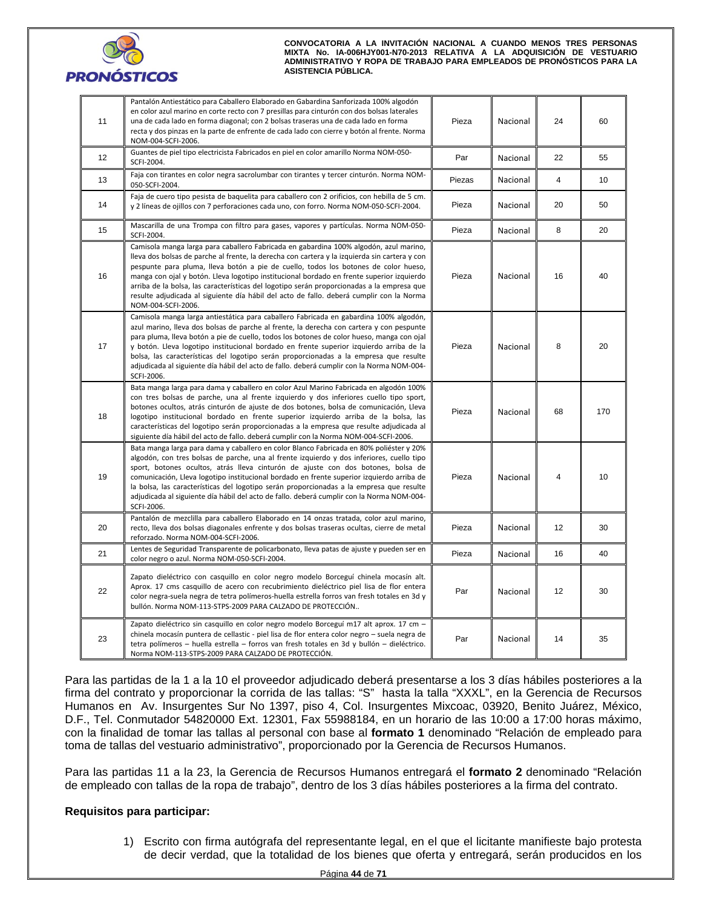

| 11 | Pantalón Antiestático para Caballero Elaborado en Gabardina Sanforizada 100% algodón<br>en color azul marino en corte recto con 7 presillas para cinturón con dos bolsas laterales<br>una de cada lado en forma diagonal; con 2 bolsas traseras una de cada lado en forma<br>recta y dos pinzas en la parte de enfrente de cada lado con cierre y botón al frente. Norma<br>NOM-004-SCFI-2006.                                                                                                                                                                                             | Pieza  | Nacional | 24             | 60  |
|----|--------------------------------------------------------------------------------------------------------------------------------------------------------------------------------------------------------------------------------------------------------------------------------------------------------------------------------------------------------------------------------------------------------------------------------------------------------------------------------------------------------------------------------------------------------------------------------------------|--------|----------|----------------|-----|
| 12 | Guantes de piel tipo electricista Fabricados en piel en color amarillo Norma NOM-050-<br>SCFI-2004.                                                                                                                                                                                                                                                                                                                                                                                                                                                                                        | Par    | Nacional | 22             | 55  |
| 13 | Faja con tirantes en color negra sacrolumbar con tirantes y tercer cinturón. Norma NOM-<br>050-SCFI-2004.                                                                                                                                                                                                                                                                                                                                                                                                                                                                                  | Piezas | Nacional | $\overline{4}$ | 10  |
| 14 | Faja de cuero tipo pesista de baquelita para caballero con 2 orificios, con hebilla de 5 cm.<br>y 2 líneas de ojillos con 7 perforaciones cada uno, con forro. Norma NOM-050-SCFI-2004.                                                                                                                                                                                                                                                                                                                                                                                                    | Pieza  | Nacional | 20             | 50  |
| 15 | Mascarilla de una Trompa con filtro para gases, vapores y partículas. Norma NOM-050-<br>SCFI-2004.                                                                                                                                                                                                                                                                                                                                                                                                                                                                                         | Pieza  | Nacional | 8              | 20  |
| 16 | Camisola manga larga para caballero Fabricada en gabardina 100% algodón, azul marino,<br>lleva dos bolsas de parche al frente, la derecha con cartera y la izquierda sin cartera y con<br>pespunte para pluma, lleva botón a pie de cuello, todos los botones de color hueso,<br>manga con ojal y botón. Lleva logotipo institucional bordado en frente superior izquierdo<br>arriba de la bolsa, las características del logotipo serán proporcionadas a la empresa que<br>resulte adjudicada al siguiente día hábil del acto de fallo. deberá cumplir con la Norma<br>NOM-004-SCFI-2006. | Pieza  | Nacional | 16             | 40  |
| 17 | Camisola manga larga antiestática para caballero Fabricada en gabardina 100% algodón,<br>azul marino, lleva dos bolsas de parche al frente, la derecha con cartera y con pespunte<br>para pluma, lleva botón a pie de cuello, todos los botones de color hueso, manga con ojal<br>y botón. Lleva logotipo institucional bordado en frente superior izquierdo arriba de la<br>bolsa, las características del logotipo serán proporcionadas a la empresa que resulte<br>adjudicada al siguiente día hábil del acto de fallo. deberá cumplir con la Norma NOM-004-<br>SCFI-2006.              | Pieza  | Nacional | 8              | 20  |
| 18 | Bata manga larga para dama y caballero en color Azul Marino Fabricada en algodón 100%<br>con tres bolsas de parche, una al frente izquierdo y dos inferiores cuello tipo sport,<br>botones ocultos, atrás cinturón de ajuste de dos botones, bolsa de comunicación, Lleva<br>logotipo institucional bordado en frente superior izquierdo arriba de la bolsa, las<br>características del logotipo serán proporcionadas a la empresa que resulte adjudicada al<br>siguiente día hábil del acto de fallo. deberá cumplir con la Norma NOM-004-SCFI-2006.                                      | Pieza  | Nacional | 68             | 170 |
| 19 | Bata manga larga para dama y caballero en color Blanco Fabricada en 80% poliéster y 20%<br>algodón, con tres bolsas de parche, una al frente izquierdo y dos inferiores, cuello tipo<br>sport, botones ocultos, atrás lleva cinturón de ajuste con dos botones, bolsa de<br>comunicación, Lleva logotipo institucional bordado en frente superior izquierdo arriba de<br>la bolsa, las características del logotipo serán proporcionadas a la empresa que resulte<br>adjudicada al siguiente día hábil del acto de fallo. deberá cumplir con la Norma NOM-004-<br>SCFI-2006.               | Pieza  | Nacional | 4              | 10  |
| 20 | Pantalón de mezclilla para caballero Elaborado en 14 onzas tratada, color azul marino,<br>recto, lleva dos bolsas diagonales enfrente y dos bolsas traseras ocultas, cierre de metal<br>reforzado. Norma NOM-004-SCFI-2006.                                                                                                                                                                                                                                                                                                                                                                | Pieza  | Nacional | 12             | 30  |
| 21 | Lentes de Seguridad Transparente de policarbonato, lleva patas de ajuste y pueden ser en<br>color negro o azul. Norma NOM-050-SCFI-2004.                                                                                                                                                                                                                                                                                                                                                                                                                                                   | Pieza  | Nacional | 16             | 40  |
| 22 | Zapato dieléctrico con casquillo en color negro modelo Borceguí chinela mocasín alt.<br>Aprox. 17 cms casquillo de acero con recubrimiento dieléctrico piel lisa de flor entera<br>color negra-suela negra de tetra polímeros-huella estrella forros van fresh totales en 3d y<br>bullón. Norma NOM-113-STPS-2009 PARA CALZADO DE PROTECCIÓN                                                                                                                                                                                                                                               | Par    | Nacional | 12             | 30  |
| 23 | Zapato dieléctrico sin casquillo en color negro modelo Borceguí m17 alt aprox. 17 cm -<br>chinela mocasín puntera de cellastic - piel lisa de flor entera color negro - suela negra de<br>tetra polímeros - huella estrella - forros van fresh totales en 3d y bullón - dieléctrico.<br>Norma NOM-113-STPS-2009 PARA CALZADO DE PROTECCIÓN.                                                                                                                                                                                                                                                | Par    | Nacional | 14             | 35  |

Para las partidas de la 1 a la 10 el proveedor adjudicado deberá presentarse a los 3 días hábiles posteriores a la firma del contrato y proporcionar la corrida de las tallas: "S" hasta la talla "XXXL", en la Gerencia de Recursos Humanos en Av. Insurgentes Sur No 1397, piso 4, Col. Insurgentes Mixcoac, 03920, Benito Juárez, México, D.F., Tel. Conmutador 54820000 Ext. 12301, Fax 55988184, en un horario de las 10:00 a 17:00 horas máximo, con la finalidad de tomar las tallas al personal con base al **formato 1** denominado "Relación de empleado para toma de tallas del vestuario administrativo", proporcionado por la Gerencia de Recursos Humanos.

Para las partidas 11 a la 23, la Gerencia de Recursos Humanos entregará el **formato 2** denominado "Relación de empleado con tallas de la ropa de trabajo", dentro de los 3 días hábiles posteriores a la firma del contrato.

# **Requisitos para participar:**

1) Escrito con firma autógrafa del representante legal, en el que el licitante manifieste bajo protesta de decir verdad, que la totalidad de los bienes que oferta y entregará, serán producidos en los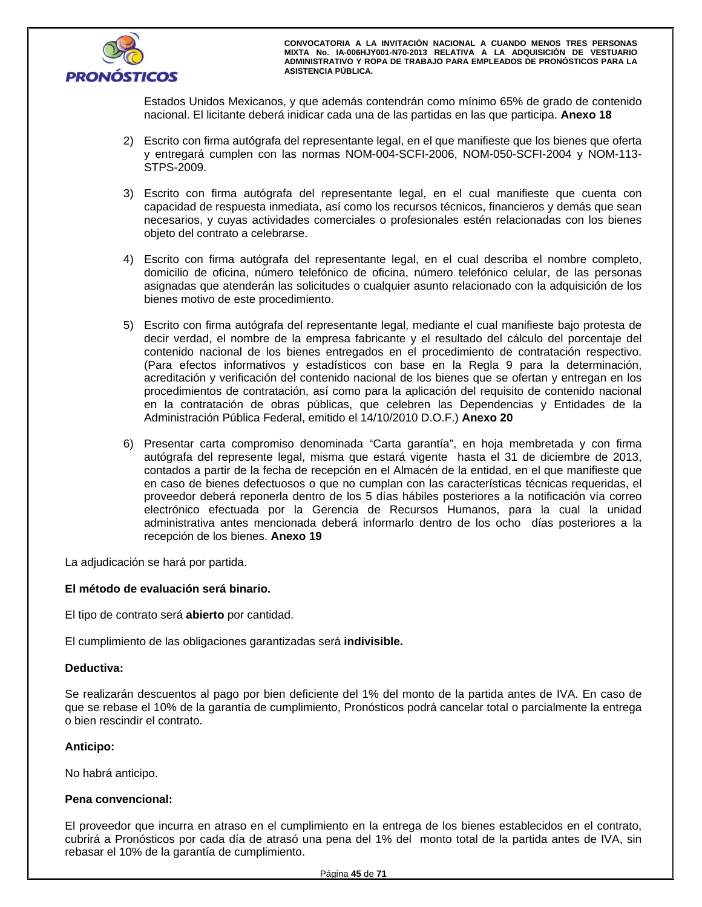

Estados Unidos Mexicanos, y que además contendrán como mínimo 65% de grado de contenido nacional. El licitante deberá inidicar cada una de las partidas en las que participa. **Anexo 18**

- 2) Escrito con firma autógrafa del representante legal, en el que manifieste que los bienes que oferta y entregará cumplen con las normas NOM-004-SCFI-2006, NOM-050-SCFI-2004 y NOM-113- STPS-2009.
- 3) Escrito con firma autógrafa del representante legal, en el cual manifieste que cuenta con capacidad de respuesta inmediata, así como los recursos técnicos, financieros y demás que sean necesarios, y cuyas actividades comerciales o profesionales estén relacionadas con los bienes objeto del contrato a celebrarse.
- 4) Escrito con firma autógrafa del representante legal, en el cual describa el nombre completo, domicilio de oficina, número telefónico de oficina, número telefónico celular, de las personas asignadas que atenderán las solicitudes o cualquier asunto relacionado con la adquisición de los bienes motivo de este procedimiento.
- 5) Escrito con firma autógrafa del representante legal, mediante el cual manifieste bajo protesta de decir verdad, el nombre de la empresa fabricante y el resultado del cálculo del porcentaje del contenido nacional de los bienes entregados en el procedimiento de contratación respectivo. (Para efectos informativos y estadísticos con base en la Regla 9 para la determinación, acreditación y verificación del contenido nacional de los bienes que se ofertan y entregan en los procedimientos de contratación, así como para la aplicación del requisito de contenido nacional en la contratación de obras públicas, que celebren las Dependencias y Entidades de la Administración Pública Federal, emitido el 14/10/2010 D.O.F.) **Anexo 20**
- 6) Presentar carta compromiso denominada "Carta garantía", en hoja membretada y con firma autógrafa del represente legal, misma que estará vigente hasta el 31 de diciembre de 2013, contados a partir de la fecha de recepción en el Almacén de la entidad, en el que manifieste que en caso de bienes defectuosos o que no cumplan con las características técnicas requeridas, el proveedor deberá reponerla dentro de los 5 días hábiles posteriores a la notificación vía correo electrónico efectuada por la Gerencia de Recursos Humanos, para la cual la unidad administrativa antes mencionada deberá informarlo dentro de los ocho días posteriores a la recepción de los bienes. **Anexo 19**

La adjudicación se hará por partida.

# **El método de evaluación será binario.**

El tipo de contrato será **abierto** por cantidad.

El cumplimiento de las obligaciones garantizadas será **indivisible.**

## **Deductiva:**

Se realizarán descuentos al pago por bien deficiente del 1% del monto de la partida antes de IVA. En caso de que se rebase el 10% de la garantía de cumplimiento, Pronósticos podrá cancelar total o parcialmente la entrega o bien rescindir el contrato.

# **Anticipo:**

No habrá anticipo.

# **Pena convencional:**

El proveedor que incurra en atraso en el cumplimiento en la entrega de los bienes establecidos en el contrato, cubrirá a Pronósticos por cada día de atrasó una pena del 1% del monto total de la partida antes de IVA, sin rebasar el 10% de la garantía de cumplimiento.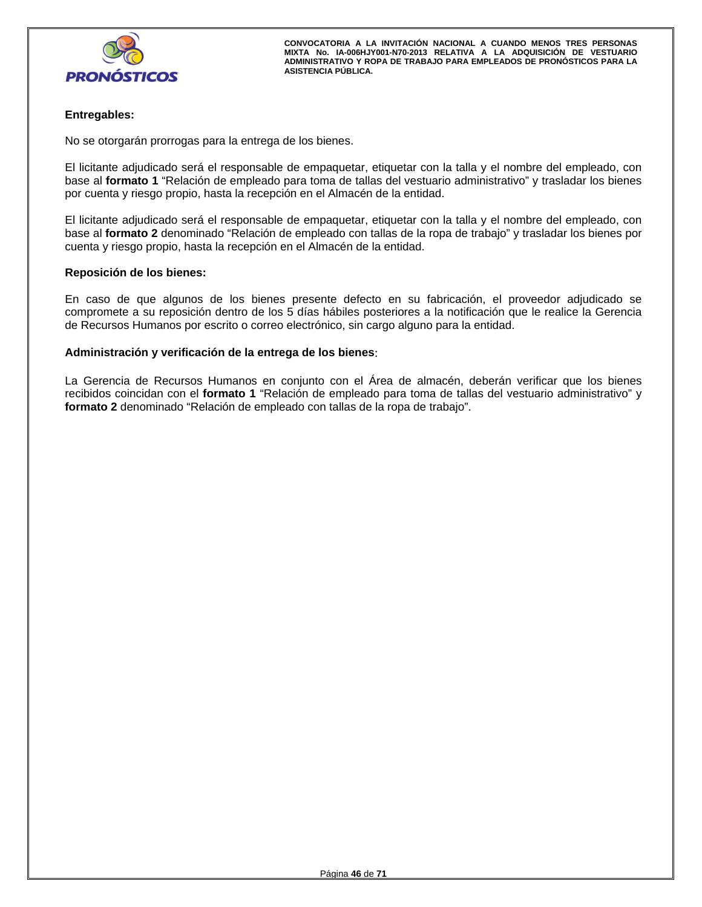

# **Entregables:**

No se otorgarán prorrogas para la entrega de los bienes.

El licitante adjudicado será el responsable de empaquetar, etiquetar con la talla y el nombre del empleado, con base al **formato 1** "Relación de empleado para toma de tallas del vestuario administrativo" y trasladar los bienes por cuenta y riesgo propio, hasta la recepción en el Almacén de la entidad.

El licitante adjudicado será el responsable de empaquetar, etiquetar con la talla y el nombre del empleado, con base al **formato 2** denominado "Relación de empleado con tallas de la ropa de trabajo" y trasladar los bienes por cuenta y riesgo propio, hasta la recepción en el Almacén de la entidad.

## **Reposición de los bienes:**

En caso de que algunos de los bienes presente defecto en su fabricación, el proveedor adjudicado se compromete a su reposición dentro de los 5 días hábiles posteriores a la notificación que le realice la Gerencia de Recursos Humanos por escrito o correo electrónico, sin cargo alguno para la entidad.

## **Administración y verificación de la entrega de los bienes**:

La Gerencia de Recursos Humanos en conjunto con el Área de almacén, deberán verificar que los bienes recibidos coincidan con el **formato 1** "Relación de empleado para toma de tallas del vestuario administrativo" y **formato 2** denominado "Relación de empleado con tallas de la ropa de trabajo".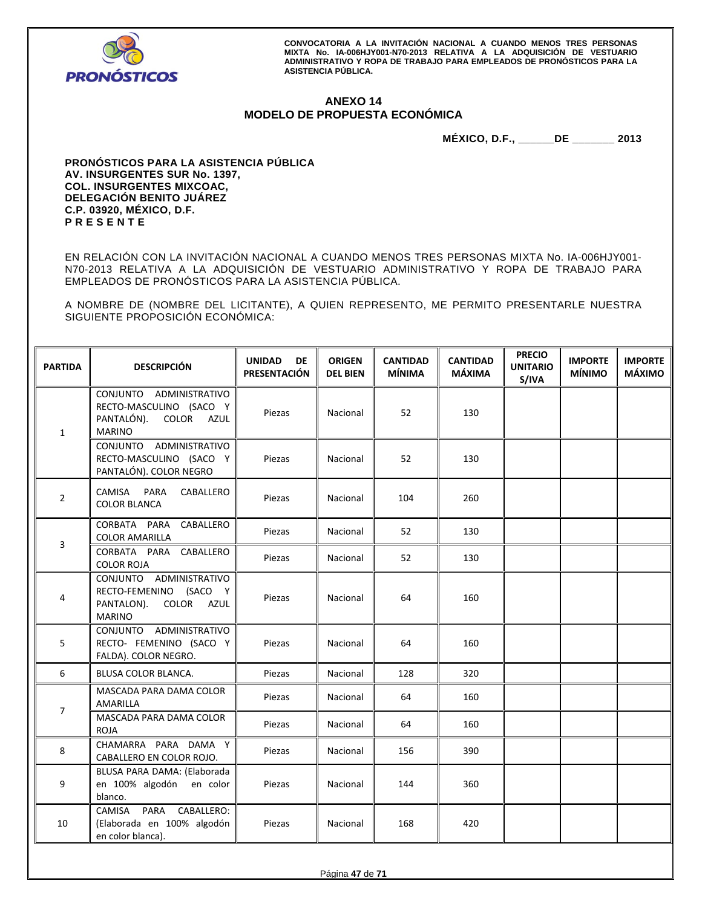

# **ANEXO 14 MODELO DE PROPUESTA ECONÓMICA**

**MÉXICO, D.F., \_\_\_\_\_\_DE \_\_\_\_\_\_\_ 2013** 

**PRONÓSTICOS PARA LA ASISTENCIA PÚBLICA AV. INSURGENTES SUR No. 1397, COL. INSURGENTES MIXCOAC, DELEGACIÓN BENITO JUÁREZ C.P. 03920, MÉXICO, D.F. P R E S E N T E** 

EN RELACIÓN CON LA INVITACIÓN NACIONAL A CUANDO MENOS TRES PERSONAS MIXTA No. IA-006HJY001- N70-2013 RELATIVA A LA ADQUISICIÓN DE VESTUARIO ADMINISTRATIVO Y ROPA DE TRABAJO PARA EMPLEADOS DE PRONÓSTICOS PARA LA ASISTENCIA PÚBLICA.

A NOMBRE DE (NOMBRE DEL LICITANTE), A QUIEN REPRESENTO, ME PERMITO PRESENTARLE NUESTRA SIGUIENTE PROPOSICIÓN ECONÓMICA:

| <b>PARTIDA</b> | <b>DESCRIPCIÓN</b>                                                                           | <b>UNIDAD</b><br>DE<br>PRESENTACIÓN | <b>ORIGEN</b><br><b>DEL BIEN</b> | <b>CANTIDAD</b><br><b>MÍNIMA</b> | <b>CANTIDAD</b><br><b>MÁXIMA</b> | <b>PRECIO</b><br><b>UNITARIO</b><br>S/IVA | <b>IMPORTE</b><br><b>MÍNIMO</b> | <b>IMPORTE</b><br><b>MÁXIMO</b> |
|----------------|----------------------------------------------------------------------------------------------|-------------------------------------|----------------------------------|----------------------------------|----------------------------------|-------------------------------------------|---------------------------------|---------------------------------|
| $\mathbf{1}$   | CONJUNTO ADMINISTRATIVO<br>RECTO-MASCULINO (SACO Y<br>PANTALÓN). COLOR AZUL<br><b>MARINO</b> | Piezas                              | Nacional                         | 52                               | 130                              |                                           |                                 |                                 |
|                | CONJUNTO ADMINISTRATIVO<br>RECTO-MASCULINO (SACO Y<br>PANTALÓN). COLOR NEGRO                 | Piezas                              | Nacional                         | 52                               | 130                              |                                           |                                 |                                 |
| $\overline{2}$ | CAMISA PARA CABALLERO<br><b>COLOR BLANCA</b>                                                 | Piezas                              | Nacional                         | 104                              | 260                              |                                           |                                 |                                 |
| 3              | CORBATA PARA CABALLERO<br><b>COLOR AMARILLA</b>                                              | Piezas                              | Nacional                         | 52                               | 130                              |                                           |                                 |                                 |
|                | CORBATA PARA CABALLERO<br><b>COLOR ROJA</b>                                                  | Piezas                              | Nacional                         | 52                               | 130                              |                                           |                                 |                                 |
| 4              | CONJUNTO ADMINISTRATIVO<br>RECTO-FEMENINO (SACO Y<br>PANTALON). COLOR AZUL<br><b>MARINO</b>  | Piezas                              | Nacional                         | 64                               | 160                              |                                           |                                 |                                 |
| 5              | CONJUNTO ADMINISTRATIVO<br>RECTO- FEMENINO (SACO Y<br>FALDA). COLOR NEGRO.                   | Piezas                              | Nacional                         | 64                               | 160                              |                                           |                                 |                                 |
| 6              | BLUSA COLOR BLANCA.                                                                          | Piezas                              | Nacional                         | 128                              | 320                              |                                           |                                 |                                 |
| $\overline{7}$ | MASCADA PARA DAMA COLOR<br>AMARILLA                                                          | Piezas                              | Nacional                         | 64                               | 160                              |                                           |                                 |                                 |
|                | MASCADA PARA DAMA COLOR<br><b>ROJA</b>                                                       | Piezas                              | Nacional                         | 64                               | 160                              |                                           |                                 |                                 |
| 8              | CHAMARRA PARA DAMA Y<br>CABALLERO EN COLOR ROJO.                                             | Piezas                              | Nacional                         | 156                              | 390                              |                                           |                                 |                                 |
| 9              | BLUSA PARA DAMA: (Elaborada<br>en 100% algodón en color<br>blanco.                           | Piezas                              | Nacional                         | 144                              | 360                              |                                           |                                 |                                 |
| 10             | PARA<br>CABALLERO:<br>CAMISA<br>(Elaborada en 100% algodón<br>en color blanca).              | Piezas                              | Nacional                         | 168                              | 420                              |                                           |                                 |                                 |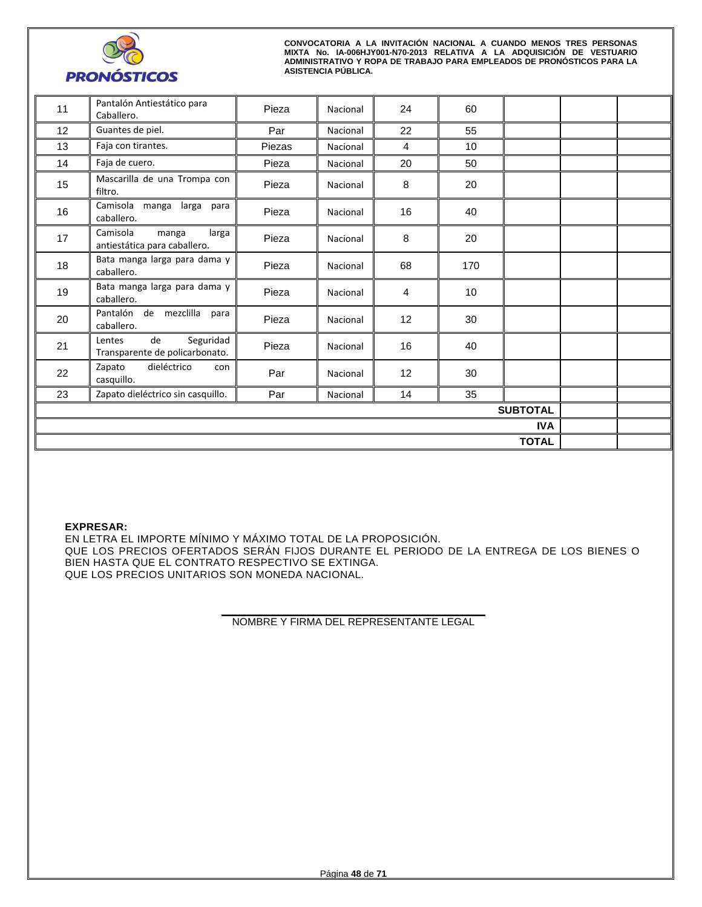

| 11              | Pantalón Antiestático para<br>Caballero.                    | Pieza  | Nacional | 24             | 60              |              |  |
|-----------------|-------------------------------------------------------------|--------|----------|----------------|-----------------|--------------|--|
| 12              | Guantes de piel.                                            | Par    | Nacional | 22             | 55              |              |  |
| 13              | Faja con tirantes.                                          | Piezas | Nacional | $\overline{4}$ | 10              |              |  |
| 14              | Faja de cuero.                                              | Pieza  | Nacional | 20             | 50              |              |  |
| 15              | Mascarilla de una Trompa con<br>filtro.                     | Pieza  | Nacional | 8              | 20              |              |  |
| 16              | Camisola manga larga para<br>caballero.                     | Pieza  | Nacional | 16             | 40              |              |  |
| 17              | Camisola<br>larga<br>manga<br>antiestática para caballero.  | Pieza  | Nacional | 8              | 20              |              |  |
| 18              | Bata manga larga para dama y<br>caballero.                  | Pieza  | Nacional | 68             | 170             |              |  |
| 19              | Bata manga larga para dama y<br>caballero.                  | Pieza  | Nacional | $\overline{4}$ | 10 <sup>1</sup> |              |  |
| 20              | Pantalón de mezclilla<br>para<br>caballero.                 | Pieza  | Nacional | 12             | 30              |              |  |
| 21              | Seguridad<br>de<br>Lentes<br>Transparente de policarbonato. | Pieza  | Nacional | 16             | 40              |              |  |
| 22              | dieléctrico<br>Zapato<br>con<br>casquillo.                  | Par    | Nacional | 12             | 30              |              |  |
| 23              | Zapato dieléctrico sin casquillo.                           | Par    | Nacional | 14             | 35              |              |  |
| <b>SUBTOTAL</b> |                                                             |        |          |                |                 |              |  |
| <b>IVA</b>      |                                                             |        |          |                |                 |              |  |
|                 |                                                             |        |          |                |                 | <b>TOTAL</b> |  |

**EXPRESAR:** 

EN LETRA EL IMPORTE MÍNIMO Y MÁXIMO TOTAL DE LA PROPOSICIÓN. QUE LOS PRECIOS OFERTADOS SERÁN FIJOS DURANTE EL PERIODO DE LA ENTREGA DE LOS BIENES O BIEN HASTA QUE EL CONTRATO RESPECTIVO SE EXTINGA. QUE LOS PRECIOS UNITARIOS SON MONEDA NACIONAL.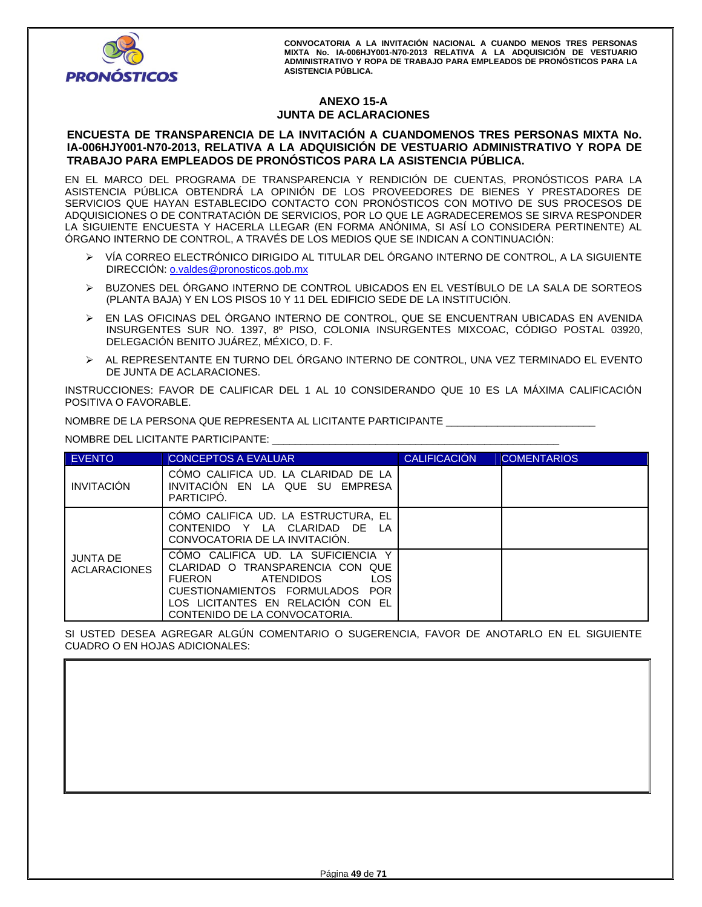

# **ANEXO 15-A JUNTA DE ACLARACIONES**

## **ENCUESTA DE TRANSPARENCIA DE LA INVITACIÓN A CUANDOMENOS TRES PERSONAS MIXTA No. IA-006HJY001-N70-2013, RELATIVA A LA ADQUISICIÓN DE VESTUARIO ADMINISTRATIVO Y ROPA DE TRABAJO PARA EMPLEADOS DE PRONÓSTICOS PARA LA ASISTENCIA PÚBLICA.**

EN EL MARCO DEL PROGRAMA DE TRANSPARENCIA Y RENDICIÓN DE CUENTAS, PRONÓSTICOS PARA LA ASISTENCIA PÚBLICA OBTENDRÁ LA OPINIÓN DE LOS PROVEEDORES DE BIENES Y PRESTADORES DE SERVICIOS QUE HAYAN ESTABLECIDO CONTACTO CON PRONÓSTICOS CON MOTIVO DE SUS PROCESOS DE ADQUISICIONES O DE CONTRATACIÓN DE SERVICIOS, POR LO QUE LE AGRADECEREMOS SE SIRVA RESPONDER LA SIGUIENTE ENCUESTA Y HACERLA LLEGAR (EN FORMA ANÓNIMA, SI ASÍ LO CONSIDERA PERTINENTE) AL ÓRGANO INTERNO DE CONTROL, A TRAVÉS DE LOS MEDIOS QUE SE INDICAN A CONTINUACIÓN:

- VÍA CORREO ELECTRÓNICO DIRIGIDO AL TITULAR DEL ÓRGANO INTERNO DE CONTROL, A LA SIGUIENTE DIRECCIÓN: o.valdes@pronosticos.gob.mx
- BUZONES DEL ÓRGANO INTERNO DE CONTROL UBICADOS EN EL VESTÍBULO DE LA SALA DE SORTEOS (PLANTA BAJA) Y EN LOS PISOS 10 Y 11 DEL EDIFICIO SEDE DE LA INSTITUCIÓN.
- EN LAS OFICINAS DEL ÓRGANO INTERNO DE CONTROL, QUE SE ENCUENTRAN UBICADAS EN AVENIDA INSURGENTES SUR NO. 1397, 8º PISO, COLONIA INSURGENTES MIXCOAC, CÓDIGO POSTAL 03920, DELEGACIÓN BENITO JUÁREZ, MÉXICO, D. F.
- AL REPRESENTANTE EN TURNO DEL ÓRGANO INTERNO DE CONTROL, UNA VEZ TERMINADO EL EVENTO DE JUNTA DE ACLARACIONES.

INSTRUCCIONES: FAVOR DE CALIFICAR DEL 1 AL 10 CONSIDERANDO QUE 10 ES LA MÁXIMA CALIFICACIÓN POSITIVA O FAVORABLE.

NOMBRE DE LA PERSONA QUE REPRESENTA AL LICITANTE PARTICIPANTE

NOMBRE DEL LICITANTE PARTICIPANTE: \_\_\_\_\_\_\_\_\_\_

| <b>EVENTO</b>                          | <b>CONCEPTOS A EVALUAR</b>                                                                                                                                                                                                         | <b>CALIFICACIÓN</b> | <b>COMENTARIOS</b> |
|----------------------------------------|------------------------------------------------------------------------------------------------------------------------------------------------------------------------------------------------------------------------------------|---------------------|--------------------|
| <b>INVITACIÓN</b>                      | COMO CALIFICA UD. LA CLARIDAD DE LA<br>INVITACION EN LA QUE SU EMPRESA<br>PARTICIPO.                                                                                                                                               |                     |                    |
|                                        | CÓMO CALIFICA UD. LA ESTRUCTURA, EL<br>CONTENIDO Y LA CLARIDAD DE LA<br>CONVOCATORIA DE LA INVITACION.                                                                                                                             |                     |                    |
| <b>JUNTA DE</b><br><b>ACLARACIONES</b> | COMO CALIFICA UD. LA SUFICIENCIA Y<br>CLARIDAD O TRANSPARENCIA CON QUE<br><b>LOS</b><br><b>FUERON</b><br><b>ATENDIDOS</b><br>CUESTIONAMIENTOS FORMULADOS POR<br>LOS LICITANTES EN RELACION CON EL<br>CONTENIDO DE LA CONVOCATORIA. |                     |                    |

SI USTED DESEA AGREGAR ALGÚN COMENTARIO O SUGERENCIA, FAVOR DE ANOTARLO EN EL SIGUIENTE CUADRO O EN HOJAS ADICIONALES: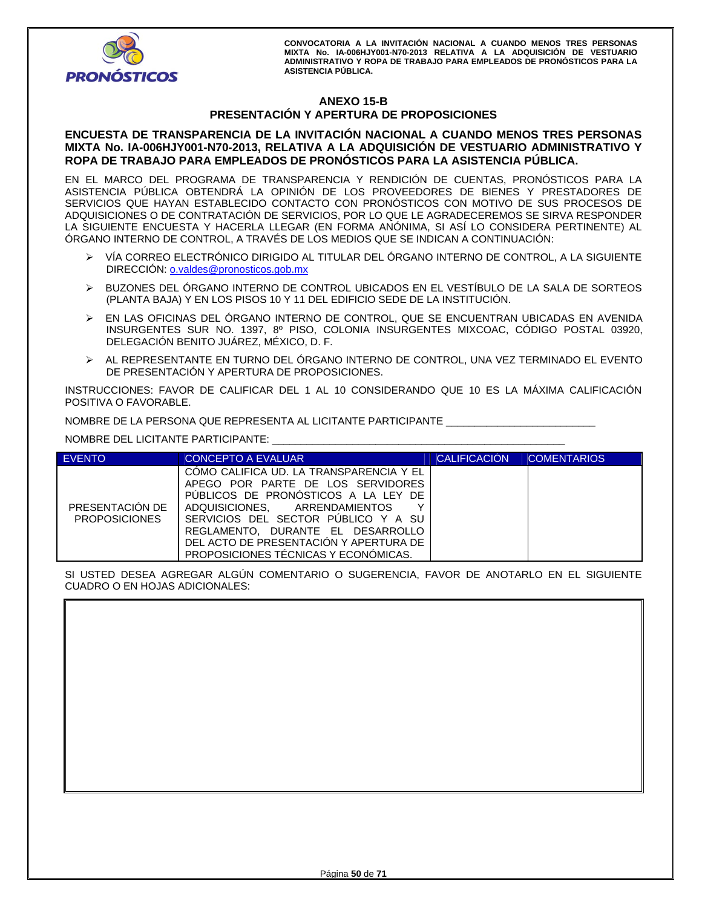

# **ANEXO 15-B PRESENTACIÓN Y APERTURA DE PROPOSICIONES**

## **ENCUESTA DE TRANSPARENCIA DE LA INVITACIÓN NACIONAL A CUANDO MENOS TRES PERSONAS MIXTA No. IA-006HJY001-N70-2013, RELATIVA A LA ADQUISICIÓN DE VESTUARIO ADMINISTRATIVO Y ROPA DE TRABAJO PARA EMPLEADOS DE PRONÓSTICOS PARA LA ASISTENCIA PÚBLICA.**

EN EL MARCO DEL PROGRAMA DE TRANSPARENCIA Y RENDICIÓN DE CUENTAS, PRONÓSTICOS PARA LA ASISTENCIA PÚBLICA OBTENDRÁ LA OPINIÓN DE LOS PROVEEDORES DE BIENES Y PRESTADORES DE SERVICIOS QUE HAYAN ESTABLECIDO CONTACTO CON PRONÓSTICOS CON MOTIVO DE SUS PROCESOS DE ADQUISICIONES O DE CONTRATACIÓN DE SERVICIOS, POR LO QUE LE AGRADECEREMOS SE SIRVA RESPONDER LA SIGUIENTE ENCUESTA Y HACERLA LLEGAR (EN FORMA ANÓNIMA, SI ASÍ LO CONSIDERA PERTINENTE) AL ÓRGANO INTERNO DE CONTROL, A TRAVÉS DE LOS MEDIOS QUE SE INDICAN A CONTINUACIÓN:

- VÍA CORREO ELECTRÓNICO DIRIGIDO AL TITULAR DEL ÓRGANO INTERNO DE CONTROL, A LA SIGUIENTE DIRECCIÓN: o.valdes@pronosticos.gob.mx
- BUZONES DEL ÓRGANO INTERNO DE CONTROL UBICADOS EN EL VESTÍBULO DE LA SALA DE SORTEOS (PLANTA BAJA) Y EN LOS PISOS 10 Y 11 DEL EDIFICIO SEDE DE LA INSTITUCIÓN.
- EN LAS OFICINAS DEL ÓRGANO INTERNO DE CONTROL, QUE SE ENCUENTRAN UBICADAS EN AVENIDA INSURGENTES SUR NO. 1397, 8º PISO, COLONIA INSURGENTES MIXCOAC, CÓDIGO POSTAL 03920, DELEGACIÓN BENITO JUÁREZ, MÉXICO, D. F.
- AL REPRESENTANTE EN TURNO DEL ÓRGANO INTERNO DE CONTROL, UNA VEZ TERMINADO EL EVENTO DE PRESENTACIÓN Y APERTURA DE PROPOSICIONES.

INSTRUCCIONES: FAVOR DE CALIFICAR DEL 1 AL 10 CONSIDERANDO QUE 10 ES LA MÁXIMA CALIFICACIÓN POSITIVA O FAVORABLE.

NOMBRE DE LA PERSONA QUE REPRESENTA AL LICITANTE PARTICIPANTE \_\_\_\_\_\_\_\_\_\_\_\_\_\_\_\_\_\_\_\_\_\_\_\_\_\_

NOMBRE DEL LICITANTE PARTICIPANTE: \_\_\_\_\_\_\_\_\_\_\_\_\_\_\_\_\_\_\_\_\_\_\_\_\_\_\_\_\_\_\_\_\_\_\_\_\_\_\_\_\_\_\_\_\_\_\_\_\_\_\_

| <b>EVENTO</b>                           | CONCEPTO A EVALUAR                                                                                                                                                                                                                                                                                                      | <b>CALIFICACIÓN</b> | <b>COMENTARIOS</b> |
|-----------------------------------------|-------------------------------------------------------------------------------------------------------------------------------------------------------------------------------------------------------------------------------------------------------------------------------------------------------------------------|---------------------|--------------------|
| PRESENTACIÓN DE<br><b>PROPOSICIONES</b> | COMO CALIFICA UD. LA TRANSPARENCIA Y EL<br>APEGO POR PARTE DE LOS SERVIDORES<br>PUBLICOS DE PRONOSTICOS A LA LEY DE<br>ADQUISICIONES. ARRENDAMIENTOS<br>v<br>SERVICIOS DEL SECTOR PUBLICO Y A SU<br>REGLAMENTO. DURANTE EL DESARROLLO<br>DEL ACTO DE PRESENTACIÓN Y APERTURA DE<br>PROPOSICIONES TÉCNICAS Y ECONÓMICAS. |                     |                    |

SI USTED DESEA AGREGAR ALGÚN COMENTARIO O SUGERENCIA, FAVOR DE ANOTARLO EN EL SIGUIENTE CUADRO O EN HOJAS ADICIONALES:

| <b>OUNDING OF LIVE INDUCTOR ADIOIVALLO.</b> |  |  |  |  |
|---------------------------------------------|--|--|--|--|
|                                             |  |  |  |  |
|                                             |  |  |  |  |
|                                             |  |  |  |  |
|                                             |  |  |  |  |
|                                             |  |  |  |  |
|                                             |  |  |  |  |
|                                             |  |  |  |  |
|                                             |  |  |  |  |
|                                             |  |  |  |  |
|                                             |  |  |  |  |
|                                             |  |  |  |  |
|                                             |  |  |  |  |
|                                             |  |  |  |  |
|                                             |  |  |  |  |
|                                             |  |  |  |  |
|                                             |  |  |  |  |
|                                             |  |  |  |  |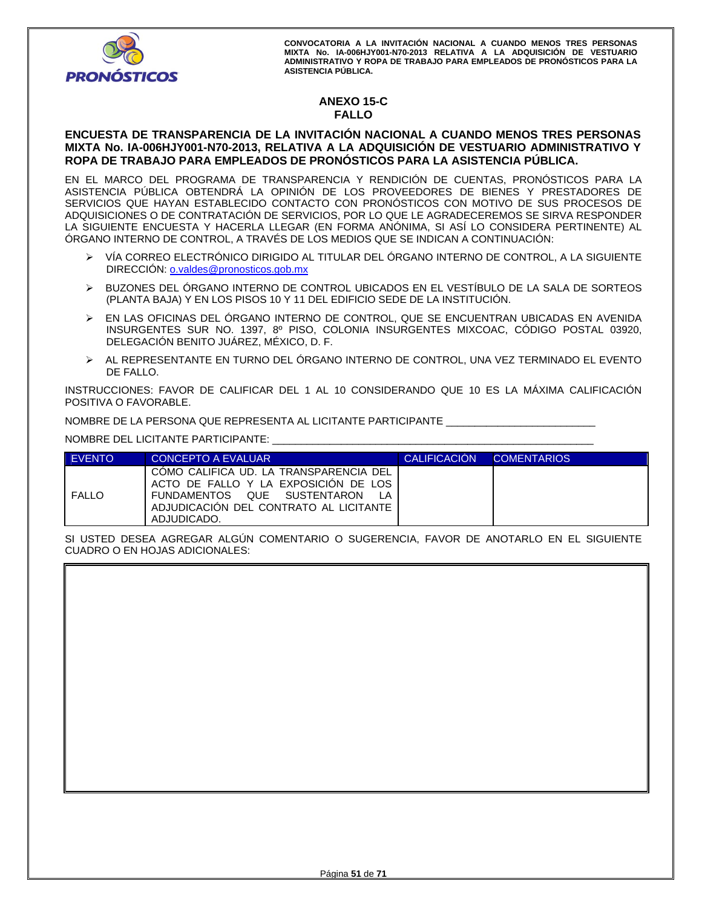

# **ANEXO 15-C FALLO**

# **ENCUESTA DE TRANSPARENCIA DE LA INVITACIÓN NACIONAL A CUANDO MENOS TRES PERSONAS MIXTA No. IA-006HJY001-N70-2013, RELATIVA A LA ADQUISICIÓN DE VESTUARIO ADMINISTRATIVO Y ROPA DE TRABAJO PARA EMPLEADOS DE PRONÓSTICOS PARA LA ASISTENCIA PÚBLICA.**

EN EL MARCO DEL PROGRAMA DE TRANSPARENCIA Y RENDICIÓN DE CUENTAS, PRONÓSTICOS PARA LA ASISTENCIA PÚBLICA OBTENDRÁ LA OPINIÓN DE LOS PROVEEDORES DE BIENES Y PRESTADORES DE SERVICIOS QUE HAYAN ESTABLECIDO CONTACTO CON PRONÓSTICOS CON MOTIVO DE SUS PROCESOS DE ADQUISICIONES O DE CONTRATACIÓN DE SERVICIOS, POR LO QUE LE AGRADECEREMOS SE SIRVA RESPONDER LA SIGUIENTE ENCUESTA Y HACERLA LLEGAR (EN FORMA ANÓNIMA, SI ASÍ LO CONSIDERA PERTINENTE) AL ÓRGANO INTERNO DE CONTROL, A TRAVÉS DE LOS MEDIOS QUE SE INDICAN A CONTINUACIÓN:

- VÍA CORREO ELECTRÓNICO DIRIGIDO AL TITULAR DEL ÓRGANO INTERNO DE CONTROL, A LA SIGUIENTE DIRECCIÓN: o.valdes@pronosticos.gob.mx
- BUZONES DEL ÓRGANO INTERNO DE CONTROL UBICADOS EN EL VESTÍBULO DE LA SALA DE SORTEOS (PLANTA BAJA) Y EN LOS PISOS 10 Y 11 DEL EDIFICIO SEDE DE LA INSTITUCIÓN.
- EN LAS OFICINAS DEL ÓRGANO INTERNO DE CONTROL, QUE SE ENCUENTRAN UBICADAS EN AVENIDA INSURGENTES SUR NO. 1397, 8º PISO, COLONIA INSURGENTES MIXCOAC, CÓDIGO POSTAL 03920, DELEGACIÓN BENITO JUÁREZ, MÉXICO, D. F.
- AL REPRESENTANTE EN TURNO DEL ÓRGANO INTERNO DE CONTROL, UNA VEZ TERMINADO EL EVENTO DE FALLO.

INSTRUCCIONES: FAVOR DE CALIFICAR DEL 1 AL 10 CONSIDERANDO QUE 10 ES LA MÁXIMA CALIFICACIÓN POSITIVA O FAVORABLE.

NOMBRE DE LA PERSONA QUE REPRESENTA AL LICITANTE PARTICIPANTE

NOMBRE DEL LICITANTE PARTICIPANTE: \_\_\_\_\_\_\_\_\_\_

| <b>FVENTO</b> | <b>CONCEPTO A EVALUAR</b>                                                                                                                                              | <b>CALIFICACION</b> | <b>COMENTARIOS</b> |
|---------------|------------------------------------------------------------------------------------------------------------------------------------------------------------------------|---------------------|--------------------|
| <b>FALLO</b>  | COMO CALIFICA UD. LA TRANSPARENCIA DEL<br>ACTO DE FALLO Y LA EXPOSICION DE LOS<br>FUNDAMENTOS QUE SUSTENTARON<br>ADJUDICACION DEL CONTRATO AL LICITANTE<br>ADJUDICADO. |                     |                    |

SI USTED DESEA AGREGAR ALGÚN COMENTARIO O SUGERENCIA, FAVOR DE ANOTARLO EN EL SIGUIENTE CUADRO O EN HOJAS ADICIONALES: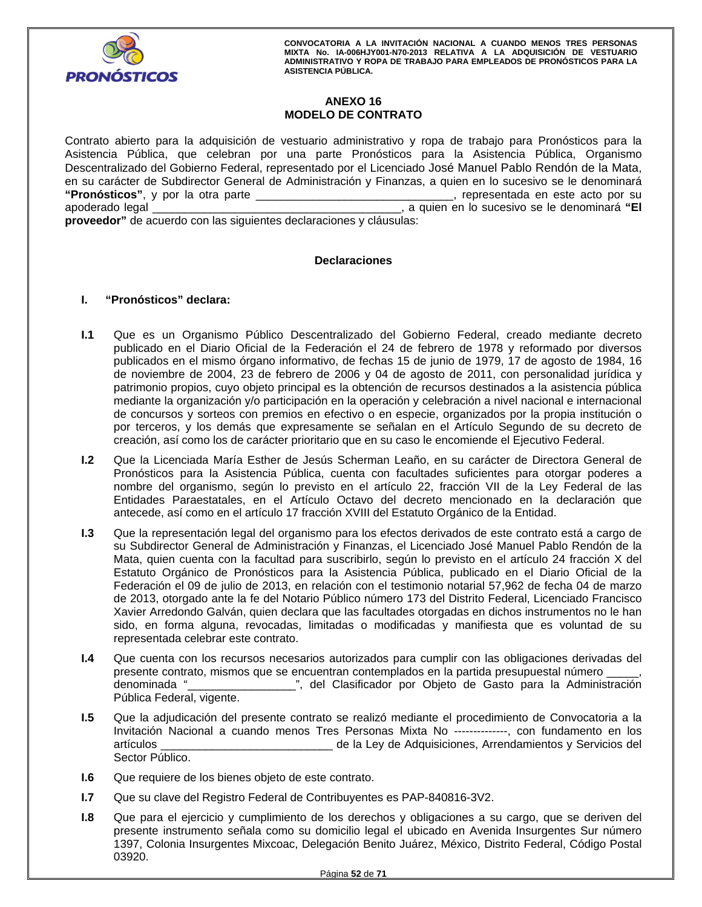

# **ANEXO 16 MODELO DE CONTRATO**

Contrato abierto para la adquisición de vestuario administrativo y ropa de trabajo para Pronósticos para la Asistencia Pública, que celebran por una parte Pronósticos para la Asistencia Pública, Organismo Descentralizado del Gobierno Federal, representado por el Licenciado José Manuel Pablo Rendón de la Mata, en su carácter de Subdirector General de Administración y Finanzas, a quien en lo sucesivo se le denominará **"Pronósticos"**, y por la otra parte \_\_\_\_\_\_\_\_\_\_\_\_\_\_\_\_\_\_\_\_\_\_\_\_\_\_\_\_\_\_\_, representada en este acto por su apoderado legal \_\_\_\_\_\_\_\_\_\_\_\_\_\_\_\_\_\_\_\_\_\_\_\_\_\_\_\_\_\_\_\_\_\_\_\_\_\_\_, a quien en lo sucesivo se le denominará **"El proveedor"** de acuerdo con las siguientes declaraciones y cláusulas:

# **Declaraciones**

# **I. "Pronósticos" declara:**

- **I.1** Que es un Organismo Público Descentralizado del Gobierno Federal, creado mediante decreto publicado en el Diario Oficial de la Federación el 24 de febrero de 1978 y reformado por diversos publicados en el mismo órgano informativo, de fechas 15 de junio de 1979, 17 de agosto de 1984, 16 de noviembre de 2004, 23 de febrero de 2006 y 04 de agosto de 2011, con personalidad jurídica y patrimonio propios, cuyo objeto principal es la obtención de recursos destinados a la asistencia pública mediante la organización y/o participación en la operación y celebración a nivel nacional e internacional de concursos y sorteos con premios en efectivo o en especie, organizados por la propia institución o por terceros, y los demás que expresamente se señalan en el Artículo Segundo de su decreto de creación, así como los de carácter prioritario que en su caso le encomiende el Ejecutivo Federal.
- nombre del organismo, según lo previsto en el artículo 22, fracción VII de la Ley Federal<br>Entidades Paraestatales, en el Artículo Octavo del decreto mencionado en la declaraci<br>antecede, así como en el artículo 17 fracción **I.2** Que la Licenciada María Esther de Jesús Scherman Leaño, en su carácter de Directora General de Pronósticos para la Asistencia Pública, cuenta con facultades suficientes para otorgar poderes a nombre del organismo, según lo previsto en el artículo 22, fracción VII de la Ley Federal de las Entidades Paraestatales, en el Artículo Octavo del decreto mencionado en la declaración que antecede, así como en el artículo 17 fracción XVIII del Estatuto Orgánico de la Entidad.
- **I.3** Que la representación legal del organismo para los efectos derivados de este contrato está a cargo de su Subdirector General de Administración y Finanzas, el Licenciado José Manuel Pablo Rendón de la Mata, quien cuenta con la facultad para suscribirlo, según lo previsto en el artículo 24 fracción X del Estatuto Orgánico de Pronósticos para la Asistencia Pública, publicado en el Diario Oficial de la Federación el 09 de julio de 2013, en relación con el testimonio notarial 57,962 de fecha 04 de marzo de 2013, otorgado ante la fe del Notario Público número 173 del Distrito Federal, Licenciado Francisco Xavier Arredondo Galván, quien declara que las facultades otorgadas en dichos instrumentos no le han sido, en forma alguna, revocadas, limitadas o modificadas y manifiesta que es voluntad de su representada celebrar este contrato.
- **I.4** Que cuenta con los recursos necesarios autorizados para cumplir con las obligaciones derivadas del presente contrato, mismos que se encuentran contemplados en la partida presupuestal número denominada "\_\_\_\_\_\_\_\_\_\_\_\_\_\_\_\_\_", del Clasificador por Objeto de Gasto para la Administración Pública Federal, vigente.
- **I.5** Que la adjudicación del presente contrato se realizó mediante el procedimiento de Convocatoria a la Invitación Nacional a cuando menos Tres Personas Mixta No --------------, con fundamento en los artículos \_\_\_\_\_\_\_\_\_\_\_\_\_\_\_\_\_\_\_\_\_\_\_\_\_\_\_ de la Ley de Adquisiciones, Arrendamientos y Servicios del Sector Público.
- **I.6** Que requiere de los bienes objeto de este contrato.
- **I.7** Que su clave del Registro Federal de Contribuyentes es PAP-840816-3V2.
- **I.8** Que para el ejercicio y cumplimiento de los derechos y obligaciones a su cargo, que se deriven del presente instrumento señala como su domicilio legal el ubicado en Avenida Insurgentes Sur número 1397, Colonia Insurgentes Mixcoac, Delegación Benito Juárez, México, Distrito Federal, Código Postal 03920.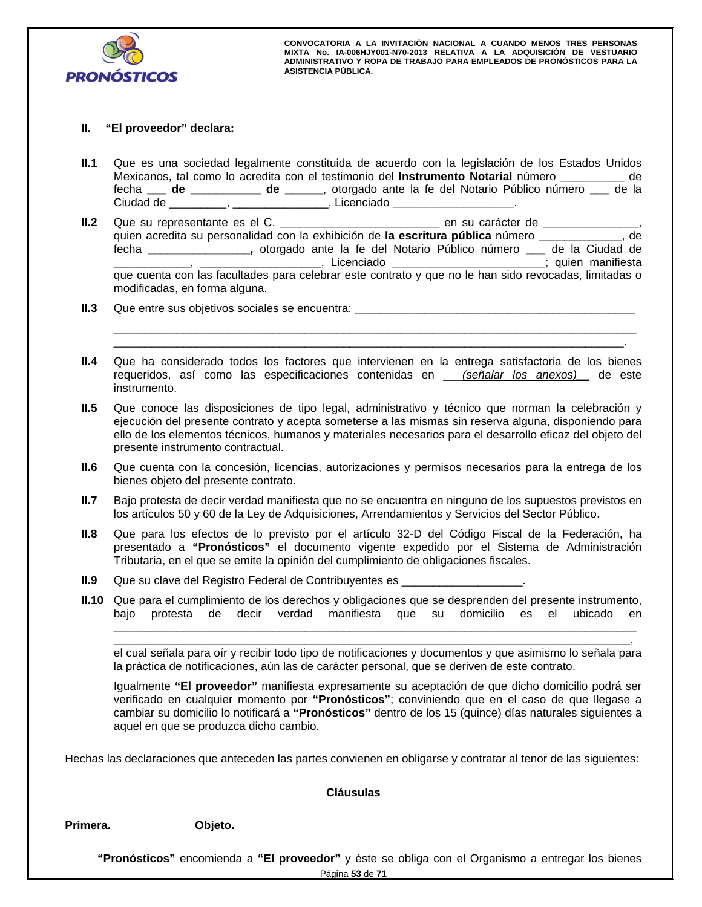

# **II. "El proveedor" declara:**

- **II.1** Que es una sociedad legalmente constituida de acuerdo con la legislación de los Estados Unidos Mexicanos, tal como lo acredita con el testimonio del **Instrumento Notarial** número **\_\_\_\_\_\_\_\_\_\_** de fecha **\_\_\_ de \_\_\_\_\_\_\_\_\_\_\_ de \_\_\_\_\_\_**, otorgado ante la fe del Notario Público número **\_\_\_** de la Ciudad de \_\_\_\_\_\_\_\_\_, \_\_\_\_\_\_\_\_\_\_\_\_\_\_\_, Licenciado **\_\_\_\_\_\_\_\_\_\_\_\_\_\_\_\_\_\_\_**.
- The correction of the contract of the contract of the contract of the contract of the contract of the contract of the contract of the contract of the contract of the contract of the contract of the contract of the contract **II.2** Que su representante es el C. **\_\_\_\_\_\_\_\_\_\_\_\_\_\_\_\_\_\_\_\_\_\_\_\_\_** en su carácter de **\_\_\_\_\_\_\_\_\_\_\_\_\_\_\_**, quien acredita su personalidad con la exhibición de **la escritura pública** número **\_\_\_\_\_\_\_\_\_\_\_\_\_**, de fecha **\_\_\_\_\_\_\_\_\_\_\_\_\_\_\_\_,** otorgado ante la fe del Notario Público número **\_\_\_** de la Ciudad de \_\_\_\_\_\_\_\_\_\_\_\_\_\_\_\_\_\_\_\_\_\_\_, Licenciado \_\_\_\_\_\_\_\_\_\_\_\_\_\_\_\_\_\_\_\_\_\_\_\_\_\_\_\_; quien manifiesta que cuenta con las facultades para celebrar este contrato y que no le han sido revocadas, limitadas o modificadas, en forma alguna.
- **II.3** Que entre sus objetivos sociales se encuentra: \_\_\_\_\_\_\_\_\_\_\_\_\_\_\_\_\_\_\_\_\_\_\_\_\_\_\_
- **II.4** Que ha considerado todos los factores que intervienen en la entrega satisfactoria de los bienes requeridos, así como las especificaciones contenidas en \_\_\_*(señalar los anexos)\_\_* de este instrumento.

\_\_\_\_\_\_\_\_\_\_\_\_\_\_\_\_\_\_\_\_\_\_\_\_\_\_\_\_\_\_\_\_\_\_\_\_\_\_\_\_\_\_\_\_\_\_\_\_\_\_\_\_\_\_\_\_\_\_\_\_\_\_\_\_\_\_\_\_\_\_\_\_\_\_\_\_\_\_\_\_\_\_ \_\_\_\_\_\_\_\_\_\_\_\_\_\_\_\_\_\_\_\_\_\_\_\_\_\_\_\_\_\_\_\_\_\_\_\_\_\_\_\_\_\_\_\_\_\_\_\_\_\_\_\_\_\_\_\_\_\_\_\_\_\_\_\_\_\_\_\_\_\_\_\_\_\_\_\_\_\_\_\_.

- **II.5** Que conoce las disposiciones de tipo legal, administrativo y técnico que norman la celebración y ejecución del presente contrato y acepta someterse a las mismas sin reserva alguna, disponiendo para ello de los elementos técnicos, humanos y materiales necesarios para el desarrollo eficaz del objeto del presente instrumento contractual.
- **II.6** Que cuenta con la concesión, licencias, autorizaciones y permisos necesarios para la entrega de los bienes objeto del presente contrato.
- **II.7** Bajo protesta de decir verdad manifiesta que no se encuentra en ninguno de los supuestos previstos en los artículos 50 y 60 de la Ley de Adquisiciones, Arrendamientos y Servicios del Sector Público.
- **II.8** Que para los efectos de lo previsto por el artículo 32-D del Código Fiscal de la Federación, ha presentado a **"Pronósticos"** el documento vigente expedido por el Sistema de Administración Tributaria, en el que se emite la opinión del cumplimiento de obligaciones fiscales.
- **II.9** Que su clave del Registro Federal de Contribuyentes es
- **II.10** Que para el cumplimiento de los derechos y obligaciones que se desprenden del presente instrumento, bajo protesta de decir verdad manifiesta que su domicilio es el ubicado en

**\_\_\_\_\_\_\_\_\_\_\_\_\_\_\_\_\_\_\_\_\_\_\_\_\_\_\_\_\_\_\_\_\_\_\_\_\_\_\_\_\_\_\_\_\_\_\_\_\_\_\_\_\_\_\_\_\_\_\_\_\_\_\_\_\_\_\_\_\_\_\_\_\_\_\_\_\_\_\_\_\_**, el cual señala para oír y recibir todo tipo de notificaciones y documentos y que asimismo lo señala para la práctica de notificaciones, aún las de carácter personal, que se deriven de este contrato.

**\_\_\_\_\_\_\_\_\_\_\_\_\_\_\_\_\_\_\_\_\_\_\_\_\_\_\_\_\_\_\_\_\_\_\_\_\_\_\_\_\_\_\_\_\_\_\_\_\_\_\_\_\_\_\_\_\_\_\_\_\_\_\_\_\_\_\_\_\_\_\_\_\_\_\_\_\_\_\_\_\_\_**

Igualmente **"El proveedor"** manifiesta expresamente su aceptación de que dicho domicilio podrá ser verificado en cualquier momento por **"Pronósticos"**; conviniendo que en el caso de que llegase a cambiar su domicilio lo notificará a **"Pronósticos"** dentro de los 15 (quince) días naturales siguientes a aquel en que se produzca dicho cambio.

Hechas las declaraciones que anteceden las partes convienen en obligarse y contratar al tenor de las siguientes:

# **Cláusulas**

**Primera. Objeto.** 

**"Pronósticos"** encomienda a **"El proveedor"** y éste se obliga con el Organismo a entregar los bienes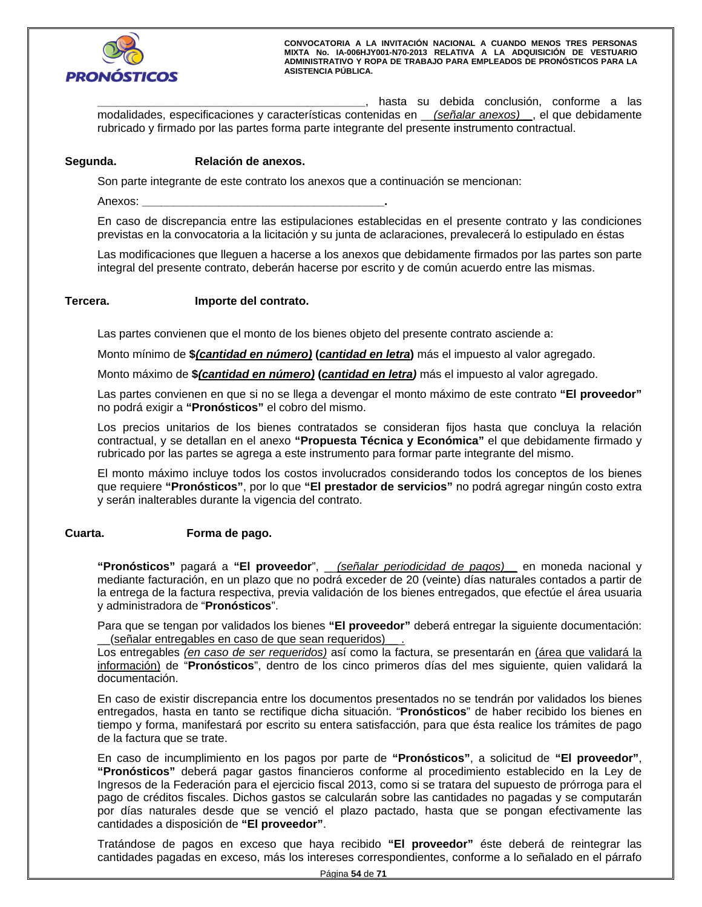

**\_\_\_\_\_\_\_\_\_\_\_\_\_\_\_\_\_\_\_\_\_\_\_\_\_\_\_\_\_\_\_\_\_\_\_\_\_\_\_\_\_\_**, hasta su debida conclusión, conforme a las modalidades, especificaciones y características contenidas en \_\_*(señalar anexos)\_\_*, el que debidamente rubricado y firmado por las partes forma parte integrante del presente instrumento contractual.

# **Segunda. Relación de anexos.**

Son parte integrante de este contrato los anexos que a continuación se mencionan:

Anexos: **\_\_\_\_\_\_\_\_\_\_\_\_\_\_\_\_\_\_\_\_\_\_\_\_\_\_\_\_\_\_\_\_\_\_\_\_\_\_.**

En caso de discrepancia entre las estipulaciones establecidas en el presente contrato y las condiciones previstas en la convocatoria a la licitación y su junta de aclaraciones, prevalecerá lo estipulado en éstas

Las modificaciones que lleguen a hacerse a los anexos que debidamente firmados por las partes son parte integral del presente contrato, deberán hacerse por escrito y de común acuerdo entre las mismas.

# **Tercera. Importe del contrato.**

Las partes convienen que el monto de los bienes objeto del presente contrato asciende a:

Monto mínimo de **\$***(cantidad en número)* **(***cantidad en letra***)** más el impuesto al valor agregado.

Monto máximo de **\$***(cantidad en número)* **(***cantidad en letra)* más el impuesto al valor agregado.

Las partes convienen en que si no se llega a devengar el monto máximo de este contrato **"El proveedor"** no podrá exigir a **"Pronósticos"** el cobro del mismo.

Los precios unitarios de los bienes contratados se consideran fijos hasta que concluya la relación contractual, y se detallan en el anexo **"Propuesta Técnica y Económica"** el que debidamente firmado y rubricado por las partes se agrega a este instrumento para formar parte integrante del mismo.

El monto máximo incluye todos los costos involucrados considerando todos los conceptos de los bienes que requiere **"Pronósticos"**, por lo que **"El prestador de servicios"** no podrá agregar ningún costo extra y serán inalterables durante la vigencia del contrato.

# **Cuarta. Forma de pago.**

**"Pronósticos"** pagará a **"El proveedor**", \_\_*(señalar periodicidad de pagos)\_\_* en moneda nacional y mediante facturación, en un plazo que no podrá exceder de 20 (veinte) días naturales contados a partir de la entrega de la factura respectiva, previa validación de los bienes entregados, que efectúe el área usuaria y administradora de "**Pronósticos**".

Para que se tengan por validados los bienes **"El proveedor"** deberá entregar la siguiente documentación: \_\_(señalar entregables en caso de que sean requeridos)\_\_ .

Los entregables *(en caso de ser requeridos)* así como la factura, se presentarán en (área que validará la información) de "**Pronósticos**", dentro de los cinco primeros días del mes siguiente, quien validará la documentación.

En caso de existir discrepancia entre los documentos presentados no se tendrán por validados los bienes entregados, hasta en tanto se rectifique dicha situación. "**Pronósticos**" de haber recibido los bienes en tiempo y forma, manifestará por escrito su entera satisfacción, para que ésta realice los trámites de pago de la factura que se trate.

por días naturales desde que se venció el plazo pactado, hasta que se pongan efectivamente las<br>cantidades a disposición de "El proveedor". En caso de incumplimiento en los pagos por parte de **"Pronósticos"**, a solicitud de **"El proveedor"**, **"Pronósticos"** deberá pagar gastos financieros conforme al procedimiento establecido en la Ley de Ingresos de la Federación para el ejercicio fiscal 2013, como si se tratara del supuesto de prórroga para el pago de créditos fiscales. Dichos gastos se calcularán sobre las cantidades no pagadas y se computarán cantidades a disposición de **"El proveedor"**.

Tratándose de pagos en exceso que haya recibido **"El proveedor"** éste deberá de reintegrar las cantidades pagadas en exceso, más los intereses correspondientes, conforme a lo señalado en el párrafo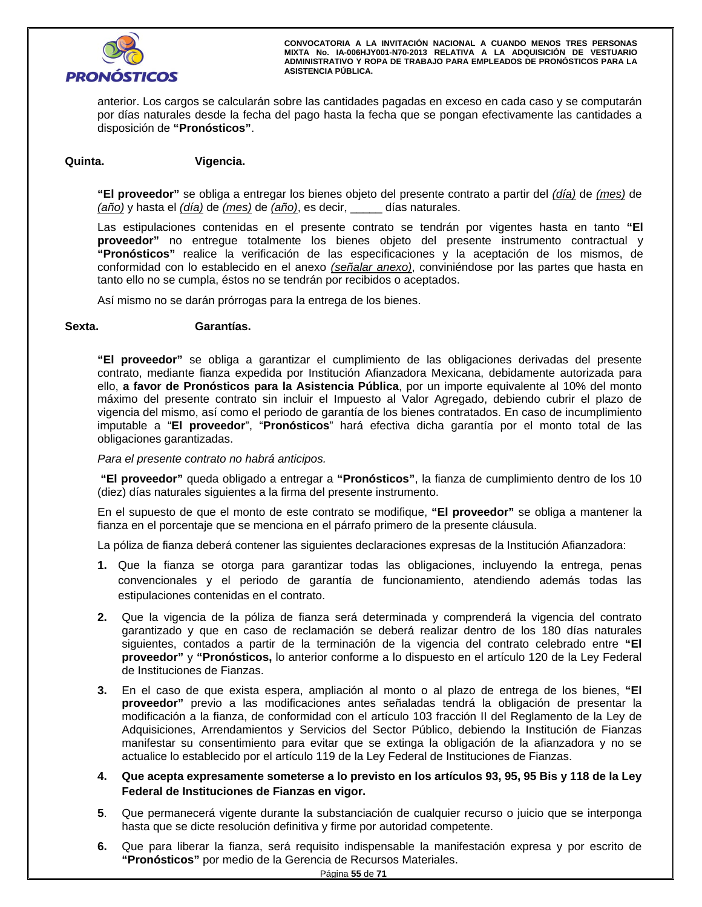

anterior. Los cargos se calcularán sobre las cantidades pagadas en exceso en cada caso y se computarán por días naturales desde la fecha del pago hasta la fecha que se pongan efectivamente las cantidades a disposición de **"Pronósticos"**.

# **Quinta. Vigencia.**

**"El proveedor"** se obliga a entregar los bienes objeto del presente contrato a partir del *(día)* de *(mes)* de *(año)* y hasta el *(día)* de *(mes)* de *(año)*, es decir, \_\_\_\_\_ días naturales.

Las estipulaciones contenidas en el presente contrato se tendrán por vigentes hasta en tanto **"El proveedor"** no entregue totalmente los bienes objeto del presente instrumento contractual y **"Pronósticos"** realice la verificación de las especificaciones y la aceptación de los mismos, de conformidad con lo establecido en el anexo *(señalar anexo)*, conviniéndose por las partes que hasta en tanto ello no se cumpla, éstos no se tendrán por recibidos o aceptados.

Así mismo no se darán prórrogas para la entrega de los bienes.

## **Sexta. Garantías.**

**"El proveedor"** se obliga a garantizar el cumplimiento de las obligaciones derivadas del presente contrato, mediante fianza expedida por Institución Afianzadora Mexicana, debidamente autorizada para ello, **a favor de Pronósticos para la Asistencia Pública**, por un importe equivalente al 10% del monto máximo del presente contrato sin incluir el Impuesto al Valor Agregado, debiendo cubrir el plazo de vigencia del mismo, así como el periodo de garantía de los bienes contratados. En caso de incumplimiento imputable a "**El proveedor**", "**Pronósticos**" hará efectiva dicha garantía por el monto total de las obligaciones garantizadas.

*Para el presente contrato no habrá anticipos.*

 **"El proveedor"** queda obligado a entregar a **"Pronósticos"**, la fianza de cumplimiento dentro de los 10 (diez) días naturales siguientes a la firma del presente instrumento.

En el supuesto de que el monto de este contrato se modifique, **"El proveedor"** se obliga a mantener la fianza en el porcentaje que se menciona en el párrafo primero de la presente cláusula.

La póliza de fianza deberá contener las siguientes declaraciones expresas de la Institución Afianzadora:

- **1.** Que la fianza se otorga para garantizar todas las obligaciones, incluyendo la entrega, penas convencionales y el periodo de garantía de funcionamiento, atendiendo además todas las estipulaciones contenidas en el contrato.
- **2.** Que la vigencia de la póliza de fianza será determinada y comprenderá la vigencia del contrato garantizado y que en caso de reclamación se deberá realizar dentro de los 180 días naturales siguientes, contados a partir de la terminación de la vigencia del contrato celebrado entre **"El proveedor"** y **"Pronósticos,** lo anterior conforme a lo dispuesto en el artículo 120 de la Ley Federal de Instituciones de Fianzas.
- **3.** En el caso de que exista espera, ampliación al monto o al plazo de entrega de los bienes, **"El proveedor"** previo a las modificaciones antes señaladas tendrá la obligación de presentar la modificación a la fianza, de conformidad con el artículo 103 fracción II del Reglamento de la Ley de Adquisiciones, Arrendamientos y Servicios del Sector Público, debiendo la Institución de Fianzas manifestar su consentimiento para evitar que se extinga la obligación de la afianzadora y no se actualice lo establecido por el artículo 119 de la Ley Federal de Instituciones de Fianzas.
- 4. Que acepta expresamente someterse a lo previsto en los artículos 93, 95, 95 Bis y 118 de la Ley<br>Federal de Instituciones de Fianzas en vigor. **Federal de Instituciones de Fianzas en vigor.**
- **5**. Que permanecerá vigente durante la substanciación de cualquier recurso o juicio que se interponga hasta que se dicte resolución definitiva y firme por autoridad competente.
- **6.** Que para liberar la fianza, será requisito indispensable la manifestación expresa y por escrito de **"Pronósticos"** por medio de la Gerencia de Recursos Materiales.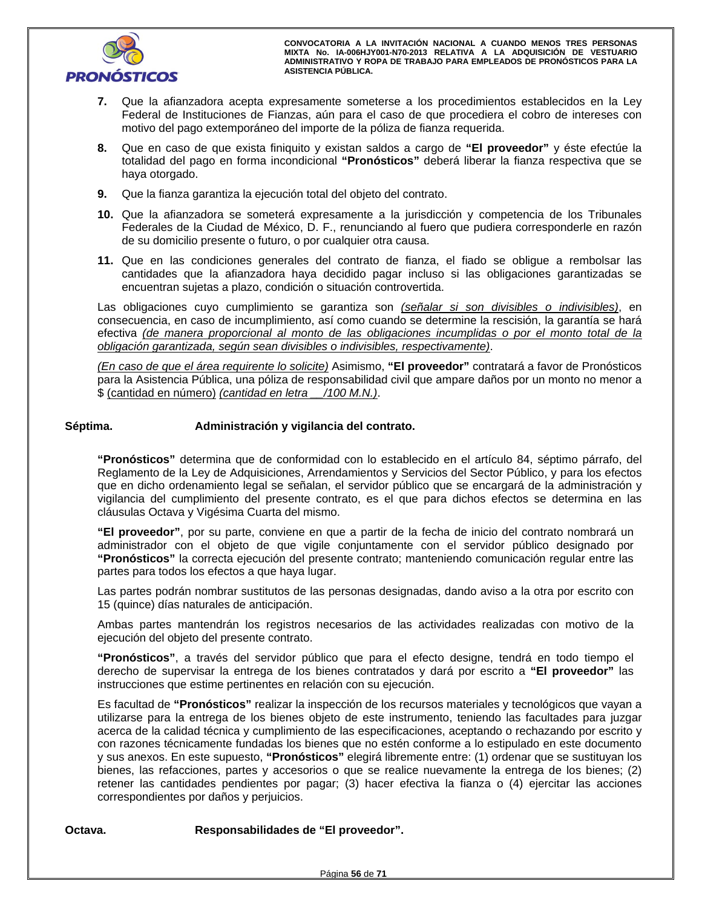

- **7.** Que la afianzadora acepta expresamente someterse a los procedimientos establecidos en la Ley Federal de Instituciones de Fianzas, aún para el caso de que procediera el cobro de intereses con motivo del pago extemporáneo del importe de la póliza de fianza requerida.
- **8.** Que en caso de que exista finiquito y existan saldos a cargo de **"El proveedor"** y éste efectúe la totalidad del pago en forma incondicional **"Pronósticos"** deberá liberar la fianza respectiva que se haya otorgado.
- **9.** Que la fianza garantiza la ejecución total del objeto del contrato.
- **10.** Que la afianzadora se someterá expresamente a la jurisdicción y competencia de los Tribunales Federales de la Ciudad de México, D. F., renunciando al fuero que pudiera corresponderle en razón de su domicilio presente o futuro, o por cualquier otra causa.
- **11.** Que en las condiciones generales del contrato de fianza, el fiado se obligue a rembolsar las cantidades que la afianzadora haya decidido pagar incluso si las obligaciones garantizadas se encuentran sujetas a plazo, condición o situación controvertida.

Las obligaciones cuyo cumplimiento se garantiza son *(señalar si son divisibles o indivisibles)*, en consecuencia, en caso de incumplimiento, así como cuando se determine la rescisión, la garantía se hará efectiva *(de manera proporcional al monto de las obligaciones incumplidas o por el monto total de la obligación garantizada, según sean divisibles o indivisibles, respectivamente)*.

*(En caso de que el área requirente lo solicite)* Asimismo, **"El proveedor"** contratará a favor de Pronósticos para la Asistencia Pública, una póliza de responsabilidad civil que ampare daños por un monto no menor a \$ (cantidad en número) *(cantidad en letra \_\_/100 M.N.)*.

# Séptima. **Administración y vigilancia del contrato.**

**"Pronósticos"** determina que de conformidad con lo establecido en el artículo 84, séptimo párrafo, del Reglamento de la Ley de Adquisiciones, Arrendamientos y Servicios del Sector Público, y para los efectos que en dicho ordenamiento legal se señalan, el servidor público que se encargará de la administración y vigilancia del cumplimiento del presente contrato, es el que para dichos efectos se determina en las cláusulas Octava y Vigésima Cuarta del mismo.

**"El proveedor"**, por su parte, conviene en que a partir de la fecha de inicio del contrato nombrará un administrador con el objeto de que vigile conjuntamente con el servidor público designado por **"Pronósticos"** la correcta ejecución del presente contrato; manteniendo comunicación regular entre las partes para todos los efectos a que haya lugar.

Las partes podrán nombrar sustitutos de las personas designadas, dando aviso a la otra por escrito con 15 (quince) días naturales de anticipación.

Ambas partes mantendrán los registros necesarios de las actividades realizadas con motivo de la ejecución del objeto del presente contrato.

ución del objeto del presente contrato.<br>**pnósticos''**, a través del servidor público que para el efecto designe, tendrá en todo tiemp<br>cho de supervisar la entrega de los bienes contratados y dará por escrito a "El proveedo **"Pronósticos"**, a través del servidor público que para el efecto designe, tendrá en todo tiempo el derecho de supervisar la entrega de los bienes contratados y dará por escrito a **"El proveedor"** las instrucciones que estime pertinentes en relación con su ejecución.

Es facultad de **"Pronósticos"** realizar la inspección de los recursos materiales y tecnológicos que vayan a utilizarse para la entrega de los bienes objeto de este instrumento, teniendo las facultades para juzgar acerca de la calidad técnica y cumplimiento de las especificaciones, aceptando o rechazando por escrito y con razones técnicamente fundadas los bienes que no estén conforme a lo estipulado en este documento y sus anexos. En este supuesto, **"Pronósticos"** elegirá libremente entre: (1) ordenar que se sustituyan los bienes, las refacciones, partes y accesorios o que se realice nuevamente la entrega de los bienes; (2) retener las cantidades pendientes por pagar; (3) hacer efectiva la fianza o (4) ejercitar las acciones correspondientes por daños y perjuicios.

**Octava. Responsabilidades de "El proveedor".**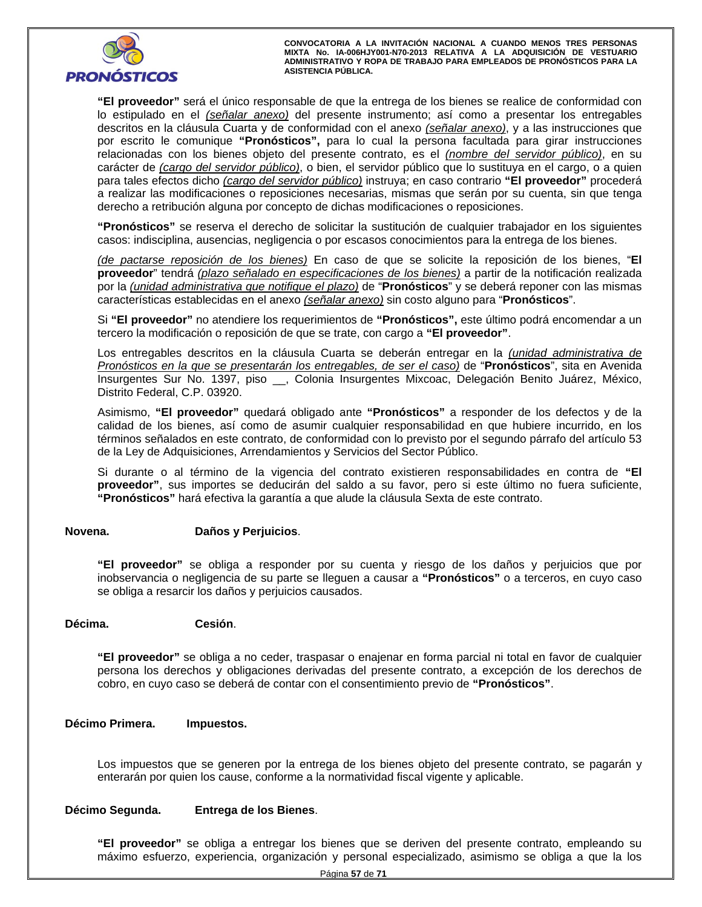

**"El proveedor"** será el único responsable de que la entrega de los bienes se realice de conformidad con lo estipulado en el *(señalar anexo)* del presente instrumento; así como a presentar los entregables descritos en la cláusula Cuarta y de conformidad con el anexo *(señalar anexo)*, y a las instrucciones que por escrito le comunique **"Pronósticos",** para lo cual la persona facultada para girar instrucciones relacionadas con los bienes objeto del presente contrato, es el *(nombre del servidor público)*, en su carácter de *(cargo del servidor público)*, o bien, el servidor público que lo sustituya en el cargo, o a quien para tales efectos dicho *(cargo del servidor público)* instruya; en caso contrario **"El proveedor"** procederá a realizar las modificaciones o reposiciones necesarias, mismas que serán por su cuenta, sin que tenga derecho a retribución alguna por concepto de dichas modificaciones o reposiciones.

**"Pronósticos"** se reserva el derecho de solicitar la sustitución de cualquier trabajador en los siguientes casos: indisciplina, ausencias, negligencia o por escasos conocimientos para la entrega de los bienes.

*(de pactarse reposición de los bienes)* En caso de que se solicite la reposición de los bienes, "**El proveedor**" tendrá *(plazo señalado en especificaciones de los bienes)* a partir de la notificación realizada por la *(unidad administrativa que notifique el plazo)* de "**Pronósticos**" y se deberá reponer con las mismas características establecidas en el anexo *(señalar anexo)* sin costo alguno para "**Pronósticos**".

Si **"El proveedor"** no atendiere los requerimientos de **"Pronósticos",** este último podrá encomendar a un tercero la modificación o reposición de que se trate, con cargo a **"El proveedor"**.

Los entregables descritos en la cláusula Cuarta se deberán entregar en la *(unidad administrativa de Pronósticos en la que se presentarán los entregables, de ser el caso)* de "**Pronósticos**", sita en Avenida Insurgentes Sur No. 1397, piso \_\_, Colonia Insurgentes Mixcoac, Delegación Benito Juárez, México, Distrito Federal, C.P. 03920.

Asimismo, **"El proveedor"** quedará obligado ante **"Pronósticos"** a responder de los defectos y de la calidad de los bienes, así como de asumir cualquier responsabilidad en que hubiere incurrido, en los términos señalados en este contrato, de conformidad con lo previsto por el segundo párrafo del artículo 53 de la Ley de Adquisiciones, Arrendamientos y Servicios del Sector Público.

Si durante o al término de la vigencia del contrato existieren responsabilidades en contra de **"El proveedor"**, sus importes se deducirán del saldo a su favor, pero si este último no fuera suficiente, **"Pronósticos"** hará efectiva la garantía a que alude la cláusula Sexta de este contrato.

# **Novena. Daños y Perjuicios**.

Daños y Perjuicios.<br>Margola de Contrato de Contrato de Contrato de Contrato de Contrato de Contrato de Contrato de Contrato de Co **"El proveedor"** se obliga a responder por su cuenta y riesgo de los daños y perjuicios que por inobservancia o negligencia de su parte se lleguen a causar a **"Pronósticos"** o a terceros, en cuyo caso se obliga a resarcir los daños y perjuicios causados.

# **Décima. Cesión**.

**"El proveedor"** se obliga a no ceder, traspasar o enajenar en forma parcial ni total en favor de cualquier persona los derechos y obligaciones derivadas del presente contrato, a excepción de los derechos de cobro, en cuyo caso se deberá de contar con el consentimiento previo de **"Pronósticos"**.

# **Décimo Primera. Impuestos.**

Los impuestos que se generen por la entrega de los bienes objeto del presente contrato, se pagarán y enterarán por quien los cause, conforme a la normatividad fiscal vigente y aplicable.

# **Décimo Segunda. Entrega de los Bienes**.

**"El proveedor"** se obliga a entregar los bienes que se deriven del presente contrato, empleando su máximo esfuerzo, experiencia, organización y personal especializado, asimismo se obliga a que la los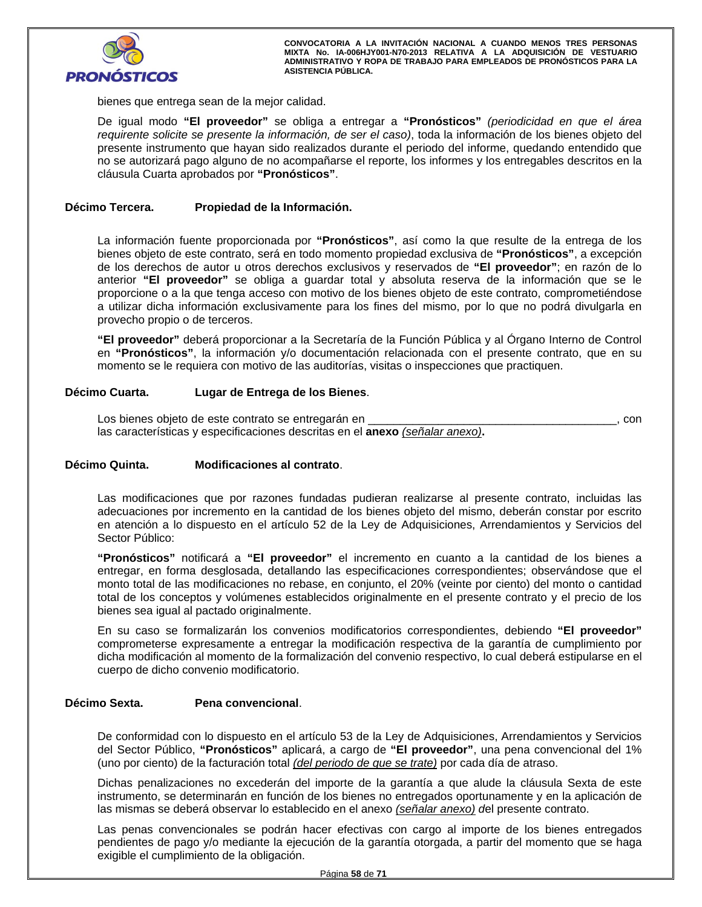

bienes que entrega sean de la mejor calidad.

De igual modo **"El proveedor"** se obliga a entregar a **"Pronósticos"** *(periodicidad en que el área requirente solicite se presente la información, de ser el caso)*, toda la información de los bienes objeto del presente instrumento que hayan sido realizados durante el periodo del informe, quedando entendido que no se autorizará pago alguno de no acompañarse el reporte, los informes y los entregables descritos en la cláusula Cuarta aprobados por **"Pronósticos"**.

# **Décimo Tercera. Propiedad de la Información.**

La información fuente proporcionada por **"Pronósticos"**, así como la que resulte de la entrega de los bienes objeto de este contrato, será en todo momento propiedad exclusiva de **"Pronósticos"**, a excepción de los derechos de autor u otros derechos exclusivos y reservados de **"El proveedor"**; en razón de lo anterior **"El proveedor"** se obliga a guardar total y absoluta reserva de la información que se le proporcione o a la que tenga acceso con motivo de los bienes objeto de este contrato, comprometiéndose a utilizar dicha información exclusivamente para los fines del mismo, por lo que no podrá divulgarla en provecho propio o de terceros.

**"El proveedor"** deberá proporcionar a la Secretaría de la Función Pública y al Órgano Interno de Control en **"Pronósticos"**, la información y/o documentación relacionada con el presente contrato, que en su momento se le requiera con motivo de las auditorías, visitas o inspecciones que practiquen.

## **Décimo Cuarta. Lugar de Entrega de los Bienes**.

Los bienes objeto de este contrato se entregarán en \_\_\_\_\_\_\_\_\_\_\_\_\_\_\_\_\_\_\_\_\_\_\_\_\_\_\_\_\_\_\_\_\_\_\_\_\_\_\_, con las características y especificaciones descritas en el **anexo** *(señalar anexo)***.**

# inta. Modificaciones al contrato. **Décimo Quinta. Modificaciones al contrato**.

Las modificaciones que por razones fundadas pudieran realizarse al presente contrato, incluidas las adecuaciones por incremento en la cantidad de los bienes objeto del mismo, deberán constar por escrito en atención a lo dispuesto en el artículo 52 de la Ley de Adquisiciones, Arrendamientos y Servicios del Sector Público:

**"Pronósticos"** notificará a **"El proveedor"** el incremento en cuanto a la cantidad de los bienes a entregar, en forma desglosada, detallando las especificaciones correspondientes; observándose que el monto total de las modificaciones no rebase, en conjunto, el 20% (veinte por ciento) del monto o cantidad total de los conceptos y volúmenes establecidos originalmente en el presente contrato y el precio de los bienes sea igual al pactado originalmente.

En su caso se formalizarán los convenios modificatorios correspondientes, debiendo **"El proveedor"**  comprometerse expresamente a entregar la modificación respectiva de la garantía de cumplimiento por dicha modificación al momento de la formalización del convenio respectivo, lo cual deberá estipularse en el cuerpo de dicho convenio modificatorio.

# **Décimo Sexta. Pena convencional**.

De conformidad con lo dispuesto en el artículo 53 de la Ley de Adquisiciones, Arrendamientos y Servicios del Sector Público, **"Pronósticos"** aplicará, a cargo de **"El proveedor"**, una pena convencional del 1% (uno por ciento) de la facturación total *(del periodo de que se trate)* por cada día de atraso.

Dichas penalizaciones no excederán del importe de la garantía a que alude la cláusula Sexta de este instrumento, se determinarán en función de los bienes no entregados oportunamente y en la aplicación de las mismas se deberá observar lo establecido en el anexo *(señalar anexo) d*el presente contrato.

Las penas convencionales se podrán hacer efectivas con cargo al importe de los bienes entregados pendientes de pago y/o mediante la ejecución de la garantía otorgada, a partir del momento que se haga exigible el cumplimiento de la obligación.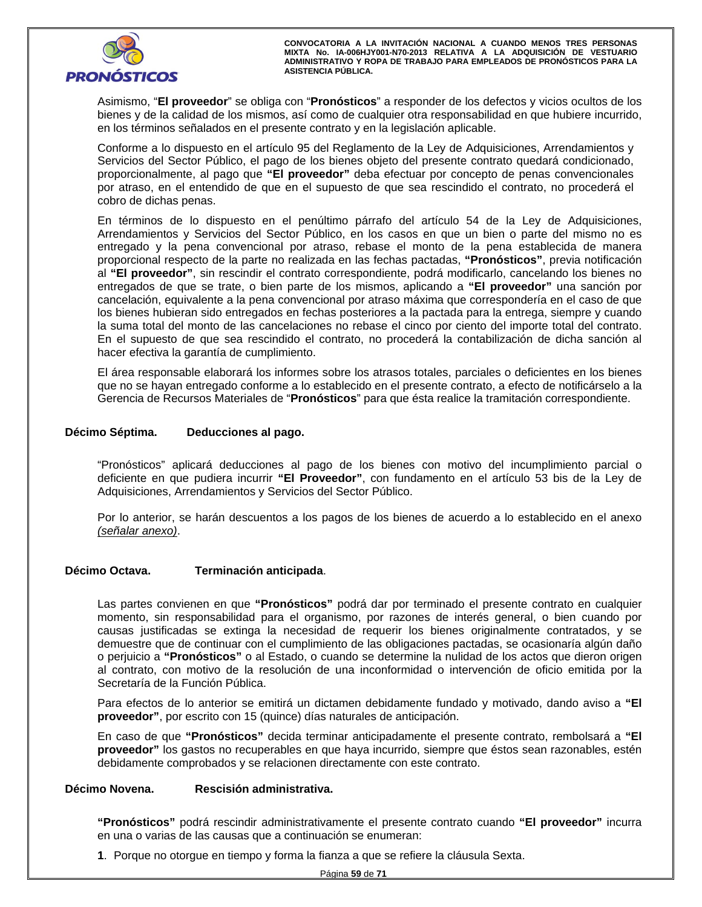

Asimismo, "**El proveedor**" se obliga con "**Pronósticos**" a responder de los defectos y vicios ocultos de los bienes y de la calidad de los mismos, así como de cualquier otra responsabilidad en que hubiere incurrido, en los términos señalados en el presente contrato y en la legislación aplicable.

Conforme a lo dispuesto en el artículo 95 del Reglamento de la Ley de Adquisiciones, Arrendamientos y Servicios del Sector Público, el pago de los bienes objeto del presente contrato quedará condicionado, proporcionalmente, al pago que **"El proveedor"** deba efectuar por concepto de penas convencionales por atraso, en el entendido de que en el supuesto de que sea rescindido el contrato, no procederá el cobro de dichas penas.

o de dichas penas.<br>érminos de lo dispuesto en el penúltimo párrafo del artículo 54 de la Ley de Adquisic<br>ndamientos y Servicios del Sector Público, en los casos en que un bien o parte del mismo En términos de lo dispuesto en el penúltimo párrafo del artículo 54 de la Ley de Adquisiciones, Arrendamientos y Servicios del Sector Público, en los casos en que un bien o parte del mismo no es entregado y la pena convencional por atraso, rebase el monto de la pena establecida de manera proporcional respecto de la parte no realizada en las fechas pactadas, **"Pronósticos"**, previa notificación al **"El proveedor"**, sin rescindir el contrato correspondiente, podrá modificarlo, cancelando los bienes no entregados de que se trate, o bien parte de los mismos, aplicando a **"El proveedor"** una sanción por cancelación, equivalente a la pena convencional por atraso máxima que correspondería en el caso de que los bienes hubieran sido entregados en fechas posteriores a la pactada para la entrega, siempre y cuando la suma total del monto de las cancelaciones no rebase el cinco por ciento del importe total del contrato. En el supuesto de que sea rescindido el contrato, no procederá la contabilización de dicha sanción al hacer efectiva la garantía de cumplimiento.

El área responsable elaborará los informes sobre los atrasos totales, parciales o deficientes en los bienes que no se hayan entregado conforme a lo establecido en el presente contrato, a efecto de notificárselo a la Gerencia de Recursos Materiales de "**Pronósticos**" para que ésta realice la tramitación correspondiente.

# **Décimo Séptima. Deducciones al pago.**

"Pronósticos" aplicará deducciones al pago de los bienes con motivo del incumplimiento parcial o deficiente en que pudiera incurrir **"El Proveedor"**, con fundamento en el artículo 53 bis de la Ley de Adquisiciones, Arrendamientos y Servicios del Sector Público.

Por lo anterior, se harán descuentos a los pagos de los bienes de acuerdo a lo establecido en el anexo *(señalar anexo)*.

# **Décimo Octava. Terminación anticipada**.

Las partes convienen en que **"Pronósticos"** podrá dar por terminado el presente contrato en cualquier momento, sin responsabilidad para el organismo, por razones de interés general, o bien cuando por causas justificadas se extinga la necesidad de requerir los bienes originalmente contratados, y se demuestre que de continuar con el cumplimiento de las obligaciones pactadas, se ocasionaría algún daño o perjuicio a **"Pronósticos"** o al Estado, o cuando se determine la nulidad de los actos que dieron origen al contrato, con motivo de la resolución de una inconformidad o intervención de oficio emitida por la Secretaría de la Función Pública.

Para efectos de lo anterior se emitirá un dictamen debidamente fundado y motivado, dando aviso a **"El proveedor"**, por escrito con 15 (quince) días naturales de anticipación.

En caso de que **"Pronósticos"** decida terminar anticipadamente el presente contrato, rembolsará a **"El proveedor"** los gastos no recuperables en que haya incurrido, siempre que éstos sean razonables, estén debidamente comprobados y se relacionen directamente con este contrato.

## **Décimo Novena. Rescisión administrativa.**

**"Pronósticos"** podrá rescindir administrativamente el presente contrato cuando **"El proveedor"** incurra en una o varias de las causas que a continuación se enumeran:

**1**. Porque no otorgue en tiempo y forma la fianza a que se refiere la cláusula Sexta.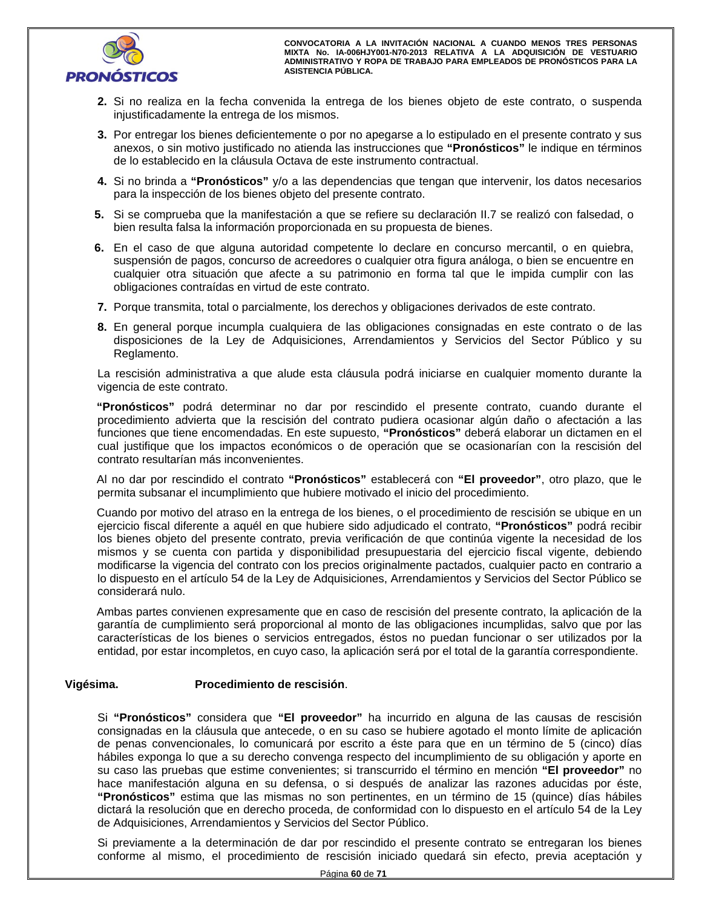

- **2.** Si no realiza en la fecha convenida la entrega de los bienes objeto de este contrato, o suspenda injustificadamente la entrega de los mismos.
- 3. Por entregar los bienes deficientemente o por no apegarse a lo estipulado en el presente correctes, o sin motivo justificado no atienda las instrucciones que "Pronósticos" le indique **3.** Por entregar los bienes deficientemente o por no apegarse a lo estipulado en el presente contrato y sus anexos, o sin motivo justificado no atienda las instrucciones que **"Pronósticos"** le indique en términos de lo establecido en la cláusula Octava de este instrumento contractual.
	- **4.** Si no brinda a **"Pronósticos"** y/o a las dependencias que tengan que intervenir, los datos necesarios para la inspección de los bienes objeto del presente contrato.
- **5.** Si se comprueba que la manifestación a que se refiere su declaración II.7 se realizó con falsedad, o bien resulta falsa la información proporcionada en su propuesta de bienes.
- **6.** En el caso de que alguna autoridad competente lo declare en concurso mercantil, o en quiebra, suspensión de pagos, concurso de acreedores o cualquier otra figura análoga, o bien se encuentre en cualquier otra situación que afecte a su patrimonio en forma tal que le impida cumplir con las obligaciones contraídas en virtud de este contrato.
- **7.** Porque transmita, total o parcialmente, los derechos y obligaciones derivados de este contrato.
- **8.** En general porque incumpla cualquiera de las obligaciones consignadas en este contrato o de las disposiciones de la Ley de Adquisiciones, Arrendamientos y Servicios del Sector Público y su Reglamento.

La rescisión administrativa a que alude esta cláusula podrá iniciarse en cualquier momento durante la vigencia de este contrato.

**"Pronósticos"** podrá determinar no dar por rescindido el presente contrato, cuando durante el procedimiento advierta que la rescisión del contrato pudiera ocasionar algún daño o afectación a las funciones que tiene encomendadas. En este supuesto, **"Pronósticos"** deberá elaborar un dictamen en el cual justifique que los impactos económicos o de operación que se ocasionarían con la rescisión del contrato resultarían más inconvenientes.

Al no dar por rescindido el contrato **"Pronósticos"** establecerá con **"El proveedor"**, otro plazo, que le permita subsanar el incumplimiento que hubiere motivado el inicio del procedimiento.

Cuando por motivo del atraso en la entrega de los bienes, o el procedimiento de rescisión se ubique en un ejercicio fiscal diferente a aquél en que hubiere sido adjudicado el contrato, **"Pronósticos"** podrá recibir los bienes objeto del presente contrato, previa verificación de que continúa vigente la necesidad de los mismos y se cuenta con partida y disponibilidad presupuestaria del ejercicio fiscal vigente, debiendo modificarse la vigencia del contrato con los precios originalmente pactados, cualquier pacto en contrario a lo dispuesto en el artículo 54 de la Ley de Adquisiciones, Arrendamientos y Servicios del Sector Público se considerará nulo.

Ambas partes convienen expresamente que en caso de rescisión del presente contrato, la aplicación de la garantía de cumplimiento será proporcional al monto de las obligaciones incumplidas, salvo que por las características de los bienes o servicios entregados, éstos no puedan funcionar o ser utilizados por la entidad, por estar incompletos, en cuyo caso, la aplicación será por el total de la garantía correspondiente.

# **Vigésima. Procedimiento de rescisión**.

Mobiles exponga lo que a su derecho convenga respecto del incumplimiento de su obligación y aporte en su caso las pruebas que estime convenientes; si transcurrido el término en mención "**El proveedor**" no hace manifestació Si **"Pronósticos"** considera que **"El proveedor"** ha incurrido en alguna de las causas de rescisión consignadas en la cláusula que antecede, o en su caso se hubiere agotado el monto límite de aplicación de penas convencionales, lo comunicará por escrito a éste para que en un término de 5 (cinco) días su caso las pruebas que estime convenientes; si transcurrido el término en mención **"El proveedor"** no hace manifestación alguna en su defensa, o si después de analizar las razones aducidas por éste, **"Pronósticos"** estima que las mismas no son pertinentes, en un término de 15 (quince) días hábiles dictará la resolución que en derecho proceda, de conformidad con lo dispuesto en el artículo 54 de la Ley de Adquisiciones, Arrendamientos y Servicios del Sector Público.

Si previamente a la determinación de dar por rescindido el presente contrato se entregaran los bienes conforme al mismo, el procedimiento de rescisión iniciado quedará sin efecto, previa aceptación y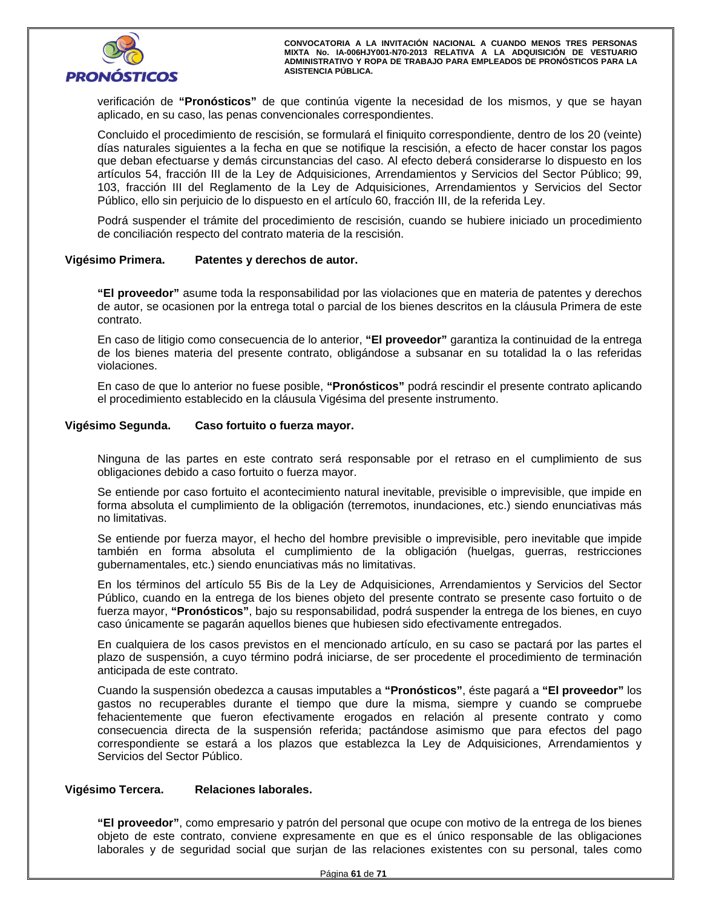

verificación de **"Pronósticos"** de que continúa vigente la necesidad de los mismos, y que se hayan aplicado, en su caso, las penas convencionales correspondientes.

Concluido el procedimiento de rescisión, se formulará el finiquito correspondiente, dentro de los 20 (veinte) días naturales siguientes a la fecha en que se notifique la rescisión, a efecto de hacer constar los pagos que deban efectuarse y demás circunstancias del caso. Al efecto deberá considerarse lo dispuesto en los artículos 54, fracción III de la Ley de Adquisiciones, Arrendamientos y Servicios del Sector Público; 99, 103, fracción III del Reglamento de la Ley de Adquisiciones, Arrendamientos y Servicios del Sector Público, ello sin perjuicio de lo dispuesto en el artículo 60, fracción III, de la referida Ley.

Podrá suspender el trámite del procedimiento de rescisión, cuando se hubiere iniciado un procedimiento de conciliación respecto del contrato materia de la rescisión.

## **Vigésimo Primera. Patentes y derechos de autor.**

**"El proveedor"** asume toda la responsabilidad por las violaciones que en materia de patentes y derechos de autor, se ocasionen por la entrega total o parcial de los bienes descritos en la cláusula Primera de este contrato.

En caso de litigio como consecuencia de lo anterior, **"El proveedor"** garantiza la continuidad de la entrega de los bienes materia del presente contrato, obligándose a subsanar en su totalidad la o las referidas violaciones.

En caso de que lo anterior no fuese posible, **"Pronósticos"** podrá rescindir el presente contrato aplicando el procedimiento establecido en la cláusula Vigésima del presente instrumento.

## **Vigésimo Segunda. Caso fortuito o fuerza mayor.**

Ninguna de las partes en este contrato será responsable por el retraso en el cumplimiento de sus obligaciones debido a caso fortuito o fuerza mayor.

Se entiende por caso fortuito el acontecimiento natural inevitable, previsible o imprevisible, que impide en forma absoluta el cumplimiento de la obligación (terremotos, inundaciones, etc.) siendo enunciativas más no limitativas.

Se entiende por fuerza mayor, el hecho del hombre previsible o imprevisible, pero inevitable que impide también en forma absoluta el cumplimiento de la obligación (huelgas, guerras, restricciones gubernamentales, etc.) siendo enunciativas más no limitativas.

'ublico, cuando en la entrega de los bienes objeto del presente contrato se presente caso fori<br>uerza mayor, "**Pronósticos**", bajo su responsabilidad, podrá suspender la entrega de los bienes<br>aso únicamente se pagarán aquel En los términos del artículo 55 Bis de la Ley de Adquisiciones, Arrendamientos y Servicios del Sector Público, cuando en la entrega de los bienes objeto del presente contrato se presente caso fortuito o de fuerza mayor, **"Pronósticos"**, bajo su responsabilidad, podrá suspender la entrega de los bienes, en cuyo caso únicamente se pagarán aquellos bienes que hubiesen sido efectivamente entregados.

En cualquiera de los casos previstos en el mencionado artículo, en su caso se pactará por las partes el plazo de suspensión, a cuyo término podrá iniciarse, de ser procedente el procedimiento de terminación anticipada de este contrato.

Cuando la suspensión obedezca a causas imputables a **"Pronósticos"**, éste pagará a **"El proveedor"** los gastos no recuperables durante el tiempo que dure la misma, siempre y cuando se compruebe fehacientemente que fueron efectivamente erogados en relación al presente contrato y como consecuencia directa de la suspensión referida; pactándose asimismo que para efectos del pago correspondiente se estará a los plazos que establezca la Ley de Adquisiciones, Arrendamientos y Servicios del Sector Público.

# **Vigésimo Tercera. Relaciones laborales.**

**"El proveedor"**, como empresario y patrón del personal que ocupe con motivo de la entrega de los bienes objeto de este contrato, conviene expresamente en que es el único responsable de las obligaciones laborales y de seguridad social que surjan de las relaciones existentes con su personal, tales como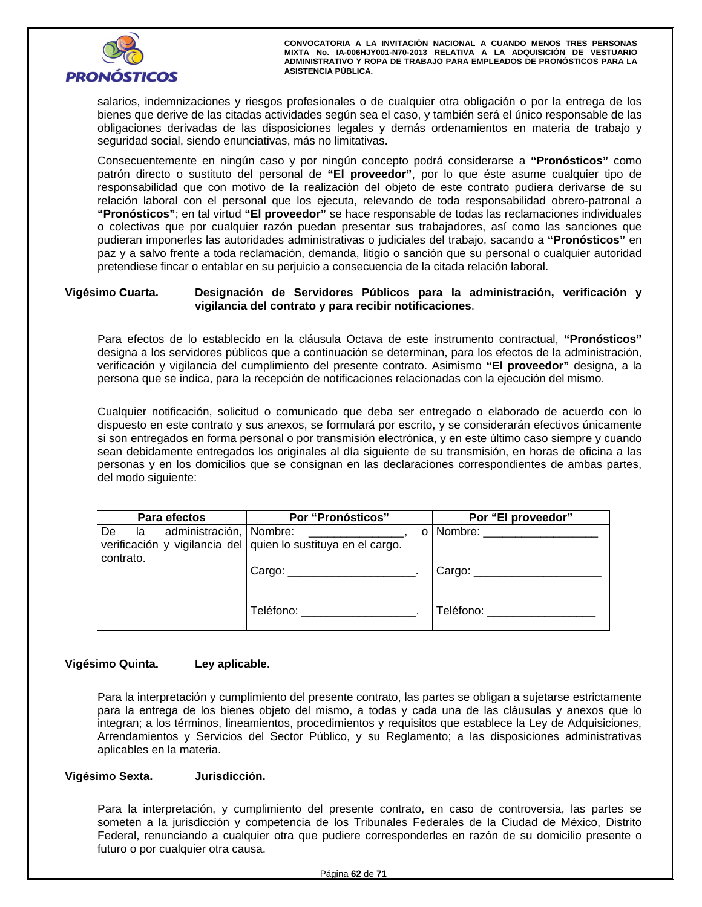

salarios, indemnizaciones y riesgos profesionales o de cualquier otra obligación o por la entrega de los bienes que derive de las citadas actividades según sea el caso, y también será el único responsable de las obligaciones derivadas de las disposiciones legales y demás ordenamientos en materia de trabajo y seguridad social, siendo enunciativas, más no limitativas.

Consecuentemente en ningún caso y por ningún concepto podrá considerarse a **"Pronósticos"** como patrón directo o sustituto del personal de **"El proveedor"**, por lo que éste asume cualquier tipo de responsabilidad que con motivo de la realización del objeto de este contrato pudiera derivarse de su relación laboral con el personal que los ejecuta, relevando de toda responsabilidad obrero-patronal a **"Pronósticos"**; en tal virtud **"El proveedor"** se hace responsable de todas las reclamaciones individuales o colectivas que por cualquier razón puedan presentar sus trabajadores, así como las sanciones que pudieran imponerles las autoridades administrativas o judiciales del trabajo, sacando a **"Pronósticos"** en paz y a salvo frente a toda reclamación, demanda, litigio o sanción que su personal o cualquier autoridad pretendiese fincar o entablar en su perjuicio a consecuencia de la citada relación laboral.

# **Vigésimo Cuarta. Designación de Servidores Públicos para la administración, verificación y vigilancia del contrato y para recibir notificaciones**.

Para efectos de lo establecido en la cláusula Octava de este instrumento contractual, **"Pronósticos"** designa a los servidores públicos que a continuación se determinan, para los efectos de la administración, verificación y vigilancia del cumplimiento del presente contrato. Asimismo **"El proveedor"** designa, a la persona que se indica, para la recepción de notificaciones relacionadas con la ejecución del mismo.

Cualquier notificación, solicitud o comunicado que deba ser entregado o elaborado de acuerdo con lo dispuesto en este contrato y sus anexos, se formulará por escrito, y se considerarán efectivos únicamente si son entregados en forma personal o por transmisión electrónica, y en este último caso siempre y cuando sean debidamente entregados los originales al día siguiente de su transmisión, en horas de oficina a las personas y en los domicilios que se consignan en las declaraciones correspondientes de ambas partes, del modo siguiente:

| Para efectos                                     | <b>Por "Pronósticos"</b>                                      | Por "El proveedor"                             |
|--------------------------------------------------|---------------------------------------------------------------|------------------------------------------------|
| administración, Nombre:<br>De<br>la<br>contrato. | verificación y vigilancia del quien lo sustituya en el cargo. | o   Nombre: _______                            |
|                                                  | Cargo: _________________________                              | Cargo: $\frac{\phantom{aaaa}}{\phantom{aaaa}}$ |
|                                                  | Teléfono:                                                     | Teléfono:                                      |

# **Vigésimo Quinta. Ley aplicable.**

Para la interpretación y cumplimiento del presente contrato, las partes se obligan a sujetarse estrictamente para la entrega de los bienes objeto del mismo, a todas y cada una de las cláusulas y anexos que lo integran; a los términos, lineamientos, procedimientos y requisitos que establece la Ley de Adquisiciones, Arrendamientos y Servicios del Sector Público, y su Reglamento; a las disposiciones administrativas aplicables en la materia.

# **Vigésimo Sexta. Jurisdicción.**

Para la interpretación, y cumplimiento del presente contrato, en caso de controversia, las partes se someten a la jurisdicción y competencia de los Tribunales Federales de la Ciudad de México, Distrito Federal, renunciando a cualquier otra que pudiere corresponderles en razón de su domicilio presente o futuro o por cualquier otra causa.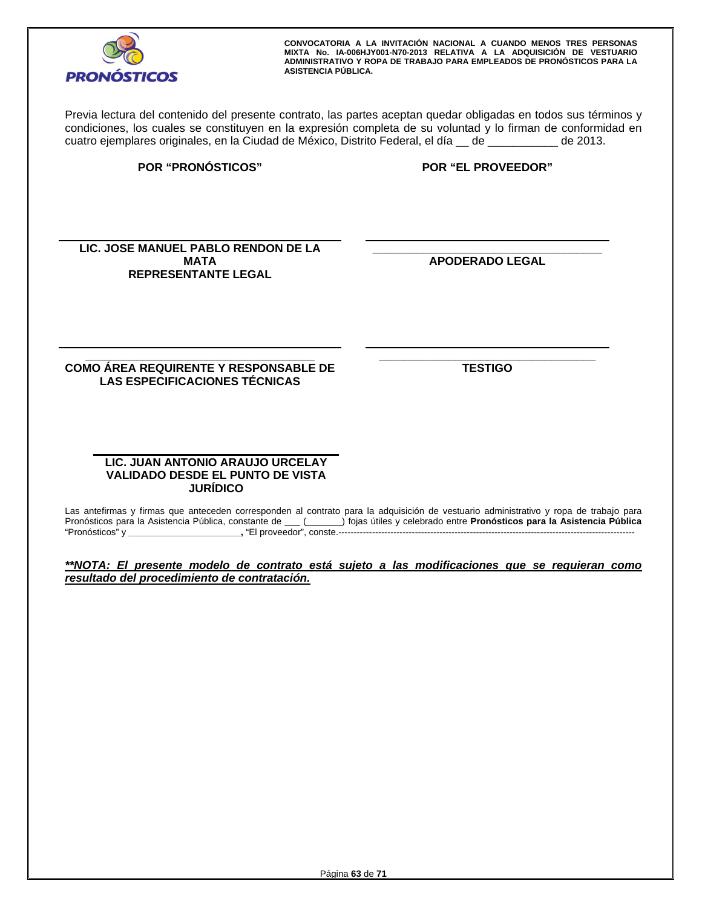

Previa lectura del contenido del presente contrato, las partes aceptan quedar obligadas en todos sus términos y condiciones, los cuales se constituyen en la expresión completa de su voluntad y lo firman de conformidad en cuatro ejemplares originales, en la Ciudad de México, Distrito Federal, el día \_\_ de \_\_\_\_\_\_\_\_\_\_\_ de 2013.

**POR "PRONÓSTICOS" POR "EL PROVEEDOR"**

LIC. JOSE MANUEL PABLO RENDON DE LA **ALC. EN ENDON DE LA DE CONTRATA DE CONTRATA**<br>MATA REPRESENTANTE LEGAL REPRESENTANTE LEGAL **MATA REPRESENTANTE LEGAL** 

**\_\_\_\_\_\_\_\_\_\_\_\_\_\_\_\_\_\_\_\_\_\_\_\_\_\_\_\_\_\_\_\_\_\_\_\_ APODERADO LEGAL** 

**\_\_\_\_\_\_\_\_\_\_\_\_\_\_\_\_\_\_\_\_\_\_\_\_\_\_\_\_\_\_\_\_\_\_\_\_ COMO ÁREA REQUIRENTE Y RESPONSABLE DE LAS ESPECIFICACIONES TÉCNICAS** 

 **\_\_\_\_\_\_\_\_\_\_\_\_\_\_\_\_\_\_\_\_\_\_\_\_\_\_\_\_\_\_\_\_\_\_ TESTIGO** 

# **LIC. JUAN ANTONIO ARAUJO URCELAY VALIDADO DESDE EL PUNTO DE VISTA JURÍDICO**

Las antefirmas y firmas que anteceden corresponden al contrato para la adquisición de vestuario administrativo y ropa de trabajo para Pronósticos para la Asistencia Pública, constante de \_\_\_ (\_\_\_\_\_\_\_) fojas útiles y celebrado entre **Pronósticos para la Asistencia Pública** "Pronósticos" y **\_\_\_\_\_\_\_\_\_\_\_\_\_\_\_\_\_\_\_\_\_\_,** "El proveedor", conste.-------------------------------------------------------------------------------------------------

*\*\*NOTA: El presente modelo de contrato está sujeto a las modificaciones que se requieran como resultado del procedimiento de contratación.*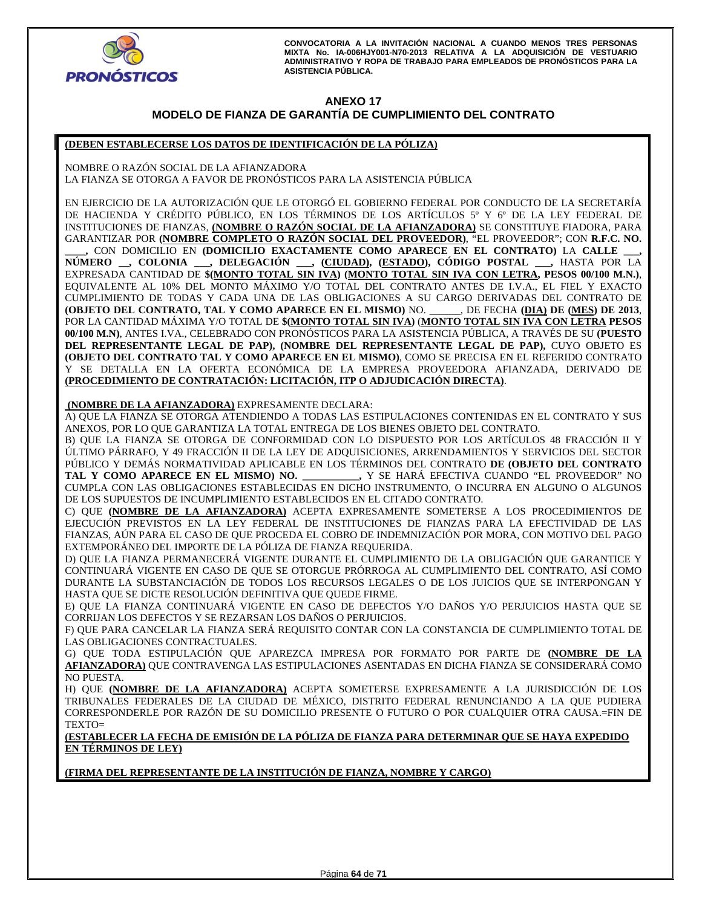

# **ANEXO 17 MODELO DE FIANZA DE GARANTÍA DE CUMPLIMIENTO DEL CONTRATO**

## **(DEBEN ESTABLECERSE LOS DATOS DE IDENTIFICACIÓN DE LA PÓLIZA)**

NOMBRE O RAZÓN SOCIAL DE LA AFIANZADORA LA FIANZA SE OTORGA A FAVOR DE PRONÓSTICOS PARA LA ASISTENCIA PÚBLICA

EN EJERCICIO DE LA AUTORIZACIÓN QUE LE OTORGÓ EL GOBIERNO FEDERAL POR CONDUCTO DE LA SECRETARÍA DE HACIENDA Y CRÉDITO PÚBLICO, EN LOS TÉRMINOS DE LOS ARTÍCULOS 5º Y 6º DE LA LEY FEDERAL DE INSTITUCIONES DE FIANZAS, **(NOMBRE O RAZÓN SOCIAL DE LA AFIANZADORA)** SE CONSTITUYE FIADORA, PARA GARANTIZAR POR **(NOMBRE COMPLETO O RAZÓN SOCIAL DEL PROVEEDOR)**, "EL PROVEEDOR"; CON **R.F.C. NO.** 

**\_\_\_\_,** CON DOMICILIO EN **(DOMICILIO EXACTAMENTE COMO APARECE EN EL CONTRATO)** LA **CALLE \_\_\_, NÚMERO \_\_, COLONIA \_\_\_, DELEGACIÓN \_\_\_, (CIUDAD), (ESTADO), CÓDIGO POSTAL \_\_\_,** HASTA POR LA EXPRESADA CANTIDAD DE **\$(MONTO TOTAL SIN IVA) (MONTO TOTAL SIN IVA CON LETRA, PESOS 00/100 M.N.)**, EQUIVALENTE AL 10% DEL MONTO MÁXIMO Y/O TOTAL DEL CONTRATO ANTES DE I.V.A., EL FIEL Y EXACTO CUMPLIMIENTO DE TODAS Y CADA UNA DE LAS OBLIGACIONES A SU CARGO DERIVADAS DEL CONTRATO DE **(OBJETO DEL CONTRATO, TAL Y COMO APARECE EN EL MISMO)** NO. **\_\_\_\_\_\_**, DE FECHA **(DIA) DE (MES) DE 2013**, POR LA CANTIDAD MÁXIMA Y/O TOTAL DE **\$(MONTO TOTAL SIN IVA)** (**MONTO TOTAL SIN IVA CON LETRA PESOS 00/100 M.N)**, ANTES I.VA., CELEBRADO CON PRONÓSTICOS PARA LA ASISTENCIA PÚBLICA, A TRAVÉS DE SU **(PUESTO DEL REPRESENTANTE LEGAL DE PAP), (NOMBRE DEL REPRESENTANTE LEGAL DE PAP),** CUYO OBJETO ES **(OBJETO DEL CONTRATO TAL Y COMO APARECE EN EL MISMO)**, COMO SE PRECISA EN EL REFERIDO CONTRATO Y SE DETALLA EN LA OFERTA ECONÓMICA DE LA EMPRESA PROVEEDORA AFIANZADA, DERIVADO DE **(PROCEDIMIENTO DE CONTRATACIÓN: LICITACIÓN, ITP O ADJUDICACIÓN DIRECTA)**.

## **(NOMBRE DE LA AFIANZADORA)** EXPRESAMENTE DECLARA:

A) QUE LA FIANZA SE OTORGA ATENDIENDO A TODAS LAS ESTIPULACIONES CONTENIDAS EN EL CONTRATO Y SUS ANEXOS, POR LO QUE GARANTIZA LA TOTAL ENTREGA DE LOS BIENES OBJETO DEL CONTRATO.

B) QUE LA FIANZA SE OTORGA DE CONFORMIDAD CON LO DISPUESTO POR LOS ARTÍCULOS 48 FRACCIÓN II Y ÚLTIMO PÁRRAFO, Y 49 FRACCIÓN II DE LA LEY DE ADQUISICIONES, ARRENDAMIENTOS Y SERVICIOS DEL SECTOR PÚBLICO Y DEMÁS NORMATIVIDAD APLICABLE EN LOS TÉRMINOS DEL CONTRATO **DE (OBJETO DEL CONTRATO TAL Y COMO APARECE EN EL MISMO) NO. \_\_\_\_\_\_\_\_\_\_\_,** Y SE HARÁ EFECTIVA CUANDO "EL PROVEEDOR" NO CUMPLA CON LAS OBLIGACIONES ESTABLECIDAS EN DICHO INSTRUMENTO, O INCURRA EN ALGUNO O ALGUNOS DE LOS SUPUESTOS DE INCUMPLIMIENTO ESTABLECIDOS EN EL CITADO CONTRATO.

C) QUE **(NOMBRE DE LA AFIANZADORA)** ACEPTA EXPRESAMENTE SOMETERSE A LOS PROCEDIMIENTOS DE EJECUCIÓN PREVISTOS EN LA LEY FEDERAL DE INSTITUCIONES DE FIANZAS PARA LA EFECTIVIDAD DE LAS FIANZAS, AÚN PARA EL CASO DE QUE PROCEDA EL COBRO DE INDEMNIZACIÓN POR MORA, CON MOTIVO DEL PAGO EXTEMPORÁNEO DEL IMPORTE DE LA PÓLIZA DE FIANZA REQUERIDA.

D) QUE LA FIANZA PERMANECERÁ VIGENTE DURANTE EL CUMPLIMIENTO DE LA OBLIGACIÓN QUE GARANTICE Y CONTINUARÁ VIGENTE EN CASO DE QUE SE OTORGUE PRÓRROGA AL CUMPLIMIENTO DEL CONTRATO, ASÍ COMO DURANTE LA SUBSTANCIACIÓN DE TODOS LOS RECURSOS LEGALES O DE LOS JUICIOS QUE SE INTERPONGAN Y HASTA QUE SE DICTE RESOLUCIÓN DEFINITIVA QUE QUEDE FIRME.

E) QUE LA FIANZA CONTINUARÁ VIGENTE EN CASO DE DEFECTOS Y/O DAÑOS Y/O PERJUICIOS HASTA QUE SE CORRIJAN LOS DEFECTOS Y SE REZARSAN LOS DAÑOS O PERJUICIOS.

F) QUE PARA CANCELAR LA FIANZA SERÁ REQUISITO CONTAR CON LA CONSTANCIA DE CUMPLIMIENTO TOTAL DE LAS OBLIGACIONES CONTRACTUALES.

G) QUE TODA ESTIPULACIÓN QUE APAREZCA IMPRESA POR FORMATO POR PARTE DE **(NOMBRE DE LA AFIANZADORA)** QUE CONTRAVENGA LAS ESTIPULACIONES ASENTADAS EN DICHA FIANZA SE CONSIDERARÁ COMO NO PUESTA.

H) QUE **(NOMBRE DE LA AFIANZADORA)** ACEPTA SOMETERSE EXPRESAMENTE A LA JURISDICCIÓN DE LOS TRIBUNALES FEDERALES DE LA CIUDAD DE MÉXICO, DISTRITO FEDERAL RENUNCIANDO A LA QUE PUDIERA CORRESPONDERLE POR RAZÓN DE SU DOMICILIO PRESENTE O FUTURO O POR CUALQUIER OTRA CAUSA.=FIN DE TEXTO=

## **(ESTABLECER LA FECHA DE EMISIÓN DE LA PÓLIZA DE FIANZA PARA DETERMINAR QUE SE HAYA EXPEDIDO EN TÉRMINOS DE LEY)**

**(FIRMA DEL REPRESENTANTE DE LA INSTITUCIÓN DE FIANZA, NOMBRE Y CARGO)**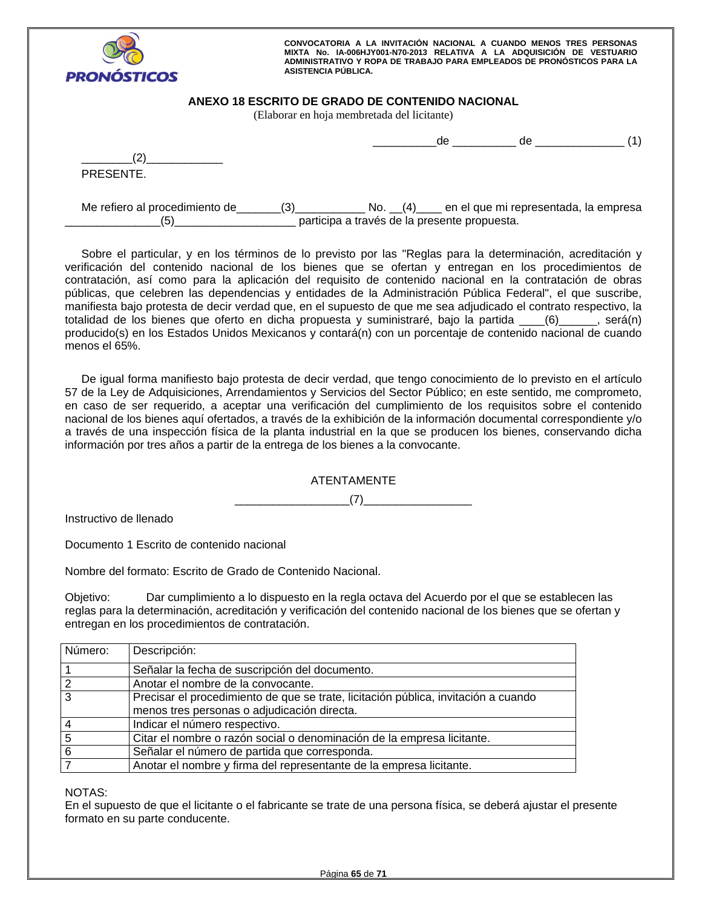

# **ANEXO 18 ESCRITO DE GRADO DE CONTENIDO NACIONAL**

(Elaborar en hoja membretada del licitante)

| $\overline{\phantom{a}}$ |  |  |
|--------------------------|--|--|
| PRESENTE.                |  |  |

Me refiero al procedimiento de \_\_\_\_\_\_(3)\_\_\_\_\_\_\_\_\_\_\_\_\_\_ No. \_\_(4)\_\_\_\_ en el que mi representada, la empresa \_\_\_\_\_\_\_\_\_\_\_\_\_\_\_(5)\_\_\_\_\_\_\_\_\_\_\_\_\_\_\_\_\_\_\_ participa a través de la presente propuesta.

Sobre el particular, y en los términos de lo previsto por las "Reglas para la determinación, acreditación y verificación del contenido nacional de los bienes que se ofertan y entregan en los procedimientos de contratación, así como para la aplicación del requisito de contenido nacional en la contratación de obras públicas, que celebren las dependencias y entidades de la Administración Pública Federal", el que suscribe, manifiesta bajo protesta de decir verdad que, en el supuesto de que me sea adjudicado el contrato respectivo, la totalidad de los bienes que oferto en dicha propuesta y suministraré, bajo la partida \_\_\_\_(6)\_\_\_\_\_\_, será(n) producido(s) en los Estados Unidos Mexicanos y contará(n) con un porcentaje de contenido nacional de cuando menos el 65%.

De igual forma manifiesto bajo protesta de decir verdad, que tengo conocimiento de lo previsto en el artículo 57 de la Ley de Adquisiciones, Arrendamientos y Servicios del Sector Público; en este sentido, me comprometo, en caso de ser requerido, a aceptar una verificación del cumplimiento de los requisitos sobre el contenido nacional de los bienes aquí ofertados, a través de la exhibición de la información documental correspondiente y/o a través de una inspección física de la planta industrial en la que se producen los bienes, conservando dicha información por tres años a partir de la entrega de los bienes a la convocante.

# ATENTAMENTE

\_\_\_\_\_\_\_\_\_\_\_\_\_\_\_\_\_\_(7)\_\_\_\_\_\_\_\_\_\_\_\_\_\_\_\_\_

Instructivo de llenado

Documento 1 Escrito de contenido nacional

Nombre del formato: Escrito de Grado de Contenido Nacional.

Objetivo: Dar cumplimiento a lo dispuesto en la regla octava del Acuerdo por el que se establecen las reglas para la determinación, acreditación y verificación del contenido nacional de los bienes que se ofertan y entregan en los procedimientos de contratación.

| Número: | Descripción:                                                                       |
|---------|------------------------------------------------------------------------------------|
|         | Señalar la fecha de suscripción del documento.                                     |
|         | Anotar el nombre de la convocante.                                                 |
| 3       | Precisar el procedimiento de que se trate, licitación pública, invitación a cuando |
|         | menos tres personas o adjudicación directa.                                        |
|         | Indicar el número respectivo.                                                      |
|         | Citar el nombre o razón social o denominación de la empresa licitante.             |
| 6       | Señalar el número de partida que corresponda.                                      |
|         | Anotar el nombre y firma del representante de la empresa licitante.                |

NOTAS:

En el supuesto de que el licitante o el fabricante se trate de una persona física, se deberá ajustar el presente formato en su parte conducente.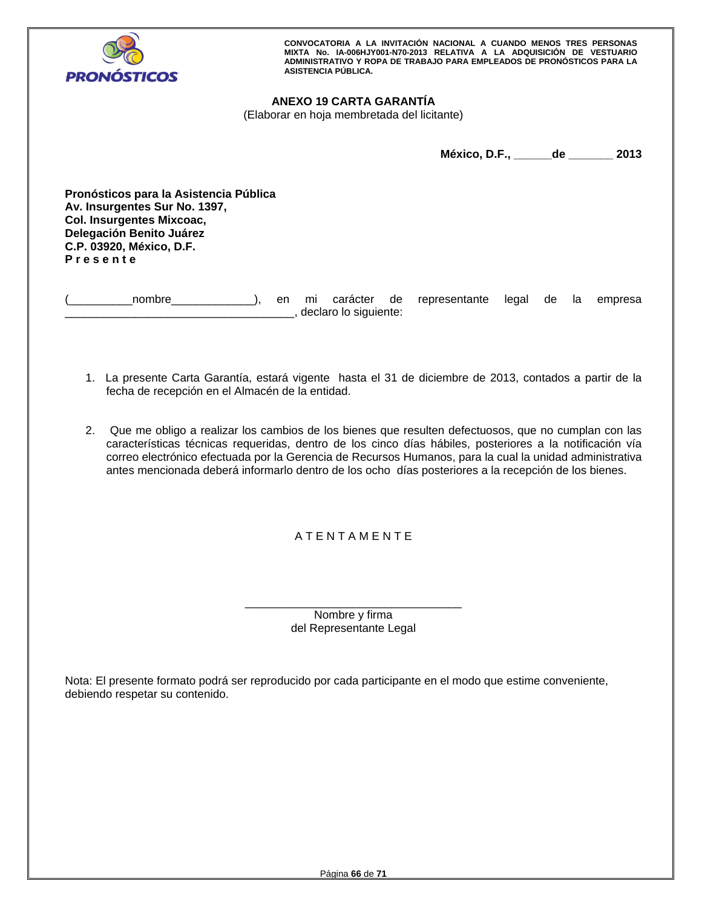

# **ANEXO 19 CARTA GARANTÍA**

(Elaborar en hoja membretada del licitante)

**México, D.F., \_\_\_\_\_\_de \_\_\_\_\_\_\_ 2013** 

**Pronósticos para la Asistencia Pública Av. Insurgentes Sur No. 1397, Col. Insurgentes Mixcoac, Delegación Benito Juárez C.P. 03920, México, D.F. P r e s e n t e** 

(\_\_\_\_\_\_\_\_\_\_nombre\_\_\_\_\_\_\_\_\_\_\_\_\_), en mi carácter de representante legal de la empresa \_\_\_\_\_\_\_\_\_\_\_\_\_\_\_\_\_\_\_\_\_\_\_\_\_\_\_\_\_\_\_\_\_\_\_\_, declaro lo siguiente:

- 1. La presente Carta Garantía, estará vigente hasta el 31 de diciembre de 2013, contados a partir de la fecha de recepción en el Almacén de la entidad.
- 2. Que me obligo a realizar los cambios de los bienes que resulten defectuosos, que no cumplan con las características técnicas requeridas, dentro de los cinco días hábiles, posteriores a la notificación vía correo electrónico efectuada por la Gerencia de Recursos Humanos, para la cual la unidad administrativa antes mencionada deberá informarlo dentro de los ocho días posteriores a la recepción de los bienes.

# A T E N T A M E N T E

\_\_\_\_\_\_\_\_\_\_\_\_\_\_\_\_\_\_\_\_\_\_\_\_\_\_\_\_\_\_\_\_\_\_ Nombre y firma del Representante Legal

Nota: El presente formato podrá ser reproducido por cada participante en el modo que estime conveniente, debiendo respetar su contenido.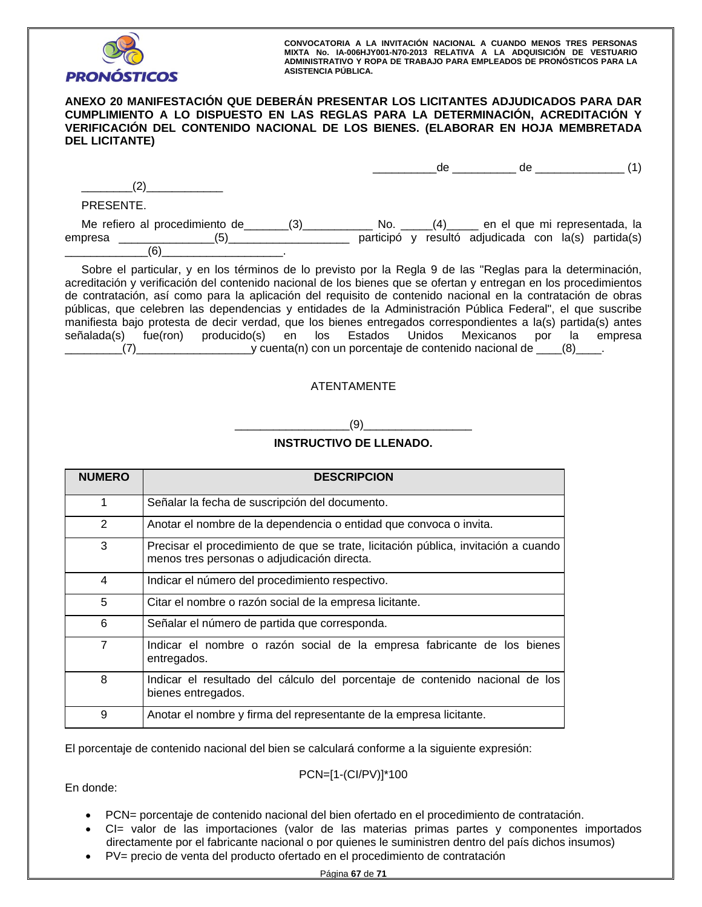

# **ANEXO 20 MANIFESTACIÓN QUE DEBERÁN PRESENTAR LOS LICITANTES ADJUDICADOS PARA DAR CUMPLIMIENTO A LO DISPUESTO EN LAS REGLAS PARA LA DETERMINACIÓN, ACREDITACIÓN Y VERIFICACIÓN DEL CONTENIDO NACIONAL DE LOS BIENES. (ELABORAR EN HOJA MEMBRETADA DEL LICITANTE)**

|                                |     | de  | de.                                                 |                               |
|--------------------------------|-----|-----|-----------------------------------------------------|-------------------------------|
|                                |     |     |                                                     |                               |
| PRESENTE.                      |     |     |                                                     |                               |
| Me refiero al procedimiento de | No. | (4) |                                                     | en el que mi representada, la |
| (5)<br>empresa                 |     |     | participó y resultó adjudicada con la(s) partida(s) |                               |
| (6)                            |     |     |                                                     |                               |

Sobre el particular, y en los términos de lo previsto por la Regla 9 de las "Reglas para la determinación, acreditación y verificación del contenido nacional de los bienes que se ofertan y entregan en los procedimientos de contratación, así como para la aplicación del requisito de contenido nacional en la contratación de obras públicas, que celebren las dependencias y entidades de la Administración Pública Federal", el que suscribe manifiesta bajo protesta de decir verdad, que los bienes entregados correspondientes a la(s) partida(s) antes señalada(s) fue(ron) producido(s) en los Estados Unidos Mexicanos por la empresa \_\_\_\_\_\_\_\_\_(7)\_\_\_\_\_\_\_\_\_\_\_\_\_\_\_\_\_\_y cuenta(n) con un porcentaje de contenido nacional de \_\_\_\_(8)\_\_\_\_.

# ATENTAMENTE

\_\_\_\_\_\_\_\_\_\_\_\_\_\_\_\_\_\_(9)\_\_\_\_\_\_\_\_\_\_\_\_\_\_\_\_\_

# **INSTRUCTIVO DE LLENADO.**

| <b>NUMERO</b>  | <b>DESCRIPCION</b>                                                                                                                |
|----------------|-----------------------------------------------------------------------------------------------------------------------------------|
| 1              | Señalar la fecha de suscripción del documento.                                                                                    |
| 2              | Anotar el nombre de la dependencia o entidad que convoca o invita.                                                                |
| 3              | Precisar el procedimiento de que se trate, licitación pública, invitación a cuando<br>menos tres personas o adjudicación directa. |
| 4              | Indicar el número del procedimiento respectivo.                                                                                   |
| 5              | Citar el nombre o razón social de la empresa licitante.                                                                           |
| 6              | Señalar el número de partida que corresponda.                                                                                     |
| $\overline{7}$ | Indicar el nombre o razón social de la empresa fabricante de los bienes<br>entregados.                                            |
| 8              | Indicar el resultado del cálculo del porcentaje de contenido nacional de los<br>bienes entregados.                                |
| 9              | Anotar el nombre y firma del representante de la empresa licitante.                                                               |

El porcentaje de contenido nacional del bien se calculará conforme a la siguiente expresión:

# PCN=[1-(CI/PV)]\*100

En donde:

- PCN= porcentaje de contenido nacional del bien ofertado en el procedimiento de contratación.
- CI= valor de las importaciones (valor de las materias primas partes y componentes importados directamente por el fabricante nacional o por quienes le suministren dentro del país dichos insumos)
- PV= precio de venta del producto ofertado en el procedimiento de contratación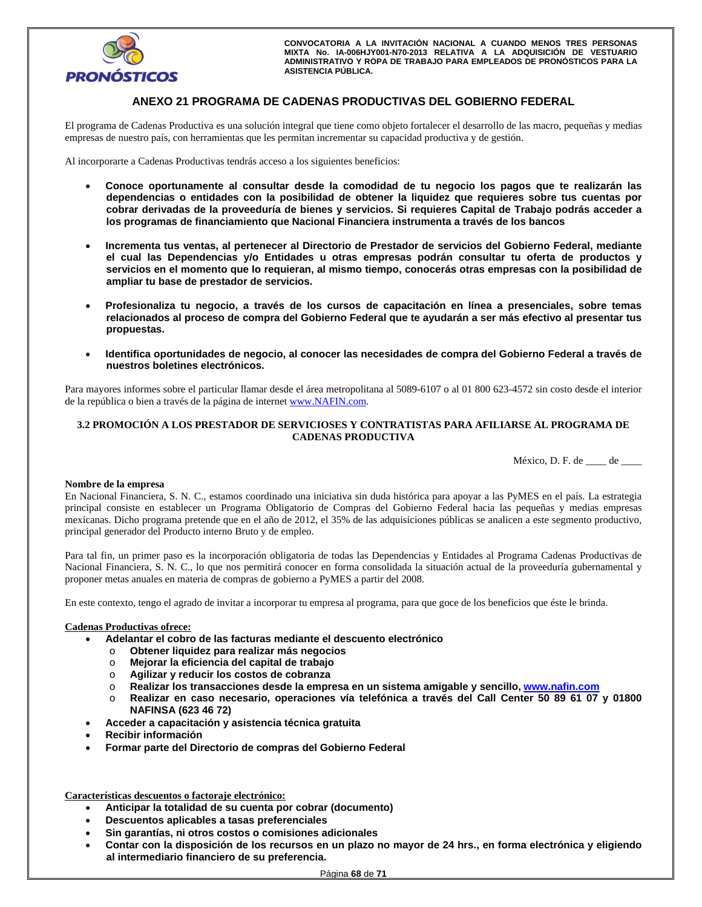

# **ANEXO 21 PROGRAMA DE CADENAS PRODUCTIVAS DEL GOBIERNO FEDERAL**

El programa de Cadenas Productiva es una solución integral que tiene como objeto fortalecer el desarrollo de las macro, pequeñas y medias empresas de nuestro país, con herramientas que les permitan incrementar su capacidad productiva y de gestión.

Al incorporarte a Cadenas Productivas tendrás acceso a los siguientes beneficios:

- **Conoce oportunamente al consultar desde la comodidad de tu negocio los pagos que te realizarán las dependencias o entidades con la posibilidad de obtener la liquidez que requieres sobre tus cuentas por cobrar derivadas de la proveeduría de bienes y servicios. Si requieres Capital de Trabajo podrás acceder a los programas de financiamiento que Nacional Financiera instrumenta a través de los bancos**
- **Incrementa tus ventas, al pertenecer al Directorio de Prestador de servicios del Gobierno Federal, mediante el cual las Dependencias y/o Entidades u otras empresas podrán consultar tu oferta de productos y servicios en el momento que lo requieran, al mismo tiempo, conocerás otras empresas con la posibilidad de ampliar tu base de prestador de servicios.**
- **Profesionaliza tu negocio, a través de los cursos de capacitación en línea a presenciales, sobre temas relacionados al proceso de compra del Gobierno Federal que te ayudarán a ser más efectivo al presentar tus propuestas.**
- **Identifica oportunidades de negocio, al conocer las necesidades de compra del Gobierno Federal a través de nuestros boletines electrónicos.**

Para mayores informes sobre el particular llamar desde el área metropolitana al 5089-6107 o al 01 800 623-4572 sin costo desde el interior de la república o bien a través de la página de internet www.NAFIN.com.

## **3.2 PROMOCIÓN A LOS PRESTADOR DE SERVICIOSES Y CONTRATISTAS PARA AFILIARSE AL PROGRAMA DE CADENAS PRODUCTIVA**

México, D. F. de \_\_\_\_ de \_\_\_\_

## **Nombre de la empresa**

En Nacional Financiera, S. N. C., estamos coordinado una iniciativa sin duda histórica para apoyar a las PyMES en el país. La estrategia principal consiste en establecer un Programa Obligatorio de Compras del Gobierno Federal hacia las pequeñas y medias empresas mexicanas. Dicho programa pretende que en el año de 2012, el 35% de las adquisiciones públicas se analicen a este segmento productivo, principal generador del Producto interno Bruto y de empleo.

Para tal fin, un primer paso es la incorporación obligatoria de todas las Dependencias y Entidades al Programa Cadenas Productivas de Nacional Financiera, S. N. C., lo que nos permitirá conocer en forma consolidada la situación actual de la proveeduría gubernamental y proponer metas anuales en materia de compras de gobierno a PyMES a partir del 2008.

En este contexto, tengo el agrado de invitar a incorporar tu empresa al programa, para que goce de los beneficios que éste le brinda.

## **Cadenas Productivas ofrece:**

- **Adelantar el cobro de las facturas mediante el descuento electrónico** 
	- o **Obtener liquidez para realizar más negocios**
	- o **Mejorar la eficiencia del capital de trabajo**
	- o **Agilizar y reducir los costos de cobranza**
	- o **Realizar los transacciones desde la empresa en un sistema amigable y sencillo, www.nafin.com**
	- o **Realizar en caso necesario, operaciones vía telefónica a través del Call Center 50 89 61 07 y 01800 NAFINSA (623 46 72)**
- **Acceder a capacitación y asistencia técnica gratuita**
- **Recibir información**
- **Formar parte del Directorio de compras del Gobierno Federal**

**Características descuentos o factoraje electrónico:** 

- **Anticipar la totalidad de su cuenta por cobrar (documento)**
- **Descuentos aplicables a tasas preferenciales**
- **Sin garantías, ni otros costos o comisiones adicionales**
- **Contar con la disposición de los recursos en un plazo no mayor de 24 hrs., en forma electrónica y eligiendo al intermediario financiero de su preferencia.**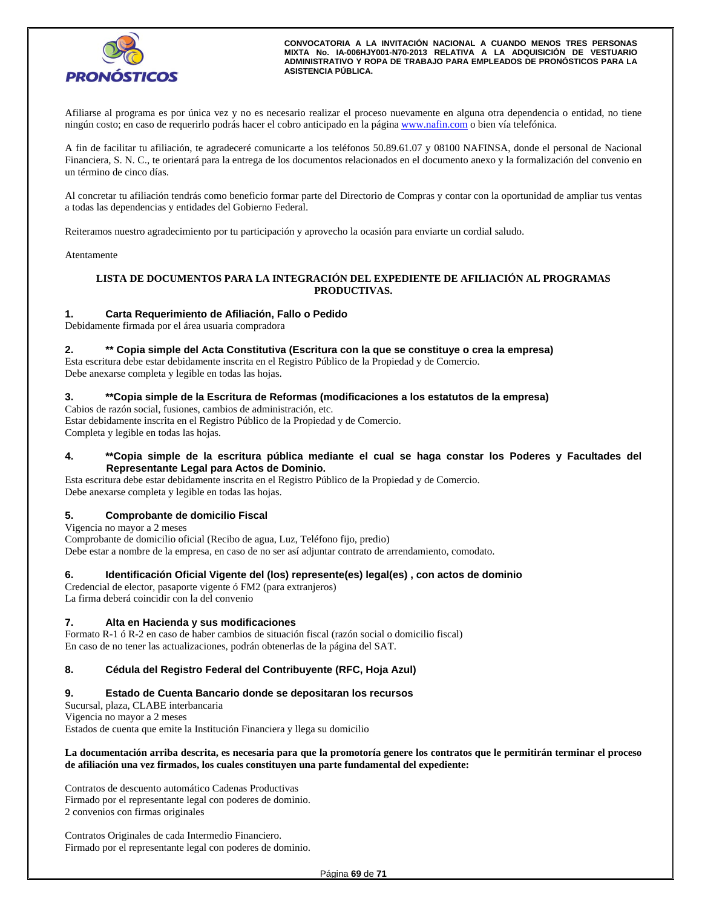

Afiliarse al programa es por única vez y no es necesario realizar el proceso nuevamente en alguna otra dependencia o entidad, no tiene ningún costo; en caso de requerirlo podrás hacer el cobro anticipado en la página www.nafin.com o bien vía telefónica.

A fin de facilitar tu afiliación, te agradeceré comunicarte a los teléfonos 50.89.61.07 y 08100 NAFINSA, donde el personal de Nacional Financiera, S. N. C., te orientará para la entrega de los documentos relacionados en el documento anexo y la formalización del convenio en un término de cinco días.

Al concretar tu afiliación tendrás como beneficio formar parte del Directorio de Compras y contar con la oportunidad de ampliar tus ventas a todas las dependencias y entidades del Gobierno Federal.

Reiteramos nuestro agradecimiento por tu participación y aprovecho la ocasión para enviarte un cordial saludo.

Atentamente

## **LISTA DE DOCUMENTOS PARA LA INTEGRACIÓN DEL EXPEDIENTE DE AFILIACIÓN AL PROGRAMAS PRODUCTIVAS.**

## **1. Carta Requerimiento de Afiliación, Fallo o Pedido**

Debidamente firmada por el área usuaria compradora

## **2. \*\* Copia simple del Acta Constitutiva (Escritura con la que se constituye o crea la empresa)**

Esta escritura debe estar debidamente inscrita en el Registro Público de la Propiedad y de Comercio. Debe anexarse completa y legible en todas las hojas.

## **3. \*\*Copia simple de la Escritura de Reformas (modificaciones a los estatutos de la empresa)**

Cabios de razón social, fusiones, cambios de administración, etc. Estar debidamente inscrita en el Registro Público de la Propiedad y de Comercio. Completa y legible en todas las hojas.

## **4. \*\*Copia simple de la escritura pública mediante el cual se haga constar los Poderes y Facultades del Representante Legal para Actos de Dominio.**

Esta escritura debe estar debidamente inscrita en el Registro Público de la Propiedad y de Comercio. Debe anexarse completa y legible en todas las hojas.

## **5. Comprobante de domicilio Fiscal**

Vigencia no mayor a 2 meses Comprobante de domicilio oficial (Recibo de agua, Luz, Teléfono fijo, predio) Debe estar a nombre de la empresa, en caso de no ser así adjuntar contrato de arrendamiento, comodato.

## **6. Identificación Oficial Vigente del (los) represente(es) legal(es) , con actos de dominio**

Credencial de elector, pasaporte vigente ó FM2 (para extranjeros) La firma deberá coincidir con la del convenio

## **7. Alta en Hacienda y sus modificaciones**

Formato R-1 ó R-2 en caso de haber cambios de situación fiscal (razón social o domicilio fiscal) En caso de no tener las actualizaciones, podrán obtenerlas de la página del SAT.

## **8. Cédula del Registro Federal del Contribuyente (RFC, Hoja Azul)**

## **9. Estado de Cuenta Bancario donde se depositaran los recursos**

Sucursal, plaza, CLABE interbancaria Vigencia no mayor a 2 meses

Estados de cuenta que emite la Institución Financiera y llega su domicilio

## **La documentación arriba descrita, es necesaria para que la promotoría genere los contratos que le permitirán terminar el proceso de afiliación una vez firmados, los cuales constituyen una parte fundamental del expediente:**

Contratos de descuento automático Cadenas Productivas Firmado por el representante legal con poderes de dominio. 2 convenios con firmas originales

Contratos Originales de cada Intermedio Financiero. Firmado por el representante legal con poderes de dominio.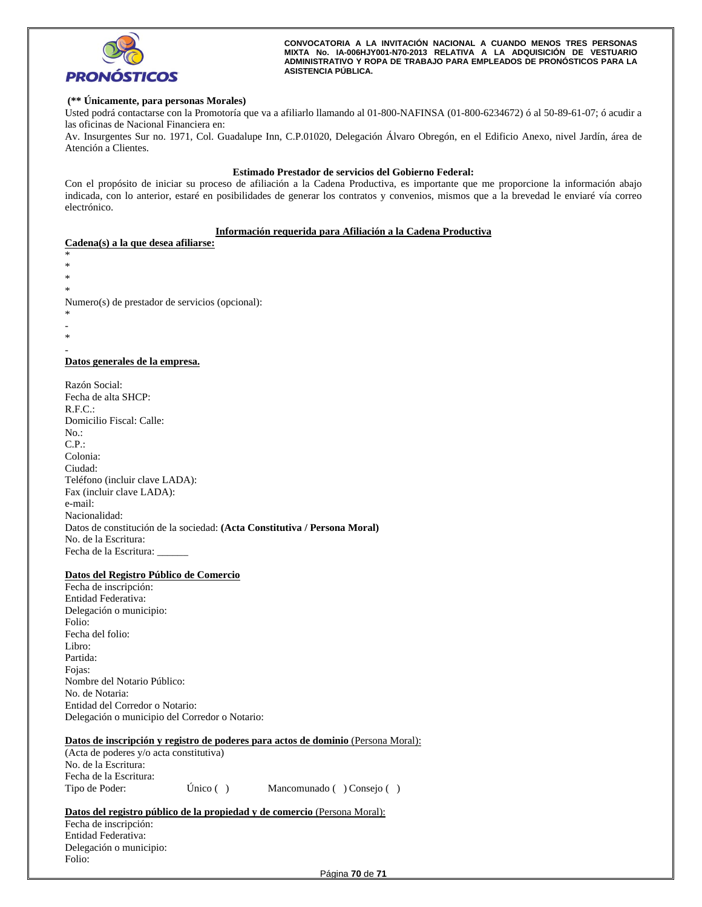

## **(\*\* Únicamente, para personas Morales)**

Usted podrá contactarse con la Promotoría que va a afiliarlo llamando al 01-800-NAFINSA (01-800-6234672) ó al 50-89-61-07; ó acudir a las oficinas de Nacional Financiera en:

Av. Insurgentes Sur no. 1971, Col. Guadalupe Inn, C.P.01020, Delegación Álvaro Obregón, en el Edificio Anexo, nivel Jardín, área de Atención a Clientes.

### **Estimado Prestador de servicios del Gobierno Federal:**

Con el propósito de iniciar su proceso de afiliación a la Cadena Productiva, es importante que me proporcione la información abajo indicada, con lo anterior, estaré en posibilidades de generar los contratos y convenios, mismos que a la brevedad le enviaré vía correo electrónico.

### **Información requerida para Afiliación a la Cadena Productiva**

## **Cadena(s) a la que desea afiliarse:**

\* \* \* \* Numero(s) de prestador de servicios (opcional): \*

- -
- \* -

## **Datos generales de la empresa.**

Razón Social: Fecha de alta SHCP: R.F.C.: Domicilio Fiscal: Calle: No.: C.P.: Colonia: Ciudad: Teléfono (incluir clave LADA): Fax (incluir clave LADA): e-mail: Nacionalidad: Datos de constitución de la sociedad: **(Acta Constitutiva / Persona Moral)** No. de la Escritura: Fecha de la Escritura: \_\_\_\_\_\_

## **Datos del Registro Público de Comercio**

Fecha de inscripción: Entidad Federativa: Delegación o municipio: Folio: Fecha del folio: Libro: Partida: Fojas: Nombre del Notario Público: No. de Notaria: Entidad del Corredor o Notario: Delegación o municipio del Corredor o Notario:

## **Datos de inscripción y registro de poderes para actos de dominio** (Persona Moral):

(Acta de poderes y/o acta constitutiva) No. de la Escritura: Fecha de la Escritura: Tipo de Poder: Único ( ) Mancomunado ( ) Consejo ( )

Datos del registro público de la propiedad y de comercio (Persona Moral):

Fecha de inscripción: Entidad Federativa: Delegación o municipio: Folio: